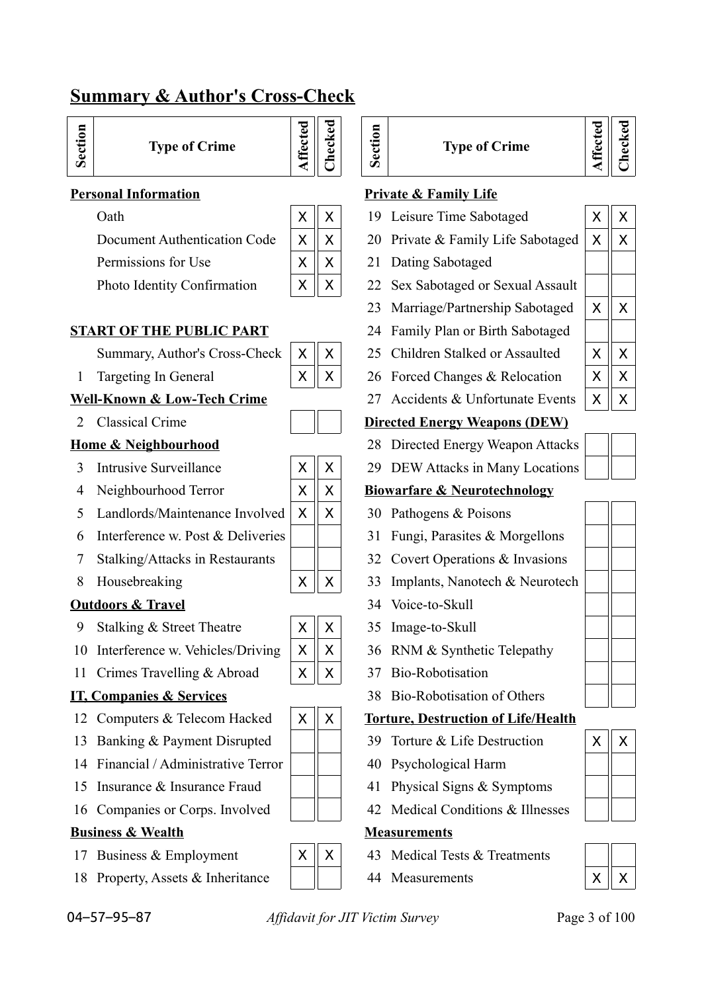# **Summary & Author's Cross-Check**

| ⊟<br>-<br>Б<br>Type<br>౿<br>ಹಿ |
|--------------------------------|
|--------------------------------|

**nf Crime** 

**Sectio n**

Permissions for Use  $|\mathsf{X} \times \mathsf{X}| = 21$  Dating Sabotaged

| X | X |
|---|---|
| x | X |
| X | X |
| X | X |

**Affe**

**cte d**

## **Well-Known & Low-Tech Crime** 27 Accidents & Unfortunate Events |  $\times$  ||  $\times$

- 
- 
- 5 Landlords/Maintenance Involved  $\vert \times \vert \vert \times \vert$  30 Pathogens & Poisons
- 6 Interference w. Post & Deliveries  $\parallel \parallel$  31 Fungi, Parasites & Morgellons
- 
- 

## **Outdoors & Travel** 34 Voice-to-Skull

- 9 Stalking & Street Theatre  $\vert \times \vert \vert \times \vert$  35 Image-to-Skull
- 10 Interference w. Vehicles/Driving  $\|X\|X\|$  36 RNM & Synthetic Telepathy
- 11 Crimes Travelling & Abroad  $\vert X \vert X \vert$  37 Bio-Robotisation

- 
- 13 Banking & Payment Disrupted  $\parallel \parallel$  39 Torture & Life Destruction  $\vert X \vert \vert X$
- 14 Financial / Administrative Terror | | | 40 Psychological Harm
- 15 Insurance & Insurance Fraud  $|| \cdot ||$  41 Physical Signs & Symptoms
- 16 Companies or Corps. Involved  $\parallel$  42 Medical Conditions & Illnesses

## **Business & Wealth Measurements**

- 
- 18 Property, Assets & Inheritance  $||$   $||$  44 Measurements

04–57–95–87 *Affidavit for JIT Victim Survey* Page 3 of 100

| <b>Type of Crime</b> |
|----------------------|
|                      |

## **Personal Information Private & Family Life**

- Oath X X 19 Leisure Time Sabotaged X X
- Document Authentication Code  $\|X\|X\|$  20 Private & Family Life Sabotaged  $\|X\|X$ 
	-
- Photo Identity Confirmation  $\|\mathbf{X}\| \mathbf{X}$  | 22 Sex Sabotaged or Sexual Assault
	- 23 Marriage/Partnership Sabotaged  $\|X\|X$
- **START OF THE PUBLIC PART** 24 Family Plan or Birth Sabotaged
	- Summary, Author's Cross-Check  $\|X\|X\|$  25 Children Stalked or Assaulted  $\|X\|X$
	- 1 Targeting In General  $\mathbf{X} \parallel \mathbf{X}$   $\mathbf{X}$  26 Forced Changes & Relocation  $\mathbf{X} \parallel \mathbf{X}$ 
		-

## 2 Classical Crime **Directed Energy Weapons (DEW)**

- **Home & Neighbourhood** 28 Directed Energy Weapon Attacks
	- 3 Intrusive Surveillance X X 29 DEW Attacks in Many Locations

## 4 Neighbourhood Terror  $\begin{array}{|c|c|c|c|c|c|} \hline \end{array}$  **Biowarfare & Neurotechnology**

- 
- 
- 7 Stalking/Attacks in Restaurants | | | 32 Covert Operations & Invasions
- 8 Housebreaking  $\vert \times \vert \times \vert$   $\vert \times \vert$  33 Implants, Nanotech & Neurotech
	-
	-
	-
	-
- **IT, Companies & Services** 38 Bio-Robotisation of Others

## 12 Computers & Telecom Hacked  $\|\mathbf{x}\| \times \|\mathbf{x}\|$  Torture, Destruction of Life/Health

- 
- 
- 
- 

- 17 Business & Employment  $\begin{array}{|c|c|c|c|c|c|} \hline \end{array}$  X  $\begin{array}{|c|c|c|c|c|} \hline \end{array}$  X  $\begin{array}{|c|c|c|c|c|} \hline \end{array}$  A3 Medical Tests & Treatments
	-



- 
- 





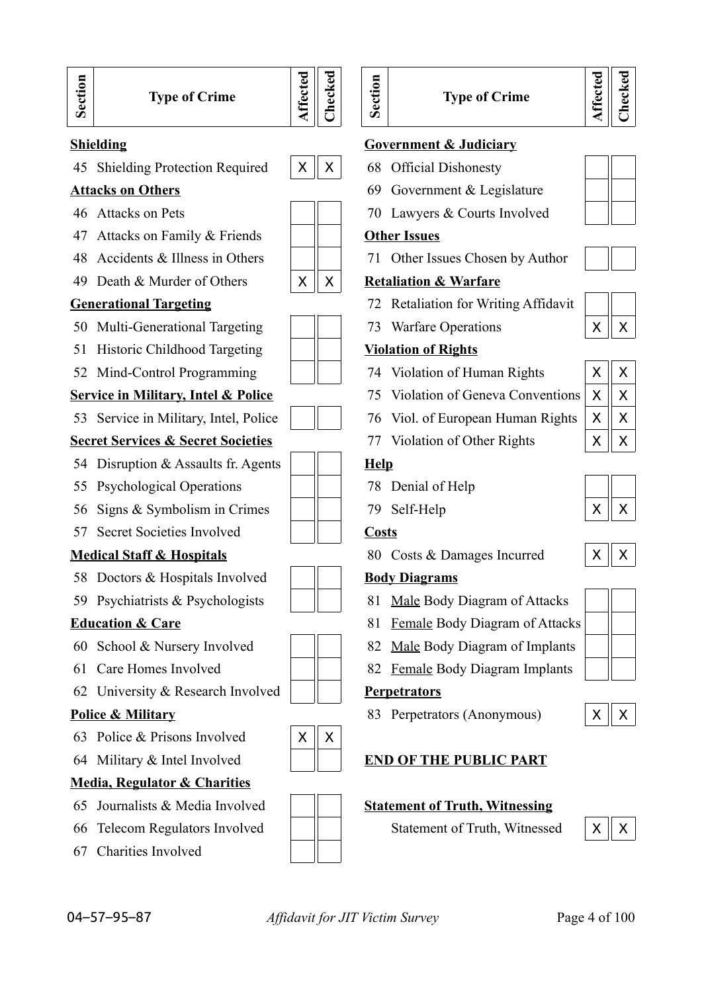



45 Shielding Protection Required  $\|\mathbf{X}\| \times 68$  Official Dishonesty

- 
- 47 Attacks on Family & Friends **Other Issues**
- 
- 49 Death & Murder of Others  $\begin{array}{c|c|c|c} \hline \times & \times & \times \end{array}$  **Retaliation & Warfare**

- 50 Multi-Generational Targeting  $\parallel$   $\parallel$  73 Warfare Operations  $\parallel$  X  $\parallel$  X
- 51 Historic Childhood Targeting **Violation of Rights**
- 52 Mind-Control Programming  $\vert$  |  $\vert$  74 Violation of Human Rights

53 Service in Military, Intel, Police  $\parallel \parallel \parallel$  76 Viol. of European Human Rights

## **Secret Services & Secret Societies** 77 Violation of Other Rights

- 54 Disruption & Assaults fr. Agents **Help**
- 55 Psychological Operations 78 Denial of Help
- 56 Signs & Symbolism in Crimes  $\parallel \parallel$  79 Self-Help
- 57 Secret Societies Involved **Costs**

- 58 Doctors & Hospitals Involved **Body Diagrams**
- 

- 
- 
- 62 University & Research Involved **Perpetrators**

- 63 Police & Prisons Involved  $\vert \times \vert \times \rangle$
- 

## **Media, Regulator & Charities**

- 
- 66 Telecom Regulators Involved  $\|\cdot\|$  Statement of Truth, Witnessed  $\|\cdot\|$  X  $\|\cdot\|$
- 67 Charities Involved



## **Type of Crime**

## **Affe cte dChecked**

### **Shielding Government & Judiciary**

- 
- Attacks on Others 69 Government & Legislature
- 46 Attacks on Pets 20 | 20 Lawyers & Courts Involved

48 Accidents & Illness in Others  $\parallel \parallel$  71 Other Issues Chosen by Author

- **Generational Targeting** 72 Retaliation for Writing Affidavit
	-

- 
- **Service in Military, Intel & Police** 75 Violation of Geneva Conventions
	-
	-

- 
- 

**Medical Staff & Hospitals** 80 Costs & Damages Incurred

- 59 Psychiatrists & Psychologists  $\begin{array}{|c|c|c|c|c|} \hline \end{array}$  81 Male Body Diagram of Attacks
- **Education & Care** 81 Female Body Diagram of Attacks
- 60 School & Nursery Involved  $\parallel$  | 82 Male Body Diagram of Implants
- 61 Care Homes Involved | 82 <u>Female</u> Body Diagram Implants

**Police & Military** 83 Perpetrators (Anonymous)  $\vert X \vert \vert X$ 

## 64 Military & Intel Involved **END OF THE PUBLIC PART**

## 65 Journalists & Media Involved **Statement of Truth, Witnessing**



| X | X |
|---|---|
| х | x |
| х | x |
| х | X |

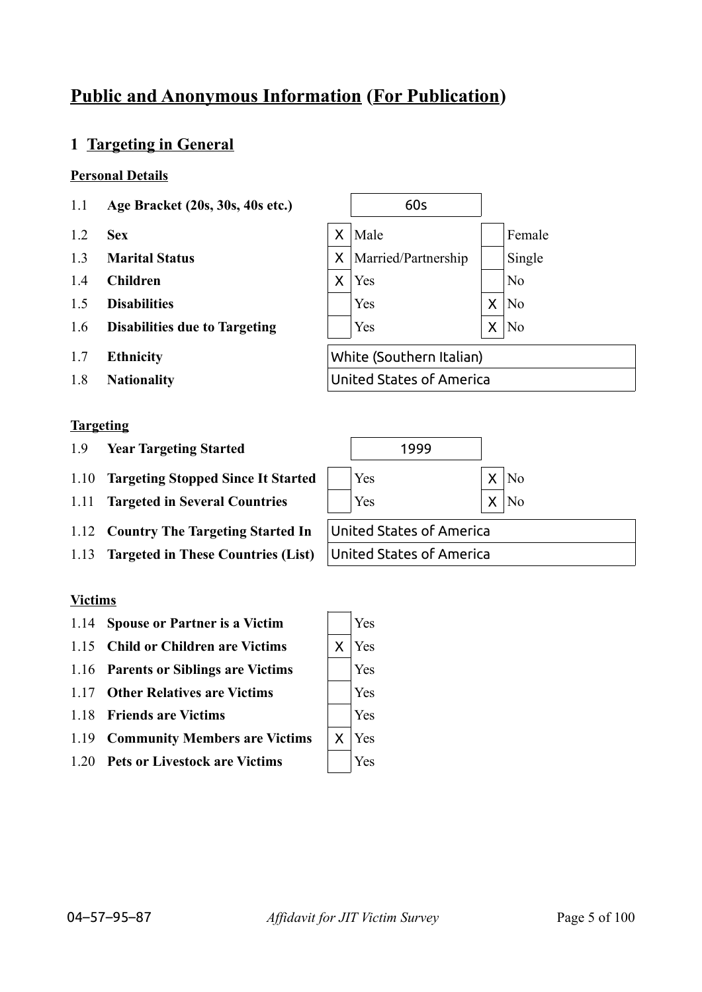# **Public and Anonymous Information (For Publication)**

## **1 Targeting in General**

## **Personal Details**

- 1.1 **Age Bracket (20s, 30s, 40s etc.)** 60s
- 
- 
- 
- 
- 
- 
- 1.8 **Nationality** United States of America

## **Targeting**

- 1.9 **Year Targeting Started** 1999
- 1.10 **Targeting Stopped Since It Started** | Yes X | X | No
- 1.11 **Targeted in Several Countries**  $\vert$  **Yes**  $\vert$  **X**  $\vert$  **X**  $\vert$  **X**
- 1.12 **Country The Targeting Started In** United States of America
- 1.13 **Targeted in These Countries (List)** United States of America

## **Victims**

- 1.14 **Spouse or Partner is a Victim** Yes
- 1.15 **Child or Children are Victims**  $\vert X \vert$  Yes
- 1.16 **Parents or Siblings are Victims** Yes
- 1.17 **Other Relatives are Victims** Yes
- 1.18 **Friends are Victims** Yes
- 1.19 **Community Members are Victims** |  $\times$  | Yes
- 1.20 **Pets or Livestock are Victims**  $|$  **Yes**





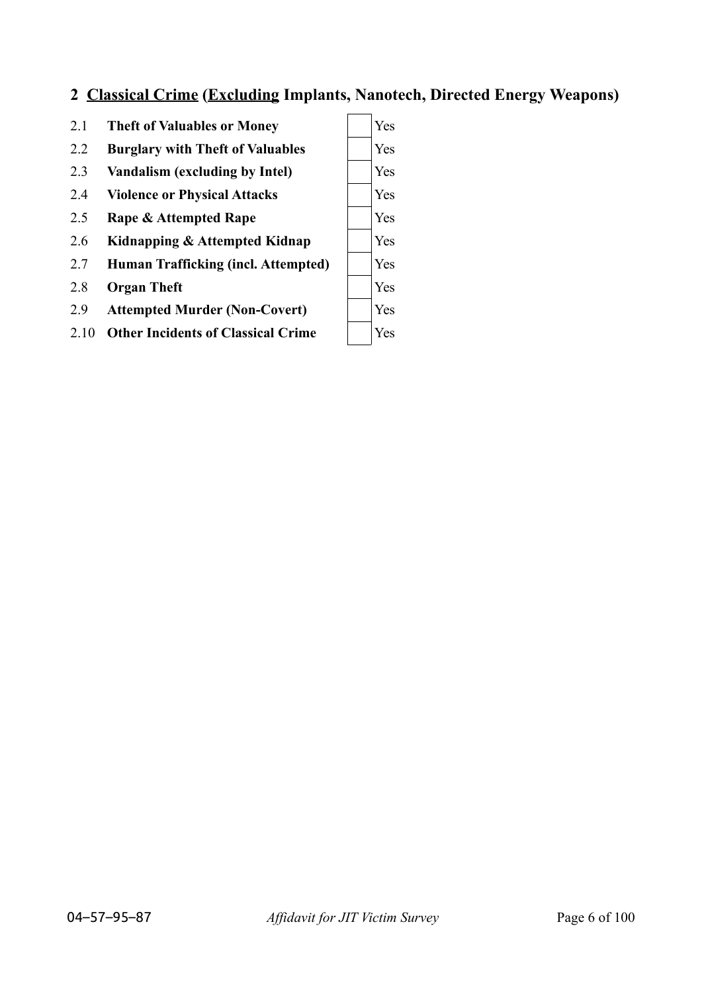# **2 Classical Crime (Excluding Implants, Nanotech, Directed Energy Weapons)**

- 2.1 **Theft of Valuables or Money**  $\vert$  Yes
- 2.2 **Burglary with Theft of Valuables** | Yes
- 2.3 **Vandalism (excluding by Intel)** Yes
- 2.4 **Violence or Physical Attacks**  $|$  Yes
- 2.5 **Rape & Attempted Rape**  $\vert$  Yes
- 2.6 **Kidnapping & Attempted Kidnap** Yes
- 2.7 **Human Trafficking (incl. Attempted)** Yes
- 2.8 **Organ Theft** Yes
- 2.9 **Attempted Murder (Non-Covert)** Yes
- 2.10 **Other Incidents of Classical Crime** | Yes

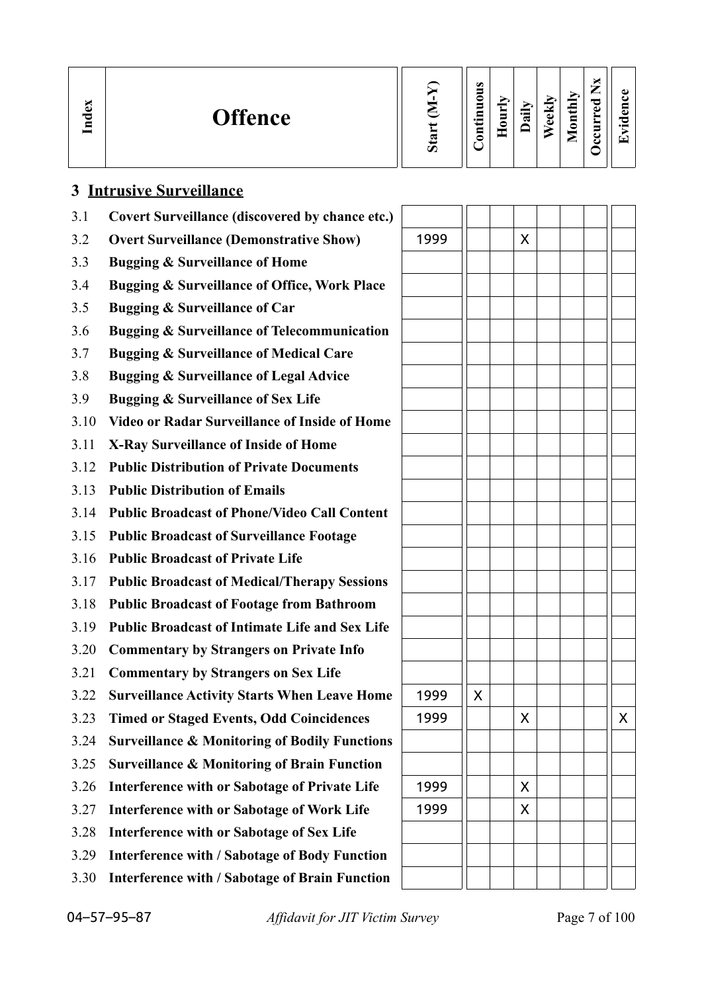| $\mathbb{R}$<br>ខ្ព | <b>Offence</b> | $\omega$ | $\bullet$<br>5<br>0<br>$\blacksquare$<br>르.<br>. .<br>$\mathbf s$ | ≂<br>Ĕ<br>∊ | 급 | ekh<br>$\bullet$ | thly<br>토<br>0<br>_ | 雨<br>ω | $\bullet$<br>−<br>പ<br>c<br>$\bullet$<br>T. |
|---------------------|----------------|----------|-------------------------------------------------------------------|-------------|---|------------------|---------------------|--------|---------------------------------------------|
|---------------------|----------------|----------|-------------------------------------------------------------------|-------------|---|------------------|---------------------|--------|---------------------------------------------|

| 3.1  | <b>Covert Surveillance (discovered by chance etc.)</b>   |      |   |   |  |   |
|------|----------------------------------------------------------|------|---|---|--|---|
| 3.2  | <b>Overt Surveillance (Demonstrative Show)</b>           | 1999 |   | X |  |   |
| 3.3  | <b>Bugging &amp; Surveillance of Home</b>                |      |   |   |  |   |
| 3.4  | Bugging & Surveillance of Office, Work Place             |      |   |   |  |   |
| 3.5  | <b>Bugging &amp; Surveillance of Car</b>                 |      |   |   |  |   |
| 3.6  | <b>Bugging &amp; Surveillance of Telecommunication</b>   |      |   |   |  |   |
| 3.7  | <b>Bugging &amp; Surveillance of Medical Care</b>        |      |   |   |  |   |
| 3.8  | <b>Bugging &amp; Surveillance of Legal Advice</b>        |      |   |   |  |   |
| 3.9  | <b>Bugging &amp; Surveillance of Sex Life</b>            |      |   |   |  |   |
| 3.10 | <b>Video or Radar Surveillance of Inside of Home</b>     |      |   |   |  |   |
| 3.11 | <b>X-Ray Surveillance of Inside of Home</b>              |      |   |   |  |   |
| 3.12 | <b>Public Distribution of Private Documents</b>          |      |   |   |  |   |
| 3.13 | <b>Public Distribution of Emails</b>                     |      |   |   |  |   |
| 3.14 | <b>Public Broadcast of Phone/Video Call Content</b>      |      |   |   |  |   |
| 3.15 | <b>Public Broadcast of Surveillance Footage</b>          |      |   |   |  |   |
| 3.16 | <b>Public Broadcast of Private Life</b>                  |      |   |   |  |   |
| 3.17 | <b>Public Broadcast of Medical/Therapy Sessions</b>      |      |   |   |  |   |
| 3.18 | <b>Public Broadcast of Footage from Bathroom</b>         |      |   |   |  |   |
| 3.19 | <b>Public Broadcast of Intimate Life and Sex Life</b>    |      |   |   |  |   |
| 3.20 | <b>Commentary by Strangers on Private Info</b>           |      |   |   |  |   |
| 3.21 | <b>Commentary by Strangers on Sex Life</b>               |      |   |   |  |   |
| 3.22 | <b>Surveillance Activity Starts When Leave Home</b>      | 1999 | X |   |  |   |
| 3.23 | <b>Timed or Staged Events, Odd Coincidences</b>          | 1999 |   | X |  | X |
| 3.24 | <b>Surveillance &amp; Monitoring of Bodily Functions</b> |      |   |   |  |   |
| 3.25 | <b>Surveillance &amp; Monitoring of Brain Function</b>   |      |   |   |  |   |
| 3.26 | Interference with or Sabotage of Private Life            | 1999 |   | X |  |   |
| 3.27 | <b>Interference with or Sabotage of Work Life</b>        | 1999 |   | X |  |   |
| 3.28 | Interference with or Sabotage of Sex Life                |      |   |   |  |   |
| 3.29 | <b>Interference with / Sabotage of Body Function</b>     |      |   |   |  |   |
| 3.30 | <b>Interference with / Sabotage of Brain Function</b>    |      |   |   |  |   |

**3 Intrusive Surveillance**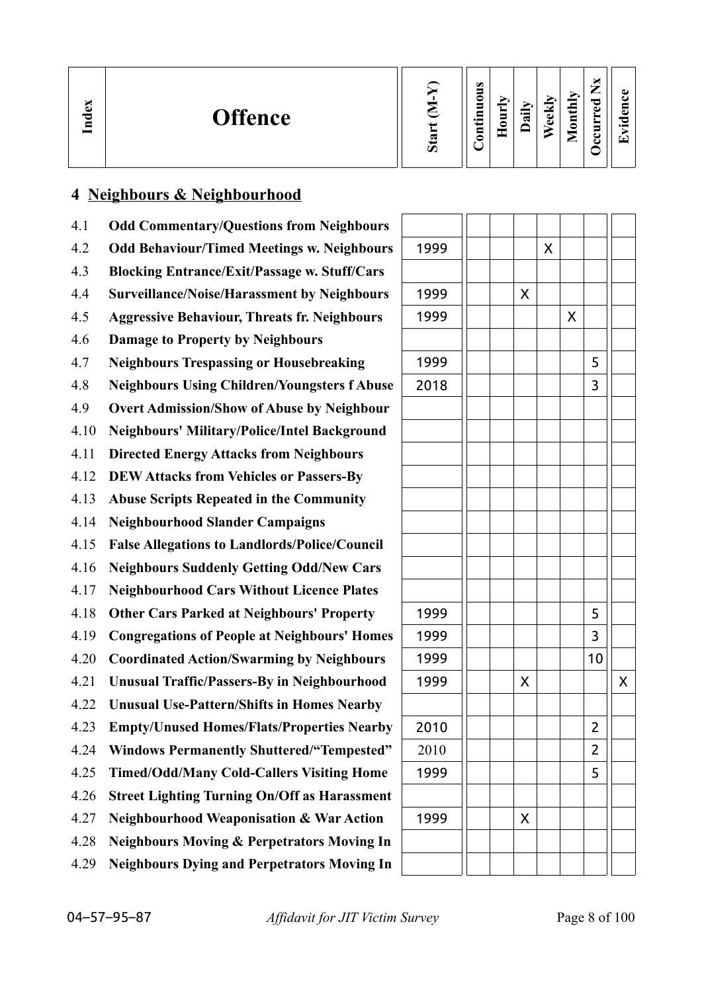| ×<br>്ധ<br>ឪ | <b>Offence</b> | S | $\omega$<br>$\rightarrow$<br>0<br>$\blacksquare$<br>≣.<br>5 | ≂<br>È<br>≏ | $\ddot{a}$ | ekh<br>ω | thly<br>$\overline{\mathbf{a}}$<br>_ | P<br>ω | ω<br>دە<br>っ<br>$\bullet$<br>▼ |
|--------------|----------------|---|-------------------------------------------------------------|-------------|------------|----------|--------------------------------------|--------|--------------------------------|
|--------------|----------------|---|-------------------------------------------------------------|-------------|------------|----------|--------------------------------------|--------|--------------------------------|

# **4 Neighbours & Neighbourhood**

| 4.1  | <b>Odd Commentary/Questions from Neighbours</b>       |      |   |   |   |                |   |
|------|-------------------------------------------------------|------|---|---|---|----------------|---|
| 4.2  | <b>Odd Behaviour/Timed Meetings w. Neighbours</b>     | 1999 |   | X |   |                |   |
| 4.3  | <b>Blocking Entrance/Exit/Passage w. Stuff/Cars</b>   |      |   |   |   |                |   |
| 4.4  | <b>Surveillance/Noise/Harassment by Neighbours</b>    | 1999 | X |   |   |                |   |
| 4.5  | <b>Aggressive Behaviour, Threats fr. Neighbours</b>   | 1999 |   |   | X |                |   |
| 4.6  | <b>Damage to Property by Neighbours</b>               |      |   |   |   |                |   |
| 4.7  | <b>Neighbours Trespassing or Housebreaking</b>        | 1999 |   |   |   | 5              |   |
| 4.8  | <b>Neighbours Using Children/Youngsters f Abuse</b>   | 2018 |   |   |   | 3              |   |
| 4.9  | <b>Overt Admission/Show of Abuse by Neighbour</b>     |      |   |   |   |                |   |
| 4.10 | <b>Neighbours' Military/Police/Intel Background</b>   |      |   |   |   |                |   |
| 4.11 | <b>Directed Energy Attacks from Neighbours</b>        |      |   |   |   |                |   |
| 4.12 | <b>DEW Attacks from Vehicles or Passers-By</b>        |      |   |   |   |                |   |
| 4.13 | <b>Abuse Scripts Repeated in the Community</b>        |      |   |   |   |                |   |
| 4.14 | <b>Neighbourhood Slander Campaigns</b>                |      |   |   |   |                |   |
| 4.15 | <b>False Allegations to Landlords/Police/Council</b>  |      |   |   |   |                |   |
| 4.16 | <b>Neighbours Suddenly Getting Odd/New Cars</b>       |      |   |   |   |                |   |
| 4.17 | <b>Neighbourhood Cars Without Licence Plates</b>      |      |   |   |   |                |   |
| 4.18 | <b>Other Cars Parked at Neighbours' Property</b>      | 1999 |   |   |   | 5              |   |
| 4.19 | <b>Congregations of People at Neighbours' Homes</b>   | 1999 |   |   |   | 3              |   |
| 4.20 | <b>Coordinated Action/Swarming by Neighbours</b>      | 1999 |   |   |   | 10             |   |
| 4.21 | <b>Unusual Traffic/Passers-By in Neighbourhood</b>    | 1999 | X |   |   |                | Χ |
| 4.22 | <b>Unusual Use-Pattern/Shifts in Homes Nearby</b>     |      |   |   |   |                |   |
| 4.23 | <b>Empty/Unused Homes/Flats/Properties Nearby</b>     | 2010 |   |   |   | $\overline{2}$ |   |
| 4.24 | <b>Windows Permanently Shuttered/"Tempested"</b>      | 2010 |   |   |   | 2              |   |
| 4.25 | <b>Timed/Odd/Many Cold-Callers Visiting Home</b>      | 1999 |   |   |   | 5              |   |
| 4.26 | <b>Street Lighting Turning On/Off as Harassment</b>   |      |   |   |   |                |   |
| 4.27 | <b>Neighbourhood Weaponisation &amp; War Action</b>   | 1999 | X |   |   |                |   |
| 4.28 | <b>Neighbours Moving &amp; Perpetrators Moving In</b> |      |   |   |   |                |   |
| 4.29 | <b>Neighbours Dying and Perpetrators Moving In</b>    |      |   |   |   |                |   |

| 1999 |  |                    | X |                    |                         |   |
|------|--|--------------------|---|--------------------|-------------------------|---|
|      |  |                    |   |                    |                         |   |
| 1999 |  | $\pmb{\mathsf{X}}$ |   |                    |                         |   |
| 1999 |  |                    |   | $\pmb{\mathsf{X}}$ |                         |   |
|      |  |                    |   |                    |                         |   |
| 1999 |  |                    |   |                    | 5                       |   |
| 2018 |  |                    |   |                    | 3                       |   |
|      |  |                    |   |                    |                         |   |
|      |  |                    |   |                    |                         |   |
|      |  |                    |   |                    |                         |   |
|      |  |                    |   |                    |                         |   |
|      |  |                    |   |                    |                         |   |
|      |  |                    |   |                    |                         |   |
|      |  |                    |   |                    |                         |   |
|      |  |                    |   |                    |                         |   |
|      |  |                    |   |                    |                         |   |
| 1999 |  |                    |   |                    | 5                       |   |
| 1999 |  |                    |   |                    | $\overline{\mathbf{3}}$ |   |
| 1999 |  |                    |   |                    | 10                      |   |
| 1999 |  | $\mathsf{X}$       |   |                    |                         | X |
|      |  |                    |   |                    |                         |   |
| 2010 |  |                    |   |                    | $\overline{\mathbf{c}}$ |   |
| 2010 |  |                    |   |                    | $\overline{\mathbf{c}}$ |   |
| 1999 |  |                    |   |                    | 5                       |   |
|      |  |                    |   |                    |                         |   |
| 1999 |  | X                  |   |                    |                         |   |
|      |  |                    |   |                    |                         |   |
|      |  |                    |   |                    |                         |   |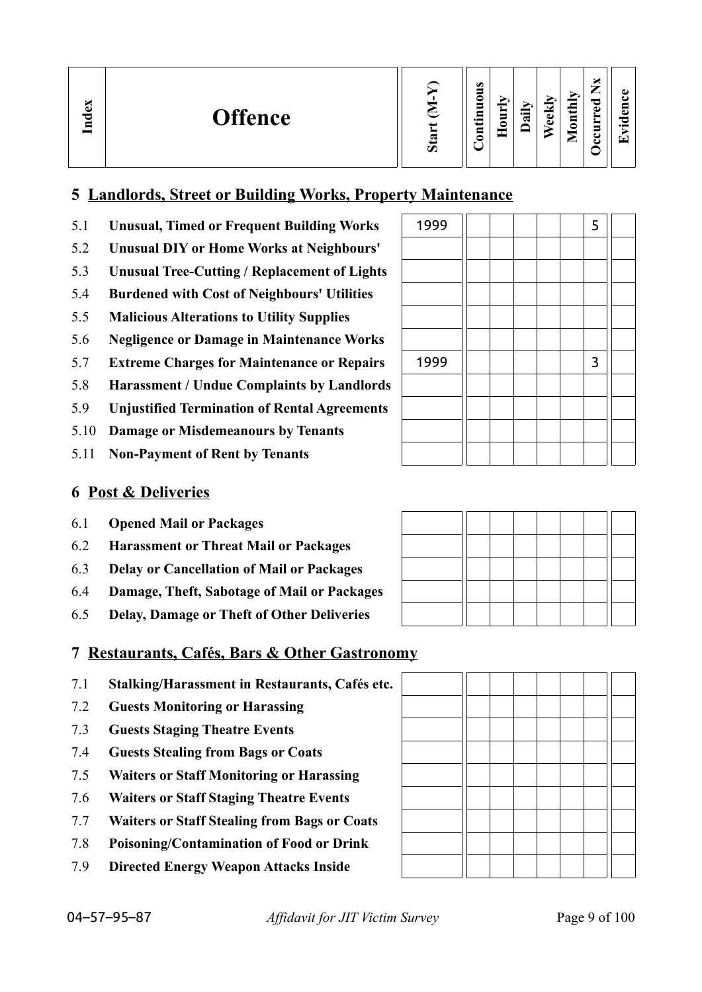| ndex<br><b>Offence</b> | R<br>Ο | $\omega$<br>_<br>_<br>s<br>$\bullet$ and<br>c<br>_ | ੶ਜ਼ | ⊻<br>نه<br>$\bullet$ | <b>Tonthly</b><br>_<br>ెం<br>ω<br>Ξ<br>e<br>◚<br>ت | o<br>$\overline{\phantom{0}}$ |
|------------------------|--------|----------------------------------------------------|-----|----------------------|----------------------------------------------------|-------------------------------|
|------------------------|--------|----------------------------------------------------|-----|----------------------|----------------------------------------------------|-------------------------------|

## **5 Landlords, Street or Building Works, Property Maintenance**

- 5.1 **Unusual, Timed or Frequent Building Works** 1999 11 1 5 5
- 5.2 **Unusual DIY or Home Works at Neighbours'**
- 5.3 **Unusual Tree-Cutting / Replacement of Lights**
- 5.4 **Burdened with Cost of Neighbours' Utilities**
- 5.5 **Malicious Alterations to Utility Supplies**
- 5.6 **Negligence or Damage in Maintenance Works**
- 5.7 **Extreme Charges for Maintenance or Repairs**
- 5.8 **Harassment / Undue Complaints by Landlords**
- 5.9 **Unjustified Termination of Rental Agreements**
- 5.10 **Damage or Misdemeanours by Tenants**
- 5.11 **Non-Payment of Rent by Tenants**

| ーフフフ |  |  | ر            |  |
|------|--|--|--------------|--|
|      |  |  |              |  |
|      |  |  |              |  |
|      |  |  |              |  |
|      |  |  |              |  |
|      |  |  |              |  |
| 1999 |  |  | $\mathbf{3}$ |  |
|      |  |  |              |  |
|      |  |  |              |  |
|      |  |  |              |  |
|      |  |  |              |  |

## **6 Post & Deliveries**

- 6.1 **Opened Mail or Packages**
- 6.2 **Harassment or Threat Mail or Packages**
- 6.3 **Delay or Cancellation of Mail or Packages**
- 6.4 **Damage, Theft, Sabotage of Mail or Packages**
- 6.5 **Delay, Damage or Theft of Other Deliveries**

|  |  | 7 Restaurants, Cafés, Bars & Other Gastronomy |
|--|--|-----------------------------------------------|
|  |  |                                               |

- 7.1 **Stalking/Harassment in Restaurants, Cafés etc.**
- 7.2 **Guests Monitoring or Harassing**
- 7.3 **Guests Staging Theatre Events**
- 7.4 **Guests Stealing from Bags or Coats**
- 7.5 **Waiters or Staff Monitoring or Harassing**
- 7.6 **Waiters or Staff Staging Theatre Events**
- 7.7 **Waiters or Staff Stealing from Bags or Coats**
- 7.8 **Poisoning/Contamination of Food or Drink**
- 7.9 **Directed Energy Weapon Attacks Inside**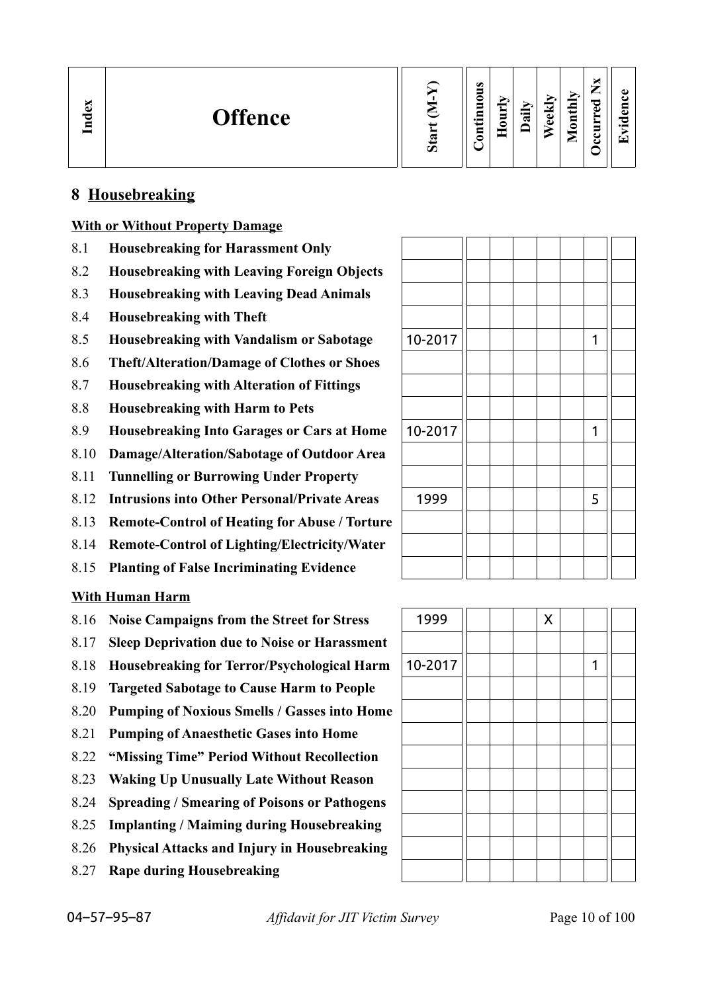| Index<br><b>Offence</b> | Ο | ω<br>_<br>c<br>Ξ<br>⊆<br>$\cdot$ $-$<br>5 | −<br>⊂<br>۰<br>۰ | ∽<br>ੰਡ | ≂<br>نه<br>ω | onthly<br>∊<br>▱ | ×<br>—<br>-<br>ರ<br>ω<br>►<br>►<br>5<br>◡<br>ల | ω<br>$\bullet$ $\blacksquare$<br>$\overline{\phantom{a}}$ |
|-------------------------|---|-------------------------------------------|------------------|---------|--------------|------------------|------------------------------------------------|-----------------------------------------------------------|
|-------------------------|---|-------------------------------------------|------------------|---------|--------------|------------------|------------------------------------------------|-----------------------------------------------------------|

## **8 Housebreaking**

### **With or Without Property Damage**

- 8.1 **Housebreaking for Harassment Only**
- 8.2 **Housebreaking with Leaving Foreign Objects**
- 8.3 **Housebreaking with Leaving Dead Animals**
- 8.4 **Housebreaking with Theft**
- 8.5 **Housebreaking with Vandalism or Sabotage**
- 8.6 **Theft/Alteration/Damage of Clothes or Shoes**
- 8.7 **Housebreaking with Alteration of Fittings**
- 8.8 **Housebreaking with Harm to Pets**
- 8.9 **Housebreaking Into Garages or Cars at Home**
- 8.10 **Damage/Alteration/Sabotage of Outdoor Area**
- 8.11 **Tunnelling or Burrowing Under Property**
- 8.12 **Intrusions into Other Personal/Private Areas**
- 8.13 **Remote-Control of Heating for Abuse / Torture**
- 8.14 **Remote-Control of Lighting/Electricity/Water**
- 8.15 **Planting of False Incriminating Evidence**

### **With Human Harm**

- 8.16 **Noise Campaigns from the Street for Stress** 1999 1999 X
- 8.17 **Sleep Deprivation due to Noise or Harassment**
- 8.18 **Housebreaking for Terror/Psychological Harm** | 10-2017 | | | | | | | | | 1
- 8.19 **Targeted Sabotage to Cause Harm to People**
- 8.20 **Pumping of Noxious Smells / Gasses into Home**
- 8.21 **Pumping of Anaesthetic Gases into Home**
- 8.22 **"Missing Time" Period Without Recollection**
- 8.23 **Waking Up Unusually Late Without Reason**
- 8.24 **Spreading / Smearing of Poisons or Pathogens**
- 8.25 **Implanting / Maiming during Housebreaking**
- 8.26 **Physical Attacks and Injury in Housebreaking**
- 8.27 **Rape during Housebreaking**

| 10-2017 |  |  | 1           |  |
|---------|--|--|-------------|--|
|         |  |  |             |  |
|         |  |  |             |  |
|         |  |  |             |  |
| 10-2017 |  |  | $\mathbf 1$ |  |
|         |  |  |             |  |
|         |  |  |             |  |
| 1999    |  |  | 5           |  |
|         |  |  |             |  |
|         |  |  |             |  |
|         |  |  |             |  |

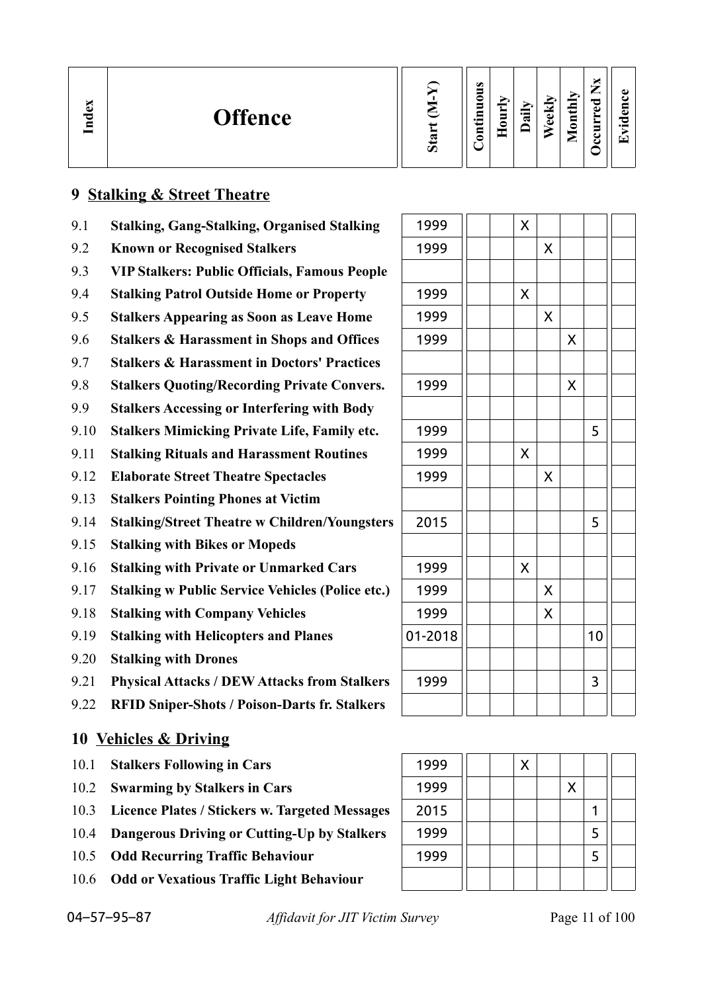| м<br>Ð<br><b>Offence</b><br>$\Xi$ | $\sigma$ | $\omega$<br>◓<br>5<br>.크<br>5 | $\sim$<br>Ē | ≔<br>≂ | ek<br>Œ | Ě<br>$\blacksquare$<br>◓<br><u>.</u> | ∼ | ω<br>c<br>$\bullet$ . The set of $\bullet$<br>▼ |
|-----------------------------------|----------|-------------------------------|-------------|--------|---------|--------------------------------------|---|-------------------------------------------------|
|-----------------------------------|----------|-------------------------------|-------------|--------|---------|--------------------------------------|---|-------------------------------------------------|

## **9 Stalking & Street Theatre**

- 9.1 **Stalking, Gang-Stalking, Organised Stalking**
- **9.2 Known or Recognised Stalkers**
- 9.3 **VIP Stalkers: Public Officials, Famous People**
- 9.4 **Stalking Patrol Outside Home or Property**
- 9.5 **Stalkers Appearing as Soon as Leave Home**
- 9.6 **Stalkers & Harassment in Shops and Offices**
- 9.7 **Stalkers & Harassment in Doctors' Practices**
- 9.8 **Stalkers Quoting/Recording Private Convers.**
- 9.9 **Stalkers Accessing or Interfering with Body**
- 9.10 **Stalkers Mimicking Private Life, Family etc.**
- 9.11 **Stalking Rituals and Harassment Routines**
- **9.12 Elaborate Street Theatre Spectacles**
- 9.13 **Stalkers Pointing Phones at Victim**
- 9.14 **Stalking/Street Theatre w Children/Youngsters**
- 9.15 **Stalking with Bikes or Mopeds**
- 9.16 **Stalking with Private or Unmarked Cars**
- 9.17 **Stalking w Public Service Vehicles (Police etc.)**
- 9.18 **Stalking with Company Vehicles**
- 9.19 **Stalking with Helicopters and Planes**
- 9.20 **Stalking with Drones**
- 9.21 Physical Attacks / DEW Attacks from Stalkers
- 9.22 **RFID Sniper-Shots / Poison-Darts fr. Stalkers**

## **10 Vehicles & Driving**

- 10.1 **Stalkers Following in Cars**
- 10.2 **Swarming by Stalkers in Cars**
- 10.3 Licence Plates / Stickers w. Targeted Messages
- 10.4 **Dangerous Driving or Cutting-Up by Stalkers**
- 10.5 Odd Recurring Traffic Behaviour
- 10.6 **Odd or Vexatious Traffic Light Behaviour**

| 1999    |  | X |                    |                    |    |  |
|---------|--|---|--------------------|--------------------|----|--|
| 1999    |  |   | X                  |                    |    |  |
|         |  |   |                    |                    |    |  |
| 1999    |  | X |                    |                    |    |  |
| 1999    |  |   | Χ                  |                    |    |  |
| 1999    |  |   |                    | $\pmb{\mathsf{X}}$ |    |  |
|         |  |   |                    |                    |    |  |
| 1999    |  |   |                    | X                  |    |  |
|         |  |   |                    |                    |    |  |
| 1999    |  |   |                    |                    | 5  |  |
| 1999    |  | X |                    |                    |    |  |
| 1999    |  |   | X                  |                    |    |  |
|         |  |   |                    |                    |    |  |
| 2015    |  |   |                    |                    | 5  |  |
|         |  |   |                    |                    |    |  |
| 1999    |  | X |                    |                    |    |  |
| 1999    |  |   | $\pmb{\mathsf{X}}$ |                    |    |  |
| 1999    |  |   | X                  |                    |    |  |
| 01-2018 |  |   |                    |                    | 10 |  |
|         |  |   |                    |                    |    |  |
| 1999    |  |   |                    |                    | 3  |  |
|         |  |   |                    |                    |    |  |

| 1999 |  | Χ |   |   |  |
|------|--|---|---|---|--|
| 1999 |  |   | X |   |  |
| 2015 |  |   |   |   |  |
| 1999 |  |   |   | 5 |  |
| 1999 |  |   |   | 5 |  |
|      |  |   |   |   |  |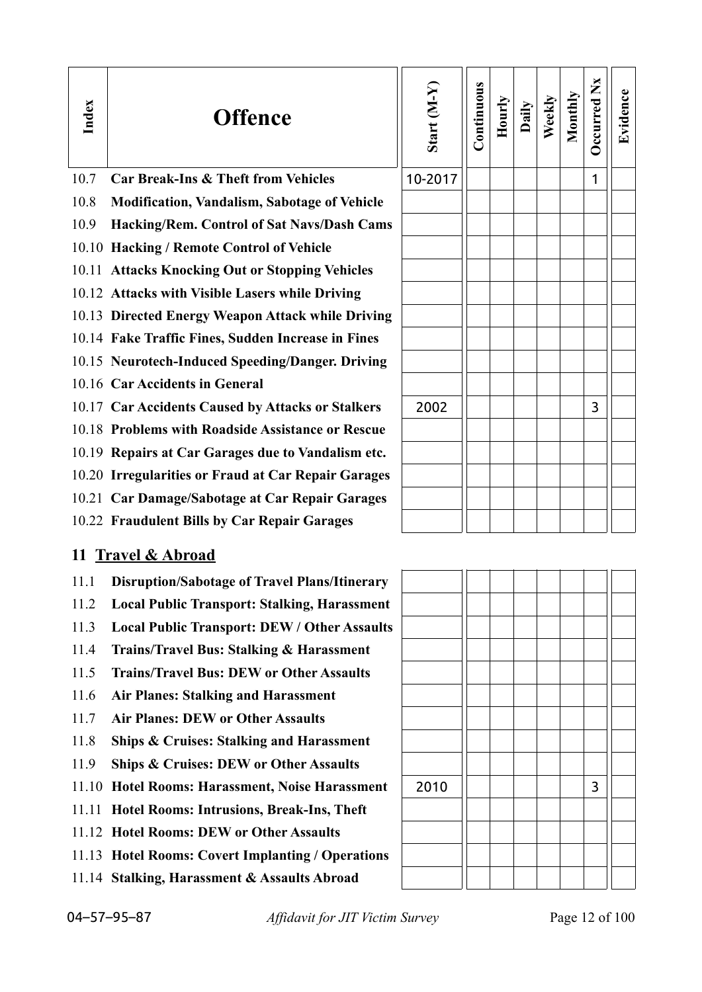| Index | <b>Offence</b>                                      | Start $(M-Y)$ | Continuous | Hourly | Daily | Weekly | Monthly | Occurred Nx | Evidence |
|-------|-----------------------------------------------------|---------------|------------|--------|-------|--------|---------|-------------|----------|
| 10.7  | <b>Car Break-Ins &amp; Theft from Vehicles</b>      | 10-2017       |            |        |       |        |         | 1           |          |
| 10.8  | <b>Modification, Vandalism, Sabotage of Vehicle</b> |               |            |        |       |        |         |             |          |
| 10.9  | Hacking/Rem. Control of Sat Navs/Dash Cams          |               |            |        |       |        |         |             |          |
|       | 10.10 Hacking / Remote Control of Vehicle           |               |            |        |       |        |         |             |          |
|       | 10.11 Attacks Knocking Out or Stopping Vehicles     |               |            |        |       |        |         |             |          |
|       | 10.12 Attacks with Visible Lasers while Driving     |               |            |        |       |        |         |             |          |
|       | 10.13 Directed Energy Weapon Attack while Driving   |               |            |        |       |        |         |             |          |
|       | 10.14 Fake Traffic Fines, Sudden Increase in Fines  |               |            |        |       |        |         |             |          |
|       | 10.15 Neurotech-Induced Speeding/Danger. Driving    |               |            |        |       |        |         |             |          |
|       | 10.16 Car Accidents in General                      |               |            |        |       |        |         |             |          |
|       | 10.17 Car Accidents Caused by Attacks or Stalkers   | 2002          |            |        |       |        |         | 3           |          |
|       | 10.18 Problems with Roadside Assistance or Rescue   |               |            |        |       |        |         |             |          |
|       | 10.19 Repairs at Car Garages due to Vandalism etc.  |               |            |        |       |        |         |             |          |
|       | 10.20 Irregularities or Fraud at Car Repair Garages |               |            |        |       |        |         |             |          |
|       | 10.21 Car Damage/Sabotage at Car Repair Garages     |               |            |        |       |        |         |             |          |
|       | 10.22 Fraudulent Bills by Car Repair Garages        |               |            |        |       |        |         |             |          |
|       | 11 Travel & Abroad                                  |               |            |        |       |        |         |             |          |
|       | 11.1 Disruption/Sabotage of Travel Plans/Itinerary  |               |            |        |       |        |         |             |          |
| 11.2  | <b>Local Public Transport: Stalking, Harassment</b> |               |            |        |       |        |         |             |          |
| 11.3  | <b>Local Public Transport: DEW / Other Assaults</b> |               |            |        |       |        |         |             |          |
| 11.4  | <b>Trains/Travel Bus: Stalking &amp; Harassment</b> |               |            |        |       |        |         |             |          |
| 11.5  | <b>Trains/Travel Bus: DEW or Other Assaults</b>     |               |            |        |       |        |         |             |          |
| 11.6  | <b>Air Planes: Stalking and Harassment</b>          |               |            |        |       |        |         |             |          |
| 11.7  | <b>Air Planes: DEW or Other Assaults</b>            |               |            |        |       |        |         |             |          |
| 11.8  | <b>Ships &amp; Cruises: Stalking and Harassment</b> |               |            |        |       |        |         |             |          |
| 11.9  | <b>Ships &amp; Cruises: DEW or Other Assaults</b>   |               |            |        |       |        |         |             |          |
| 11.10 | Hotel Rooms: Harassment, Noise Harassment           | 2010          |            |        |       |        |         | 3           |          |
| 11.11 | Hotel Rooms: Intrusions, Break-Ins, Theft           |               |            |        |       |        |         |             |          |
|       | 11.12 Hotel Rooms: DEW or Other Assaults            |               |            |        |       |        |         |             |          |

- 11.13 **Hotel Rooms: Covert Implanting / Operations**
- 11.14 **Stalking, Harassment & Assaults Abroad**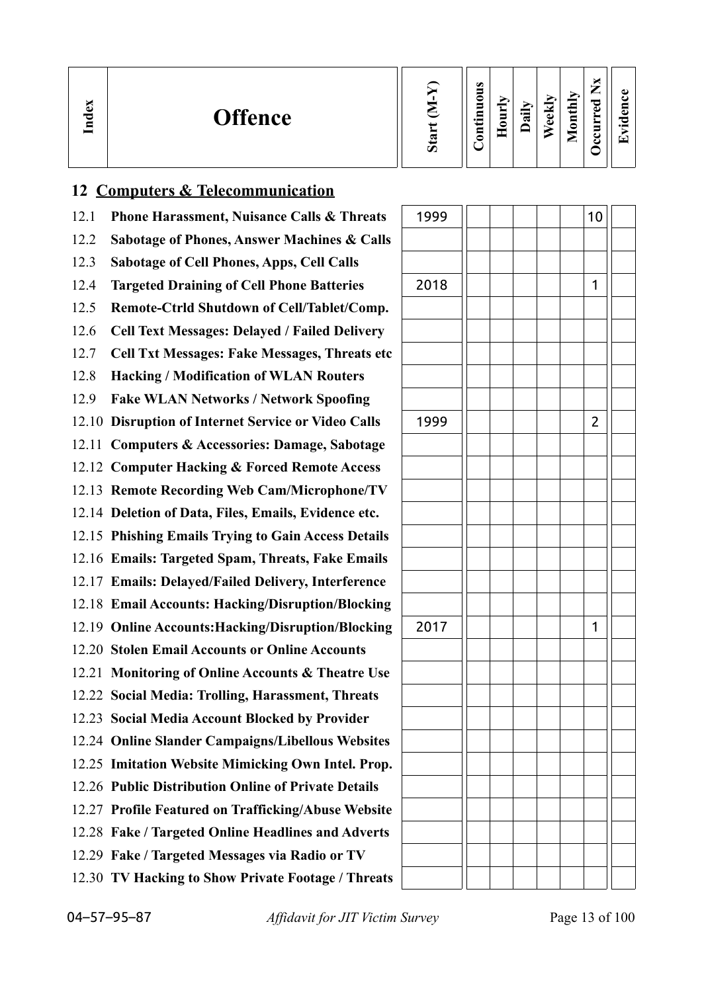| ω<br><b>Offence</b><br>្គី | Ο | $\omega$<br>0<br>5<br>$\sim$<br>▬<br>5<br>$\cdot$ $\,$<br>≘<br>등 | ≔<br>≂ | м<br>¢<br>Œ | $\mathbf{d}$<br>⋴<br>0<br><u>.</u> | P<br>ω | د ۱<br>$\bullet$ |
|----------------------------|---|------------------------------------------------------------------|--------|-------------|------------------------------------|--------|------------------|
|----------------------------|---|------------------------------------------------------------------|--------|-------------|------------------------------------|--------|------------------|

## **12 Computers & Telecommunication**

12.1 **Phone Harassment, Nuisance Calls & Threats** 12.2 **Sabotage of Phones, Answer Machines & Calls** 12.3 **Sabotage of Cell Phones, Apps, Cell Calls** 12.4 **Targeted Draining of Cell Phone Batteries** 12.5 **Remote-Ctrld Shutdown of Cell/Tablet/Comp.** 12.6 **Cell Text Messages: Delayed / Failed Delivery** 12.7 **Cell Txt Messages: Fake Messages, Threats etc** 12.8 **Hacking / Modification of WLAN Routers** 12.9 **Fake WLAN Networks / Network Spoofing** 12.10 **Disruption of Internet Service or Video Calls** 12.11 **Computers & Accessories: Damage, Sabotage** 12.12 **Computer Hacking & Forced Remote Access** 12.13 **Remote Recording Web Cam/Microphone/TV** 12.14 **Deletion of Data, Files, Emails, Evidence etc.** 12.15 **Phishing Emails Trying to Gain Access Details** 12.16 **Emails: Targeted Spam, Threats, Fake Emails** 12.17 **Emails: Delayed/Failed Delivery, Interference** 12.18 **Email Accounts: Hacking/Disruption/Blocking** 12.19 Online Accounts: Hacking/Disruption/Blocking 12.20 **Stolen Email Accounts or Online Accounts** 12.21 **Monitoring of Online Accounts & Theatre Use** 12.22 **Social Media: Trolling, Harassment, Threats** 12.23 **Social Media Account Blocked by Provider** 12.24 **Online Slander Campaigns/Libellous Websites** 12.25 **Imitation Website Mimicking Own Intel. Prop.** 12.26 **Public Distribution Online of Private Details** 12.27 **Profile Featured on Trafficking/Abuse Website** 12.28 **Fake / Targeted Online Headlines and Adverts** 12.29 **Fake / Targeted Messages via Radio or TV** 12.30 **TV Hacking to Show Private Footage / Threats**

| 1999 |  |  | 10             |  |
|------|--|--|----------------|--|
|      |  |  |                |  |
|      |  |  |                |  |
| 2018 |  |  | $\mathbf{1}$   |  |
|      |  |  |                |  |
|      |  |  |                |  |
|      |  |  |                |  |
|      |  |  |                |  |
| 1999 |  |  | $\overline{c}$ |  |
|      |  |  |                |  |
|      |  |  |                |  |
|      |  |  |                |  |
|      |  |  |                |  |
|      |  |  |                |  |
|      |  |  |                |  |
|      |  |  |                |  |
| 2017 |  |  | $\mathbf{1}$   |  |
|      |  |  |                |  |
|      |  |  |                |  |
|      |  |  |                |  |
|      |  |  |                |  |
|      |  |  |                |  |
|      |  |  |                |  |
|      |  |  |                |  |
|      |  |  |                |  |
|      |  |  |                |  |
|      |  |  |                |  |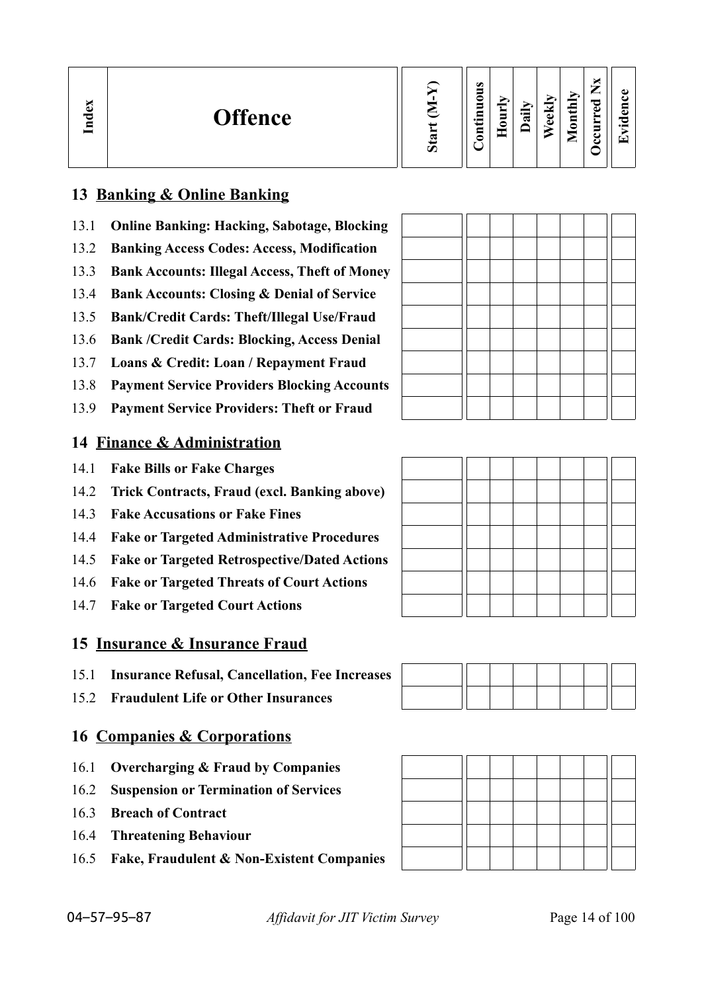| ∽<br>نه<br><b>Offence</b><br>Ě | $\omega$ | $\omega$<br>0<br>Ξ<br>9<br>$\bullet$<br>Ξ<br>_ | ∽<br>੶ਫ਼ | $\overline{\phantom{a}}$<br>Φ<br>$\Phi$ | ×<br>—<br>_<br>Îц<br>ರ<br>Ф<br>پ<br>$\overline{\mathsf{B}}$<br>►<br>►<br>−<br>ల<br>◚<br>u | $\bullet$ $\blacksquare$<br>÷ |
|--------------------------------|----------|------------------------------------------------|----------|-----------------------------------------|-------------------------------------------------------------------------------------------|-------------------------------|
|--------------------------------|----------|------------------------------------------------|----------|-----------------------------------------|-------------------------------------------------------------------------------------------|-------------------------------|

## **13 Banking & Online Banking**

- 13.1 **Online Banking: Hacking, Sabotage, Blocking**
- 13.2 **Banking Access Codes: Access, Modification**
- 13.3 **Bank Accounts: Illegal Access, Theft of Money**
- 13.4 **Bank Accounts: Closing & Denial of Service**
- 13.5 **Bank/Credit Cards: Theft/Illegal Use/Fraud**
- 13.6 **Bank /Credit Cards: Blocking, Access Denial**
- 13.7 **Loans & Credit: Loan / Repayment Fraud**
- 13.8 **Payment Service Providers Blocking Accounts**
- 13.9 **Payment Service Providers: Theft or Fraud**

## **14 Finance & Administration**

- 14.1 **Fake Bills or Fake Charges**
- 14.2 **Trick Contracts, Fraud (excl. Banking above)**
- 14.3 **Fake Accusations or Fake Fines**
- 14.4 **Fake or Targeted Administrative Procedures**
- 14.5 **Fake or Targeted Retrospective/Dated Actions**
- 14.6 **Fake or Targeted Threats of Court Actions**
- 14.7 **Fake or Targeted Court Actions**

## **15 Insurance & Insurance Fraud**

- 15.1 **Insurance Refusal, Cancellation, Fee Increases**
- 15.2 **Fraudulent Life or Other Insurances**

## **16 Companies & Corporations**

- 16.1 **Overcharging & Fraud by Companies**
- 16.2 **Suspension or Termination of Services**
- 16.3 **Breach of Contract**
- 16.4 **Threatening Behaviour**
- 16.5 **Fake, Fraudulent & Non-Existent Companies**









04–57–95–87 *Affidavit for JIT Victim Survey* Page 14 of 100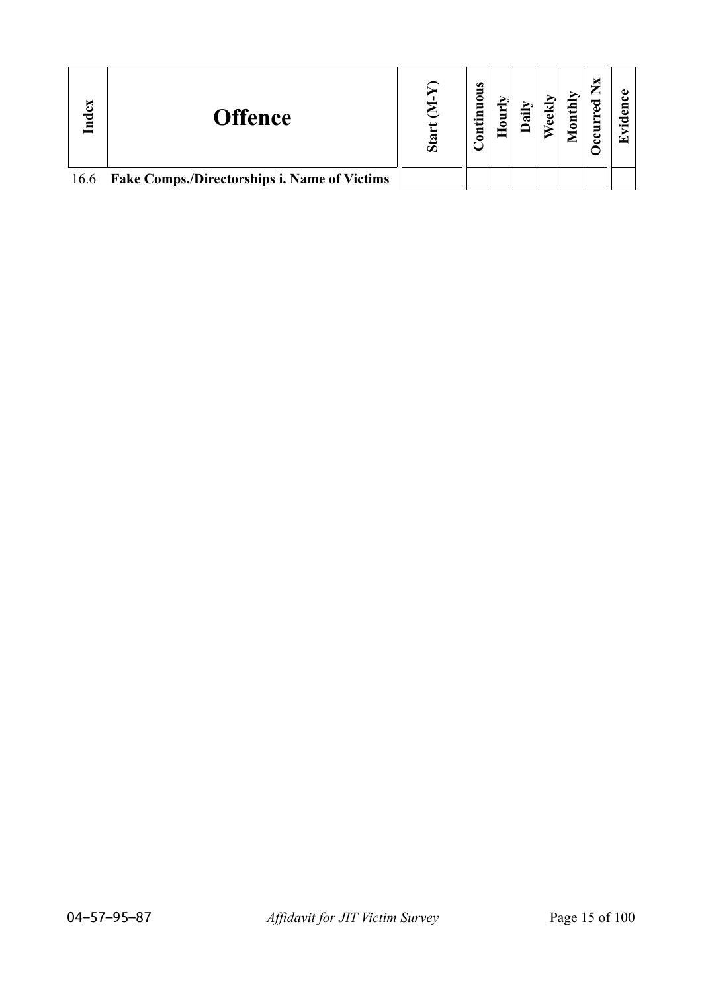| Index | <b>Offence</b>                                    | Ō | $\bullet$<br>0 | ॱऀऀ | $\text{until}$ | ×<br>P<br>5 |  |
|-------|---------------------------------------------------|---|----------------|-----|----------------|-------------|--|
|       | 16.6 Fake Comps./Directorships i. Name of Victims |   |                |     |                |             |  |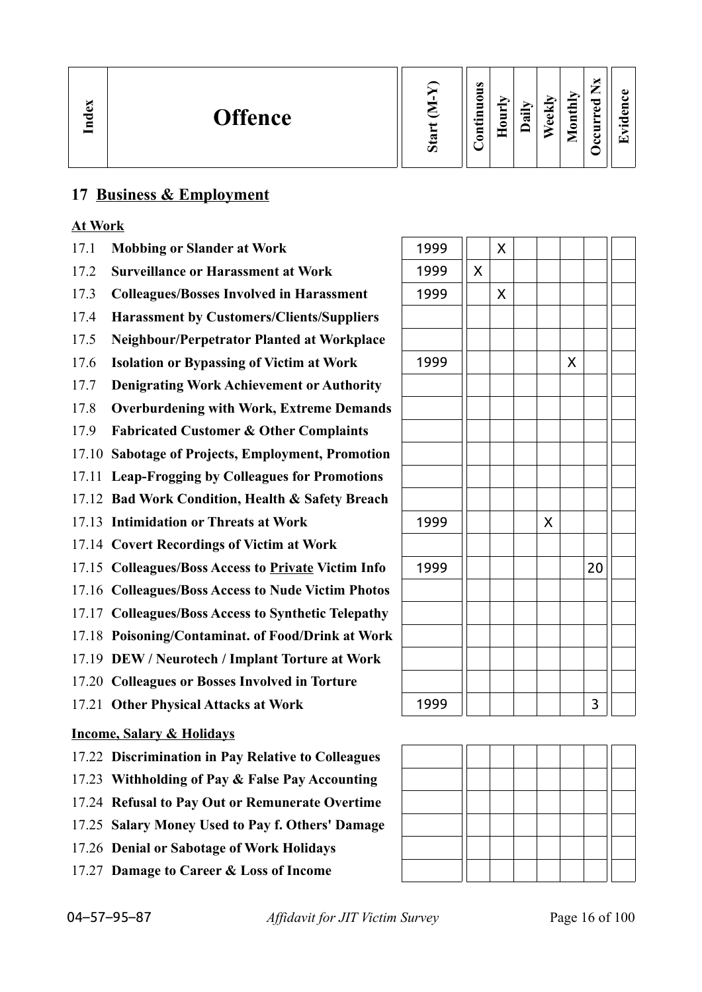| $\mathbb{C}$<br><b>Offence</b><br>ਚ<br>₽ | ದ<br>Ο | ω<br>=<br>◓<br>5<br>- 특<br>Ξ<br>⊂ | = | r.<br>⊶<br>$\mathbf{\alpha}$ | ⊻<br>Φ<br>$\triangle$ | onthly<br>-<br>▱ | ∼<br>—<br>—<br>ರ<br>$\bullet$<br>∼<br>≻<br>s<br>L<br>ت | п.<br>$\bullet$ $\blacksquare$<br>▼ |
|------------------------------------------|--------|-----------------------------------|---|------------------------------|-----------------------|------------------|--------------------------------------------------------|-------------------------------------|
|------------------------------------------|--------|-----------------------------------|---|------------------------------|-----------------------|------------------|--------------------------------------------------------|-------------------------------------|

## **17 Business & Employment**

## **At Work**

- 17.1 **Mobbing or Slander at Work**
- 17.2 **Surveillance or Harassment at Work**
- 17.3 Colleagues/Bosses Involved in Harassment
- 17.4 **Harassment by Customers/Clients/Suppliers**
- 17.5 **Neighbour/Perpetrator Planted at Workplace**
- 17.6 **Isolation or Bypassing of Victim at Work**
- 17.7 **Denigrating Work Achievement or Authority**
- 17.8 **Overburdening with Work, Extreme Demands**
- 17.9 **Fabricated Customer & Other Complaints**
- 17.10 **Sabotage of Projects, Employment, Promotion**
- 17.11 **Leap-Frogging by Colleagues for Promotions**
- 17.12 **Bad Work Condition, Health & Safety Breach**
- 17.13 **Intimidation or Threats at Work**
- 17.14 **Covert Recordings of Victim at Work**
- 17.15 Colleagues/Boss Access to **Private Victim Info**
- 17.16 **Colleagues/Boss Access to Nude Victim Photos**
- 17.17 **Colleagues/Boss Access to Synthetic Telepathy**
- 17.18 **Poisoning/Contaminat. of Food/Drink at Work**
- 17.19 **DEW / Neurotech / Implant Torture at Work**
- 17.20 **Colleagues or Bosses Involved in Torture**
- 17.21 Other Physical Attacks at Work

### **Income, Salary & Holidays**

- 17.22 **Discrimination in Pay Relative to Colleagues**
- 17.23 **Withholding of Pay & False Pay Accounting**
- 17.24 **Refusal to Pay Out or Remunerate Overtime**
- 17.25 **Salary Money Used to Pay f. Others' Damage**
- 17.26 **Denial or Sabotage of Work Holidays**
- 17.27 **Damage to Career & Loss of Income**

| 1999 |                    | $\pmb{\mathsf{X}}$ |                    |                    |    |  |
|------|--------------------|--------------------|--------------------|--------------------|----|--|
| 1999 | $\mathsf{X}% _{0}$ |                    |                    |                    |    |  |
| 1999 |                    | $\mathsf{X}$       |                    |                    |    |  |
|      |                    |                    |                    |                    |    |  |
|      |                    |                    |                    |                    |    |  |
| 1999 |                    |                    |                    | $\pmb{\mathsf{X}}$ |    |  |
|      |                    |                    |                    |                    |    |  |
|      |                    |                    |                    |                    |    |  |
|      |                    |                    |                    |                    |    |  |
|      |                    |                    |                    |                    |    |  |
|      |                    |                    |                    |                    |    |  |
|      |                    |                    |                    |                    |    |  |
| 1999 |                    |                    | $\mathsf{X}% _{0}$ |                    |    |  |
|      |                    |                    |                    |                    |    |  |
| 1999 |                    |                    |                    |                    | 20 |  |
|      |                    |                    |                    |                    |    |  |
|      |                    |                    |                    |                    |    |  |
|      |                    |                    |                    |                    |    |  |
|      |                    |                    |                    |                    |    |  |
|      |                    |                    |                    |                    |    |  |
| 1999 |                    |                    |                    |                    | 3  |  |

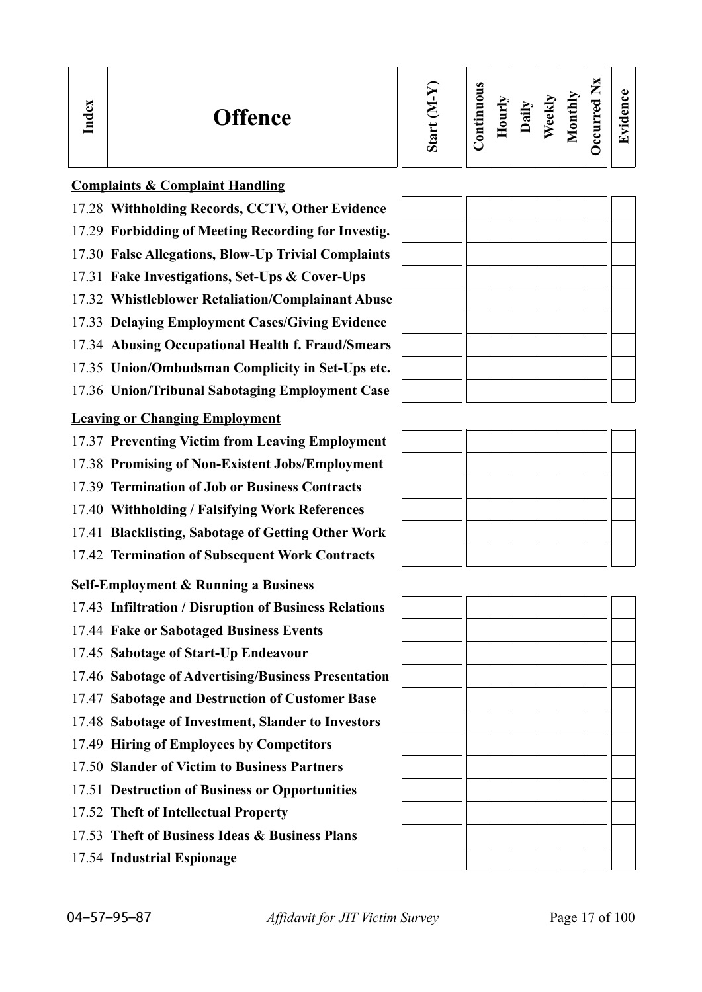| Ð<br>nd<br>E | <b>Offence</b> | ರಾ<br>$\boldsymbol{\mathcal{D}}$ | $\omega$<br>_<br>c<br>5<br>2<br>$\bullet$<br>5 | ┯ | ∽<br>ਜ਼ | $\checkmark$<br>Φ<br>ω | thly<br>$\bar{\mathbf{s}}$<br>◚ | ×<br>_<br>ರ<br>ω<br>5<br>ల<br>ں | $\bullet$<br>$\overline{\phantom{0}}$ |
|--------------|----------------|----------------------------------|------------------------------------------------|---|---------|------------------------|---------------------------------|---------------------------------|---------------------------------------|
|--------------|----------------|----------------------------------|------------------------------------------------|---|---------|------------------------|---------------------------------|---------------------------------|---------------------------------------|

### **Complaints & Complaint Handling**

- 17.28 **Withholding Records, CCTV, Other Evidence**
- 17.29 **Forbidding of Meeting Recording for Investig.**
- 17.30 **False Allegations, Blow-Up Trivial Complaints**
- 17.31 **Fake Investigations, Set-Ups & Cover-Ups**
- 17.32 **Whistleblower Retaliation/Complainant Abuse**
- 17.33 **Delaying Employment Cases/Giving Evidence**
- 17.34 **Abusing Occupational Health f. Fraud/Smears**
- 17.35 **Union/Ombudsman Complicity in Set-Ups etc.**
- 17.36 **Union/Tribunal Sabotaging Employment Case**

## **Leaving or Changing Employment**

- 17.37 **Preventing Victim from Leaving Employment**
- 17.38 **Promising of Non-Existent Jobs/Employment**
- 17.39 **Termination of Job or Business Contracts**
- 17.40 **Withholding / Falsifying Work References**
- 17.41 **Blacklisting, Sabotage of Getting Other Work**
- 17.42 **Termination of Subsequent Work Contracts**

## **Self-Employment & Running a Business**

- 17.43 **Infiltration / Disruption of Business Relations**
- 17.44 **Fake or Sabotaged Business Events**
- 17.45 **Sabotage of Start-Up Endeavour**
- 17.46 **Sabotage of Advertising/Business Presentation**
- 17.47 **Sabotage and Destruction of Customer Base**
- 17.48 **Sabotage of Investment, Slander to Investors**
- 17.49 **Hiring of Employees by Competitors**
- 17.50 **Slander of Victim to Business Partners**
- 17.51 **Destruction of Business or Opportunities**
- 17.52 **Theft of Intellectual Property**
- 17.53 **Theft of Business Ideas & Business Plans**
- 17.54 **Industrial Espionage**







04–57–95–87 *Affidavit for JIT Victim Survey* Page 17 of 100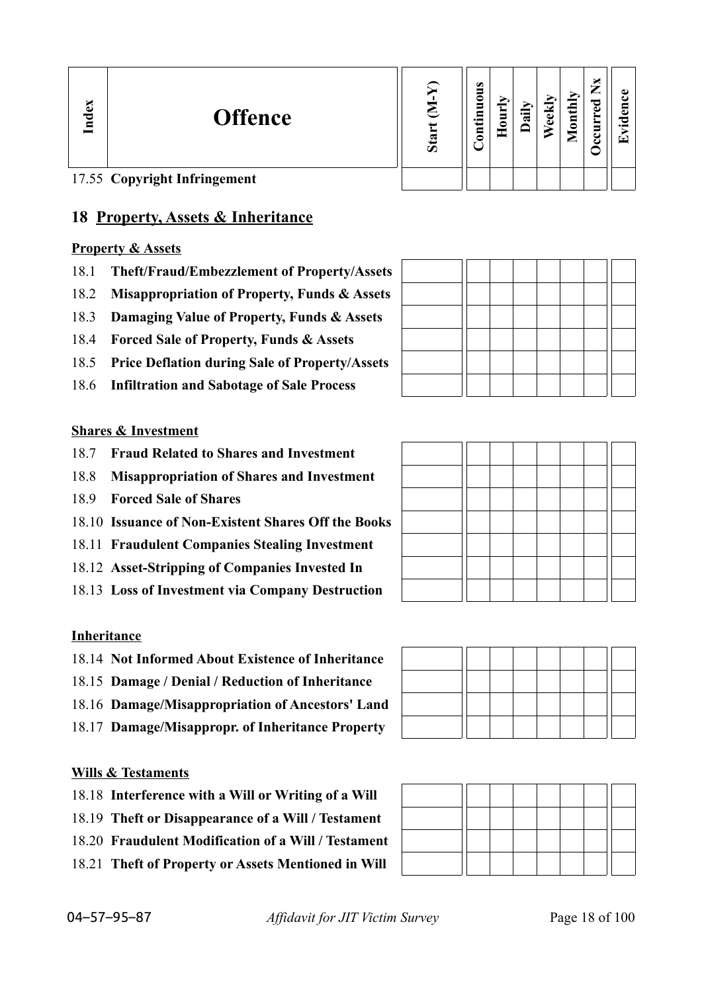| Index | <b>Offence</b>               | Sta | ο<br>5<br>∊<br>Ξ<br>۰<br>3 | ੶ਫ਼ | ಲ<br>ته | $\text{onth}$<br>▱ | ×<br>⇁<br>ဥ<br>▬<br>Ĕ<br>ں<br>ں | ↽ |
|-------|------------------------------|-----|----------------------------|-----|---------|--------------------|---------------------------------|---|
|       | 17.55 Copyright Infringement |     |                            |     |         |                    |                                 |   |

## **18 Property, Assets & Inheritance**

## **Property & Assets**

- 18.1 **Theft/Fraud/Embezzlement of Property/Assets**
- 18.2 **Misappropriation of Property, Funds & Assets**
- 18.3 **Damaging Value of Property, Funds & Assets**
- 18.4 **Forced Sale of Property, Funds & Assets**
- 18.5 **Price Deflation during Sale of Property/Assets**
- 18.6 **Infiltration and Sabotage of Sale Process**

### **Shares & Investment**

- 18.7 **Fraud Related to Shares and Investment**
- 18.8 **Misappropriation of Shares and Investment**
- 18.9 **Forced Sale of Shares**
- 18.10 **Issuance of Non-Existent Shares Off the Books**
- 18.11 **Fraudulent Companies Stealing Investment**
- 18.12 **Asset-Stripping of Companies Invested In**
- 18.13 **Loss of Investment via Company Destruction**

### **Inheritance**

- 18.14 **Not Informed About Existence of Inheritance**
- 18.15 **Damage / Denial / Reduction of Inheritance**
- 18.16 **Damage/Misappropriation of Ancestors' Land**
- 18.17 **Damage/Misappropr. of Inheritance Property**

### **Wills & Testaments**

- 18.18 **Interference with a Will or Writing of a Will**
- 18.19 **Theft or Disappearance of a Will / Testament**
- 18.20 **Fraudulent Modification of a Will / Testament**
- 18.21 **Theft of Property or Assets Mentioned in Will**

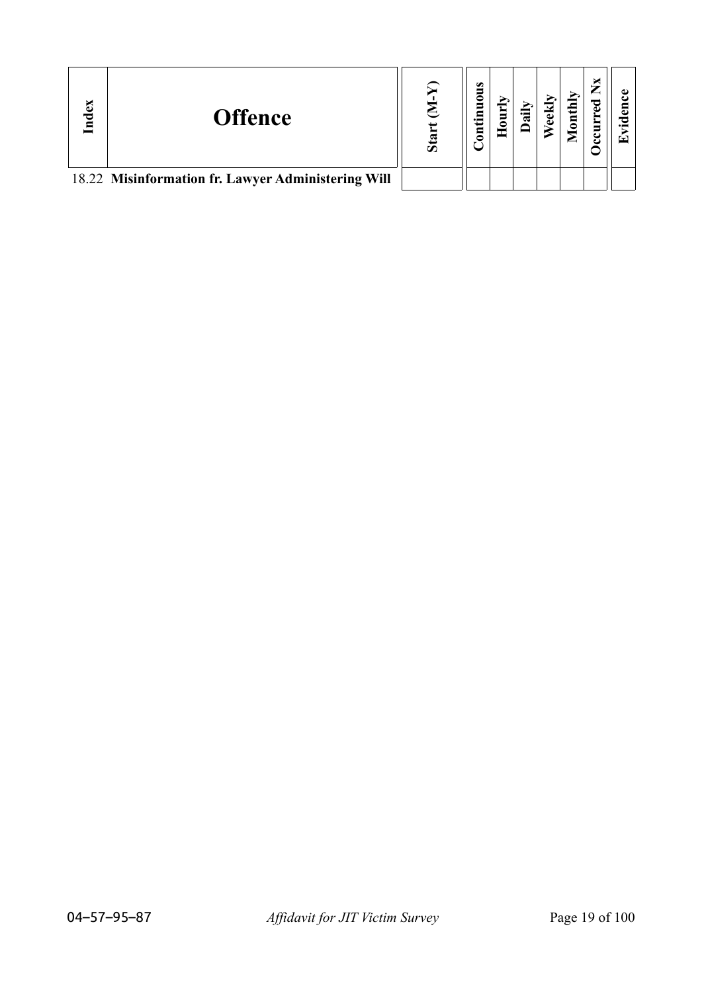| Index | <b>Offence</b>                                     | Ō | $\omega$<br>∊<br>-<br>٠Ē<br>Ξ |  | ΥĮ<br>$\frac{1}{2}$ | ಇ<br>Ĕ |  |
|-------|----------------------------------------------------|---|-------------------------------|--|---------------------|--------|--|
|       | 18.22 Misinformation fr. Lawyer Administering Will |   |                               |  |                     |        |  |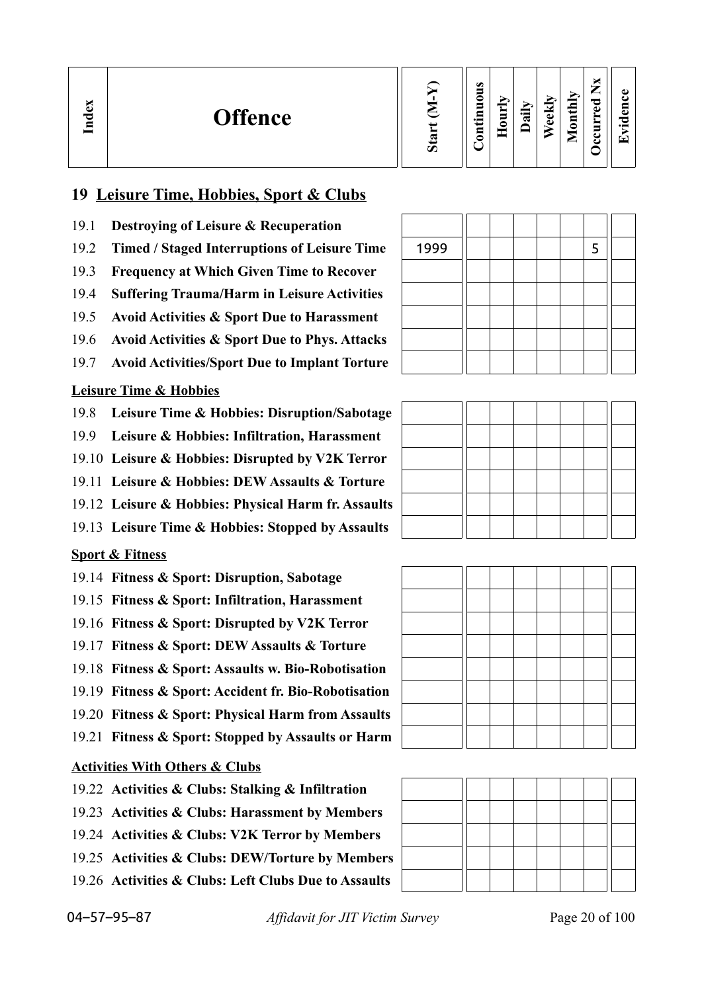| ×<br>Inde<br><b>Offence</b> | Ο | $\omega$<br>−<br>c<br>5<br>- 특<br>Ξ<br>c | _<br>∊ | ≔<br>$\mathbf{\alpha}$ | ⊽<br>Φ<br>$\bullet$ | onthly<br>▱ | ×<br>—<br>_<br>ರ<br>ه<br>►<br>Ĕ<br>ں<br>౿ | ω<br>دە<br>-75<br>'T |
|-----------------------------|---|------------------------------------------|--------|------------------------|---------------------|-------------|-------------------------------------------|----------------------|
|-----------------------------|---|------------------------------------------|--------|------------------------|---------------------|-------------|-------------------------------------------|----------------------|

## **19 Leisure Time, Hobbies, Sport & Clubs**

- 19.1 **Destroying of Leisure & Recuperation**
- 19.2 Timed / Staged Interruptions of Leisure Time
- 19.3 **Frequency at Which Given Time to Recover**
- 19.4 **Suffering Trauma/Harm in Leisure Activities**
- 19.5 **Avoid Activities & Sport Due to Harassment**
- 19.6 **Avoid Activities & Sport Due to Phys. Attacks**
- 19.7 **Avoid Activities/Sport Due to Implant Torture**

### **Leisure Time & Hobbies**

- 19.8 **Leisure Time & Hobbies: Disruption/Sabotage**
- 19.9 **Leisure & Hobbies: Infiltration, Harassment**
- 19.10 **Leisure & Hobbies: Disrupted by V2K Terror**
- 19.11 **Leisure & Hobbies: DEW Assaults & Torture**
- 19.12 **Leisure & Hobbies: Physical Harm fr. Assaults**
- 19.13 **Leisure Time & Hobbies: Stopped by Assaults**

## **Sport & Fitness**

- 19.14 **Fitness & Sport: Disruption, Sabotage**
- 19.15 **Fitness & Sport: Infiltration, Harassment**
- 19.16 **Fitness & Sport: Disrupted by V2K Terror**
- 19.17 **Fitness & Sport: DEW Assaults & Torture**
- 19.18 **Fitness & Sport: Assaults w. Bio-Robotisation**
- 19.19 **Fitness & Sport: Accident fr. Bio-Robotisation**
- 19.20 **Fitness & Sport: Physical Harm from Assaults**
- 19.21 **Fitness & Sport: Stopped by Assaults or Harm**

### **Activities With Others & Clubs**

- 19.22 **Activities & Clubs: Stalking & Infiltration**
- 19.23 **Activities & Clubs: Harassment by Members**
- 19.24 **Activities & Clubs: V2K Terror by Members**
- 19.25 **Activities & Clubs: DEW/Torture by Members**
- 19.26 **Activities & Clubs: Left Clubs Due to Assaults**

| 1999 |  |  | 5 |  |
|------|--|--|---|--|
|      |  |  |   |  |
|      |  |  |   |  |
|      |  |  |   |  |
|      |  |  |   |  |
|      |  |  |   |  |





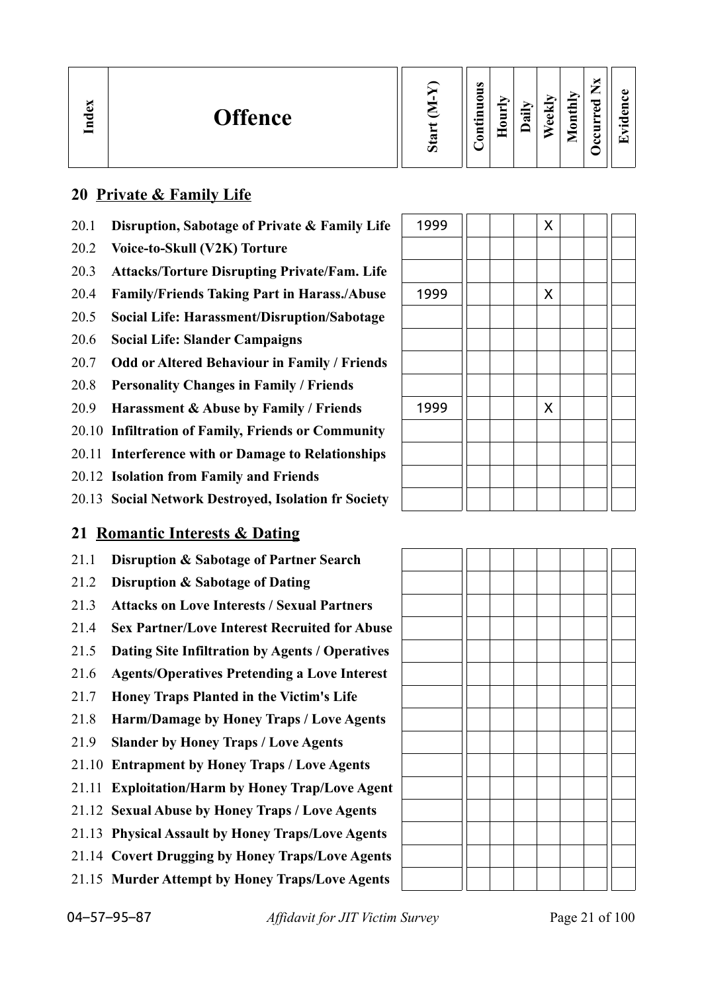| ്ലാ<br>≂<br>9 | <b>Offence</b> | 78<br>v. | $\bullet$<br>∊<br>▀<br>$\cdot$ $-$<br>₽ | ∼ | 급 | м<br>Œ<br>d. | É<br>د<br>⋴<br>◓<br>⋍ | P<br>d. |  |
|---------------|----------------|----------|-----------------------------------------|---|---|--------------|-----------------------|---------|--|
|---------------|----------------|----------|-----------------------------------------|---|---|--------------|-----------------------|---------|--|

## **20 Private & Family Life**

- 20.1 **Disruption, Sabotage of Private & Family Life**
- 20.2 **Voice-to-Skull (V2K) Torture**
- 20.3 **Attacks/Torture Disrupting Private/Fam. Life**
- 20.4 **Family/Friends Taking Part in Harass./Abuse**
- 20.5 **Social Life: Harassment/Disruption/Sabotage**
- 20.6 **Social Life: Slander Campaigns**
- 20.7 **Odd or Altered Behaviour in Family / Friends**
- 20.8 **Personality Changes in Family / Friends**
- 20.9 **Harassment & Abuse by Family / Friends**
- 20.10 **Infiltration of Family, Friends or Community**
- 20.11 **Interference with or Damage to Relationships**
- 20.12 **Isolation from Family and Friends**
- 20.13 **Social Network Destroyed, Isolation fr Society**

## **21 Romantic Interests & Dating**

- 21.1 **Disruption & Sabotage of Partner Search**
- 21.2 **Disruption & Sabotage of Dating**
- 21.3 **Attacks on Love Interests / Sexual Partners**
- 21.4 **Sex Partner/Love Interest Recruited for Abuse**
- 21.5 **Dating Site Infiltration by Agents / Operatives**
- 21.6 **Agents/Operatives Pretending a Love Interest**
- 21.7 **Honey Traps Planted in the Victim's Life**
- 21.8 **Harm/Damage by Honey Traps / Love Agents**
- 21.9 **Slander by Honey Traps / Love Agents**
- 21.10 **Entrapment by Honey Traps / Love Agents**
- 21.11 **Exploitation/Harm by Honey Trap/Love Agent**
- 21.12 **Sexual Abuse by Honey Traps / Love Agents**
- 21.13 **Physical Assault by Honey Traps/Love Agents**
- 21.14 **Covert Drugging by Honey Traps/Love Agents**
- 21.15 **Murder Attempt by Honey Traps/Love Agents**

| 1999 |  | $\pmb{\mathsf{X}}$ |  |  |
|------|--|--------------------|--|--|
|      |  |                    |  |  |
|      |  |                    |  |  |
| 1999 |  | $\pmb{\mathsf{X}}$ |  |  |
|      |  |                    |  |  |
|      |  |                    |  |  |
|      |  |                    |  |  |
|      |  |                    |  |  |
| 1999 |  | $\pmb{\mathsf{X}}$ |  |  |
|      |  |                    |  |  |
|      |  |                    |  |  |
|      |  |                    |  |  |
|      |  |                    |  |  |

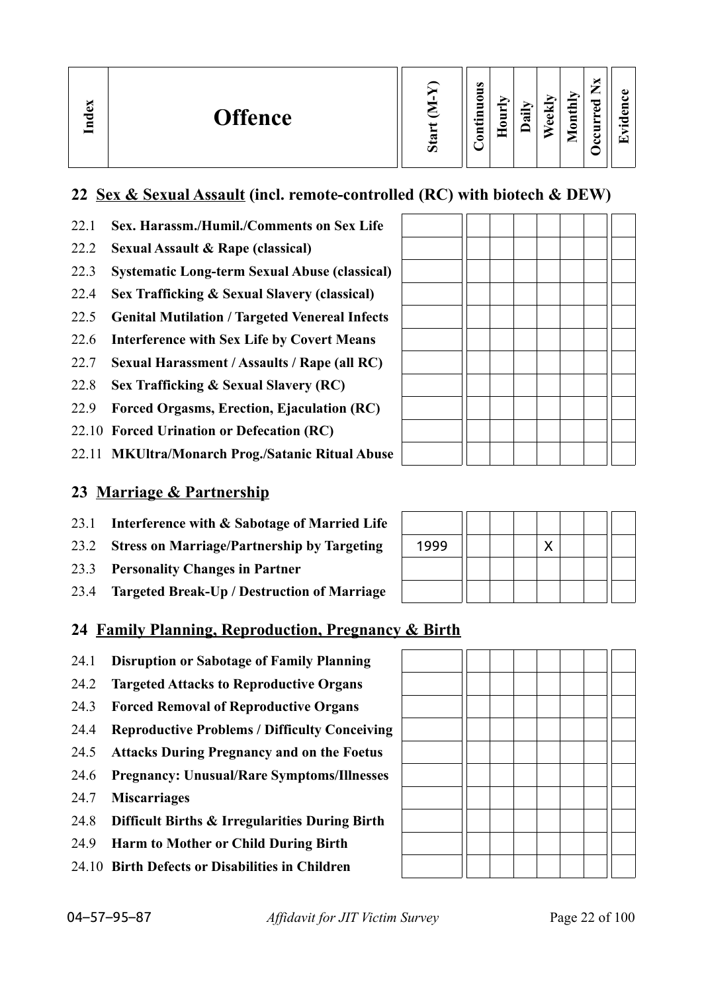| $\alpha$<br><b>Offence</b><br>Lnd | Ø | $\bullet$<br>0<br>-<br>$\cdot$ $-$<br>▬ | $\ddot{a}$<br>_<br>5<br>◓ | $\overline{\phantom{a}}$<br>ಠ<br>$\Phi$ | thly<br>$\overline{a}$<br>⊏ | –<br>سند<br>ెం<br>ω<br>$\overline{\phantom{a}}$<br>c | O)<br>$\cdot$ .<br>┯ |
|-----------------------------------|---|-----------------------------------------|---------------------------|-----------------------------------------|-----------------------------|------------------------------------------------------|----------------------|
|-----------------------------------|---|-----------------------------------------|---------------------------|-----------------------------------------|-----------------------------|------------------------------------------------------|----------------------|

## **22 Sex & Sexual Assault (incl. remote-controlled (RC) with biotech & DEW)**

- 22.1 **Sex. Harassm./Humil./Comments on Sex Life**
- 22.2 **Sexual Assault & Rape (classical)**
- 22.3 **Systematic Long-term Sexual Abuse (classical)**
- 22.4 **Sex Trafficking & Sexual Slavery (classical)**
- 22.5 **Genital Mutilation / Targeted Venereal Infects**
- 22.6 **Interference with Sex Life by Covert Means**
- 22.7 **Sexual Harassment / Assaults / Rape (all RC)**
- 22.8 **Sex Trafficking & Sexual Slavery (RC)**
- 22.9 **Forced Orgasms, Erection, Ejaculation (RC)**
- 22.10 **Forced Urination or Defecation (RC)**
- 22.11 **MKUltra/Monarch Prog./Satanic Ritual Abuse**

## **23 Marriage & Partnership**

- 23.1 **Interference with & Sabotage of Married Life**
- 23.2 **Stress on Marriage/Partnership by Targeting**
- 23.3 **Personality Changes in Partner**
- 23.4 **Targeted Break-Up / Destruction of Marriage**

## **24 Family Planning, Reproduction, Pregnancy & Birth**

- 24.1 **Disruption or Sabotage of Family Planning**
- 24.2 **Targeted Attacks to Reproductive Organs**
- 24.3 **Forced Removal of Reproductive Organs**
- 24.4 **Reproductive Problems / Difficulty Conceiving**
- 24.5 **Attacks During Pregnancy and on the Foetus**
- 24.6 **Pregnancy: Unusual/Rare Symptoms/Illnesses**
- 24.7 **Miscarriages**
- 24.8 **Difficult Births & Irregularities During Birth**
- 24.9 **Harm to Mother or Child During Birth**
- 24.10 **Birth Defects or Disabilities in Children**

| 1999 |  |  |  |  |
|------|--|--|--|--|
|      |  |  |  |  |
|      |  |  |  |  |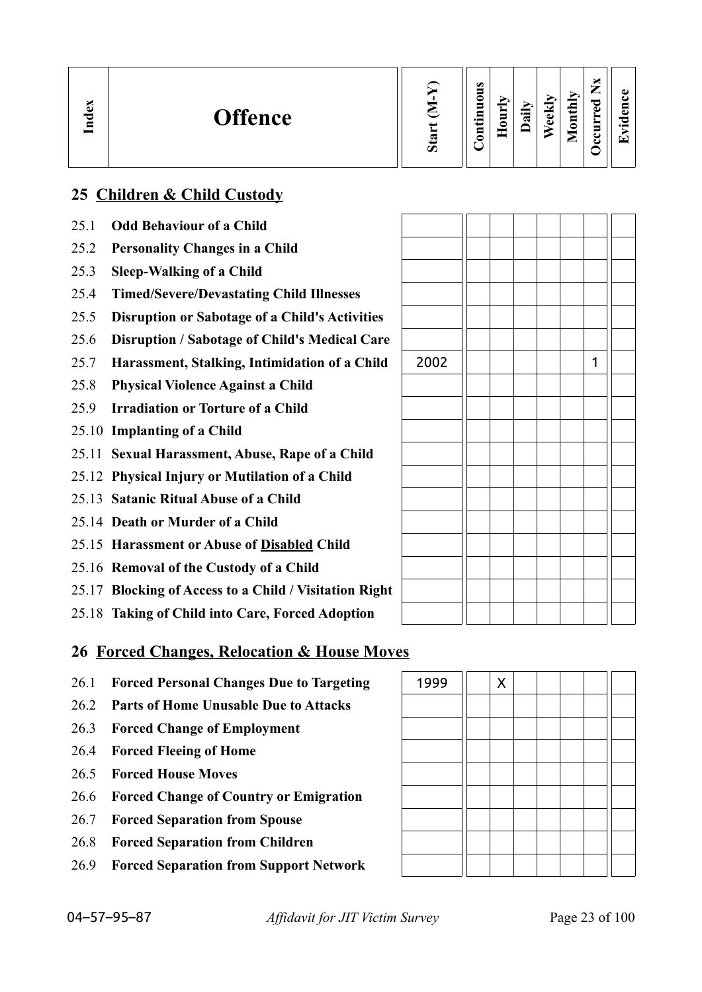| $\mathbf{g}$<br>Ě | <b>Offence</b> | ∾ | $\omega$<br>┍<br>-<br>$\bullet$ |  | ੶ਜ਼ | N<br>Φ<br>ω | thly<br>g<br>⋍ | _<br>ಾ<br>ω<br>_<br>►<br>▀<br>ະ |  |
|-------------------|----------------|---|---------------------------------|--|-----|-------------|----------------|---------------------------------|--|
|-------------------|----------------|---|---------------------------------|--|-----|-------------|----------------|---------------------------------|--|

## **25 Children & Child Custody**

| 25.1 | <b>Odd Behaviour of a Child</b>                        |      |  |  |  |
|------|--------------------------------------------------------|------|--|--|--|
| 25.2 | <b>Personality Changes in a Child</b>                  |      |  |  |  |
| 25.3 | <b>Sleep-Walking of a Child</b>                        |      |  |  |  |
| 25.4 | <b>Timed/Severe/Devastating Child Illnesses</b>        |      |  |  |  |
| 25.5 | <b>Disruption or Sabotage of a Child's Activities</b>  |      |  |  |  |
| 25.6 | Disruption / Sabotage of Child's Medical Care          |      |  |  |  |
| 25.7 | Harassment, Stalking, Intimidation of a Child          | 2002 |  |  |  |
| 25.8 | <b>Physical Violence Against a Child</b>               |      |  |  |  |
| 25.9 | <b>Irradiation or Torture of a Child</b>               |      |  |  |  |
|      | 25.10 Implanting of a Child                            |      |  |  |  |
|      | 25.11 Sexual Harassment, Abuse, Rape of a Child        |      |  |  |  |
|      | 25.12 Physical Injury or Mutilation of a Child         |      |  |  |  |
|      | 25.13 Satanic Ritual Abuse of a Child                  |      |  |  |  |
|      | 25.14 Death or Murder of a Child                       |      |  |  |  |
|      | 25.15 Harassment or Abuse of Disabled Child            |      |  |  |  |
|      | 25.16 Removal of the Custody of a Child                |      |  |  |  |
|      | 25.17 Blocking of Access to a Child / Visitation Right |      |  |  |  |
|      | 25.18 Taking of Child into Care, Forced Adoption       |      |  |  |  |

## **26 Forced Changes, Relocation & House Moves**

- 26.1 **Forced Personal Changes Due to Targeting**
- 26.2 **Parts of Home Unusable Due to Attacks**
- 26.3 **Forced Change of Employment**
- 26.4 **Forced Fleeing of Home**
- 26.5 **Forced House Moves**
- 26.6 **Forced Change of Country or Emigration**
- 26.7 **Forced Separation from Spouse**
- 26.8 **Forced Separation from Children**
- 26.9 **Forced Separation from Support Network**

| 1999 | $\pmb{\mathsf{X}}$ |  |  |  |
|------|--------------------|--|--|--|
|      |                    |  |  |  |
|      |                    |  |  |  |
|      |                    |  |  |  |
|      |                    |  |  |  |
|      |                    |  |  |  |
|      |                    |  |  |  |
|      |                    |  |  |  |
|      |                    |  |  |  |

04–57–95–87 *Affidavit for JIT Victim Survey* Page 23 of 100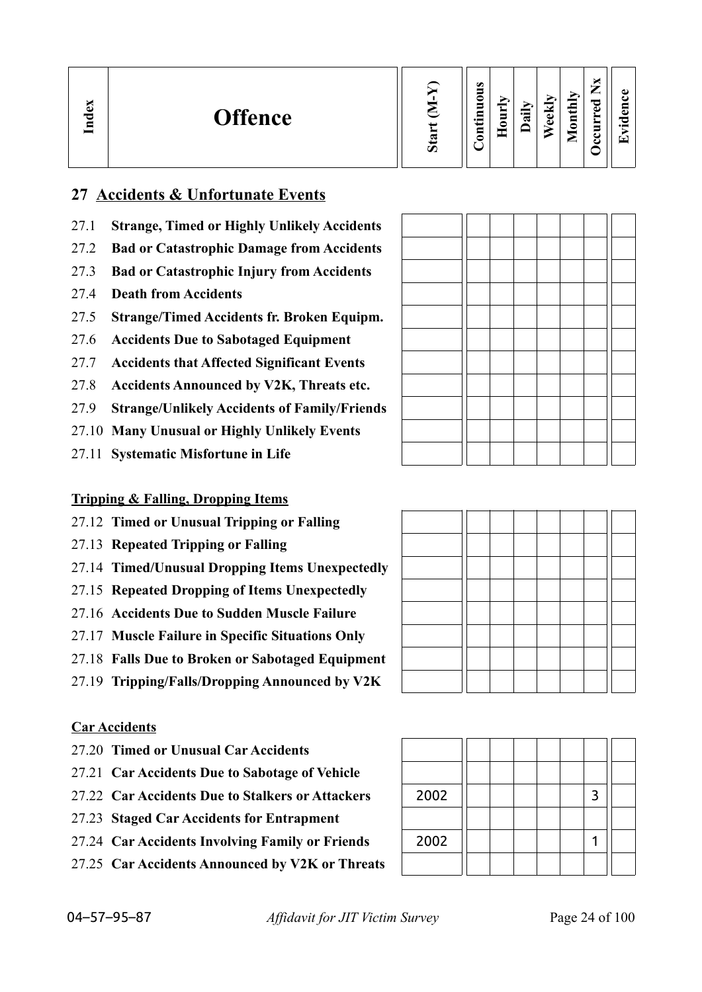| ω<br><b>Offence</b><br>ಕ<br>Я | Ο | $\bullet$<br>=<br>∊<br>▬<br>╾<br>$\cdot$ $\,$<br>⊟<br>0 |  | ∽<br>न्न | $\checkmark$<br>ω<br>ω | thly<br>$\overline{\mathbf{5}}$<br>╺<br>⊆ | ×<br>—<br>_<br>ాం<br>ω<br>∼<br>►<br>5<br>౿<br>౿ | O)<br>$\bullet$ $\blacksquare$<br>$\overline{\phantom{a}}$ |
|-------------------------------|---|---------------------------------------------------------|--|----------|------------------------|-------------------------------------------|-------------------------------------------------|------------------------------------------------------------|
|-------------------------------|---|---------------------------------------------------------|--|----------|------------------------|-------------------------------------------|-------------------------------------------------|------------------------------------------------------------|

## **27 Accidents & Unfortunate Events**

- 27.1 **Strange, Timed or Highly Unlikely Accidents**
- 27.2 **Bad or Catastrophic Damage from Accidents**
- 27.3 **Bad or Catastrophic Injury from Accidents**
- 27.4 **Death from Accidents**
- 27.5 **Strange/Timed Accidents fr. Broken Equipm.**
- 27.6 **Accidents Due to Sabotaged Equipment**
- 27.7 **Accidents that Affected Significant Events**
- 27.8 **Accidents Announced by V2K, Threats etc.**
- 27.9 **Strange/Unlikely Accidents of Family/Friends**
- 27.10 **Many Unusual or Highly Unlikely Events**
- 27.11 **Systematic Misfortune in Life**

## **Tripping & Falling, Dropping Items**

- 27.12 **Timed or Unusual Tripping or Falling**
- 27.13 **Repeated Tripping or Falling**
- 27.14 **Timed/Unusual Dropping Items Unexpectedly**
- 27.15 **Repeated Dropping of Items Unexpectedly**
- 27.16 **Accidents Due to Sudden Muscle Failure**
- 27.17 **Muscle Failure in Specific Situations Only**
- 27.18 **Falls Due to Broken or Sabotaged Equipment**
- 27.19 **Tripping/Falls/Dropping Announced by V2K**

### **Car Accidents**

- 27.20 **Timed or Unusual Car Accidents**
- 27.21 **Car Accidents Due to Sabotage of Vehicle**
- 27.22 Car Accidents Due to Stalkers or Attackers
- 27.23 **Staged Car Accidents for Entrapment**
- 27.24 Car Accidents Involving Family or Friends
- 27.25 **Car Accidents Announced by V2K or Threats**

| 2002 |  |  | 3 |  |
|------|--|--|---|--|
|      |  |  |   |  |
| 2002 |  |  |   |  |
|      |  |  |   |  |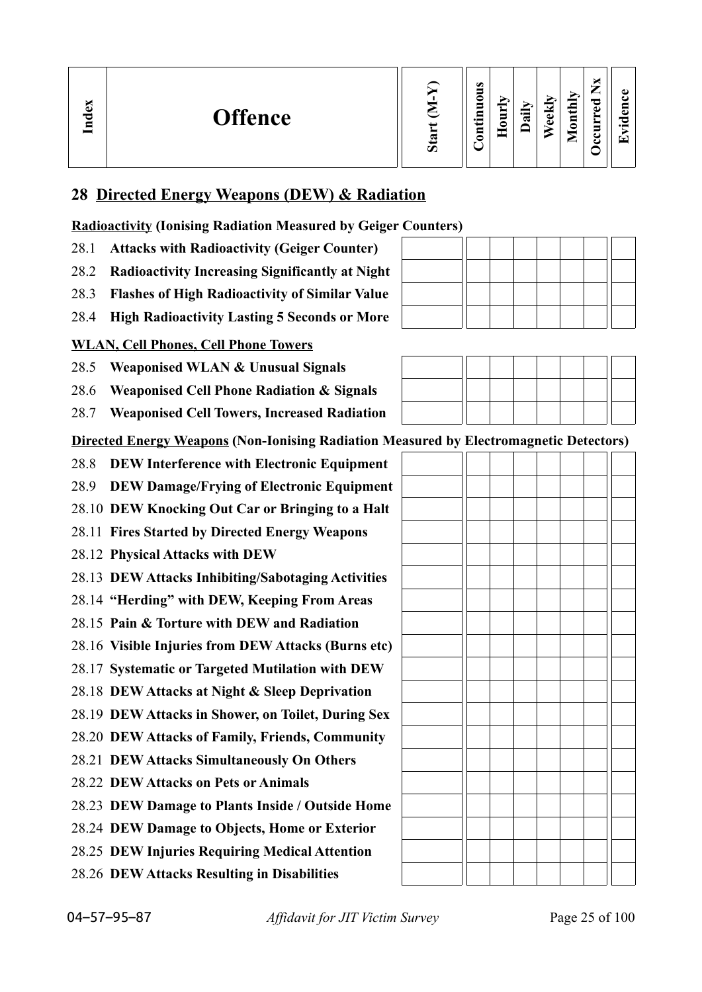| ×<br>്ധ<br>ಕ<br>Ē | <b>Offence</b> | ↖<br>Ø | $\omega$<br>-<br>$\bullet$<br>– | -<br>— | ੶ਜ਼ | м<br>Φ<br>ω | thly<br>៶<br>٥<br>−<br>▱ | _<br>ಾ<br>ω<br>≝<br>=<br>௨<br>౿ |  |
|-------------------|----------------|--------|---------------------------------|--------|-----|-------------|--------------------------|---------------------------------|--|
|-------------------|----------------|--------|---------------------------------|--------|-----|-------------|--------------------------|---------------------------------|--|

## **28 Directed Energy Weapons (DEW) & Radiation**

**Radioactivity (Ionising Radiation Measured by Geiger Counters)**

- 28.1 **Attacks with Radioactivity (Geiger Counter)**
- 28.2 **Radioactivity Increasing Significantly at Night**
- 28.3 **Flashes of High Radioactivity of Similar Value**
- 28.4 **High Radioactivity Lasting 5 Seconds or More**

## **WLAN, Cell Phones, Cell Phone Towers**

28.5 **Weaponised WLAN & Unusual Signals**

28.6 **Weaponised Cell Phone Radiation & Signals**

28.7 **Weaponised Cell Towers, Increased Radiation**

**Directed Energy Weapons (Non-Ionising Radiation Measured by Electromagnetic Detectors)**

- 28.8 **DEW Interference with Electronic Equipment**
- 28.9 **DEW Damage/Frying of Electronic Equipment**
- 28.10 **DEW Knocking Out Car or Bringing to a Halt**
- 28.11 **Fires Started by Directed Energy Weapons**
- 28.12 **Physical Attacks with DEW**
- 28.13 **DEW Attacks Inhibiting/Sabotaging Activities**
- 28.14 **"Herding" with DEW, Keeping From Areas**
- 28.15 **Pain & Torture with DEW and Radiation**
- 28.16 **Visible Injuries from DEW Attacks (Burns etc)**
- 28.17 **Systematic or Targeted Mutilation with DEW**
- 28.18 **DEW Attacks at Night & Sleep Deprivation**
- 28.19 **DEW Attacks in Shower, on Toilet, During Sex**
- 28.20 **DEW Attacks of Family, Friends, Community**
- 28.21 **DEW Attacks Simultaneously On Others**
- 28.22 **DEW Attacks on Pets or Animals**

28.23 **DEW Damage to Plants Inside / Outside Home**

- 28.24 **DEW Damage to Objects, Home or Exterior**
- 28.25 **DEW Injuries Requiring Medical Attention**
- 28.26 **DEW Attacks Resulting in Disabilities**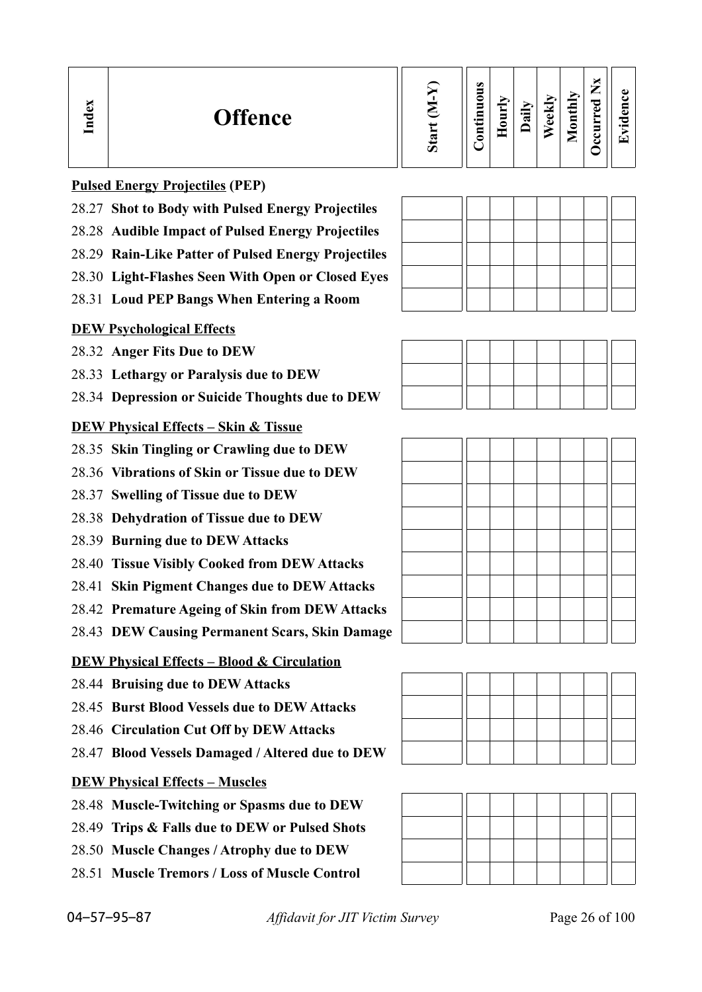| $\mathbf{g}$<br>ರ<br>ᆷ | <b>Offence</b>                                                                                                            | $\boldsymbol{\mathcal{D}}$ | $\bullet$<br>5<br>0<br>⇒<br>Ē.<br>i i<br>5<br>- | S<br>٥ | ੶ਫ਼ | $\ddot{\phantom{0}}$<br>نه<br>ω | thly<br>$\overline{a}$<br>◚ | ×<br>—<br>ರ<br>ω<br>-<br>ల<br>౿ | ω<br>$\bullet$ $\blacksquare$<br>G |
|------------------------|---------------------------------------------------------------------------------------------------------------------------|----------------------------|-------------------------------------------------|--------|-----|---------------------------------|-----------------------------|---------------------------------|------------------------------------|
|                        | $\mathbf{D}_{\text{min}}$ is a $\mathbf{D}_{\text{min}}$ in $\mathbf{D}_{\text{min}}$ is $\mathbf{D}_{\text{min}}$ (DED). |                            |                                                 |        |     |                                 |                             |                                 |                                    |

### **Pulsed Energy Projectiles (PEP)**

- 28.27 **Shot to Body with Pulsed Energy Projectiles**
- 28.28 **Audible Impact of Pulsed Energy Projectiles**
- 28.29 **Rain-Like Patter of Pulsed Energy Projectiles**
- 28.30 **Light-Flashes Seen With Open or Closed Eyes**
- 28.31 **Loud PEP Bangs When Entering a Room**

## **DEW Psychological Effects**

- 28.32 **Anger Fits Due to DEW**
- 28.33 **Lethargy or Paralysis due to DEW**
- 28.34 **Depression or Suicide Thoughts due to DEW**

## **DEW Physical Effects – Skin & Tissue**

- 28.35 **Skin Tingling or Crawling due to DEW**
- 28.36 **Vibrations of Skin or Tissue due to DEW**
- 28.37 **Swelling of Tissue due to DEW**
- 28.38 **Dehydration of Tissue due to DEW**
- 28.39 **Burning due to DEW Attacks**
- 28.40 **Tissue Visibly Cooked from DEW Attacks**
- 28.41 **Skin Pigment Changes due to DEW Attacks**
- 28.42 **Premature Ageing of Skin from DEW Attacks**
- 28.43 **DEW Causing Permanent Scars, Skin Damage**

## **DEW Physical Effects – Blood & Circulation**

- 28.44 **Bruising due to DEW Attacks**
- 28.45 **Burst Blood Vessels due to DEW Attacks**
- 28.46 **Circulation Cut Off by DEW Attacks**
- 28.47 **Blood Vessels Damaged / Altered due to DEW**

## **DEW Physical Effects – Muscles**

- 28.48 **Muscle-Twitching or Spasms due to DEW**
- 28.49 **Trips & Falls due to DEW or Pulsed Shots**
- 28.50 **Muscle Changes / Atrophy due to DEW**
- 28.51 **Muscle Tremors / Loss of Muscle Control**







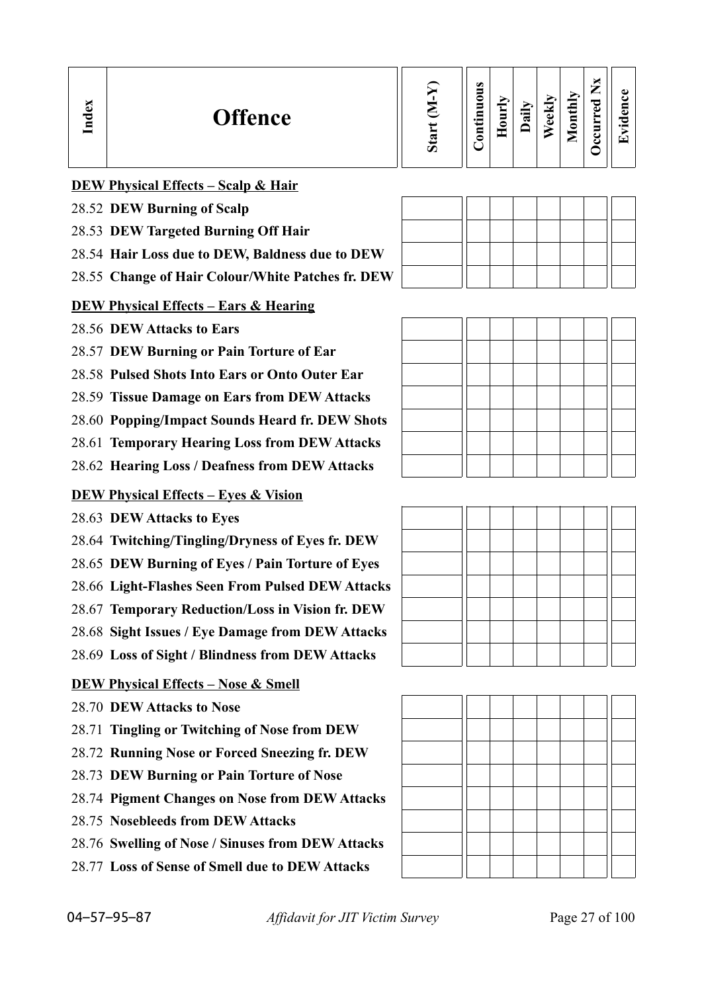| Index | <b>Offence</b>                                    | Star | $\omega$<br>Þ<br>∊<br>Ξ<br>≕۰<br>Ξ | ੰਕ | B | Monthly | ×<br>⇁<br>ರ<br>ω | $\bullet$<br>$\cdot$ $-$<br>نخا |
|-------|---------------------------------------------------|------|------------------------------------|----|---|---------|------------------|---------------------------------|
|       | <b>DEW Physical Effects - Scalp &amp; Hair</b>    |      |                                    |    |   |         |                  |                                 |
|       | $\sim$ $\sim$ $\sim$<br>AC FA DEILLE<br>$\bullet$ |      |                                    |    |   |         |                  |                                 |

### 28.52 **DEW Burning of Scalp**

- 28.53 **DEW Targeted Burning Off Hair**
- 28.54 **Hair Loss due to DEW, Baldness due to DEW**
- 28.55 **Change of Hair Colour/White Patches fr. DEW**

### **DEW Physical Effects – Ears & Hearing**

- 28.56 **DEW Attacks to Ears**
- 28.57 **DEW Burning or Pain Torture of Ear**
- 28.58 **Pulsed Shots Into Ears or Onto Outer Ear**
- 28.59 **Tissue Damage on Ears from DEW Attacks**
- 28.60 **Popping/Impact Sounds Heard fr. DEW Shots**
- 28.61 **Temporary Hearing Loss from DEW Attacks**
- 28.62 **Hearing Loss / Deafness from DEW Attacks**

### **DEW Physical Effects – Eyes & Vision**

- 28.63 **DEW Attacks to Eyes**
- 28.64 **Twitching/Tingling/Dryness of Eyes fr. DEW**
- 28.65 **DEW Burning of Eyes / Pain Torture of Eyes**
- 28.66 **Light-Flashes Seen From Pulsed DEW Attacks**
- 28.67 **Temporary Reduction/Loss in Vision fr. DEW**
- 28.68 **Sight Issues / Eye Damage from DEW Attacks**
- 28.69 **Loss of Sight / Blindness from DEW Attacks**

### **DEW Physical Effects – Nose & Smell**

- 28.70 **DEW Attacks to Nose**
- 28.71 **Tingling or Twitching of Nose from DEW**
- 28.72 **Running Nose or Forced Sneezing fr. DEW**
- 28.73 **DEW Burning or Pain Torture of Nose**
- 28.74 **Pigment Changes on Nose from DEW Attacks**
- 28.75 **Nosebleeds from DEW Attacks**
- 28.76 **Swelling of Nose / Sinuses from DEW Attacks**
- 28.77 **Loss of Sense of Smell due to DEW Attacks**

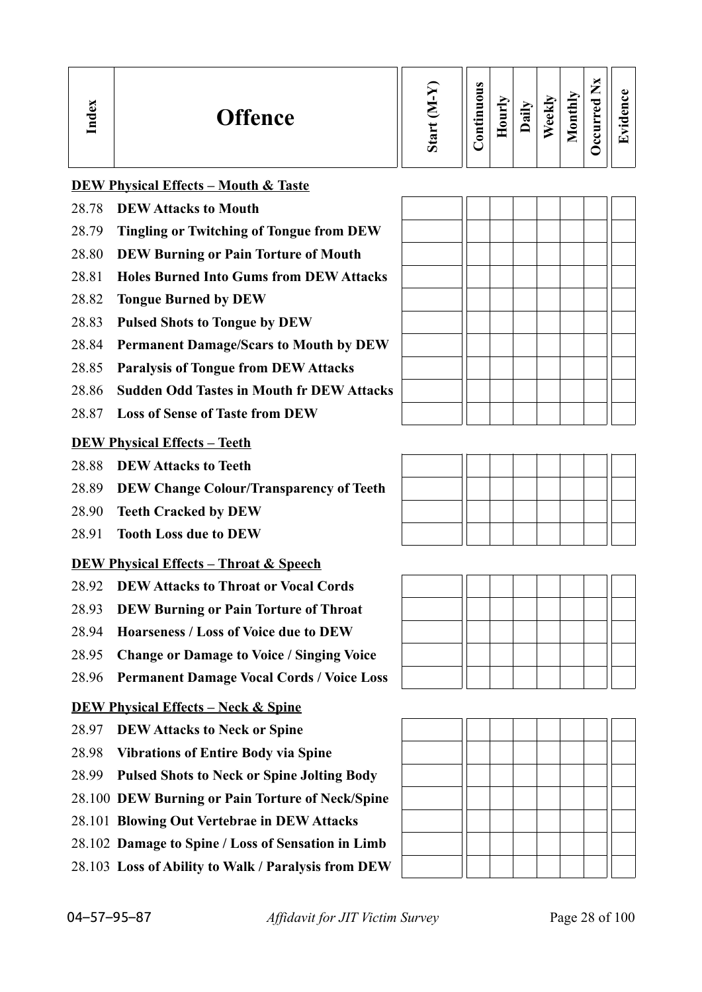| <b>Offence</b> | ∾<br>Ø | $\omega$<br>0<br>$\bullet$ and | s<br>_ | $\ddot{a}$ | М<br>ಕ<br>$\omega$ | ➤.<br>$\blacksquare$<br>$\overline{\phantom{a}}$<br>真<br>0<br>_ | ⊂<br>O) | ച<br>o.<br>C<br>$\bullet$ $\blacksquare$<br>┯ |
|----------------|--------|--------------------------------|--------|------------|--------------------|-----------------------------------------------------------------|---------|-----------------------------------------------|
|----------------|--------|--------------------------------|--------|------------|--------------------|-----------------------------------------------------------------|---------|-----------------------------------------------|

### **DEW Physical Effects – Mouth & Taste**

- 28.78 **DEW Attacks to Mouth**
- 28.79 **Tingling or Twitching of Tongue from DEW**
- 28.80 **DEW Burning or Pain Torture of Mouth**
- 28.81 **Holes Burned Into Gums from DEW Attacks**
- 28.82 **Tongue Burned by DEW**
- 28.83 **Pulsed Shots to Tongue by DEW**
- 28.84 **Permanent Damage/Scars to Mouth by DEW**
- 28.85 **Paralysis of Tongue from DEW Attacks**
- 28.86 **Sudden Odd Tastes in Mouth fr DEW Attacks**
- 28.87 **Loss of Sense of Taste from DEW**

### **DEW Physical Effects – Teeth**

- 28.88 **DEW Attacks to Teeth**
- 28.89 **DEW Change Colour/Transparency of Teeth**
- 28.90 **Teeth Cracked by DEW**
- 28.91 **Tooth Loss due to DEW**

### **DEW Physical Effects – Throat & Speech**

- 28.92 **DEW Attacks to Throat or Vocal Cords**
- 28.93 **DEW Burning or Pain Torture of Throat**
- 28.94 **Hoarseness / Loss of Voice due to DEW**
- 28.95 **Change or Damage to Voice / Singing Voice**
- 28.96 **Permanent Damage Vocal Cords / Voice Loss**

### **DEW Physical Effects – Neck & Spine**

- 28.97 **DEW Attacks to Neck or Spine**
- 28.98 **Vibrations of Entire Body via Spine**
- 28.99 **Pulsed Shots to Neck or Spine Jolting Body**
- 28.100 **DEW Burning or Pain Torture of Neck/Spine**
- 28.101 **Blowing Out Vertebrae in DEW Attacks**
- 28.102 **Damage to Spine / Loss of Sensation in Limb**
- 28.103 **Loss of Ability to Walk / Paralysis from DEW**







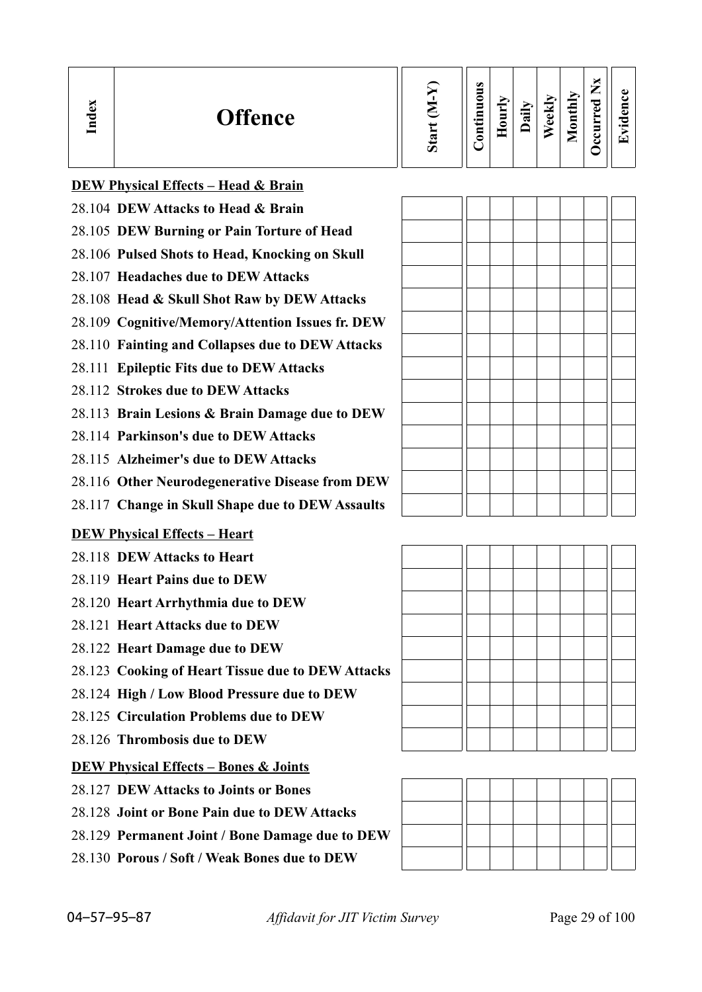| ده<br>onthly<br>0<br>╺<br>⊻<br>ω<br><b>Offence</b><br>੶ਜ਼<br>نه<br>5<br>$\bullet$<br>٥<br>ω<br>=<br>$\bullet$ and<br>_ | ᄆ<br>_<br>r –<br>உ<br>ت<br>$\omega$ |
|------------------------------------------------------------------------------------------------------------------------|-------------------------------------|
|------------------------------------------------------------------------------------------------------------------------|-------------------------------------|

| <b>DEW Physical Effects - Head &amp; Brain</b> |
|------------------------------------------------|
|                                                |

- 28.104 **DEW Attacks to Head & Brain**
- 28.105 **DEW Burning or Pain Torture of Head**
- 28.106 **Pulsed Shots to Head, Knocking on Skull**
- 28.107 **Headaches due to DEW Attacks**
- 28.108 **Head & Skull Shot Raw by DEW Attacks**
- 28.109 **Cognitive/Memory/Attention Issues fr. DEW**
- 28.110 **Fainting and Collapses due to DEW Attacks**
- 28.111 **Epileptic Fits due to DEW Attacks**
- 28.112 **Strokes due to DEW Attacks**
- 28.113 **Brain Lesions & Brain Damage due to DEW**
- 28.114 **Parkinson's due to DEW Attacks**
- 28.115 **Alzheimer's due to DEW Attacks**
- 28.116 **Other Neurodegenerative Disease from DEW**
- 28.117 **Change in Skull Shape due to DEW Assaults**

### **DEW Physical Effects – Heart**

- 28.118 **DEW Attacks to Heart**
- 28.119 **Heart Pains due to DEW**
- 28.120 **Heart Arrhythmia due to DEW**
- 28.121 **Heart Attacks due to DEW**
- 28.122 **Heart Damage due to DEW**
- 28.123 **Cooking of Heart Tissue due to DEW Attacks**
- 28.124 **High / Low Blood Pressure due to DEW**
- 28.125 **Circulation Problems due to DEW**
- 28.126 **Thrombosis due to DEW**

## **DEW Physical Effects – Bones & Joints**

- 28.127 **DEW Attacks to Joints or Bones**
- 28.128 **Joint or Bone Pain due to DEW Attacks**
- 28.129 **Permanent Joint / Bone Damage due to DEW**
- 28.130 **Porous / Soft / Weak Bones due to DEW**

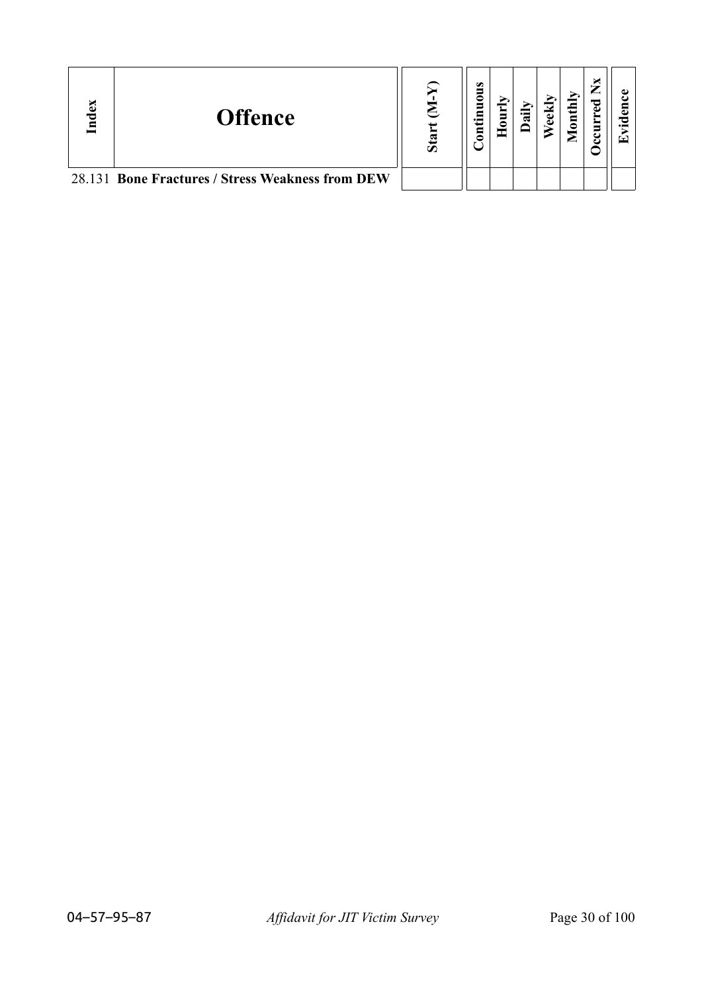| ್ | <b>Offence</b>                                   | S <sub>ta</sub> | $\bullet$<br>5<br>Ξ |  | $\text{until}$ | ᇢ |  |
|---|--------------------------------------------------|-----------------|---------------------|--|----------------|---|--|
|   | 28.131 Bone Fractures / Stress Weakness from DEW |                 |                     |  |                |   |  |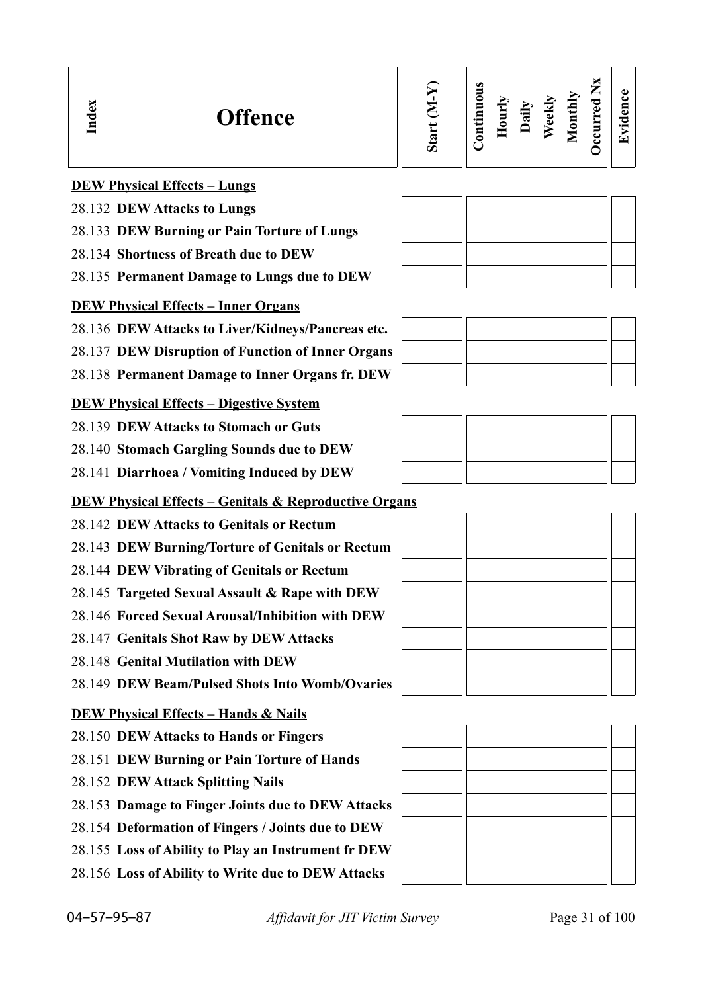| Index | <b>Offence</b>                                                   | Start (M-Y) | Continuous | Hourly | Daily | Weekly | Monthly | Occurred Nx | Evidence |
|-------|------------------------------------------------------------------|-------------|------------|--------|-------|--------|---------|-------------|----------|
|       | <b>DEW Physical Effects - Lungs</b>                              |             |            |        |       |        |         |             |          |
|       | 28.132 DEW Attacks to Lungs                                      |             |            |        |       |        |         |             |          |
|       | 28.133 DEW Burning or Pain Torture of Lungs                      |             |            |        |       |        |         |             |          |
|       | 28.134 Shortness of Breath due to DEW                            |             |            |        |       |        |         |             |          |
|       | 28.135 Permanent Damage to Lungs due to DEW                      |             |            |        |       |        |         |             |          |
|       | <b>DEW Physical Effects - Inner Organs</b>                       |             |            |        |       |        |         |             |          |
|       | 28.136 DEW Attacks to Liver/Kidneys/Pancreas etc.                |             |            |        |       |        |         |             |          |
|       | 28.137 DEW Disruption of Function of Inner Organs                |             |            |        |       |        |         |             |          |
|       | 28.138 Permanent Damage to Inner Organs fr. DEW                  |             |            |        |       |        |         |             |          |
|       | <b>DEW Physical Effects – Digestive System</b>                   |             |            |        |       |        |         |             |          |
|       | 28.139 DEW Attacks to Stomach or Guts                            |             |            |        |       |        |         |             |          |
|       | 28.140 Stomach Gargling Sounds due to DEW                        |             |            |        |       |        |         |             |          |
|       | 28.141 Diarrhoea / Vomiting Induced by DEW                       |             |            |        |       |        |         |             |          |
|       | <b>DEW Physical Effects - Genitals &amp; Reproductive Organs</b> |             |            |        |       |        |         |             |          |
|       | 28.142 DEW Attacks to Genitals or Rectum                         |             |            |        |       |        |         |             |          |
|       | 28.143 DEW Burning/Torture of Genitals or Rectum                 |             |            |        |       |        |         |             |          |
|       | 28.144 DEW Vibrating of Genitals or Rectum                       |             |            |        |       |        |         |             |          |
|       | 28.145 Targeted Sexual Assault & Rape with DEW                   |             |            |        |       |        |         |             |          |
|       | 28.146 Forced Sexual Arousal/Inhibition with DEW                 |             |            |        |       |        |         |             |          |
|       | 28.147 Genitals Shot Raw by DEW Attacks                          |             |            |        |       |        |         |             |          |
|       | 28.148 Genital Mutilation with DEW                               |             |            |        |       |        |         |             |          |
|       | 28.149 DEW Beam/Pulsed Shots Into Womb/Ovaries                   |             |            |        |       |        |         |             |          |
|       | <b>DEW Physical Effects - Hands &amp; Nails</b>                  |             |            |        |       |        |         |             |          |
|       | 28.150 DEW Attacks to Hands or Fingers                           |             |            |        |       |        |         |             |          |
|       | 28.151 DEW Burning or Pain Torture of Hands                      |             |            |        |       |        |         |             |          |
|       | 28.152 DEW Attack Splitting Nails                                |             |            |        |       |        |         |             |          |
|       | 28.153 Damage to Finger Joints due to DEW Attacks                |             |            |        |       |        |         |             |          |
|       | 28.154 Deformation of Fingers / Joints due to DEW                |             |            |        |       |        |         |             |          |
|       | 28.155 Loss of Ability to Play an Instrument fr DEW              |             |            |        |       |        |         |             |          |
|       | 28.156 Loss of Ability to Write due to DEW Attacks               |             |            |        |       |        |         |             |          |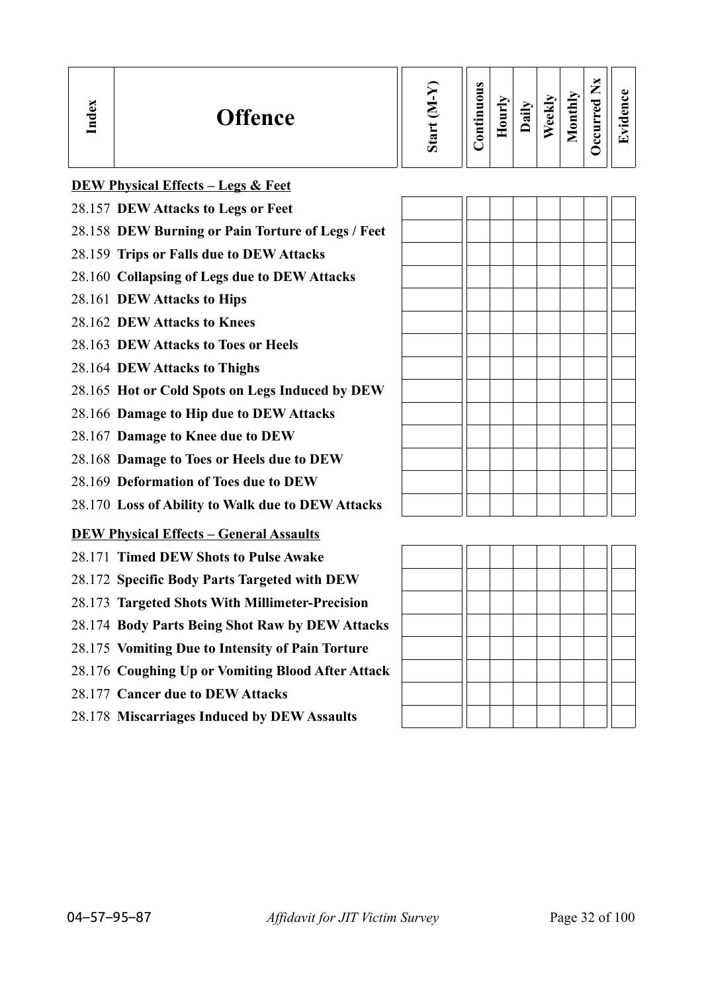| <b>Offence</b> | $\omega$ | $\omega$<br>◓<br>▀<br>⊟<br>⊶<br>3 | ≂<br>Ĕ<br>$\bullet$ | ∙⊟<br>≂ | м<br>ಕ<br>ω | thiy<br>$\blacksquare$<br>0<br>_ | ு<br>п. | ده<br>$\bullet$ $\blacksquare$<br>┯ |
|----------------|----------|-----------------------------------|---------------------|---------|-------------|----------------------------------|---------|-------------------------------------|
|----------------|----------|-----------------------------------|---------------------|---------|-------------|----------------------------------|---------|-------------------------------------|

| <b>DEW Physical Effects – Legs &amp; Feet</b> |  |
|-----------------------------------------------|--|
|                                               |  |

- 28.157 **DEW Attacks to Legs or Feet**
- 28.158 **DEW Burning or Pain Torture of Legs / Feet**
- 28.159 **Trips or Falls due to DEW Attacks**
- 28.160 **Collapsing of Legs due to DEW Attacks**
- 28.161 **DEW Attacks to Hips**
- 28.162 **DEW Attacks to Knees**
- 28.163 **DEW Attacks to Toes or Heels**
- 28.164 **DEW Attacks to Thighs**
- 28.165 **Hot or Cold Spots on Legs Induced by DEW**
- 28.166 **Damage to Hip due to DEW Attacks**
- 28.167 **Damage to Knee due to DEW**
- 28.168 **Damage to Toes or Heels due to DEW**
- 28.169 **Deformation of Toes due to DEW**
- 28.170 **Loss of Ability to Walk due to DEW Attacks**

### **DEW Physical Effects – General Assaults**

- 28.171 **Timed DEW Shots to Pulse Awake**
- 28.172 **Specific Body Parts Targeted with DEW**
- 28.173 **Targeted Shots With Millimeter-Precision**
- 28.174 **Body Parts Being Shot Raw by DEW Attacks**
- 28.175 **Vomiting Due to Intensity of Pain Torture**
- 28.176 **Coughing Up or Vomiting Blood After Attack**
- 28.177 **Cancer due to DEW Attacks**
- 28.178 **Miscarriages Induced by DEW Assaults**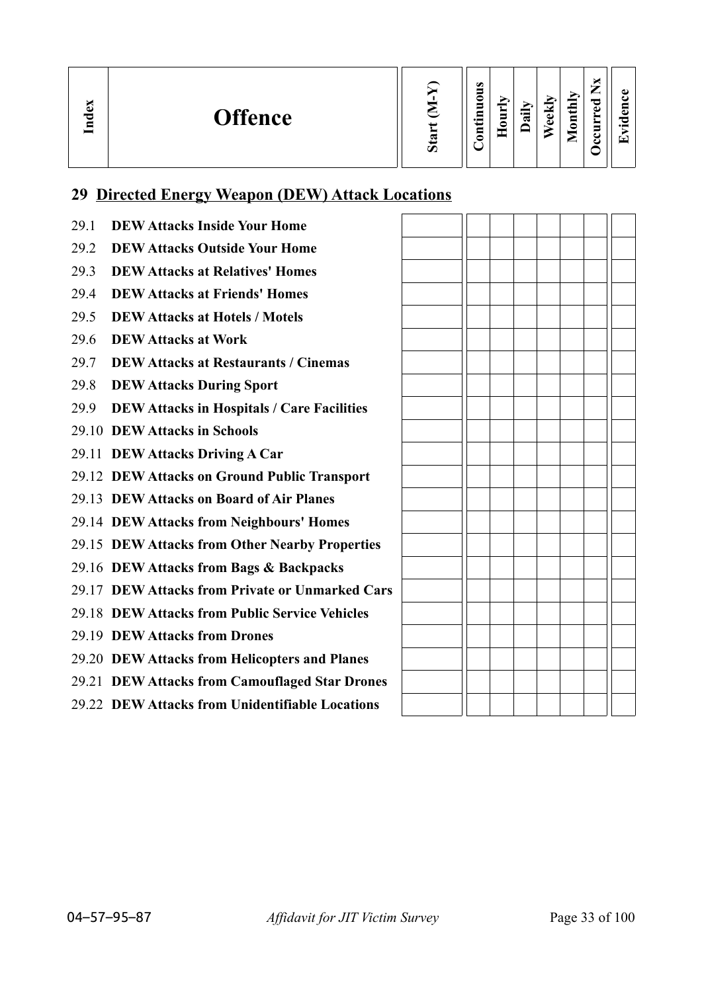| Index<br><b>Offence</b> | $\boldsymbol{\mathcal{D}}$ | $\omega$<br>_<br>0<br>−<br>↽<br>$\bullet$<br>Ξ | −<br>−<br>s<br>◓ | न्न | $\overline{\mathbf{e}}$ kl<br>Φ | <b>Aonthly</b><br>◚ | ×<br>–<br>مستر<br>ెం<br>ω<br>≻<br>Ĕ<br>ے<br>ت | A)<br>61<br>O<br>$\bullet$ and<br>$\overline{\phantom{0}}$ |
|-------------------------|----------------------------|------------------------------------------------|------------------|-----|---------------------------------|---------------------|-----------------------------------------------|------------------------------------------------------------|
|-------------------------|----------------------------|------------------------------------------------|------------------|-----|---------------------------------|---------------------|-----------------------------------------------|------------------------------------------------------------|

## **29 Directed Energy Weapon (DEW) Attack Locations**

29.1 **DEW Attacks Inside Your Home** 29.2 **DEW Attacks Outside Your Home** 29.3 **DEW Attacks at Relatives' Homes** 29.4 **DEW Attacks at Friends' Homes** 29.5 **DEW Attacks at Hotels / Motels** 29.6 **DEW Attacks at Work** 29.7 **DEW Attacks at Restaurants / Cinemas** 29.8 **DEW Attacks During Sport** 29.9 **DEW Attacks in Hospitals / Care Facilities** 29.10 **DEW Attacks in Schools** 29.11 **DEW Attacks Driving A Car** 29.12 **DEW Attacks on Ground Public Transport** 29.13 **DEW Attacks on Board of Air Planes** 29.14 **DEW Attacks from Neighbours' Homes** 29.15 **DEW Attacks from Other Nearby Properties** 29.16 **DEW Attacks from Bags & Backpacks** 29.17 **DEW Attacks from Private or Unmarked Cars** 29.18 **DEW Attacks from Public Service Vehicles** 29.19 **DEW Attacks from Drones** 29.20 **DEW Attacks from Helicopters and Planes** 29.21 **DEW Attacks from Camouflaged Star Drones** 29.22 **DEW Attacks from Unidentifiable Locations**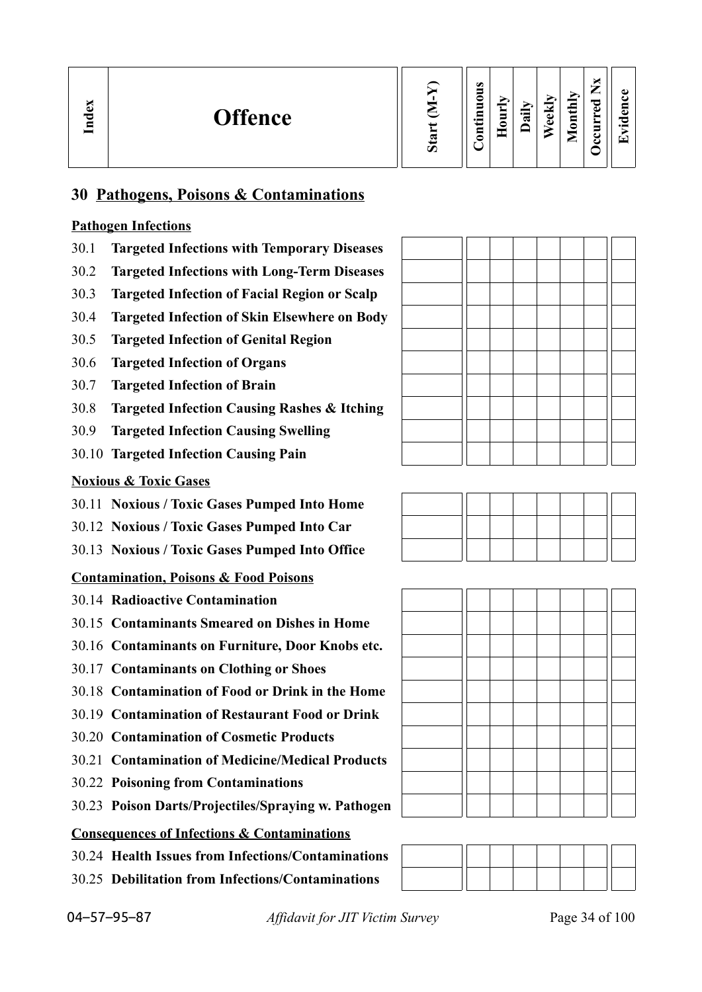| ്ധ<br><b>Offence</b><br>ాద<br>⊟ | $\boldsymbol{u}$ | م<br>c<br>−<br>┍<br>$\bullet$<br>⊟<br>_ |  | ≂ | Φ<br>ω | d<br>щ<br>₽<br>0<br>▱ | _<br>≂<br>ω<br>-<br>॒<br>г.<br>◡ | $\bullet$<br>⇁ |
|---------------------------------|------------------|-----------------------------------------|--|---|--------|-----------------------|----------------------------------|----------------|
|---------------------------------|------------------|-----------------------------------------|--|---|--------|-----------------------|----------------------------------|----------------|

## **30 Pathogens, Poisons & Contaminations**

## **Pathogen Infections**

- 30.1 **Targeted Infections with Temporary Diseases**
- 30.2 **Targeted Infections with Long-Term Diseases**
- 30.3 **Targeted Infection of Facial Region or Scalp**
- 30.4 **Targeted Infection of Skin Elsewhere on Body**
- 30.5 **Targeted Infection of Genital Region**
- 30.6 **Targeted Infection of Organs**
- 30.7 **Targeted Infection of Brain**
- 30.8 **Targeted Infection Causing Rashes & Itching**
- 30.9 **Targeted Infection Causing Swelling**
- 30.10 **Targeted Infection Causing Pain**

## **Noxious & Toxic Gases**

- 30.11 **Noxious / Toxic Gases Pumped Into Home**
- 30.12 **Noxious / Toxic Gases Pumped Into Car**
- 30.13 **Noxious / Toxic Gases Pumped Into Office**

## **Contamination, Poisons & Food Poisons**

- 30.14 **Radioactive Contamination**
- 30.15 **Contaminants Smeared on Dishes in Home**
- 30.16 **Contaminants on Furniture, Door Knobs etc.**
- 30.17 **Contaminants on Clothing or Shoes**
- 30.18 **Contamination of Food or Drink in the Home**
- 30.19 **Contamination of Restaurant Food or Drink**
- 30.20 **Contamination of Cosmetic Products**
- 30.21 **Contamination of Medicine/Medical Products**
- 30.22 **Poisoning from Contaminations**
- 30.23 **Poison Darts/Projectiles/Spraying w. Pathogen**

## **Consequences of Infections & Contaminations**

- 30.24 **Health Issues from Infections/Contaminations**
- 30.25 **Debilitation from Infections/Contaminations**







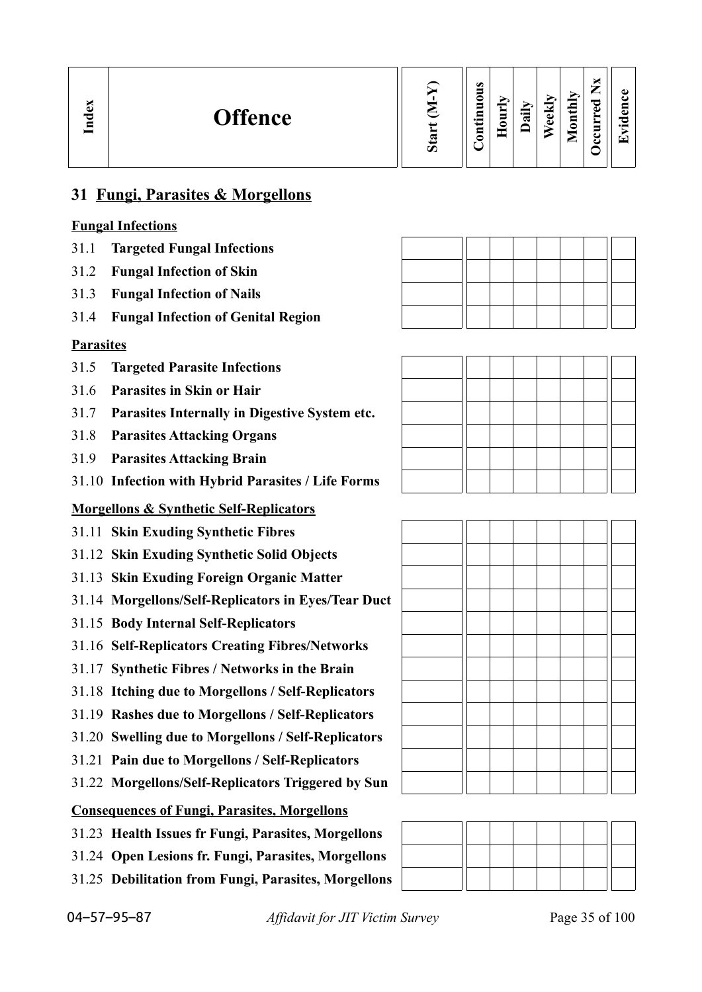| ධ<br><b>Offence</b><br>ಕ<br>Ē | σ | ω<br>∍<br>0<br>5<br>⊟<br>⊶<br>$\overline{\mathsf{E}}$ | ⊵<br>5<br>⊂ | ∽<br>$\cdot$ .<br>ಷ | м<br>نه<br>ω | Ė<br>نى<br>$\overline{\mathbf{g}}$<br>- | ╺<br>ு<br>ω<br>$\sim$<br>◡ | ω<br>7<br>$\bullet$ $\blacksquare$<br>l T |
|-------------------------------|---|-------------------------------------------------------|-------------|---------------------|--------------|-----------------------------------------|----------------------------|-------------------------------------------|
|-------------------------------|---|-------------------------------------------------------|-------------|---------------------|--------------|-----------------------------------------|----------------------------|-------------------------------------------|

## **31 Fungi, Parasites & Morgellons**

## **Fungal Infections**

- 31.1 **Targeted Fungal Infections**
- 31.2 **Fungal Infection of Skin**
- 31.3 **Fungal Infection of Nails**
- 31.4 **Fungal Infection of Genital Region**

### **Parasites**

- 31.5 **Targeted Parasite Infections**
- 31.6 **Parasites in Skin or Hair**
- 31.7 **Parasites Internally in Digestive System etc.**
- 31.8 **Parasites Attacking Organs**
- 31.9 **Parasites Attacking Brain**
- 31.10 **Infection with Hybrid Parasites / Life Forms**

## **Morgellons & Synthetic Self-Replicators**

- 31.11 **Skin Exuding Synthetic Fibres**
- 31.12 **Skin Exuding Synthetic Solid Objects**
- 31.13 **Skin Exuding Foreign Organic Matter**
- 31.14 **Morgellons/Self-Replicators in Eyes/Tear Duct**
- 31.15 **Body Internal Self-Replicators**
- 31.16 **Self-Replicators Creating Fibres/Networks**
- 31.17 **Synthetic Fibres / Networks in the Brain**
- 31.18 **Itching due to Morgellons / Self-Replicators**
- 31.19 **Rashes due to Morgellons / Self-Replicators**
- 31.20 **Swelling due to Morgellons / Self-Replicators**
- 31.21 **Pain due to Morgellons / Self-Replicators**
- 31.22 **Morgellons/Self-Replicators Triggered by Sun**

### **Consequences of Fungi, Parasites, Morgellons**

- 31.23 **Health Issues fr Fungi, Parasites, Morgellons**
- 31.24 **Open Lesions fr. Fungi, Parasites, Morgellons**
- 31.25 **Debilitation from Fungi, Parasites, Morgellons**





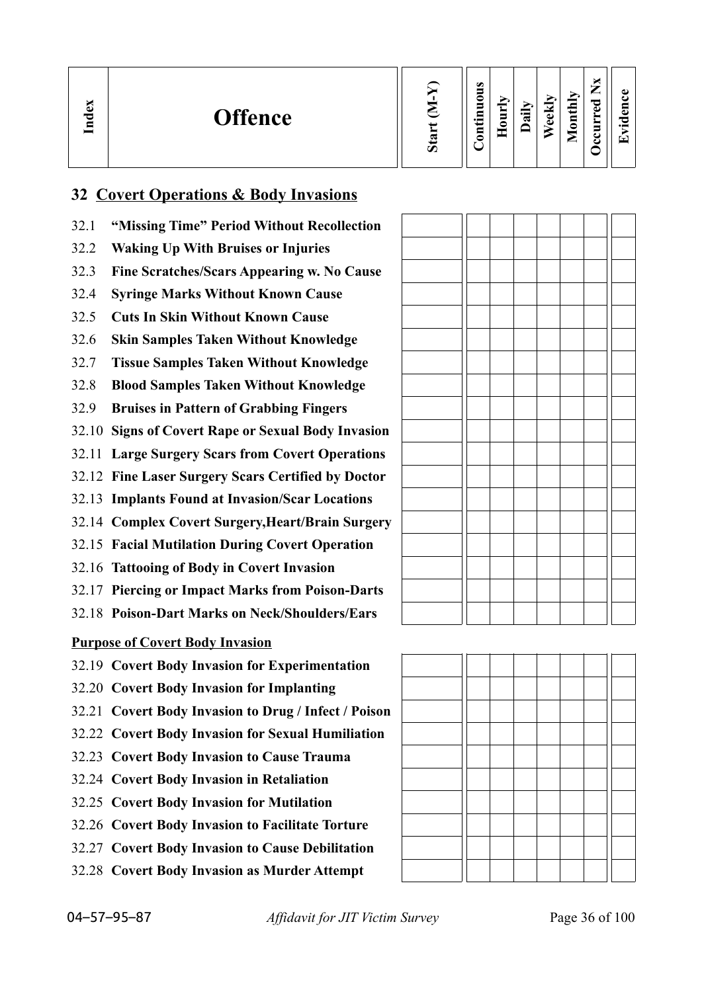| b.<br>്ധ<br><b>Offence</b><br>$\overline{\text{Ind}}$ | Ø | $\bullet$<br>-<br>⋍<br>−<br>$\cdot$ $\,$<br>⊟<br>᠆ | ∼<br>▀<br>= | न्न | ≂<br>Φ<br>Ō | thly<br>$\overline{\mathbf{g}}$<br>╾ | –<br>_<br>ಾ<br>ω<br>Ξ<br>് | ച<br>п.<br>$\bullet$ and<br>$\overline{\phantom{0}}$ |
|-------------------------------------------------------|---|----------------------------------------------------|-------------|-----|-------------|--------------------------------------|----------------------------|------------------------------------------------------|
|-------------------------------------------------------|---|----------------------------------------------------|-------------|-----|-------------|--------------------------------------|----------------------------|------------------------------------------------------|

## **32 Covert Operations & Body Invasions**

- 32.1 **"Missing Time" Period Without Recollection**
- 32.2 **Waking Up With Bruises or Injuries**
- 32.3 **Fine Scratches/Scars Appearing w. No Cause**
- 32.4 **Syringe Marks Without Known Cause**
- 32.5 **Cuts In Skin Without Known Cause**
- 32.6 **Skin Samples Taken Without Knowledge**
- 32.7 **Tissue Samples Taken Without Knowledge**
- 32.8 **Blood Samples Taken Without Knowledge**
- 32.9 **Bruises in Pattern of Grabbing Fingers**
- 32.10 **Signs of Covert Rape or Sexual Body Invasion**
- 32.11 **Large Surgery Scars from Covert Operations**
- 32.12 **Fine Laser Surgery Scars Certified by Doctor**
- 32.13 **Implants Found at Invasion/Scar Locations**
- 32.14 **Complex Covert Surgery,Heart/Brain Surgery**
- 32.15 **Facial Mutilation During Covert Operation**
- 32.16 **Tattooing of Body in Covert Invasion**
- 32.17 **Piercing or Impact Marks from Poison-Darts**
- 32.18 **Poison-Dart Marks on Neck/Shoulders/Ears**

**Purpose of Covert Body Invasion**

- 32.19 **Covert Body Invasion for Experimentation**
- 32.20 **Covert Body Invasion for Implanting**
- 32.21 **Covert Body Invasion to Drug / Infect / Poison**
- 32.22 **Covert Body Invasion for Sexual Humiliation**
- 32.23 **Covert Body Invasion to Cause Trauma**
- 32.24 **Covert Body Invasion in Retaliation**
- 32.25 **Covert Body Invasion for Mutilation**
- 32.26 **Covert Body Invasion to Facilitate Torture**
- 32.27 **Covert Body Invasion to Cause Debilitation**
- 32.28 **Covert Body Invasion as Murder Attempt**

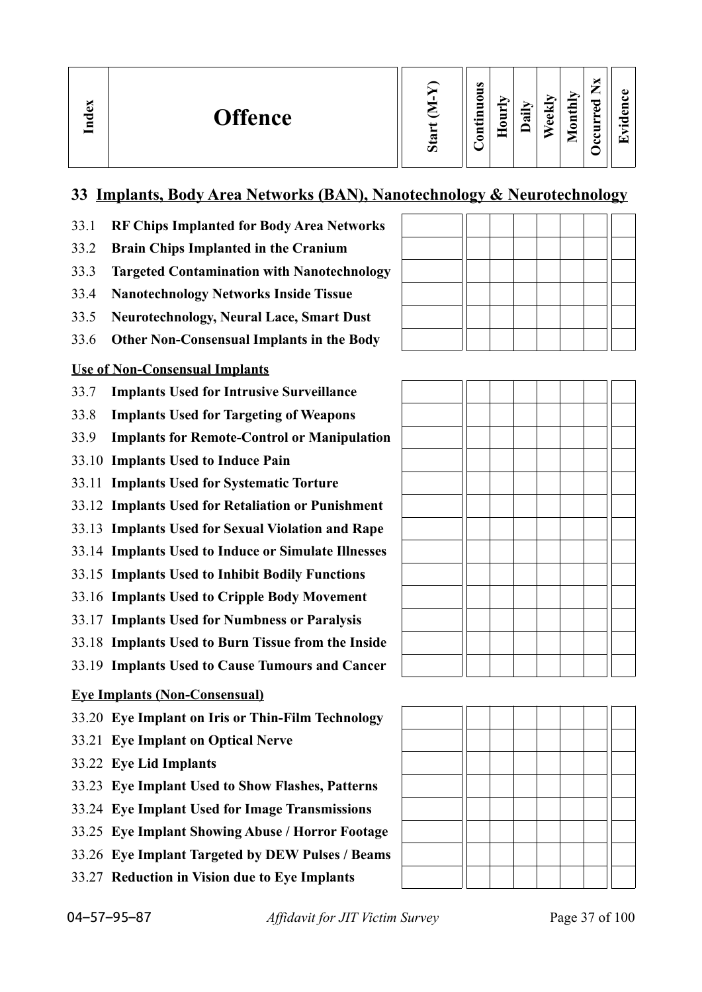| ×<br>nde: | <b>Offence</b> | ∽ | $\bullet$<br>$\overline{\phantom{0}}$<br>_<br>◓<br>$\blacksquare$<br>-<br>$\blacksquare$<br>▬<br>$\cdot$ $\,$<br>5<br>- | $\mathbf{r}$<br>Ĕ<br>-<br>≏ | ្ផា | eekly | thly<br>$\overline{\mathbf{S}}$<br>−<br>- | −<br>_<br>ెం<br>ω<br>⊏ | ω<br>E<br>೦<br>$\cdot$ $-$<br>▼ |
|-----------|----------------|---|-------------------------------------------------------------------------------------------------------------------------|-----------------------------|-----|-------|-------------------------------------------|------------------------|---------------------------------|
|-----------|----------------|---|-------------------------------------------------------------------------------------------------------------------------|-----------------------------|-----|-------|-------------------------------------------|------------------------|---------------------------------|

## **33 Implants, Body Area Networks (BAN), Nanotechnology & Neurotechnology**

- 33.1 **RF Chips Implanted for Body Area Networks**
- 33.2 **Brain Chips Implanted in the Cranium**
- 33.3 **Targeted Contamination with Nanotechnology**
- 33.4 **Nanotechnology Networks Inside Tissue**
- 33.5 **Neurotechnology, Neural Lace, Smart Dust**
- 33.6 **Other Non-Consensual Implants in the Body**

## **Use of Non-Consensual Implants**

- 33.7 **Implants Used for Intrusive Surveillance**
- 33.8 **Implants Used for Targeting of Weapons**
- 33.9 **Implants for Remote-Control or Manipulation**
- 33.10 **Implants Used to Induce Pain**
- 33.11 **Implants Used for Systematic Torture**
- 33.12 **Implants Used for Retaliation or Punishment**
- 33.13 **Implants Used for Sexual Violation and Rape**
- 33.14 **Implants Used to Induce or Simulate Illnesses**
- 33.15 **Implants Used to Inhibit Bodily Functions**
- 33.16 **Implants Used to Cripple Body Movement**
- 33.17 **Implants Used for Numbness or Paralysis**
- 33.18 **Implants Used to Burn Tissue from the Inside**
- 33.19 **Implants Used to Cause Tumours and Cancer**

## **Eye Implants (Non-Consensual)**

- 33.20 **Eye Implant on Iris or Thin-Film Technology**
- 33.21 **Eye Implant on Optical Nerve**
- 33.22 **Eye Lid Implants**
- 33.23 **Eye Implant Used to Show Flashes, Patterns**
- 33.24 **Eye Implant Used for Image Transmissions**
- 33.25 **Eye Implant Showing Abuse / Horror Footage**
- 33.26 **Eye Implant Targeted by DEW Pulses / Beams**
- 33.27 **Reduction in Vision due to Eye Implants**



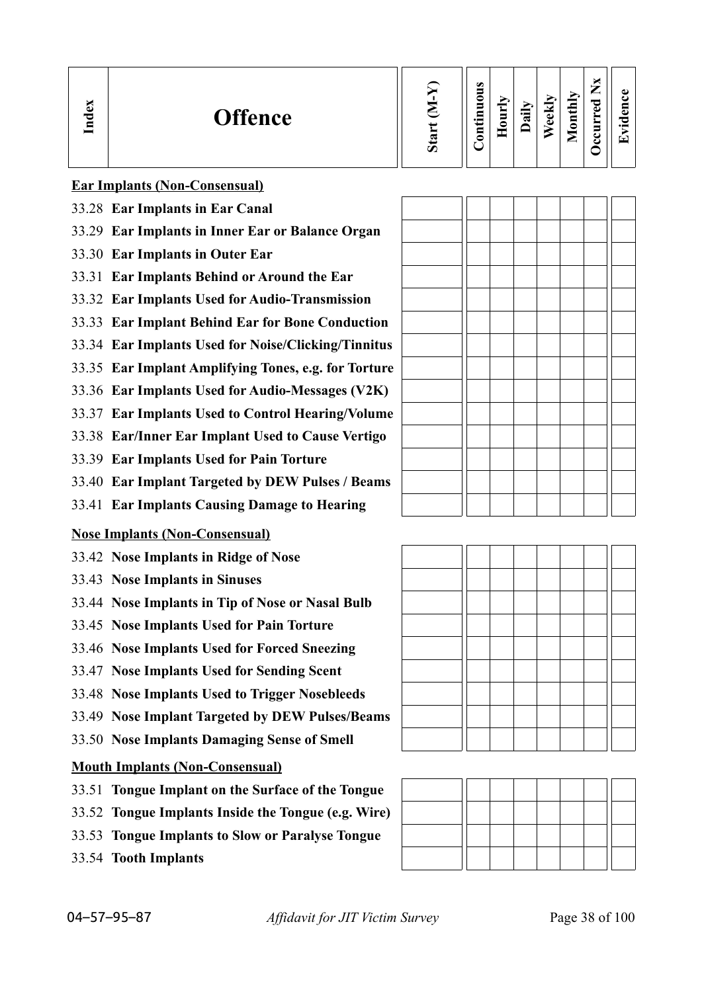| $\bullet$<br>0<br>−<br>$\bullet$ and<br>₽<br>∊ | Ę<br>⌒ | ਵ | ₩<br>ಕ<br>ω | thly<br>$\overline{\mathbf{g}}$<br>−<br>⋍ | ு<br>ω<br>- | ω<br>a<br>਼<br>$\cdot$ $-$<br>▼ |
|------------------------------------------------|--------|---|-------------|-------------------------------------------|-------------|---------------------------------|
|                                                |        |   |             |                                           |             |                                 |

**Ear Implants (Non-Consensual)**

- 33.28 **Ear Implants in Ear Canal**
- 33.29 **Ear Implants in Inner Ear or Balance Organ**
- 33.30 **Ear Implants in Outer Ear**
- 33.31 **Ear Implants Behind or Around the Ear**
- 33.32 **Ear Implants Used for Audio-Transmission**
- 33.33 **Ear Implant Behind Ear for Bone Conduction**
- 33.34 **Ear Implants Used for Noise/Clicking/Tinnitus**
- 33.35 **Ear Implant Amplifying Tones, e.g. for Torture**
- 33.36 **Ear Implants Used for Audio-Messages (V2K)**
- 33.37 **Ear Implants Used to Control Hearing/Volume**
- 33.38 **Ear/Inner Ear Implant Used to Cause Vertigo**
- 33.39 **Ear Implants Used for Pain Torture**
- 33.40 **Ear Implant Targeted by DEW Pulses / Beams**
- 33.41 **Ear Implants Causing Damage to Hearing**

## **Nose Implants (Non-Consensual)**

- 33.42 **Nose Implants in Ridge of Nose**
- 33.43 **Nose Implants in Sinuses**
- 33.44 **Nose Implants in Tip of Nose or Nasal Bulb**
- 33.45 **Nose Implants Used for Pain Torture**
- 33.46 **Nose Implants Used for Forced Sneezing**
- 33.47 **Nose Implants Used for Sending Scent**
- 33.48 **Nose Implants Used to Trigger Nosebleeds**
- 33.49 **Nose Implant Targeted by DEW Pulses/Beams**
- 33.50 **Nose Implants Damaging Sense of Smell**

## **Mouth Implants (Non-Consensual)**

- 33.51 **Tongue Implant on the Surface of the Tongue**
- 33.52 **Tongue Implants Inside the Tongue (e.g. Wire)**
- 33.53 **Tongue Implants to Slow or Paralyse Tongue**
- 33.54 **Tooth Implants**



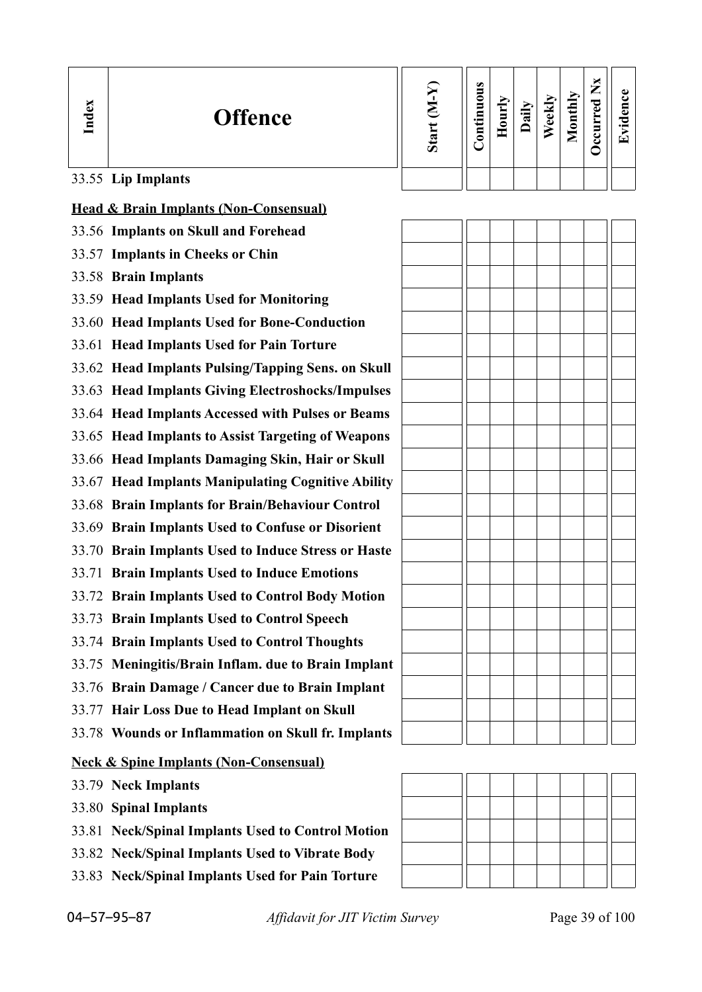| Index | <b>Offence</b>                                      | Start $(M-Y)$ | Continuous | Hourly | Daily | Weekly | Monthly | <b>Decurred Nx</b> | Evidence |
|-------|-----------------------------------------------------|---------------|------------|--------|-------|--------|---------|--------------------|----------|
|       | 33.55 Lip Implants                                  |               |            |        |       |        |         |                    |          |
|       | <b>Head &amp; Brain Implants (Non-Consensual)</b>   |               |            |        |       |        |         |                    |          |
|       | 33.56 Implants on Skull and Forehead                |               |            |        |       |        |         |                    |          |
|       | 33.57 Implants in Cheeks or Chin                    |               |            |        |       |        |         |                    |          |
|       | 33.58 Brain Implants                                |               |            |        |       |        |         |                    |          |
|       | 33.59 Head Implants Used for Monitoring             |               |            |        |       |        |         |                    |          |
|       | 33.60 Head Implants Used for Bone-Conduction        |               |            |        |       |        |         |                    |          |
|       | 33.61 Head Implants Used for Pain Torture           |               |            |        |       |        |         |                    |          |
|       | 33.62 Head Implants Pulsing/Tapping Sens. on Skull  |               |            |        |       |        |         |                    |          |
|       | 33.63 Head Implants Giving Electroshocks/Impulses   |               |            |        |       |        |         |                    |          |
|       | 33.64 Head Implants Accessed with Pulses or Beams   |               |            |        |       |        |         |                    |          |
|       | 33.65 Head Implants to Assist Targeting of Weapons  |               |            |        |       |        |         |                    |          |
|       | 33.66 Head Implants Damaging Skin, Hair or Skull    |               |            |        |       |        |         |                    |          |
|       | 33.67 Head Implants Manipulating Cognitive Ability  |               |            |        |       |        |         |                    |          |
|       | 33.68 Brain Implants for Brain/Behaviour Control    |               |            |        |       |        |         |                    |          |
|       | 33.69 Brain Implants Used to Confuse or Disorient   |               |            |        |       |        |         |                    |          |
|       | 33.70 Brain Implants Used to Induce Stress or Haste |               |            |        |       |        |         |                    |          |
|       | 33.71 Brain Implants Used to Induce Emotions        |               |            |        |       |        |         |                    |          |
|       | 33.72 Brain Implants Used to Control Body Motion    |               |            |        |       |        |         |                    |          |
|       | 33.73 Brain Implants Used to Control Speech         |               |            |        |       |        |         |                    |          |
|       | 33.74 Brain Implants Used to Control Thoughts       |               |            |        |       |        |         |                    |          |
|       | 33.75 Meningitis/Brain Inflam. due to Brain Implant |               |            |        |       |        |         |                    |          |
|       | 33.76 Brain Damage / Cancer due to Brain Implant    |               |            |        |       |        |         |                    |          |
|       | 33.77 Hair Loss Due to Head Implant on Skull        |               |            |        |       |        |         |                    |          |
|       | 33.78 Wounds or Inflammation on Skull fr. Implants  |               |            |        |       |        |         |                    |          |
|       | <b>Neck &amp; Spine Implants (Non-Consensual)</b>   |               |            |        |       |        |         |                    |          |
|       | 33.79 Neck Implants                                 |               |            |        |       |        |         |                    |          |
|       | 33.80 Spinal Implants                               |               |            |        |       |        |         |                    |          |
|       | 33.81 Neck/Spinal Implants Used to Control Motion   |               |            |        |       |        |         |                    |          |
|       | 33.82 Neck/Spinal Implants Used to Vibrate Body     |               |            |        |       |        |         |                    |          |
|       | 33.83 Neck/Spinal Implants Used for Pain Torture    |               |            |        |       |        |         |                    |          |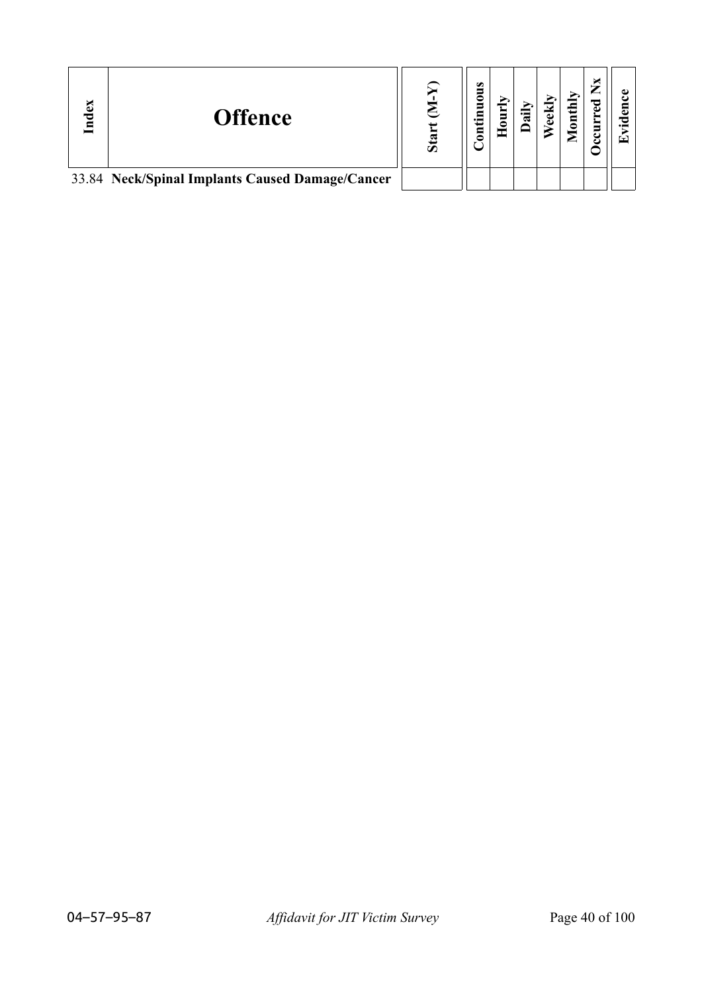| Index | <b>Offence</b>                                  | ${\bf S}$ ta | $\bullet$<br>c<br>— |  | thly<br>$\bar{\mathbf{g}}$ | ರ<br>ω<br>Ĕ |  |
|-------|-------------------------------------------------|--------------|---------------------|--|----------------------------|-------------|--|
|       | 33.84 Neck/Spinal Implants Caused Damage/Cancer |              |                     |  |                            |             |  |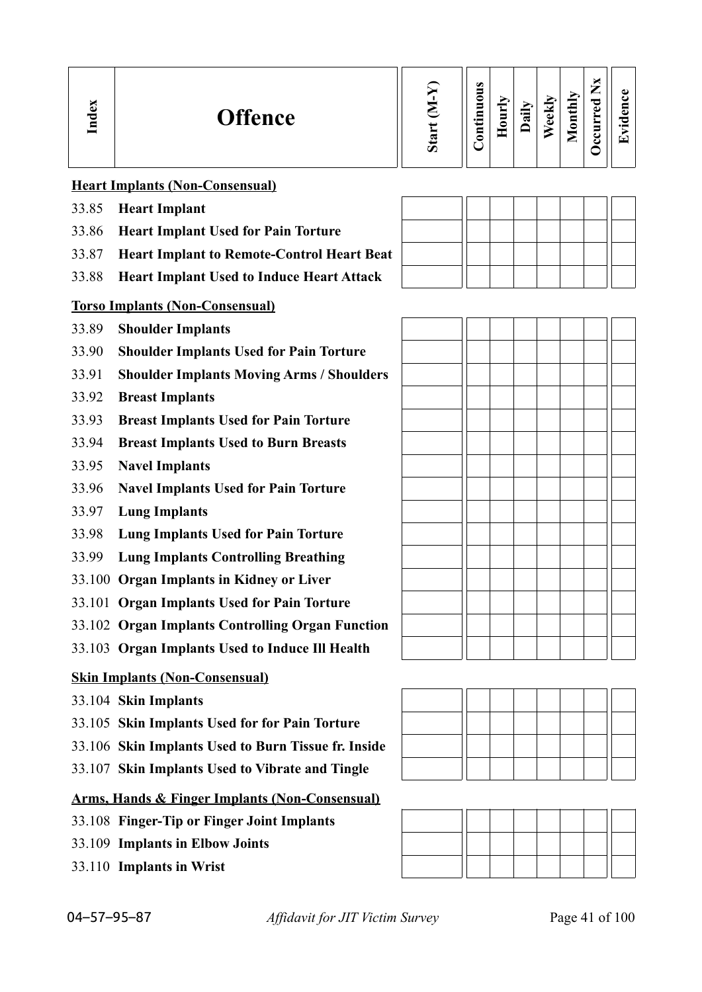| Index | <b>Offence</b>                                            | Start (M-Y) | Continuous | Hourly | Daily | Weekly | Monthly | <b>Decurred Nx</b> | Evidence |
|-------|-----------------------------------------------------------|-------------|------------|--------|-------|--------|---------|--------------------|----------|
|       | <b>Heart Implants (Non-Consensual)</b>                    |             |            |        |       |        |         |                    |          |
| 33.85 | <b>Heart Implant</b>                                      |             |            |        |       |        |         |                    |          |
| 33.86 | <b>Heart Implant Used for Pain Torture</b>                |             |            |        |       |        |         |                    |          |
| 33.87 | <b>Heart Implant to Remote-Control Heart Beat</b>         |             |            |        |       |        |         |                    |          |
| 33.88 | <b>Heart Implant Used to Induce Heart Attack</b>          |             |            |        |       |        |         |                    |          |
|       | <b>Torso Implants (Non-Consensual)</b>                    |             |            |        |       |        |         |                    |          |
| 33.89 | <b>Shoulder Implants</b>                                  |             |            |        |       |        |         |                    |          |
| 33.90 | <b>Shoulder Implants Used for Pain Torture</b>            |             |            |        |       |        |         |                    |          |
| 33.91 | <b>Shoulder Implants Moving Arms / Shoulders</b>          |             |            |        |       |        |         |                    |          |
| 33.92 | <b>Breast Implants</b>                                    |             |            |        |       |        |         |                    |          |
| 33.93 | <b>Breast Implants Used for Pain Torture</b>              |             |            |        |       |        |         |                    |          |
| 33.94 | <b>Breast Implants Used to Burn Breasts</b>               |             |            |        |       |        |         |                    |          |
| 33.95 | <b>Navel Implants</b>                                     |             |            |        |       |        |         |                    |          |
| 33.96 | <b>Navel Implants Used for Pain Torture</b>               |             |            |        |       |        |         |                    |          |
| 33.97 | <b>Lung Implants</b>                                      |             |            |        |       |        |         |                    |          |
| 33.98 | <b>Lung Implants Used for Pain Torture</b>                |             |            |        |       |        |         |                    |          |
| 33.99 | <b>Lung Implants Controlling Breathing</b>                |             |            |        |       |        |         |                    |          |
|       | 33.100 Organ Implants in Kidney or Liver                  |             |            |        |       |        |         |                    |          |
|       | 33.101 Organ Implants Used for Pain Torture               |             |            |        |       |        |         |                    |          |
|       | 33.102 Organ Implants Controlling Organ Function          |             |            |        |       |        |         |                    |          |
|       | 33.103 Organ Implants Used to Induce Ill Health           |             |            |        |       |        |         |                    |          |
|       | <b>Skin Implants (Non-Consensual)</b>                     |             |            |        |       |        |         |                    |          |
|       | 33.104 Skin Implants                                      |             |            |        |       |        |         |                    |          |
|       | 33.105 Skin Implants Used for for Pain Torture            |             |            |        |       |        |         |                    |          |
|       | 33.106 Skin Implants Used to Burn Tissue fr. Inside       |             |            |        |       |        |         |                    |          |
|       | 33.107 Skin Implants Used to Vibrate and Tingle           |             |            |        |       |        |         |                    |          |
|       | <b>Arms, Hands &amp; Finger Implants (Non-Consensual)</b> |             |            |        |       |        |         |                    |          |
|       | 33.108 Finger-Tip or Finger Joint Implants                |             |            |        |       |        |         |                    |          |
|       | 33.109 Implants in Elbow Joints                           |             |            |        |       |        |         |                    |          |
|       | 33.110 Implants in Wrist                                  |             |            |        |       |        |         |                    |          |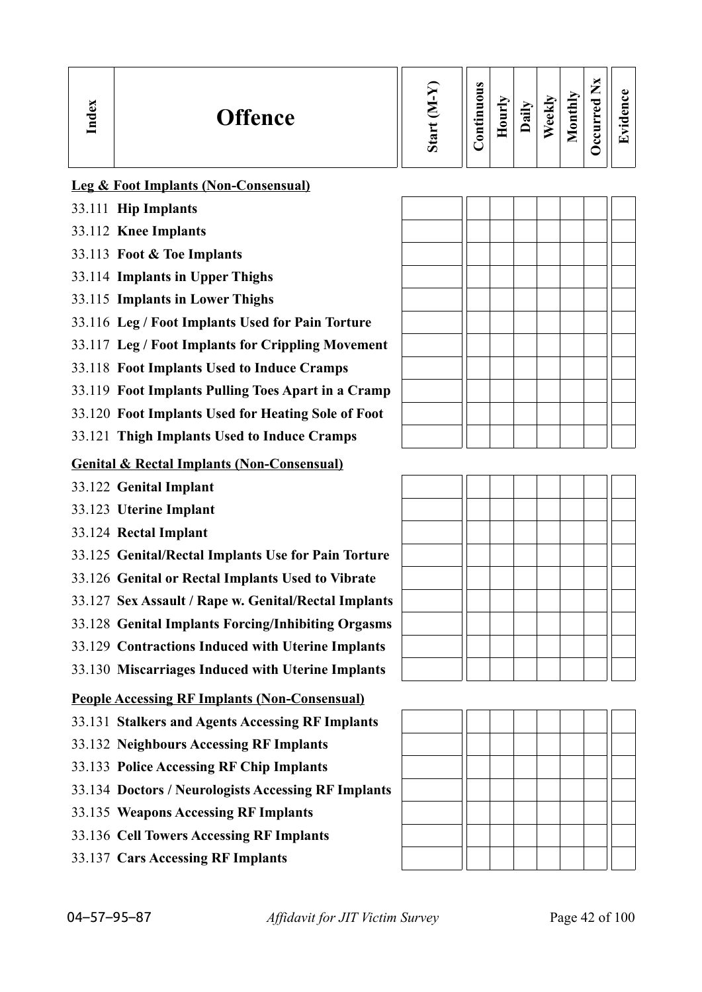| ă<br>P<br>⊟ | <b>Offence</b> | $\omega$ | $\bullet$<br>s<br>0<br>5<br>Ë<br>5 | ┯<br>our<br>┯ | aily | eekly | <b>Tonthly</b><br>► | ×<br>—<br>ెం<br>$\bullet$<br>Ξ<br>ے | ڡ<br>E<br>೦<br>$\cdot$ $-$<br>Γ–1 |
|-------------|----------------|----------|------------------------------------|---------------|------|-------|---------------------|-------------------------------------|-----------------------------------|
|             |                |          |                                    |               |      |       |                     |                                     |                                   |

## **Leg & Foot Implants (Non-Consensual)**

- 33.111 **Hip Implants**
- 33.112 **Knee Implants**
- 33.113 **Foot & Toe Implants**
- 33.114 **Implants in Upper Thighs**
- 33.115 **Implants in Lower Thighs**
- 33.116 **Leg / Foot Implants Used for Pain Torture**
- 33.117 **Leg / Foot Implants for Crippling Movement**
- 33.118 **Foot Implants Used to Induce Cramps**
- 33.119 **Foot Implants Pulling Toes Apart in a Cramp**
- 33.120 **Foot Implants Used for Heating Sole of Foot**
- 33.121 **Thigh Implants Used to Induce Cramps**

## **Genital & Rectal Implants (Non-Consensual)**

- 33.122 **Genital Implant**
- 33.123 **Uterine Implant**
- 33.124 **Rectal Implant**
- 33.125 **Genital/Rectal Implants Use for Pain Torture**
- 33.126 **Genital or Rectal Implants Used to Vibrate**
- 33.127 **Sex Assault / Rape w. Genital/Rectal Implants**
- 33.128 **Genital Implants Forcing/Inhibiting Orgasms**
- 33.129 **Contractions Induced with Uterine Implants**
- 33.130 **Miscarriages Induced with Uterine Implants**

## **People Accessing RF Implants (Non-Consensual)**

- 33.131 **Stalkers and Agents Accessing RF Implants**
- 33.132 **Neighbours Accessing RF Implants**
- 33.133 **Police Accessing RF Chip Implants**
- 33.134 **Doctors / Neurologists Accessing RF Implants**
- 33.135 **Weapons Accessing RF Implants**
- 33.136 **Cell Towers Accessing RF Implants**
- 33.137 **Cars Accessing RF Implants**





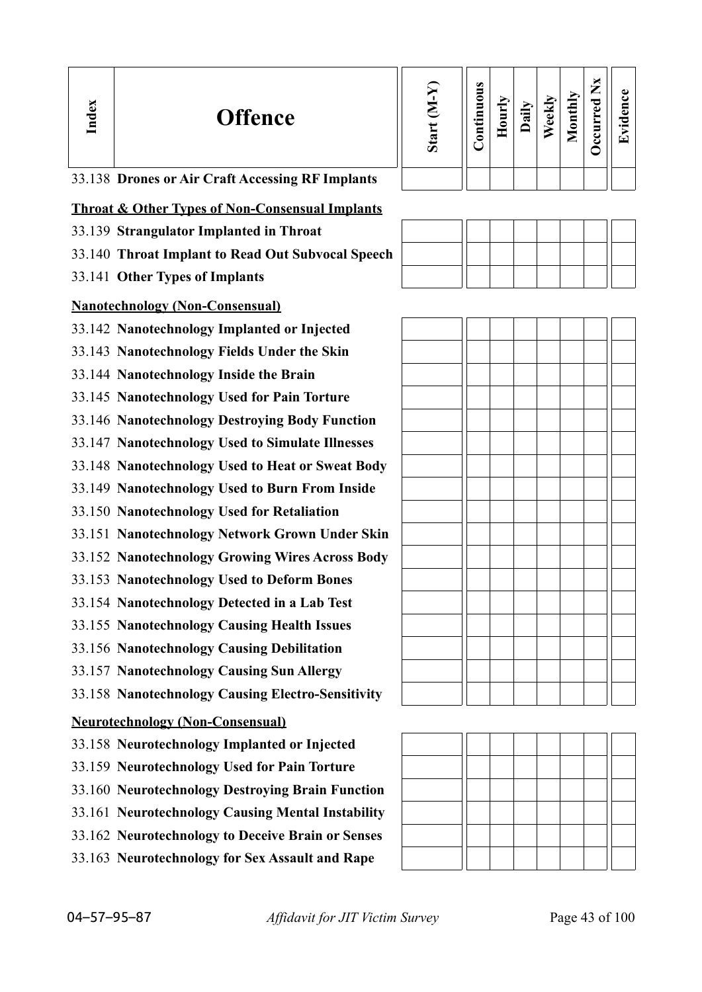| Index | <b>Offence</b>                                                                                       | Start (M-Y) | Continuous | Hourly | Daily | Weekly | Monthly | Occurred Nx | Evidence |
|-------|------------------------------------------------------------------------------------------------------|-------------|------------|--------|-------|--------|---------|-------------|----------|
|       | 33.138 Drones or Air Craft Accessing RF Implants                                                     |             |            |        |       |        |         |             |          |
|       | <b>Throat &amp; Other Types of Non-Consensual Implants</b>                                           |             |            |        |       |        |         |             |          |
|       | 33.139 Strangulator Implanted in Throat                                                              |             |            |        |       |        |         |             |          |
|       | 33.140 Throat Implant to Read Out Subvocal Speech                                                    |             |            |        |       |        |         |             |          |
|       | 33.141 Other Types of Implants                                                                       |             |            |        |       |        |         |             |          |
|       | <b>Nanotechnology (Non-Consensual)</b>                                                               |             |            |        |       |        |         |             |          |
|       | 33.142 Nanotechnology Implanted or Injected                                                          |             |            |        |       |        |         |             |          |
|       | 33.143 Nanotechnology Fields Under the Skin                                                          |             |            |        |       |        |         |             |          |
|       | 33.144 Nanotechnology Inside the Brain                                                               |             |            |        |       |        |         |             |          |
|       | 33.145 Nanotechnology Used for Pain Torture                                                          |             |            |        |       |        |         |             |          |
|       | 33.146 Nanotechnology Destroying Body Function                                                       |             |            |        |       |        |         |             |          |
|       | 33.147 Nanotechnology Used to Simulate Illnesses<br>33.148 Nanotechnology Used to Heat or Sweat Body |             |            |        |       |        |         |             |          |
|       | 33.149 Nanotechnology Used to Burn From Inside                                                       |             |            |        |       |        |         |             |          |
|       | 33.150 Nanotechnology Used for Retaliation                                                           |             |            |        |       |        |         |             |          |
|       | 33.151 Nanotechnology Network Grown Under Skin                                                       |             |            |        |       |        |         |             |          |
|       | 33.152 Nanotechnology Growing Wires Across Body                                                      |             |            |        |       |        |         |             |          |
|       | 33.153 Nanotechnology Used to Deform Bones                                                           |             |            |        |       |        |         |             |          |
|       | 33.154 Nanotechnology Detected in a Lab Test                                                         |             |            |        |       |        |         |             |          |
|       | 33.155 Nanotechnology Causing Health Issues                                                          |             |            |        |       |        |         |             |          |
|       | 33.156 Nanotechnology Causing Debilitation                                                           |             |            |        |       |        |         |             |          |
|       | 33.157 Nanotechnology Causing Sun Allergy                                                            |             |            |        |       |        |         |             |          |
|       | 33.158 Nanotechnology Causing Electro-Sensitivity                                                    |             |            |        |       |        |         |             |          |
|       | <b>Neurotechnology (Non-Consensual)</b>                                                              |             |            |        |       |        |         |             |          |
|       | 33.158 Neurotechnology Implanted or Injected                                                         |             |            |        |       |        |         |             |          |
|       | 33.159 Neurotechnology Used for Pain Torture                                                         |             |            |        |       |        |         |             |          |
|       | 33.160 Neurotechnology Destroying Brain Function                                                     |             |            |        |       |        |         |             |          |
|       | 33.161 Neurotechnology Causing Mental Instability                                                    |             |            |        |       |        |         |             |          |
|       | 33.162 Neurotechnology to Deceive Brain or Senses<br>33.163 Neurotechnology for Sex Assault and Rape |             |            |        |       |        |         |             |          |
|       |                                                                                                      |             |            |        |       |        |         |             |          |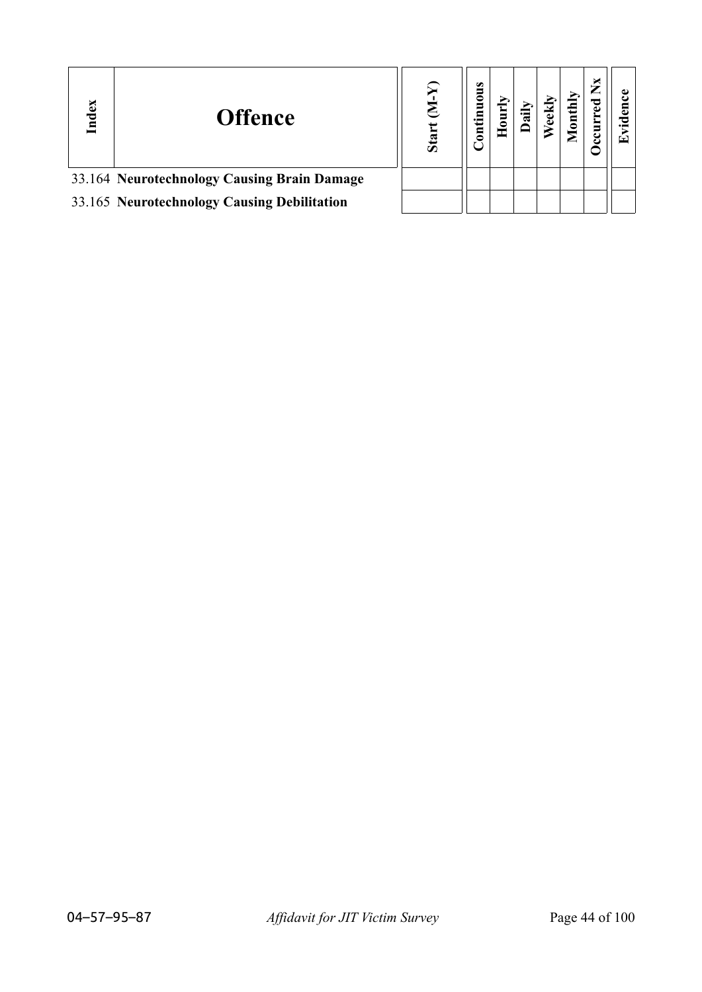| ndex | <b>Offence</b>                              | Sta | $\omega$<br>◓ |  |  | × |  |
|------|---------------------------------------------|-----|---------------|--|--|---|--|
|      | 33.164 Neurotechnology Causing Brain Damage |     |               |  |  |   |  |
|      | 33.165 Neurotechnology Causing Debilitation |     |               |  |  |   |  |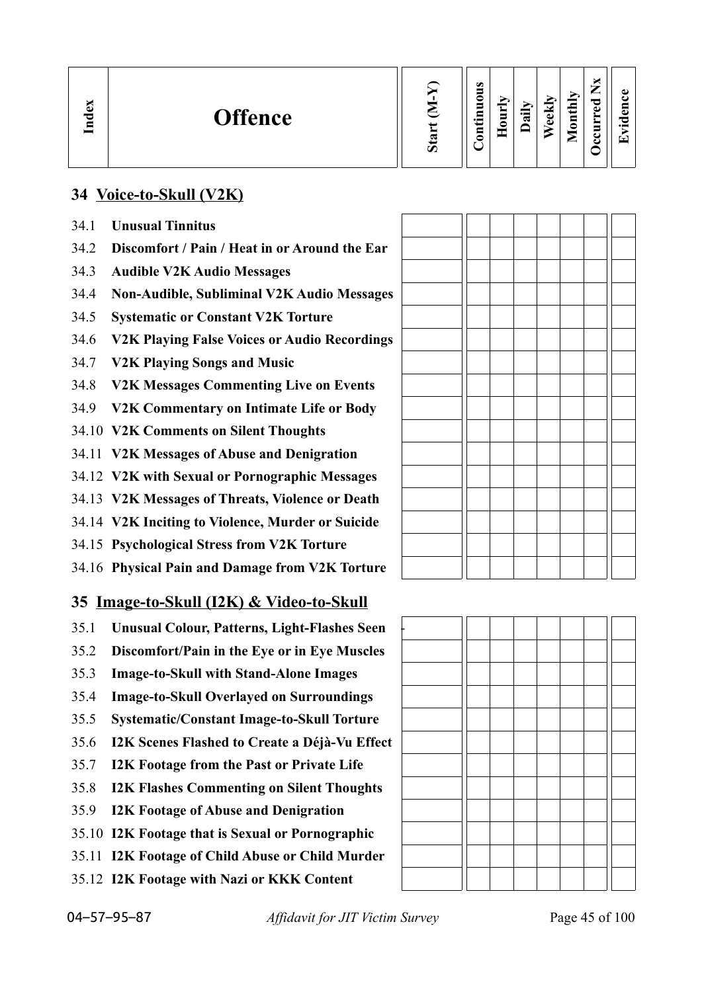| $\mathbb{C}$<br><b>Offence</b><br>Lnd | $\boldsymbol{\mathcal{D}}$ | $\omega$<br>0<br>_<br>$\cdot$ .<br>⊟<br>◠ | $\overline{\phantom{a}}$<br>-<br>=<br>− | ੶ਜ਼ | ◡<br>ω<br>ω | thly<br>$\overline{\mathbf{g}}$<br>$\overline{\phantom{0}}$<br>▱ | _<br>ᅙ<br>ω<br>➤<br>Ξ<br>c | A)<br>$\bullet$ and<br>▼ |
|---------------------------------------|----------------------------|-------------------------------------------|-----------------------------------------|-----|-------------|------------------------------------------------------------------|----------------------------|--------------------------|
|---------------------------------------|----------------------------|-------------------------------------------|-----------------------------------------|-----|-------------|------------------------------------------------------------------|----------------------------|--------------------------|

 $\Gamma$ 

 $\top$ 

Т

т T

## **34 Voice-to-Skull (V2K)**

- 34.1 **Unusual Tinnitus**
- 34.2 **Discomfort / Pain / Heat in or Around the Ear**
- 34.3 **Audible V2K Audio Messages**
- 34.4 **Non-Audible, Subliminal V2K Audio Messages**
- 34.5 **Systematic or Constant V2K Torture**
- 34.6 **V2K Playing False Voices or Audio Recordings**
- 34.7 **V2K Playing Songs and Music**
- 34.8 **V2K Messages Commenting Live on Events**
- 34.9 **V2K Commentary on Intimate Life or Body**
- 34.10 **V2K Comments on Silent Thoughts**
- 34.11 **V2K Messages of Abuse and Denigration**
- 34.12 **V2K with Sexual or Pornographic Messages**
- 34.13 **V2K Messages of Threats, Violence or Death**
- 34.14 **V2K Inciting to Violence, Murder or Suicide**
- 34.15 **Psychological Stress from V2K Torture**
- 34.16 **Physical Pain and Damage from V2K Torture**

## **35 Image-to-Skull (I2K) & Video-to-Skull**

- 35.1 **Unusual Colour, Patterns, Light-Flashes Seen** -
- 35.2 **Discomfort/Pain in the Eye or in Eye Muscles**
- 35.3 **Image-to-Skull with Stand-Alone Images**
- 35.4 **Image-to-Skull Overlayed on Surroundings**
- 35.5 **Systematic/Constant Image-to-Skull Torture**
- 35.6 **I2K Scenes Flashed to Create a Déjà-Vu Effect**
- 35.7 **I2K Footage from the Past or Private Life**
- 35.8 **I2K Flashes Commenting on Silent Thoughts**
- 35.9 **I2K Footage of Abuse and Denigration**
- 35.10 **I2K Footage that is Sexual or Pornographic**
- 35.11 **I2K Footage of Child Abuse or Child Murder**
- 35.12 **I2K Footage with Nazi or KKK Content**

 $\top$  $\top$   $\exists \Gamma$  $\overline{\phantom{0}}$ 

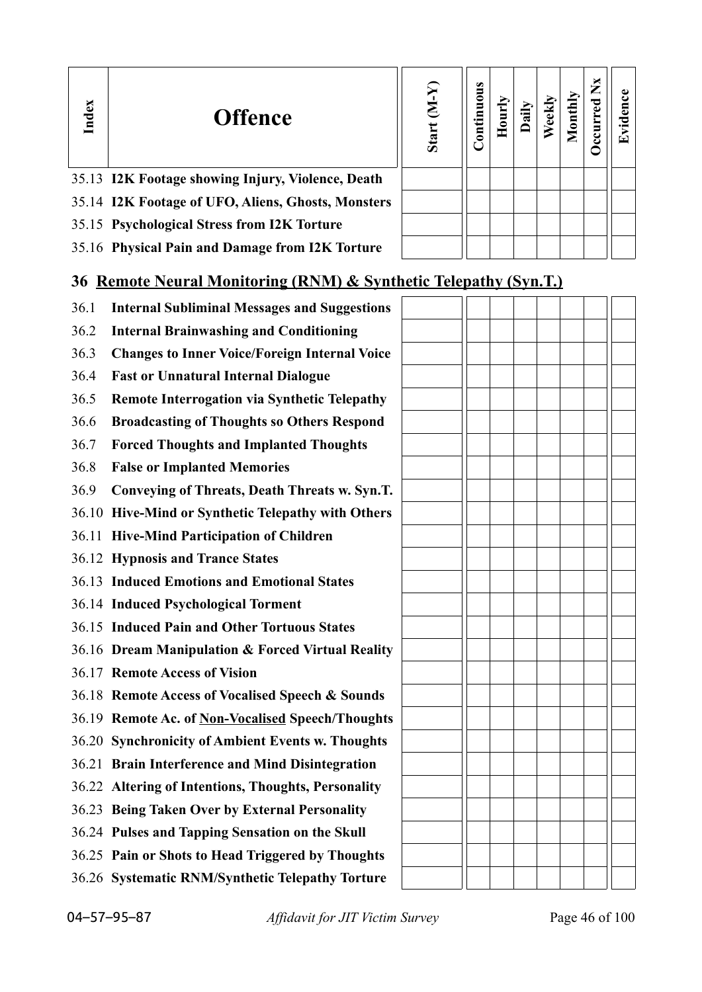| Index | <b>Offence</b>                                                  | $(N-N)$<br>Start | Ø<br>ontinuou | <b>Hourl</b> | Dai | $\overline{5}$ | $\mathbf{X}$ | Evidence |
|-------|-----------------------------------------------------------------|------------------|---------------|--------------|-----|----------------|--------------|----------|
|       | 35.13 I2K Footage showing Injury, Violence, Death               |                  |               |              |     |                |              |          |
|       | 35.14 I2K Footage of UFO, Aliens, Ghosts, Monsters              |                  |               |              |     |                |              |          |
|       | 35.15 Psychological Stress from I2K Torture                     |                  |               |              |     |                |              |          |
|       | 35.16 Physical Pain and Damage from I2K Torture                 |                  |               |              |     |                |              |          |
|       | 36 Remote Neural Monitoring (RNM) & Synthetic Telenathy (Syn T) |                  |               |              |     |                |              |          |

## **36 Remote Neural Monitoring (RNM) & Synthetic Telepathy (Syn.T.)**

- 36.1 **Internal Subliminal Messages and Suggestions** 36.2 **Internal Brainwashing and Conditioning**
	- 36.3 **Changes to Inner Voice/Foreign Internal Voice**
	- 36.4 **Fast or Unnatural Internal Dialogue**
	- 36.5 **Remote Interrogation via Synthetic Telepathy**
	- 36.6 **Broadcasting of Thoughts so Others Respond**
	- 36.7 **Forced Thoughts and Implanted Thoughts**
	- 36.8 **False or Implanted Memories**
	- 36.9 **Conveying of Threats, Death Threats w. Syn.T.**
	- 36.10 **Hive-Mind or Synthetic Telepathy with Others**
	- 36.11 **Hive-Mind Participation of Children**
	- 36.12 **Hypnosis and Trance States**
	- 36.13 **Induced Emotions and Emotional States**
	- 36.14 **Induced Psychological Torment**
	- 36.15 **Induced Pain and Other Tortuous States**
	- 36.16 **Dream Manipulation & Forced Virtual Reality**
	- 36.17 **Remote Access of Vision**
	- 36.18 **Remote Access of Vocalised Speech & Sounds**
	- 36.19 **Remote Ac. of Non-Vocalised Speech/Thoughts**
	- 36.20 **Synchronicity of Ambient Events w. Thoughts**
	- 36.21 **Brain Interference and Mind Disintegration**
	- 36.22 **Altering of Intentions, Thoughts, Personality**
	- 36.23 **Being Taken Over by External Personality**
	- 36.24 **Pulses and Tapping Sensation on the Skull**
	- 36.25 **Pain or Shots to Head Triggered by Thoughts**
	- 36.26 **Systematic RNM/Synthetic Telepathy Torture**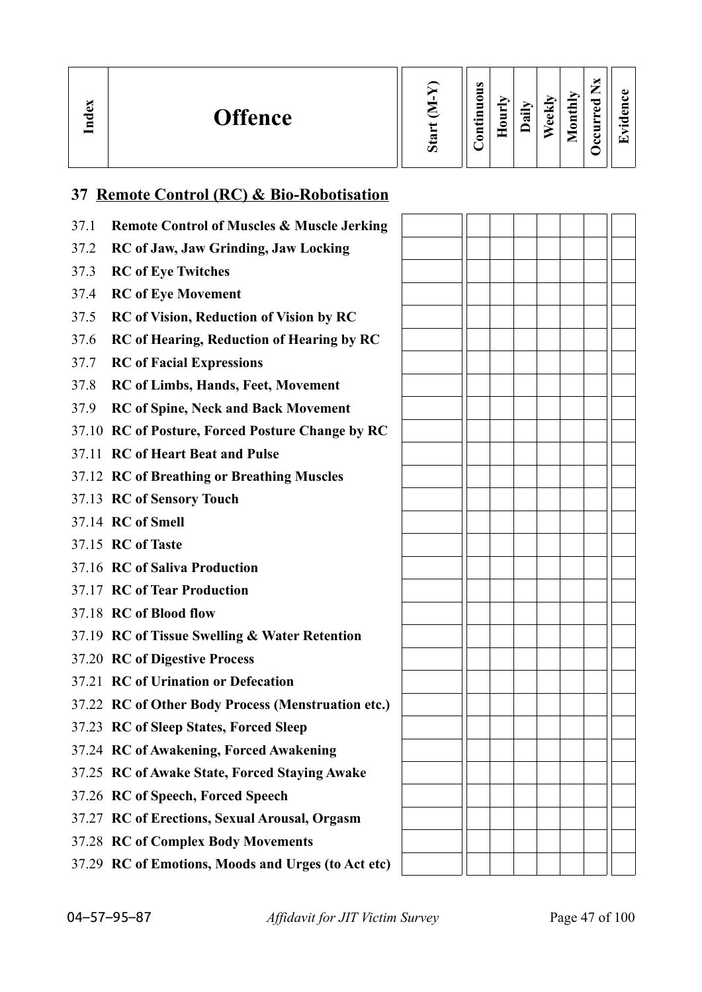| м<br>ධ<br>ರ<br>ᆯ | <b>Offence</b> | $\sigma$ | $\omega$<br>0<br>5<br>$\blacksquare$<br>د.<br>⊟<br>٥ | ≂<br>ğ<br>c | $\ddot{a}$ | ekly<br>ω | thly<br>⋴<br>0<br>۰<br>_ | ்ட<br>പ | ω<br>a<br>↽<br>$\cdot$ $-$<br>▼ |
|------------------|----------------|----------|------------------------------------------------------|-------------|------------|-----------|--------------------------|---------|---------------------------------|
|------------------|----------------|----------|------------------------------------------------------|-------------|------------|-----------|--------------------------|---------|---------------------------------|

# **37 Remote Control (RC) & Bio-Robotisation**

| 37.1 | <b>Remote Control of Muscles &amp; Muscle Jerking</b> |  |  |  |  |
|------|-------------------------------------------------------|--|--|--|--|
| 37.2 | RC of Jaw, Jaw Grinding, Jaw Locking                  |  |  |  |  |
| 37.3 | <b>RC</b> of Eye Twitches                             |  |  |  |  |
| 37.4 | <b>RC</b> of Eye Movement                             |  |  |  |  |
| 37.5 | <b>RC</b> of Vision, Reduction of Vision by RC        |  |  |  |  |
| 37.6 | <b>RC</b> of Hearing, Reduction of Hearing by RC      |  |  |  |  |
| 37.7 | <b>RC</b> of Facial Expressions                       |  |  |  |  |
| 37.8 | <b>RC</b> of Limbs, Hands, Feet, Movement             |  |  |  |  |
| 37.9 | <b>RC</b> of Spine, Neck and Back Movement            |  |  |  |  |
|      | 37.10 RC of Posture, Forced Posture Change by RC      |  |  |  |  |
|      | 37.11 RC of Heart Beat and Pulse                      |  |  |  |  |
|      | 37.12 RC of Breathing or Breathing Muscles            |  |  |  |  |
|      | 37.13 RC of Sensory Touch                             |  |  |  |  |
|      | 37.14 RC of Smell                                     |  |  |  |  |
|      | 37.15 RC of Taste                                     |  |  |  |  |
|      | 37.16 RC of Saliva Production                         |  |  |  |  |
|      | 37.17 RC of Tear Production                           |  |  |  |  |
|      | 37.18 RC of Blood flow                                |  |  |  |  |
|      | 37.19 RC of Tissue Swelling & Water Retention         |  |  |  |  |
|      | 37.20 RC of Digestive Process                         |  |  |  |  |
|      | 37.21 RC of Urination or Defecation                   |  |  |  |  |
|      | 37.22 RC of Other Body Process (Menstruation etc.)    |  |  |  |  |
|      | 37.23 RC of Sleep States, Forced Sleep                |  |  |  |  |
|      | 37.24 RC of Awakening, Forced Awakening               |  |  |  |  |
|      | 37.25 RC of Awake State, Forced Staying Awake         |  |  |  |  |
|      | 37.26 RC of Speech, Forced Speech                     |  |  |  |  |
|      | 37.27 RC of Erections, Sexual Arousal, Orgasm         |  |  |  |  |
|      | 37.28 RC of Complex Body Movements                    |  |  |  |  |
|      | 37.29 RC of Emotions, Moods and Urges (to Act etc)    |  |  |  |  |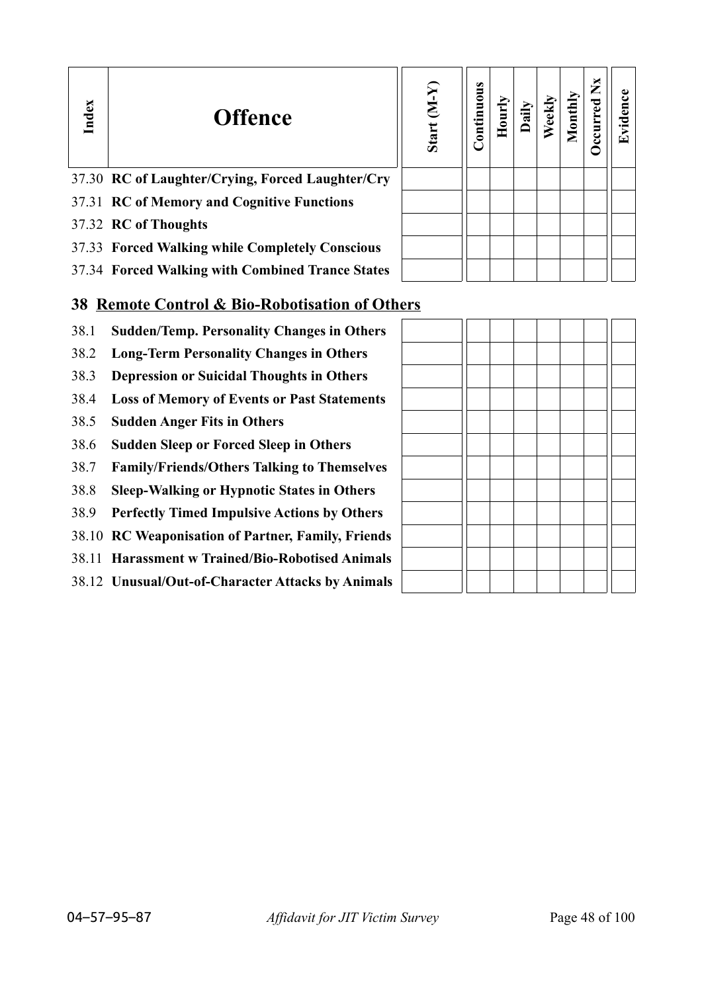| Index | <b>Offence</b>                                   | $(N-N)$<br>Start | ontinuous |  |  | ž. | $\mathop{\mathrm{enc}}$<br>Evid |
|-------|--------------------------------------------------|------------------|-----------|--|--|----|---------------------------------|
|       | 37.30 RC of Laughter/Crying, Forced Laughter/Cry |                  |           |  |  |    |                                 |
|       | 37.31 RC of Memory and Cognitive Functions       |                  |           |  |  |    |                                 |
|       | 37.32 RC of Thoughts                             |                  |           |  |  |    |                                 |
|       | 37.33 Forced Walking while Completely Conscious  |                  |           |  |  |    |                                 |
|       | 37.34 Forced Walking with Combined Trance States |                  |           |  |  |    |                                 |

## **38 Remote Control & Bio-Robotisation of Others**

- 38.1 **Sudden/Temp. Personality Changes in Others**
- 38.2 **Long-Term Personality Changes in Others**
- 38.3 **Depression or Suicidal Thoughts in Others**
- 38.4 **Loss of Memory of Events or Past Statements**
- 38.5 **Sudden Anger Fits in Others**
- 38.6 **Sudden Sleep or Forced Sleep in Others**
- 38.7 **Family/Friends/Others Talking to Themselves**
- 38.8 **Sleep-Walking or Hypnotic States in Others**
- 38.9 **Perfectly Timed Impulsive Actions by Others**
- 38.10 **RC Weaponisation of Partner, Family, Friends**
- 38.11 **Harassment w Trained/Bio-Robotised Animals**
- 38.12 **Unusual/Out-of-Character Attacks by Animals**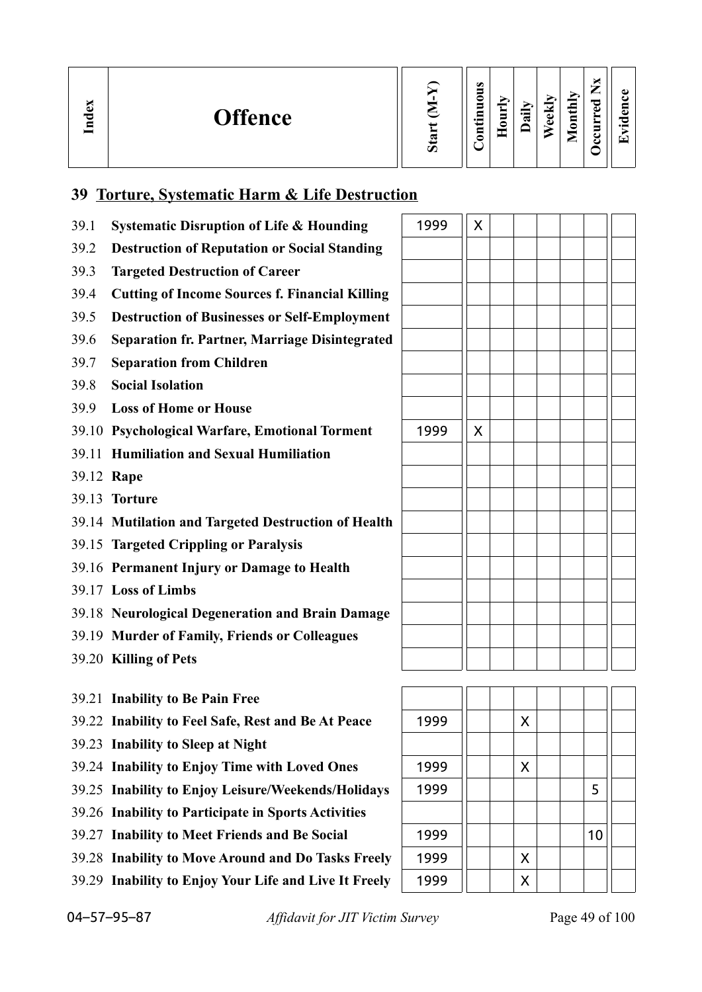| <b>Offence</b><br>≂<br>⊑ | $\sigma$ | $\bullet$<br>−<br>0<br>5<br>Ξ<br>5 | $\mathbf{r}$<br>▬<br>▬ | $\cdot$ $-$<br>ಷ | $\overline{\phantom{a}}$<br>¢<br>c | ≏<br>-<br>0 | ~ | $\bullet$<br>п.<br>O<br>$\bullet$ $\blacksquare$ |
|--------------------------|----------|------------------------------------|------------------------|------------------|------------------------------------|-------------|---|--------------------------------------------------|
|--------------------------|----------|------------------------------------|------------------------|------------------|------------------------------------|-------------|---|--------------------------------------------------|

## **39 Torture, Systematic Harm & Life Destruction**

| 39.1 | <b>Systematic Disruption of Life &amp; Hounding</b>   | 1999 | X |   |    |  |
|------|-------------------------------------------------------|------|---|---|----|--|
| 39.2 | <b>Destruction of Reputation or Social Standing</b>   |      |   |   |    |  |
| 39.3 | <b>Targeted Destruction of Career</b>                 |      |   |   |    |  |
| 39.4 | <b>Cutting of Income Sources f. Financial Killing</b> |      |   |   |    |  |
| 39.5 | <b>Destruction of Businesses or Self-Employment</b>   |      |   |   |    |  |
| 39.6 | <b>Separation fr. Partner, Marriage Disintegrated</b> |      |   |   |    |  |
| 39.7 | <b>Separation from Children</b>                       |      |   |   |    |  |
| 39.8 | <b>Social Isolation</b>                               |      |   |   |    |  |
| 39.9 | <b>Loss of Home or House</b>                          |      |   |   |    |  |
|      | 39.10 Psychological Warfare, Emotional Torment        | 1999 | X |   |    |  |
|      | 39.11 Humiliation and Sexual Humiliation              |      |   |   |    |  |
|      | 39.12 Rape                                            |      |   |   |    |  |
|      | 39.13 Torture                                         |      |   |   |    |  |
|      | 39.14 Mutilation and Targeted Destruction of Health   |      |   |   |    |  |
|      | 39.15 Targeted Crippling or Paralysis                 |      |   |   |    |  |
|      | 39.16 Permanent Injury or Damage to Health            |      |   |   |    |  |
|      | 39.17 Loss of Limbs                                   |      |   |   |    |  |
|      | 39.18 Neurological Degeneration and Brain Damage      |      |   |   |    |  |
|      | 39.19 Murder of Family, Friends or Colleagues         |      |   |   |    |  |
|      | 39.20 Killing of Pets                                 |      |   |   |    |  |
|      |                                                       |      |   |   |    |  |
|      | 39.21 Inability to Be Pain Free                       |      |   |   |    |  |
|      | 39.22 Inability to Feel Safe, Rest and Be At Peace    | 1999 |   | X |    |  |
|      | 39.23 Inability to Sleep at Night                     |      |   |   |    |  |
|      | 39.24 Inability to Enjoy Time with Loved Ones         | 1999 |   | X |    |  |
|      | 39.25 Inability to Enjoy Leisure/Weekends/Holidays    | 1999 |   |   | 5  |  |
|      | 39.26 Inability to Participate in Sports Activities   |      |   |   |    |  |
|      | 39.27 Inability to Meet Friends and Be Social         | 1999 |   |   | 10 |  |

- 39.28 **Inability to Move Around and Do Tasks Freely** 1999 | | | X
- 39.29 **Inability to Enjoy Your Life and Live It Freely** 1999 | | | | X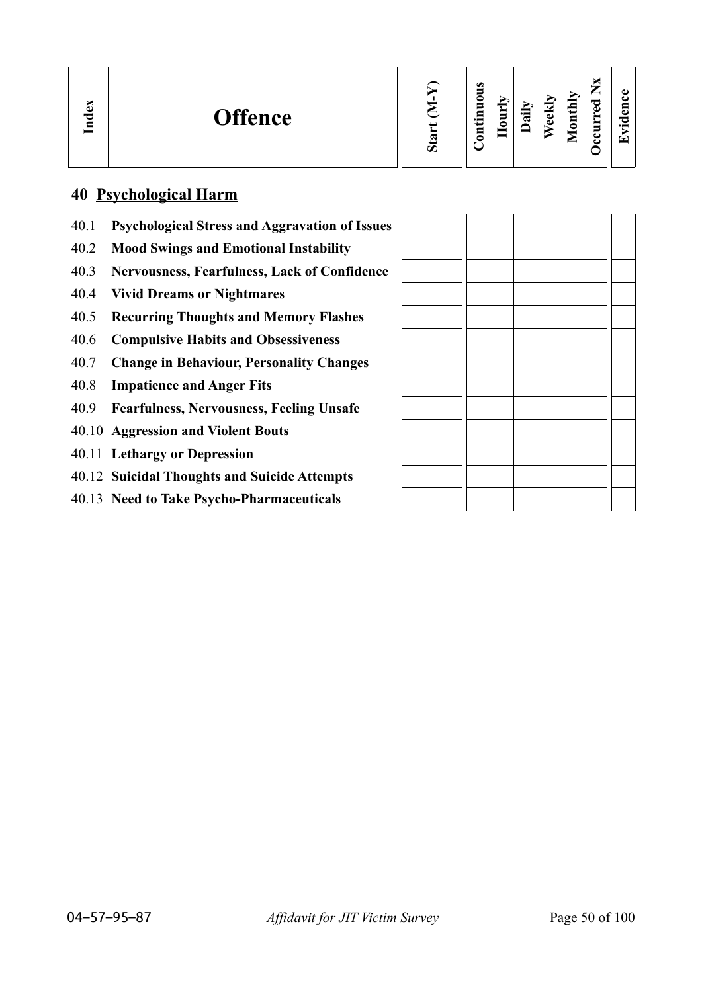| h.<br>نە<br><b>Offence</b><br>$\mathbf{E}$ | Ø | $\bullet$<br>∊<br>5<br>$\cdot$ $\,$<br>ᄆ<br>۵ | −<br>5<br>— | ►<br>급 | ≂<br>Φ<br>Φ | thly<br>$\overline{\mathbf{g}}$<br>╾ | –<br>ىستەر<br>ెం<br>ω<br>−<br>ε. | ച<br>п.<br>$\bullet$ $\blacksquare$ |
|--------------------------------------------|---|-----------------------------------------------|-------------|--------|-------------|--------------------------------------|----------------------------------|-------------------------------------|
|--------------------------------------------|---|-----------------------------------------------|-------------|--------|-------------|--------------------------------------|----------------------------------|-------------------------------------|

## **40 Psychological Harm**

- 40.1 **Psychological Stress and Aggravation of Issues**
- 40.2 **Mood Swings and Emotional Instability**
- 40.3 **Nervousness, Fearfulness, Lack of Confidence**
- 40.4 **Vivid Dreams or Nightmares**
- 40.5 **Recurring Thoughts and Memory Flashes**
- 40.6 **Compulsive Habits and Obsessiveness**
- 40.7 **Change in Behaviour, Personality Changes**
- 40.8 **Impatience and Anger Fits**
- 40.9 **Fearfulness, Nervousness, Feeling Unsafe**
- 40.10 **Aggression and Violent Bouts**
- 40.11 **Lethargy or Depression**
- 40.12 **Suicidal Thoughts and Suicide Attempts**
- 40.13 **Need to Take Psycho-Pharmaceuticals**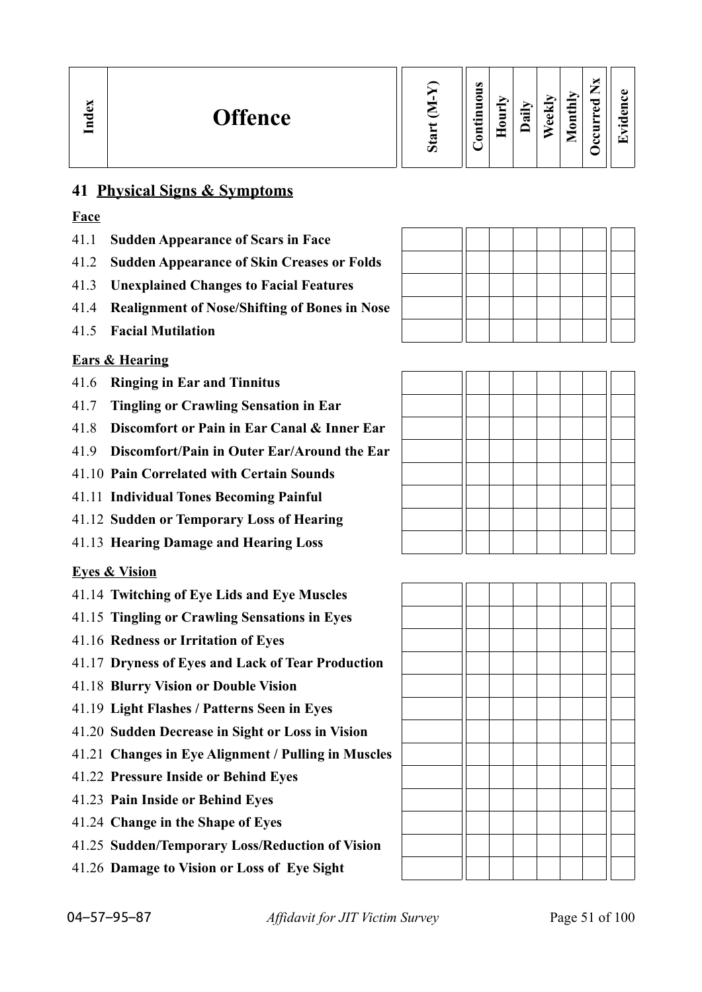| м<br>نە<br><b>Offence</b><br>Lnd | w<br>Ο | $\omega$<br>-<br>0<br>5<br>⊆<br>$\cdot$ $-$<br>8<br>≏ | ➤<br>5<br>Ξ | $\Xi$<br>≂ | $\overline{\phantom{0}}$<br>نه<br>ω | Ξ<br>. <i>.</i><br>5<br>▱ | м<br>-<br>-<br>ᇰ<br>ڡ<br>≻<br>s<br>◡<br>ఆ | ω<br>~<br>$\bullet$<br>⊡ |  |
|----------------------------------|--------|-------------------------------------------------------|-------------|------------|-------------------------------------|---------------------------|-------------------------------------------|--------------------------|--|
|----------------------------------|--------|-------------------------------------------------------|-------------|------------|-------------------------------------|---------------------------|-------------------------------------------|--------------------------|--|

## **41 Physical Signs & Symptoms**

## **Face**

- 41.1 **Sudden Appearance of Scars in Face**
- 41.2 **Sudden Appearance of Skin Creases or Folds**
- 41.3 **Unexplained Changes to Facial Features**
- 41.4 **Realignment of Nose/Shifting of Bones in Nose**
- 41.5 **Facial Mutilation**

## **Ears & Hearing**

- 41.6 **Ringing in Ear and Tinnitus**
- 41.7 **Tingling or Crawling Sensation in Ear**
- 41.8 **Discomfort or Pain in Ear Canal & Inner Ear**
- 41.9 **Discomfort/Pain in Outer Ear/Around the Ear**
- 41.10 **Pain Correlated with Certain Sounds**
- 41.11 **Individual Tones Becoming Painful**
- 41.12 **Sudden or Temporary Loss of Hearing**
- 41.13 **Hearing Damage and Hearing Loss**

## **Eyes & Vision**

- 41.14 **Twitching of Eye Lids and Eye Muscles**
- 41.15 **Tingling or Crawling Sensations in Eyes**
- 41.16 **Redness or Irritation of Eyes**
- 41.17 **Dryness of Eyes and Lack of Tear Production**
- 41.18 **Blurry Vision or Double Vision**
- 41.19 **Light Flashes / Patterns Seen in Eyes**
- 41.20 **Sudden Decrease in Sight or Loss in Vision**
- 41.21 **Changes in Eye Alignment / Pulling in Muscles**
- 41.22 **Pressure Inside or Behind Eyes**
- 41.23 **Pain Inside or Behind Eyes**
- 41.24 **Change in the Shape of Eyes**
- 41.25 **Sudden/Temporary Loss/Reduction of Vision**
- 41.26 **Damage to Vision or Loss of Eye Sight**



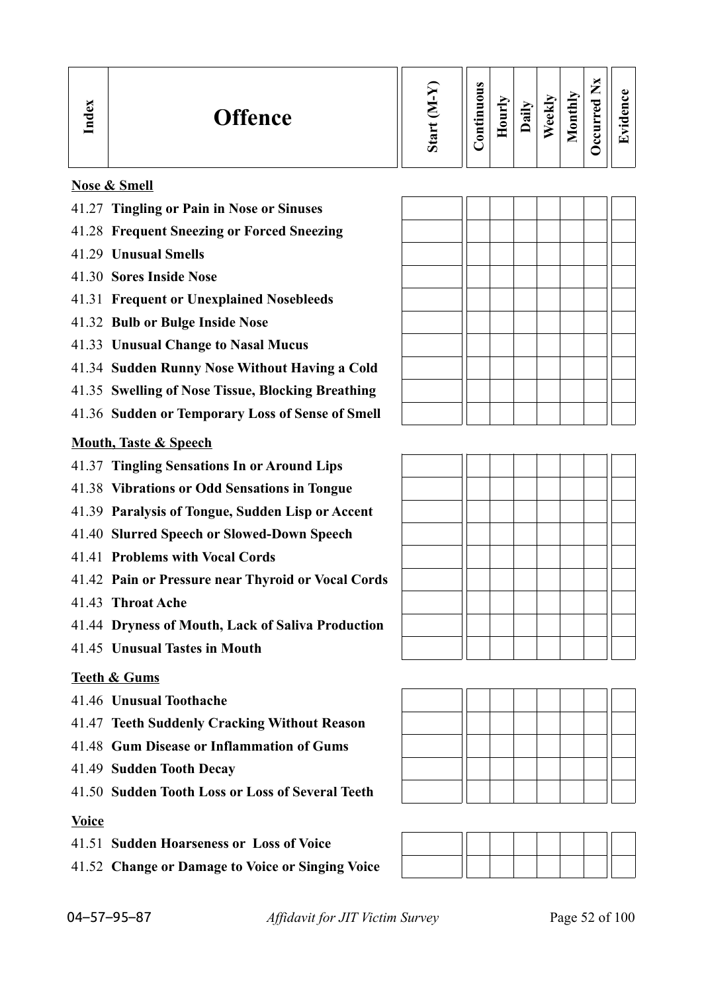| B<br><b>Offence</b><br>ా<br>9<br>Ο | $\omega$<br>5<br>0<br>$\blacksquare$<br>⊟<br>$\bullet$ and<br>5 | ><br>Ę<br>c | ⋗<br>еk<br>$\ddot{a}$<br>$\Phi$ | thly<br>$\overline{\mathbf{g}}$<br>ᆖ<br>▱ | ∼<br>ىستەر<br>ರ<br>ω<br>−<br>ت | ω<br>6 X<br>っ<br>$\bullet$ and<br>$\left( -\right)$ |
|------------------------------------|-----------------------------------------------------------------|-------------|---------------------------------|-------------------------------------------|--------------------------------|-----------------------------------------------------|
|------------------------------------|-----------------------------------------------------------------|-------------|---------------------------------|-------------------------------------------|--------------------------------|-----------------------------------------------------|

## **Nose & Smell**

- 41.27 **Tingling or Pain in Nose or Sinuses**
- 41.28 **Frequent Sneezing or Forced Sneezing**
- 41.29 **Unusual Smells**
- 41.30 **Sores Inside Nose**
- 41.31 **Frequent or Unexplained Nosebleeds**
- 41.32 **Bulb or Bulge Inside Nose**
- 41.33 **Unusual Change to Nasal Mucus**
- 41.34 **Sudden Runny Nose Without Having a Cold**
- 41.35 **Swelling of Nose Tissue, Blocking Breathing**
- 41.36 **Sudden or Temporary Loss of Sense of Smell**

#### **Mouth, Taste & Speech**

- 41.37 **Tingling Sensations In or Around Lips**
- 41.38 **Vibrations or Odd Sensations in Tongue**
- 41.39 **Paralysis of Tongue, Sudden Lisp or Accent**
- 41.40 **Slurred Speech or Slowed-Down Speech**
- 41.41 **Problems with Vocal Cords**
- 41.42 **Pain or Pressure near Thyroid or Vocal Cords**
- 41.43 **Throat Ache**
- 41.44 **Dryness of Mouth, Lack of Saliva Production**
- 41.45 **Unusual Tastes in Mouth**

#### **Teeth & Gums**

- 41.46 **Unusual Toothache**
- 41.47 **Teeth Suddenly Cracking Without Reason**
- 41.48 **Gum Disease or Inflammation of Gums**
- 41.49 **Sudden Tooth Decay**
- 41.50 **Sudden Tooth Loss or Loss of Several Teeth**

#### **Voice**

- 41.51 **Sudden Hoarseness or Loss of Voice**
- 41.52 **Change or Damage to Voice or Singing Voice**







04–57–95–87 *Affidavit for JIT Victim Survey* Page 52 of 100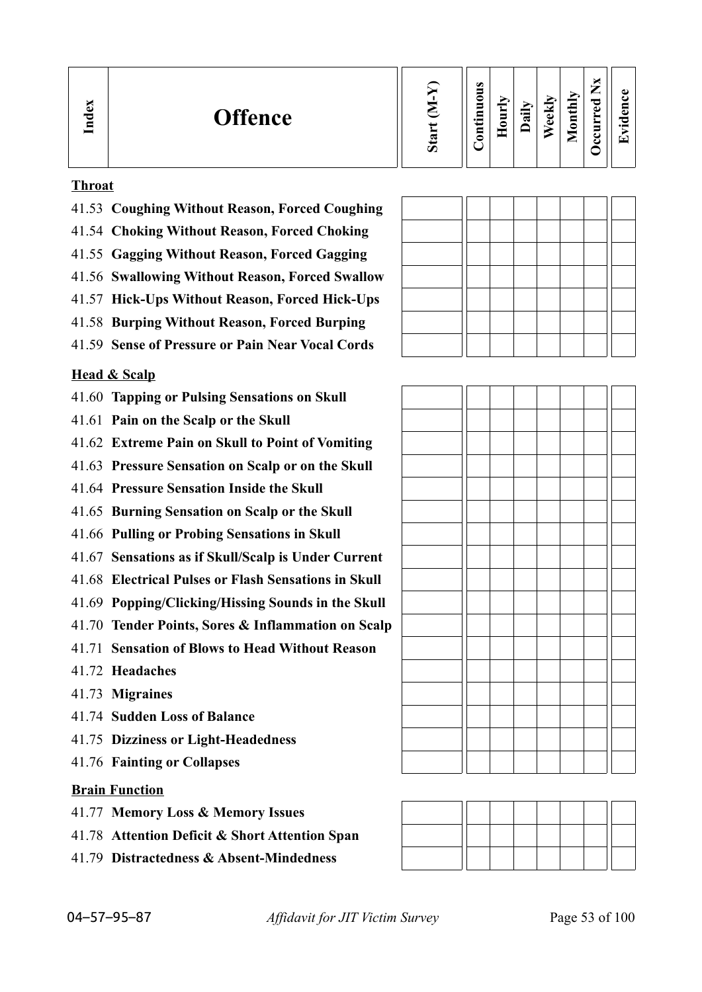| Index<br><b>Offence</b><br>- | $\boldsymbol{\mathcal{D}}$ | $\omega$<br>0<br>_<br>≕۰<br>⊂ | ∽<br>$\blacksquare$<br>-<br>⌒ | ੶ਜ਼ | ↝<br>نه<br>$\bullet$ | thly<br>$\overline{\mathbf{S}}$<br>$\overline{\phantom{0}}$<br>► | ×<br>$\sim$<br>_<br>ಾ<br>ω<br>►<br>Ξ<br>ະ<br>ల | O)<br>п.<br>$\cdot$ $-$<br>$\overline{\phantom{0}}$ |
|------------------------------|----------------------------|-------------------------------|-------------------------------|-----|----------------------|------------------------------------------------------------------|------------------------------------------------|-----------------------------------------------------|
|------------------------------|----------------------------|-------------------------------|-------------------------------|-----|----------------------|------------------------------------------------------------------|------------------------------------------------|-----------------------------------------------------|

#### **Throat**

- 41.53 **Coughing Without Reason, Forced Coughing**
- 41.54 **Choking Without Reason, Forced Choking**
- 41.55 **Gagging Without Reason, Forced Gagging**
- 41.56 **Swallowing Without Reason, Forced Swallow**
- 41.57 **Hick-Ups Without Reason, Forced Hick-Ups**
- 41.58 **Burping Without Reason, Forced Burping**
- 41.59 **Sense of Pressure or Pain Near Vocal Cords**

## **Head & Scalp**

- 41.60 **Tapping or Pulsing Sensations on Skull**
- 41.61 **Pain on the Scalp or the Skull**
- 41.62 **Extreme Pain on Skull to Point of Vomiting**
- 41.63 **Pressure Sensation on Scalp or on the Skull**
- 41.64 **Pressure Sensation Inside the Skull**
- 41.65 **Burning Sensation on Scalp or the Skull**
- 41.66 **Pulling or Probing Sensations in Skull**
- 41.67 **Sensations as if Skull/Scalp is Under Current**
- 41.68 **Electrical Pulses or Flash Sensations in Skull**
- 41.69 **Popping/Clicking/Hissing Sounds in the Skull**
- 41.70 **Tender Points, Sores & Inflammation on Scalp**
- 41.71 **Sensation of Blows to Head Without Reason**
- 41.72 **Headaches**
- 41.73 **Migraines**
- 41.74 **Sudden Loss of Balance**
- 41.75 **Dizziness or Light-Headedness**
- 41.76 **Fainting or Collapses**

## **Brain Function**

- 41.77 **Memory Loss & Memory Issues**
- 41.78 **Attention Deficit & Short Attention Span**
- 41.79 **Distractedness & Absent-Mindedness**

| <b>OE 07</b> |  |  |
|--------------|--|--|

04–57–95–87 *Affidavit for JIT Victim Survey* Page 53 of 100

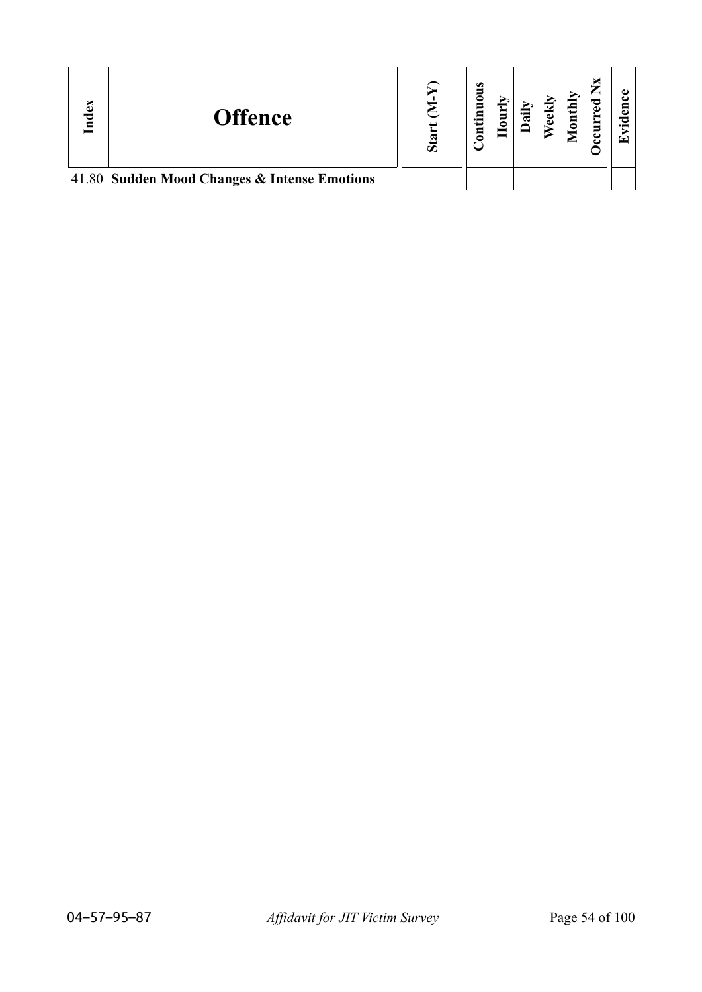| Index | <b>Offence</b>                               | σ | $\omega$<br>◓ | ಡ | $\text{until}$ | ≂ |  |
|-------|----------------------------------------------|---|---------------|---|----------------|---|--|
|       | 41.80 Sudden Mood Changes & Intense Emotions |   |               |   |                |   |  |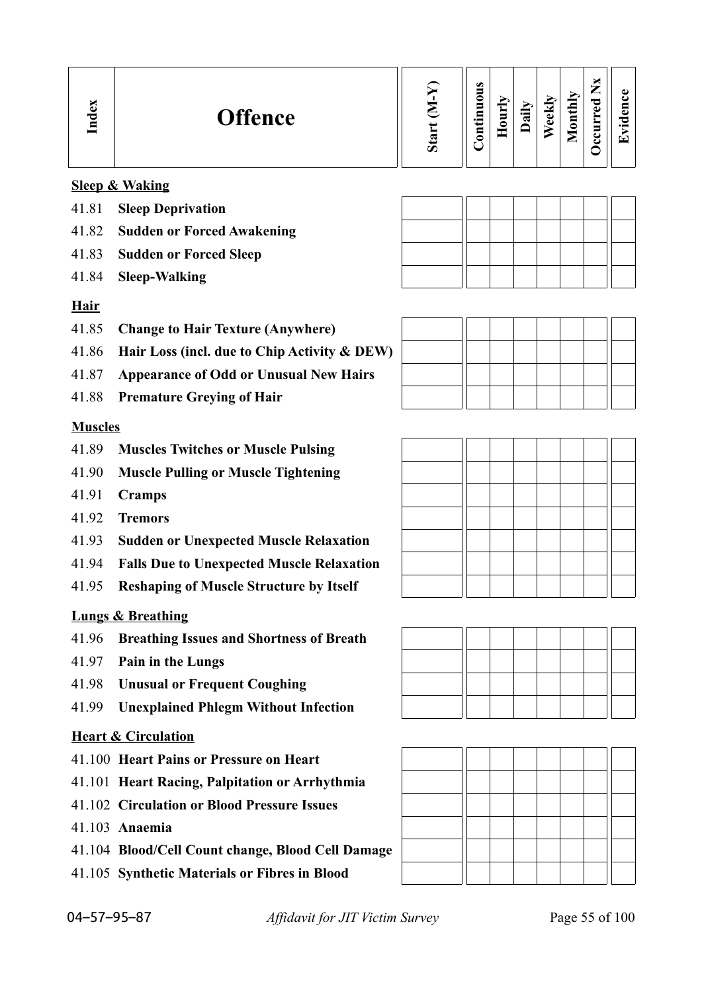| ×<br>نه<br>◘<br>Е | <b>Offence</b> | $\boldsymbol{\omega}$ | $\bullet$<br>◓<br>Let ui<br>$\mathbf s$ | $\overline{\text{url}}$ | $\ddot{a}$ | eekly | <b>Tonthly</b><br>_ | <u>ъ</u><br>-d. | ω<br>⊟<br>نه<br>っ<br>$\cdot$ $\,$<br>Œ |
|-------------------|----------------|-----------------------|-----------------------------------------|-------------------------|------------|-------|---------------------|-----------------|----------------------------------------|
|                   |                |                       |                                         |                         |            |       |                     |                 |                                        |

## **Sleep & Waking**

- 41.81 **Sleep Deprivation**
- 41.82 **Sudden or Forced Awakening**
- 41.83 **Sudden or Forced Sleep**
- 41.84 **Sleep-Walking**

## **Hair**

- 41.85 **Change to Hair Texture (Anywhere)**
- 41.86 **Hair Loss (incl. due to Chip Activity & DEW)**
- 41.87 **Appearance of Odd or Unusual New Hairs**
- 41.88 **Premature Greying of Hair**

## **Muscles**

- 41.89 **Muscles Twitches or Muscle Pulsing**
- 41.90 **Muscle Pulling or Muscle Tightening**
- 41.91 **Cramps**
- 41.92 **Tremors**
- 41.93 **Sudden or Unexpected Muscle Relaxation**
- 41.94 **Falls Due to Unexpected Muscle Relaxation**
- 41.95 **Reshaping of Muscle Structure by Itself**

## **Lungs & Breathing**

- 41.96 **Breathing Issues and Shortness of Breath**
- 41.97 **Pain in the Lungs**
- 41.98 **Unusual or Frequent Coughing**
- 41.99 **Unexplained Phlegm Without Infection**

## **Heart & Circulation**

- 41.100 **Heart Pains or Pressure on Heart**
- 41.101 **Heart Racing, Palpitation or Arrhythmia**
- 41.102 **Circulation or Blood Pressure Issues**
- 41.103 **Anaemia**
- 41.104 **Blood/Cell Count change, Blood Cell Damage**
- 41.105 **Synthetic Materials or Fibres in Blood**







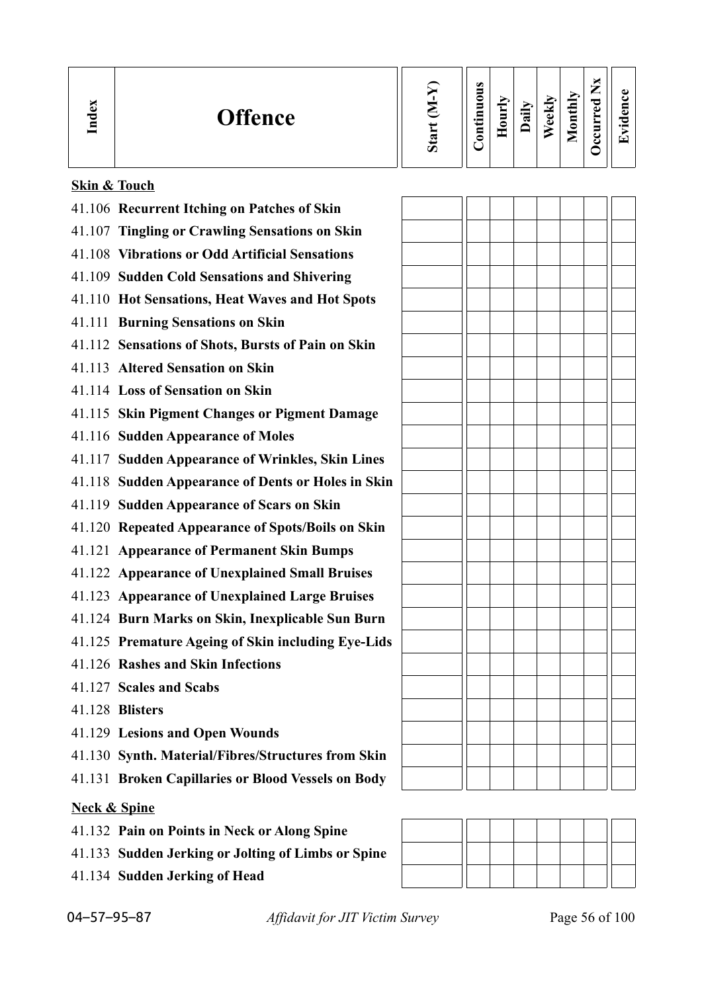| $\omega$<br>c<br>d<br>ー<br><b>Offence</b><br>⊶<br>┯<br>⊟<br>≂<br>-<br>$\cdot$ $-$<br>ω<br>0<br>w<br>_<br>-<br>∽ |
|-----------------------------------------------------------------------------------------------------------------|
|-----------------------------------------------------------------------------------------------------------------|

|  | Skin & Touch |
|--|--------------|
|  |              |

- 41.106 **Recurrent Itching on Patches of Skin**
- 41.107 **Tingling or Crawling Sensations on Skin**
- 41.108 **Vibrations or Odd Artificial Sensations**
- 41.109 **Sudden Cold Sensations and Shivering**
- 41.110 **Hot Sensations, Heat Waves and Hot Spots**
- 41.111 **Burning Sensations on Skin**
- 41.112 **Sensations of Shots, Bursts of Pain on Skin**
- 41.113 **Altered Sensation on Skin**
- 41.114 **Loss of Sensation on Skin**
- 41.115 **Skin Pigment Changes or Pigment Damage**
- 41.116 **Sudden Appearance of Moles**
- 41.117 **Sudden Appearance of Wrinkles, Skin Lines**
- 41.118 **Sudden Appearance of Dents or Holes in Skin**
- 41.119 **Sudden Appearance of Scars on Skin**
- 41.120 **Repeated Appearance of Spots/Boils on Skin**
- 41.121 **Appearance of Permanent Skin Bumps**
- 41.122 **Appearance of Unexplained Small Bruises**
- 41.123 **Appearance of Unexplained Large Bruises**
- 41.124 **Burn Marks on Skin, Inexplicable Sun Burn**
- 41.125 **Premature Ageing of Skin including Eye-Lids**
- 41.126 **Rashes and Skin Infections**
- 41.127 **Scales and Scabs**
- 41.128 **Blisters**
- 41.129 **Lesions and Open Wounds**
- 41.130 **Synth. Material/Fibres/Structures from Skin**
- 41.131 **Broken Capillaries or Blood Vessels on Body**

## **Neck & Spine**

- 41.132 **Pain on Points in Neck or Along Spine**
- 41.133 **Sudden Jerking or Jolting of Limbs or Spine**
- 41.134 **Sudden Jerking of Head**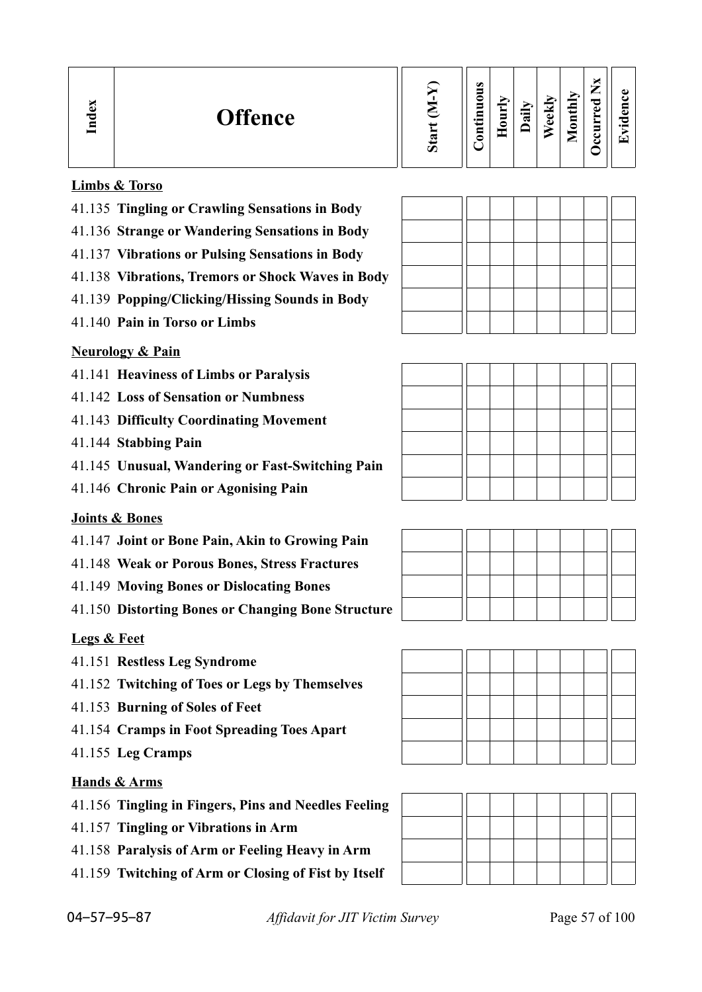| <b>Offence</b><br>∼<br>↖<br>$\boldsymbol{\mathcal{D}}$ | $\omega$<br>⇁<br>ω<br>-<br>onthly<br>_<br>0<br>ekh<br>◚<br>−<br>ω<br>न्न<br>Œ<br>$\blacksquare$<br>$\overline{\phantom{a}}$<br>っ<br>Φ<br>٥<br>$\cdot$ $-$<br>⊟<br>◚<br>$\mathbf{r}$<br>⋍ |
|--------------------------------------------------------|------------------------------------------------------------------------------------------------------------------------------------------------------------------------------------------|
|--------------------------------------------------------|------------------------------------------------------------------------------------------------------------------------------------------------------------------------------------------|

## **Limbs & Torso**

- 41.135 **Tingling or Crawling Sensations in Body**
- 41.136 **Strange or Wandering Sensations in Body**
- 41.137 **Vibrations or Pulsing Sensations in Body**
- 41.138 **Vibrations, Tremors or Shock Waves in Body**
- 41.139 **Popping/Clicking/Hissing Sounds in Body**
- 41.140 **Pain in Torso or Limbs**

## **Neurology & Pain**

- 41.141 **Heaviness of Limbs or Paralysis**
- 41.142 **Loss of Sensation or Numbness**
- 41.143 **Difficulty Coordinating Movement**
- 41.144 **Stabbing Pain**
- 41.145 **Unusual, Wandering or Fast-Switching Pain**
- 41.146 **Chronic Pain or Agonising Pain**

## **Joints & Bones**

- 41.147 **Joint or Bone Pain, Akin to Growing Pain**
- 41.148 **Weak or Porous Bones, Stress Fractures**
- 41.149 **Moving Bones or Dislocating Bones**
- 41.150 **Distorting Bones or Changing Bone Structure**

## **Legs & Feet**

- 41.151 **Restless Leg Syndrome**
- 41.152 **Twitching of Toes or Legs by Themselves**
- 41.153 **Burning of Soles of Feet**
- 41.154 **Cramps in Foot Spreading Toes Apart**
- 41.155 **Leg Cramps**

## **Hands & Arms**

- 41.156 **Tingling in Fingers, Pins and Needles Feeling**
- 41.157 **Tingling or Vibrations in Arm**
- 41.158 **Paralysis of Arm or Feeling Heavy in Arm**
- 41.159 **Twitching of Arm or Closing of Fist by Itself**

| _____ |  |  |  |  |
|-------|--|--|--|--|
|       |  |  |  |  |
|       |  |  |  |  |





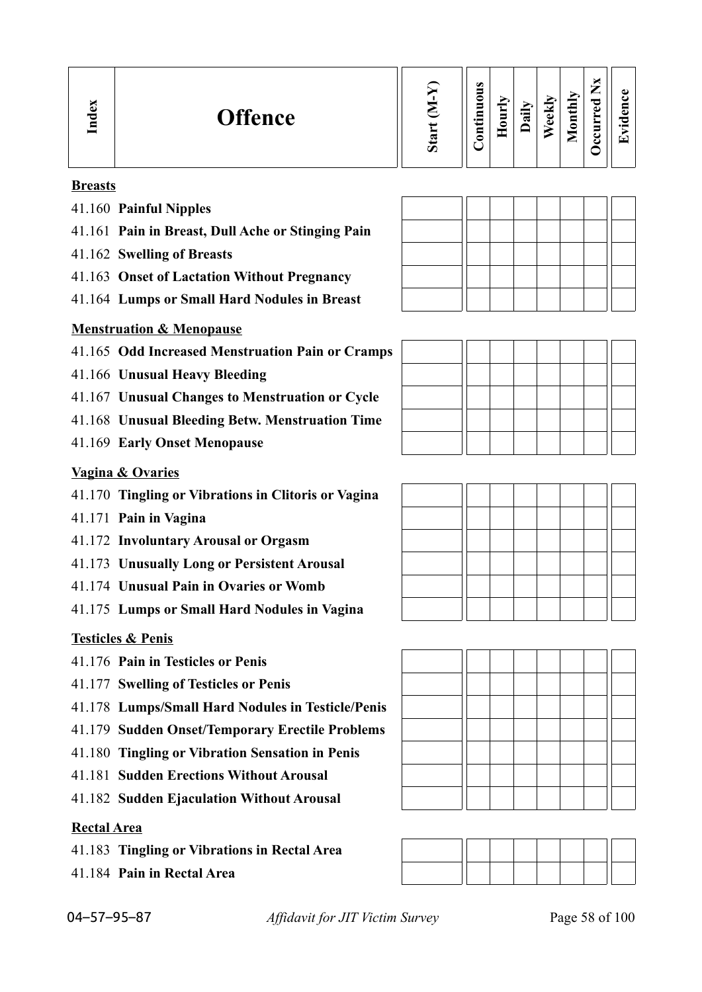#### **Breasts**

- 41.160 **Painful Nipples**
- 41.161 **Pain in Breast, Dull Ache or Stinging Pain**
- 41.162 **Swelling of Breasts**
- 41.163 **Onset of Lactation Without Pregnancy**
- 41.164 **Lumps or Small Hard Nodules in Breast**

## **Menstruation & Menopause**

- 41.165 **Odd Increased Menstruation Pain or Cramps**
- 41.166 **Unusual Heavy Bleeding**
- 41.167 **Unusual Changes to Menstruation or Cycle**
- 41.168 **Unusual Bleeding Betw. Menstruation Time**
- 41.169 **Early Onset Menopause**

#### **Vagina & Ovaries**

- 41.170 **Tingling or Vibrations in Clitoris or Vagina**
- 41.171 **Pain in Vagina**
- 41.172 **Involuntary Arousal or Orgasm**
- 41.173 **Unusually Long or Persistent Arousal**
- 41.174 **Unusual Pain in Ovaries or Womb**
- 41.175 **Lumps or Small Hard Nodules in Vagina**

## **Testicles & Penis**

- 41.176 **Pain in Testicles or Penis**
- 41.177 **Swelling of Testicles or Penis**
- 41.178 **Lumps/Small Hard Nodules in Testicle/Penis**
- 41.179 **Sudden Onset/Temporary Erectile Problems**
- 41.180 **Tingling or Vibration Sensation in Penis**
- 41.181 **Sudden Erections Without Arousal**
- 41.182 **Sudden Ejaculation Without Arousal**

#### **Rectal Area**

- 41.183 **Tingling or Vibrations in Rectal Area**
- 41.184 **Pain in Rectal Area**





04–57–95–87 *Affidavit for JIT Victim Survey* Page 58 of 100

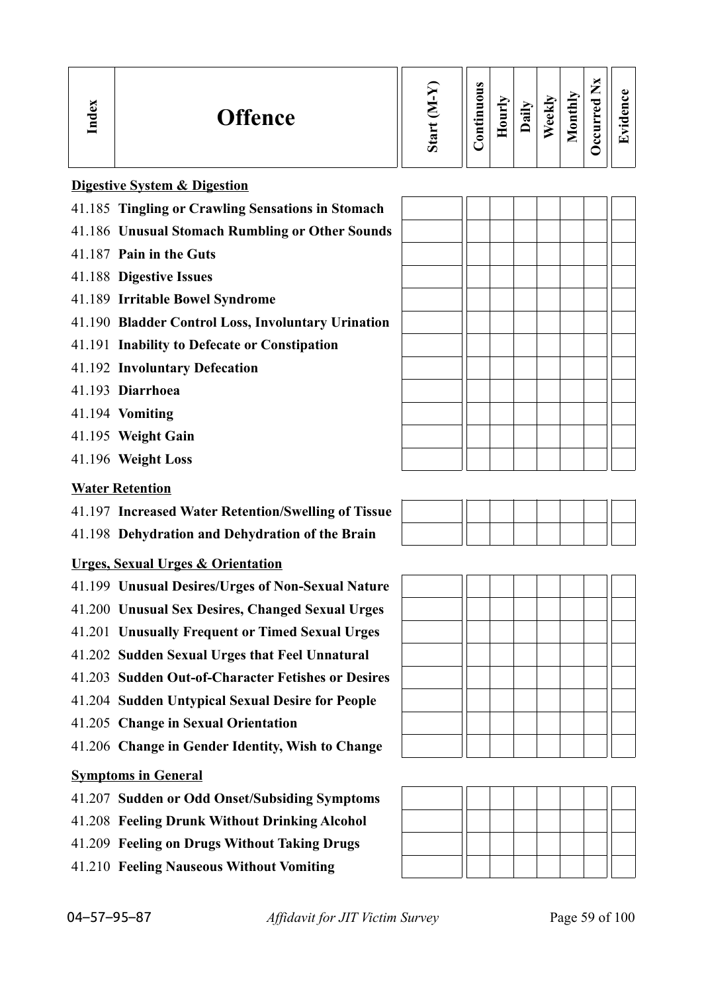| <b>Offence</b> | $\boldsymbol{\omega}$ | $\omega$<br>5<br>◓<br>$\blacksquare$<br>÷<br>Ì<br>⊟<br>∙≕<br>≏<br>$\overline{\mathbf{g}}$ | $\ddot{a}$ | Ξk<br>ω | thly<br>Ξ<br>c<br>_ | –<br>$\bullet$<br>~<br>A)<br>a<br>c<br>$\bullet$ $\blacksquare$<br>T. |  |
|----------------|-----------------------|-------------------------------------------------------------------------------------------|------------|---------|---------------------|-----------------------------------------------------------------------|--|
|----------------|-----------------------|-------------------------------------------------------------------------------------------|------------|---------|---------------------|-----------------------------------------------------------------------|--|

## **Digestive System & Digestion**

- 41.185 **Tingling or Crawling Sensations in Stomach**
- 41.186 **Unusual Stomach Rumbling or Other Sounds**
- 41.187 **Pain in the Guts**
- 41.188 **Digestive Issues**
- 41.189 **Irritable Bowel Syndrome**
- 41.190 **Bladder Control Loss, Involuntary Urination**
- 41.191 **Inability to Defecate or Constipation**
- 41.192 **Involuntary Defecation**
- 41.193 **Diarrhoea**
- 41.194 **Vomiting**
- 41.195 **Weight Gain**
- 41.196 **Weight Loss**

#### **Water Retention**

- 41.197 **Increased Water Retention/Swelling of Tissue**
- 41.198 **Dehydration and Dehydration of the Brain**

## **Urges, Sexual Urges & Orientation**

- 41.199 **Unusual Desires/Urges of Non-Sexual Nature**
- 41.200 **Unusual Sex Desires, Changed Sexual Urges**
- 41.201 **Unusually Frequent or Timed Sexual Urges**
- 41.202 **Sudden Sexual Urges that Feel Unnatural**
- 41.203 **Sudden Out-of-Character Fetishes or Desires**
- 41.204 **Sudden Untypical Sexual Desire for People**
- 41.205 **Change in Sexual Orientation**
- 41.206 **Change in Gender Identity, Wish to Change**

#### **Symptoms in General**

- 41.207 **Sudden or Odd Onset/Subsiding Symptoms**
- 41.208 **Feeling Drunk Without Drinking Alcohol**
- 41.209 **Feeling on Drugs Without Taking Drugs**
- 41.210 **Feeling Nauseous Without Vomiting**

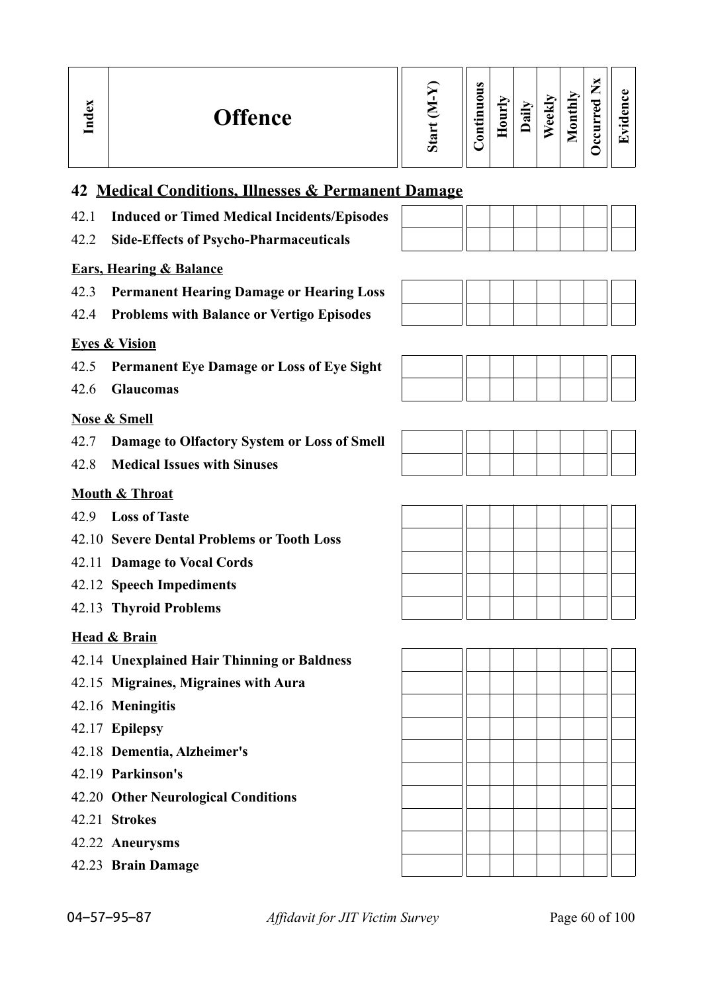| Ø |
|---|
|---|

## **42 Medical Conditions, Illnesses & Permanent Damage**

- 42.1 **Induced or Timed Medical Incidents/Episodes**
- 42.2 **Side-Effects of Psycho-Pharmaceuticals**

## **Ears, Hearing & Balance**

- 42.3 **Permanent Hearing Damage or Hearing Loss**
- 42.4 **Problems with Balance or Vertigo Episodes**

## **Eyes & Vision**

- 42.5 **Permanent Eye Damage or Loss of Eye Sight**
- 42.6 **Glaucomas**

## **Nose & Smell**

- 42.7 **Damage to Olfactory System or Loss of Smell**
- 42.8 **Medical Issues with Sinuses**

## **Mouth & Throat**

- 42.9 **Loss of Taste**
- 42.10 **Severe Dental Problems or Tooth Loss**
- 42.11 **Damage to Vocal Cords**
- 42.12 **Speech Impediments**
- 42.13 **Thyroid Problems**

## **Head & Brain**

- 42.14 **Unexplained Hair Thinning or Baldness**
- 42.15 **Migraines, Migraines with Aura**
- 42.16 **Meningitis**
- 42.17 **Epilepsy**
- 42.18 **Dementia, Alzheimer's**
- 42.19 **Parkinson's**
- 42.20 **Other Neurological Conditions**
- 42.21 **Strokes**
- 42.22 **Aneurysms**
- 42.23 **Brain Damage**

04–57–95–87 *Affidavit for JIT Victim Survey* Page 60 of 100









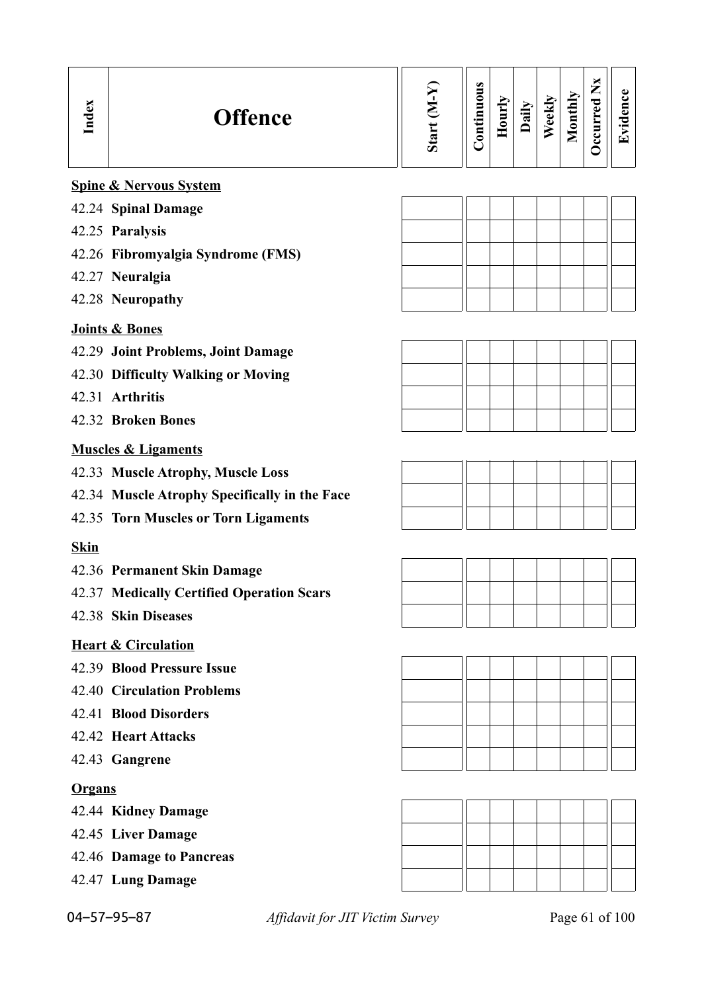| Index         | <b>Offence</b>                                | Start (M-Y) | Continuous | Hourly | Daily | Weekly | Monthly | Occurred Nx | Evidence |
|---------------|-----------------------------------------------|-------------|------------|--------|-------|--------|---------|-------------|----------|
|               | <b>Spine &amp; Nervous System</b>             |             |            |        |       |        |         |             |          |
|               | 42.24 Spinal Damage                           |             |            |        |       |        |         |             |          |
|               | 42.25 Paralysis                               |             |            |        |       |        |         |             |          |
|               | 42.26 Fibromyalgia Syndrome (FMS)             |             |            |        |       |        |         |             |          |
|               | 42.27 Neuralgia                               |             |            |        |       |        |         |             |          |
|               | 42.28 Neuropathy                              |             |            |        |       |        |         |             |          |
|               | Joints & Bones                                |             |            |        |       |        |         |             |          |
|               | 42.29 Joint Problems, Joint Damage            |             |            |        |       |        |         |             |          |
|               | 42.30 Difficulty Walking or Moving            |             |            |        |       |        |         |             |          |
|               | 42.31 Arthritis                               |             |            |        |       |        |         |             |          |
|               | 42.32 Broken Bones                            |             |            |        |       |        |         |             |          |
|               | <b>Muscles &amp; Ligaments</b>                |             |            |        |       |        |         |             |          |
|               | 42.33 Muscle Atrophy, Muscle Loss             |             |            |        |       |        |         |             |          |
|               | 42.34 Muscle Atrophy Specifically in the Face |             |            |        |       |        |         |             |          |
|               | 42.35 Torn Muscles or Torn Ligaments          |             |            |        |       |        |         |             |          |
| <b>Skin</b>   |                                               |             |            |        |       |        |         |             |          |
|               | 42.36 Permanent Skin Damage                   |             |            |        |       |        |         |             |          |
|               | 42.37 Medically Certified Operation Scars     |             |            |        |       |        |         |             |          |
|               | 42.38 Skin Diseases                           |             |            |        |       |        |         |             |          |
|               | <b>Heart &amp; Circulation</b>                |             |            |        |       |        |         |             |          |
|               | 42.39 Blood Pressure Issue                    |             |            |        |       |        |         |             |          |
|               | <b>42.40 Circulation Problems</b>             |             |            |        |       |        |         |             |          |
|               | 42.41 Blood Disorders                         |             |            |        |       |        |         |             |          |
|               | 42.42 Heart Attacks                           |             |            |        |       |        |         |             |          |
|               | 42.43 Gangrene                                |             |            |        |       |        |         |             |          |
| <b>Organs</b> |                                               |             |            |        |       |        |         |             |          |
|               | 42.44 Kidney Damage                           |             |            |        |       |        |         |             |          |
|               | 42.45 Liver Damage                            |             |            |        |       |        |         |             |          |
|               | 42.46 Damage to Pancreas                      |             |            |        |       |        |         |             |          |
|               | 42.47 Lung Damage                             |             |            |        |       |        |         |             |          |
|               |                                               |             |            |        |       |        |         |             |          |

04–57–95–87 *Affidavit for JIT Victim Survey* Page 61 of 100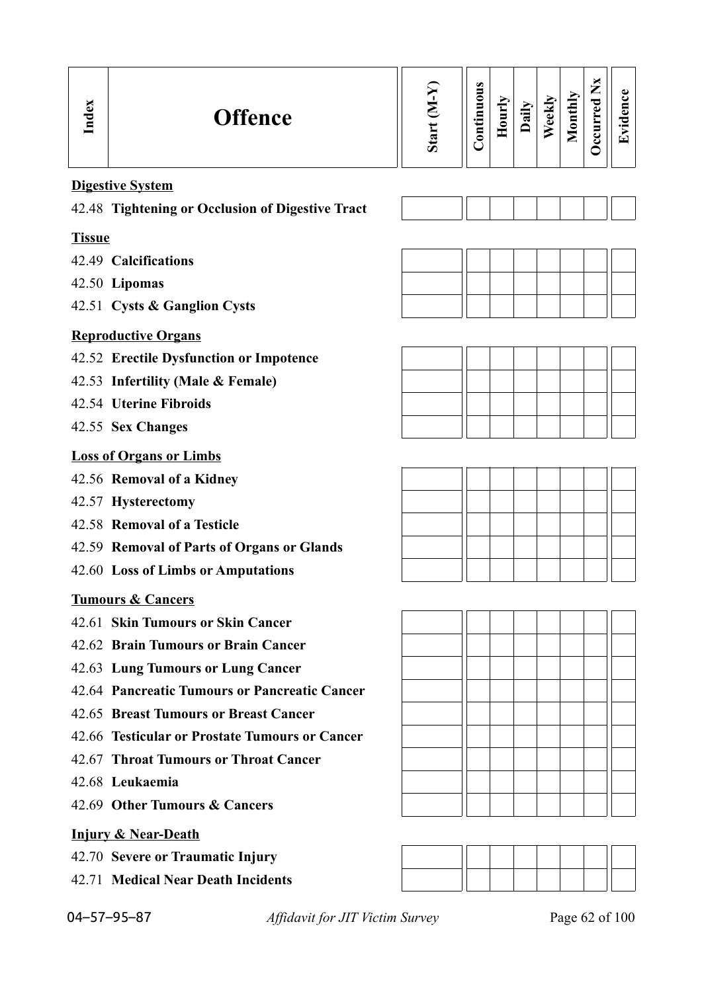| Index         | <b>Offence</b>                                   | Start (M-Y) | Continuous | Hourly | Daily | Weekly | Monthly | Occurred Nx | Evidence       |
|---------------|--------------------------------------------------|-------------|------------|--------|-------|--------|---------|-------------|----------------|
|               | <b>Digestive System</b>                          |             |            |        |       |        |         |             |                |
|               | 42.48 Tightening or Occlusion of Digestive Tract |             |            |        |       |        |         |             |                |
| <b>Tissue</b> |                                                  |             |            |        |       |        |         |             |                |
|               | 42.49 Calcifications                             |             |            |        |       |        |         |             |                |
|               | 42.50 Lipomas                                    |             |            |        |       |        |         |             |                |
|               | 42.51 Cysts & Ganglion Cysts                     |             |            |        |       |        |         |             |                |
|               | <b>Reproductive Organs</b>                       |             |            |        |       |        |         |             |                |
|               | 42.52 Erectile Dysfunction or Impotence          |             |            |        |       |        |         |             |                |
|               | 42.53 Infertility (Male & Female)                |             |            |        |       |        |         |             |                |
|               | 42.54 Uterine Fibroids                           |             |            |        |       |        |         |             |                |
|               | 42.55 Sex Changes                                |             |            |        |       |        |         |             |                |
|               | <b>Loss of Organs or Limbs</b>                   |             |            |        |       |        |         |             |                |
|               | 42.56 Removal of a Kidney                        |             |            |        |       |        |         |             |                |
|               | 42.57 Hysterectomy                               |             |            |        |       |        |         |             |                |
|               | 42.58 Removal of a Testicle                      |             |            |        |       |        |         |             |                |
|               | 42.59 Removal of Parts of Organs or Glands       |             |            |        |       |        |         |             |                |
|               | 42.60 Loss of Limbs or Amputations               |             |            |        |       |        |         |             |                |
| no.           | <b>Tumours &amp; Cancers</b>                     |             |            |        |       |        |         |             |                |
|               | 42.61 Skin Tumours or Skin Cancer                |             |            |        |       |        |         |             |                |
|               | 42.62 Brain Tumours or Brain Cancer              |             |            |        |       |        |         |             |                |
|               | 42.63 Lung Tumours or Lung Cancer                |             |            |        |       |        |         |             |                |
|               | 42.64 Pancreatic Tumours or Pancreatic Cancer    |             |            |        |       |        |         |             |                |
|               | 42.65 Breast Tumours or Breast Cancer            |             |            |        |       |        |         |             |                |
|               | 42.66 Testicular or Prostate Tumours or Cancer   |             |            |        |       |        |         |             |                |
|               | 42.67 Throat Tumours or Throat Cancer            |             |            |        |       |        |         |             |                |
|               | 42.68 Leukaemia                                  |             |            |        |       |        |         |             |                |
|               | 42.69 Other Tumours & Cancers                    |             |            |        |       |        |         |             |                |
|               | <b>Injury &amp; Near-Death</b>                   |             |            |        |       |        |         |             |                |
|               | 42.70 Severe or Traumatic Injury                 |             |            |        |       |        |         |             |                |
|               | 42.71 Medical Near Death Incidents               |             |            |        |       |        |         |             |                |
|               | 04-57-95-87<br>Affidavit for JIT Victim Survey   |             |            |        |       |        |         |             | Page 62 of 100 |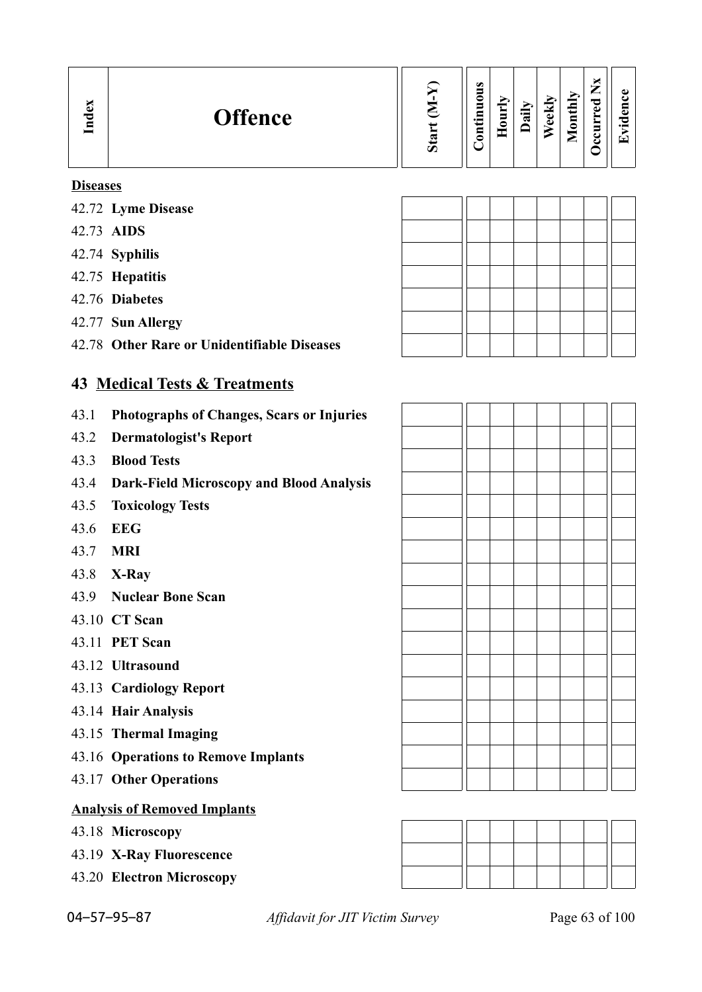| نە<br><b>Offence</b><br>っ<br>Ē | ∽ | ω<br>_<br>∊<br>5<br>┍<br><br>⊑<br>≏ |  | ੶ਫ਼ | ekly<br>$\bullet$ | onthly<br>-<br>உ | ᅙ<br>ω | ڡ<br>. .<br>T. |
|--------------------------------|---|-------------------------------------|--|-----|-------------------|------------------|--------|----------------|
|--------------------------------|---|-------------------------------------|--|-----|-------------------|------------------|--------|----------------|

#### **Diseases**

- 42.72 **Lyme Disease**
- 42.73 **AIDS**
- 42.74 **Syphilis**
- 42.75 **Hepatitis**
- 42.76 **Diabetes**
- 42.77 **Sun Allergy**
- 42.78 **Other Rare or Unidentifiable Diseases**

## **43 Medical Tests & Treatments**

- 43.1 **Photographs of Changes, Scars or Injuries**
- 43.2 **Dermatologist's Report**
- 43.3 **Blood Tests**
- 43.4 **Dark-Field Microscopy and Blood Analysis**
- 43.5 **Toxicology Tests**
- 43.6 **EEG**
- 43.7 **MRI**
- 43.8 **X-Ray**
- 43.9 **Nuclear Bone Scan**
- 43.10 **CT Scan**
- 43.11 **PET Scan**
- 43.12 **Ultrasound**
- 43.13 **Cardiology Report**
- 43.14 **Hair Analysis**
- 43.15 **Thermal Imaging**
- 43.16 **Operations to Remove Implants**
- 43.17 **Other Operations**

## **Analysis of Removed Implants**

- 43.18 **Microscopy**
- 43.19 **X-Ray Fluorescence**
- 43.20 **Electron Microscopy**

| 04-57-95-87 |
|-------------|
|-------------|

04–57–95–87 *Affidavit for JIT Victim Survey* Page 63 of 100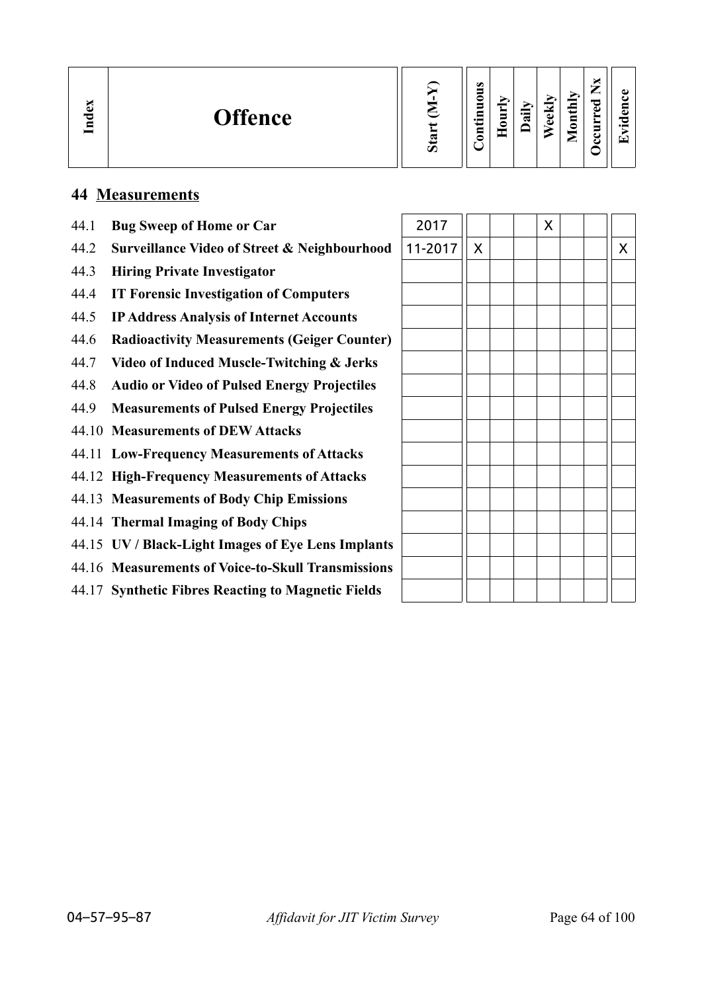| $\mathbf{g}$<br><b>Offence</b><br>Ě | ∽ | $\bullet$<br>$\cdot$ $\,$ | 5<br>− | ੶ਜ਼ | $\overline{\phantom{a}}$<br>ω<br>ω | thly<br>ē<br>◒<br>உ | _<br>ு<br>d.<br>▀ | ▼ |
|-------------------------------------|---|---------------------------|--------|-----|------------------------------------|---------------------|-------------------|---|
|-------------------------------------|---|---------------------------|--------|-----|------------------------------------|---------------------|-------------------|---|

## **44 Measurements**

- 44.1 **Bug Sweep of Home or Car** 2017 X X
- 44.2 **Surveillance Video of Street & Neighbourhood**
- 44.3 **Hiring Private Investigator**
- 44.4 **IT Forensic Investigation of Computers**
- 44.5 **IP Address Analysis of Internet Accounts**
- 44.6 **Radioactivity Measurements (Geiger Counter)**
- 44.7 **Video of Induced Muscle-Twitching & Jerks**
- 44.8 **Audio or Video of Pulsed Energy Projectiles**
- 44.9 **Measurements of Pulsed Energy Projectiles**
- 44.10 **Measurements of DEW Attacks**
- 44.11 **Low-Frequency Measurements of Attacks**
- 44.12 **High-Frequency Measurements of Attacks**
- 44.13 **Measurements of Body Chip Emissions**
- 44.14 **Thermal Imaging of Body Chips**
- 44.15 **UV / Black-Light Images of Eye Lens Implants**
- 44.16 **Measurements of Voice-to-Skull Transmissions**
- 44.17 **Synthetic Fibres Reacting to Magnetic Fields**

| 2011    |                    |  | $\lambda$ |  |                    |
|---------|--------------------|--|-----------|--|--------------------|
| 11-2017 | $\pmb{\mathsf{X}}$ |  |           |  | $\pmb{\mathsf{X}}$ |
|         |                    |  |           |  |                    |
|         |                    |  |           |  |                    |
|         |                    |  |           |  |                    |
|         |                    |  |           |  |                    |
|         |                    |  |           |  |                    |
|         |                    |  |           |  |                    |
|         |                    |  |           |  |                    |
|         |                    |  |           |  |                    |
|         |                    |  |           |  |                    |
|         |                    |  |           |  |                    |
|         |                    |  |           |  |                    |
|         |                    |  |           |  |                    |
|         |                    |  |           |  |                    |
|         |                    |  |           |  |                    |
|         |                    |  |           |  |                    |
|         |                    |  |           |  |                    |

ПF  $\blacksquare$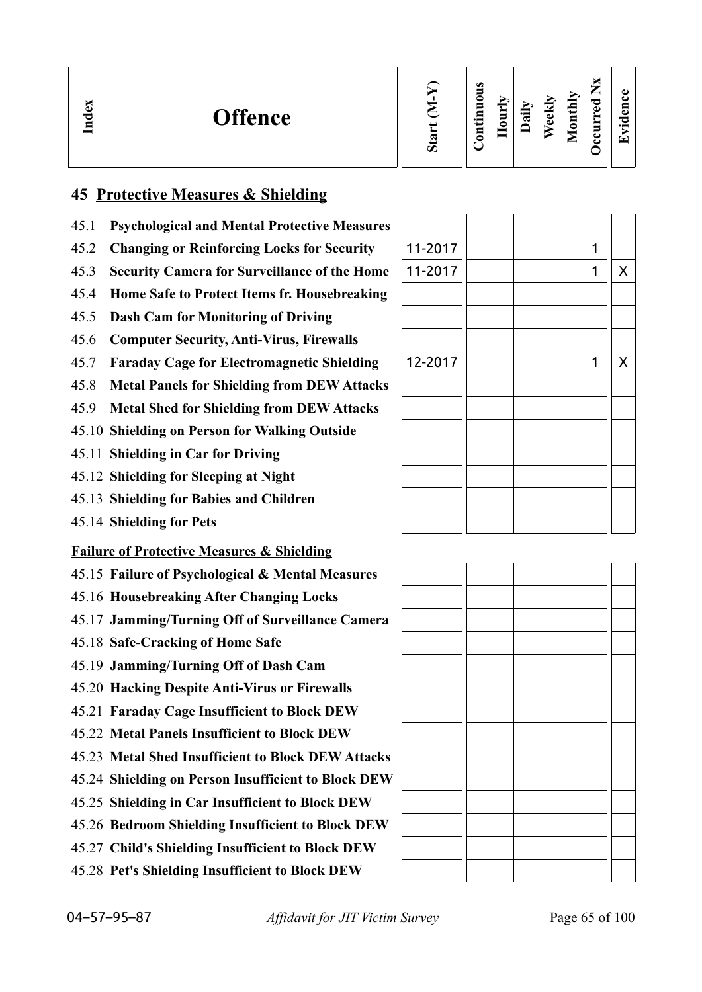| $\mathbf{g}$<br><b>Offence</b><br>ਦੁ<br>크 | Ο | $\omega$<br>0<br>5<br>▭<br>د.<br>5 | -<br>▭ | ┍<br>급 | €<br>ಕ<br>$\omega$ | onthly<br>-<br>▱ | ∼<br>⇁<br>-<br>ಾ<br>ω<br>➤<br>s<br>L<br>ت | $\bullet$ .<br>▼ |
|-------------------------------------------|---|------------------------------------|--------|--------|--------------------|------------------|-------------------------------------------|------------------|
|-------------------------------------------|---|------------------------------------|--------|--------|--------------------|------------------|-------------------------------------------|------------------|

## **45 Protective Measures & Shielding**

- 45.1 **Psychological and Mental Protective Measures**
- 45.2 Changing or Reinforcing Locks for Security
- 45.3 **Security Camera for Surveillance of the Home**
- 45.4 **Home Safe to Protect Items fr. Housebreaking**
- 45.5 **Dash Cam for Monitoring of Driving**
- 45.6 **Computer Security, Anti-Virus, Firewalls**
- 45.7 **Faraday Cage for Electromagnetic Shielding**
- 45.8 **Metal Panels for Shielding from DEW Attacks**
- 45.9 **Metal Shed for Shielding from DEW Attacks**
- 45.10 **Shielding on Person for Walking Outside**
- 45.11 **Shielding in Car for Driving**
- 45.12 **Shielding for Sleeping at Night**
- 45.13 **Shielding for Babies and Children**
- 45.14 **Shielding for Pets**

## **Failure of Protective Measures & Shielding**

- 45.15 **Failure of Psychological & Mental Measures**
- 45.16 **Housebreaking After Changing Locks**
- 45.17 **Jamming/Turning Off of Surveillance Camera**
- 45.18 **Safe-Cracking of Home Safe**
- 45.19 **Jamming/Turning Off of Dash Cam**
- 45.20 **Hacking Despite Anti-Virus or Firewalls**
- 45.21 **Faraday Cage Insufficient to Block DEW**
- 45.22 **Metal Panels Insufficient to Block DEW**
- 45.23 **Metal Shed Insufficient to Block DEW Attacks**
- 45.24 **Shielding on Person Insufficient to Block DEW**
- 45.25 **Shielding in Car Insufficient to Block DEW**
- 45.26 **Bedroom Shielding Insufficient to Block DEW**
- 45.27 **Child's Shielding Insufficient to Block DEW**
- 45.28 **Pet's Shielding Insufficient to Block DEW**

| 11-2017 |  |  | 1 |                    |
|---------|--|--|---|--------------------|
| 11-2017 |  |  | 1 | $\sf X$            |
|         |  |  |   |                    |
|         |  |  |   |                    |
|         |  |  |   |                    |
| 12-2017 |  |  | 1 | $\pmb{\mathsf{X}}$ |
|         |  |  |   |                    |
|         |  |  |   |                    |
|         |  |  |   |                    |
|         |  |  |   |                    |
|         |  |  |   |                    |
|         |  |  |   |                    |
|         |  |  |   |                    |

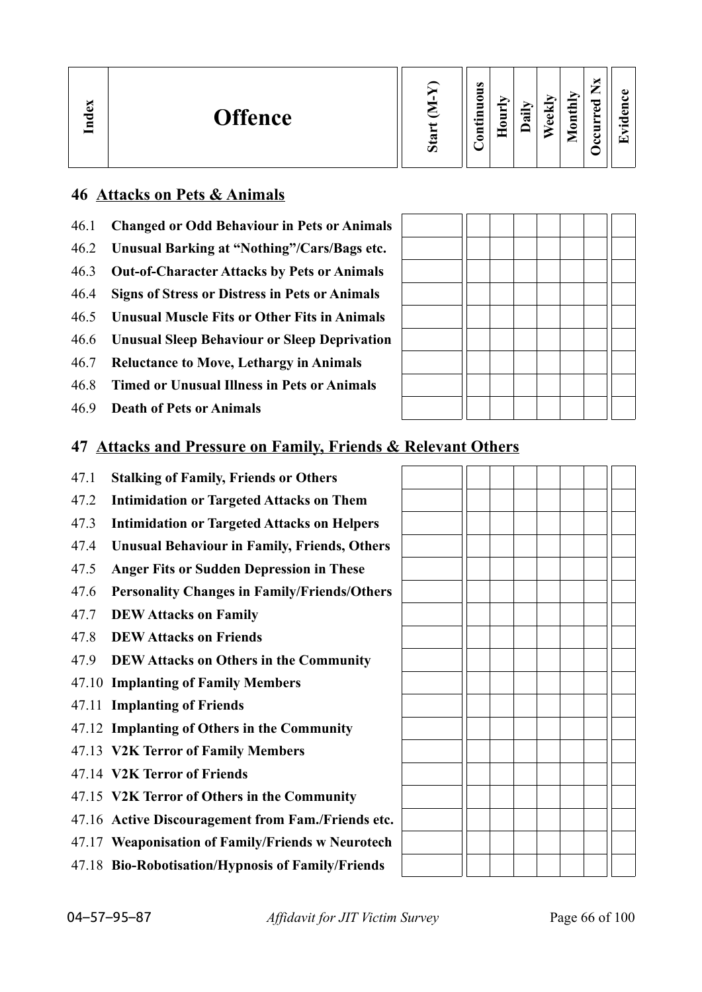| м<br>Index<br><b>Offence</b> | ∾<br>$\boldsymbol{\mathcal{D}}$ | $\omega$<br>∊<br>−<br>$\bullet$<br>ਜ<br>┍<br>- |  | ∽<br>≔<br>$\vec{a}$ | ≂<br>نه<br>ω | thly<br>$\overline{\mathbf{a}}$<br>▬<br>▱ | ×<br>—<br>_<br>ರ<br>Ō<br>►<br>5<br>ت<br>౿ | ω<br>'n.<br>$\cdot$ $\,$<br>r – |
|------------------------------|---------------------------------|------------------------------------------------|--|---------------------|--------------|-------------------------------------------|-------------------------------------------|---------------------------------|
|------------------------------|---------------------------------|------------------------------------------------|--|---------------------|--------------|-------------------------------------------|-------------------------------------------|---------------------------------|

## **46 Attacks on Pets & Animals**

- 46.1 **Changed or Odd Behaviour in Pets or Animals**
- 46.2 **Unusual Barking at "Nothing"/Cars/Bags etc.**
- 46.3 **Out-of-Character Attacks by Pets or Animals**
- 46.4 **Signs of Stress or Distress in Pets or Animals**
- 46.5 **Unusual Muscle Fits or Other Fits in Animals**
- 46.6 **Unusual Sleep Behaviour or Sleep Deprivation**
- 46.7 **Reluctance to Move, Lethargy in Animals**
- 46.8 **Timed or Unusual Illness in Pets or Animals**
- 46.9 **Death of Pets or Animals**

## **47 Attacks and Pressure on Family, Friends & Relevant Others**

- 47.1 **Stalking of Family, Friends or Others**
- 47.2 **Intimidation or Targeted Attacks on Them**
- 47.3 **Intimidation or Targeted Attacks on Helpers**
- 47.4 **Unusual Behaviour in Family, Friends, Others**
- 47.5 **Anger Fits or Sudden Depression in These**
- 47.6 **Personality Changes in Family/Friends/Others**
- 47.7 **DEW Attacks on Family**
- 47.8 **DEW Attacks on Friends**
- 47.9 **DEW Attacks on Others in the Community**
- 47.10 **Implanting of Family Members**
- 47.11 **Implanting of Friends**
- 47.12 **Implanting of Others in the Community**
- 47.13 **V2K Terror of Family Members**
- 47.14 **V2K Terror of Friends**
- 47.15 **V2K Terror of Others in the Community**
- 47.16 **Active Discouragement from Fam./Friends etc.**
- 47.17 **Weaponisation of Family/Friends w Neurotech**
- 47.18 **Bio-Robotisation/Hypnosis of Family/Friends**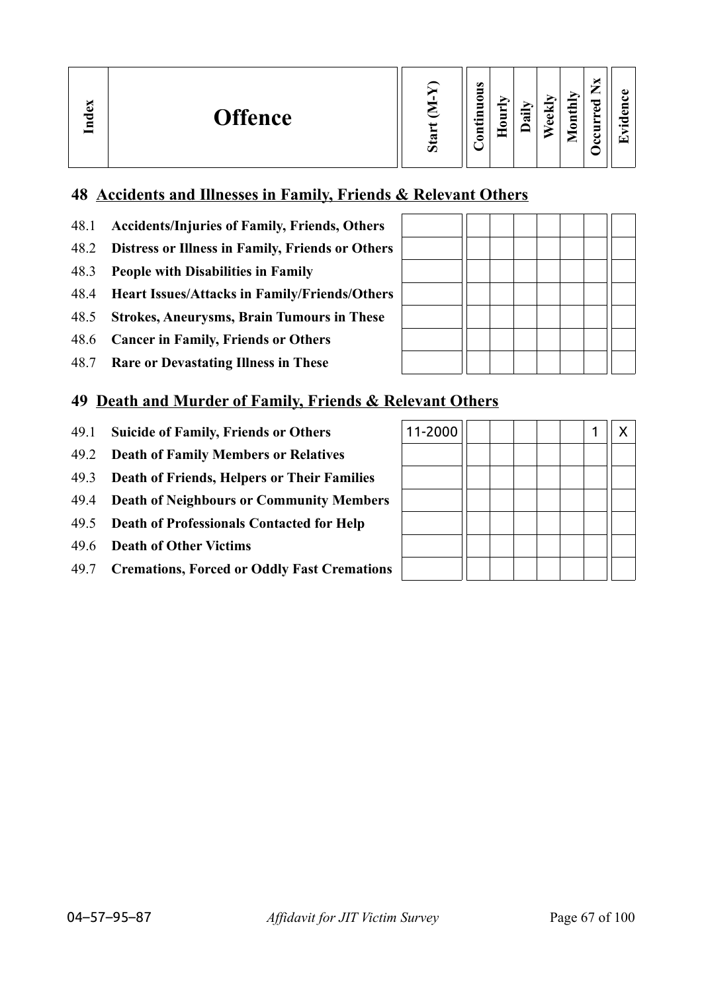| м<br>ව<br>ರ<br>$\blacksquare$ | <b>Offence</b> | $\sigma$ | $\bullet$<br>−<br>0<br>E<br>$\bullet$ and<br>5 | $\overline{\phantom{a}}$<br>∼<br>S<br>∊ | ੌੜ | ₩<br>ಕ<br>ω | É<br>≖<br>⊟<br>c<br>_ | ∼ | $\bullet$<br>a<br>⊂<br>$\bullet$ $\blacksquare$<br>▼ |
|-------------------------------|----------------|----------|------------------------------------------------|-----------------------------------------|----|-------------|-----------------------|---|------------------------------------------------------|
|-------------------------------|----------------|----------|------------------------------------------------|-----------------------------------------|----|-------------|-----------------------|---|------------------------------------------------------|

## **48 Accidents and Illnesses in Family, Friends & Relevant Others**

- 48.1 **Accidents/Injuries of Family, Friends, Others**
- 48.2 **Distress or Illness in Family, Friends or Others**
- 48.3 **People with Disabilities in Family**
- 48.4 **Heart Issues/Attacks in Family/Friends/Others**
- 48.5 **Strokes, Aneurysms, Brain Tumours in These**
- 48.6 **Cancer in Family, Friends or Others**
- 48.7 **Rare or Devastating Illness in These**

## **49 Death and Murder of Family, Friends & Relevant Others**

- 49.1 **Suicide of Family, Friends or Others**
- 49.2 **Death of Family Members or Relatives**
- 49.3 **Death of Friends, Helpers or Their Families**
- 49.4 **Death of Neighbours or Community Members**
- 49.5 **Death of Professionals Contacted for Help**
- 49.6 **Death of Other Victims**
- 49.7 **Cremations, Forced or Oddly Fast Cremations**

| $\mathbf{a}$<br>п |  |  |  |  |
|-------------------|--|--|--|--|

 $\overline{\phantom{a}}$  $\mathbb{R}$   $\mathbf{\mathbf{\mathsf{H}}}$ 

TΓ

 $\mathbf{I}$ 

| 11-2000 |  |  |  | X |
|---------|--|--|--|---|
|         |  |  |  |   |
|         |  |  |  |   |
|         |  |  |  |   |
|         |  |  |  |   |
|         |  |  |  |   |
|         |  |  |  |   |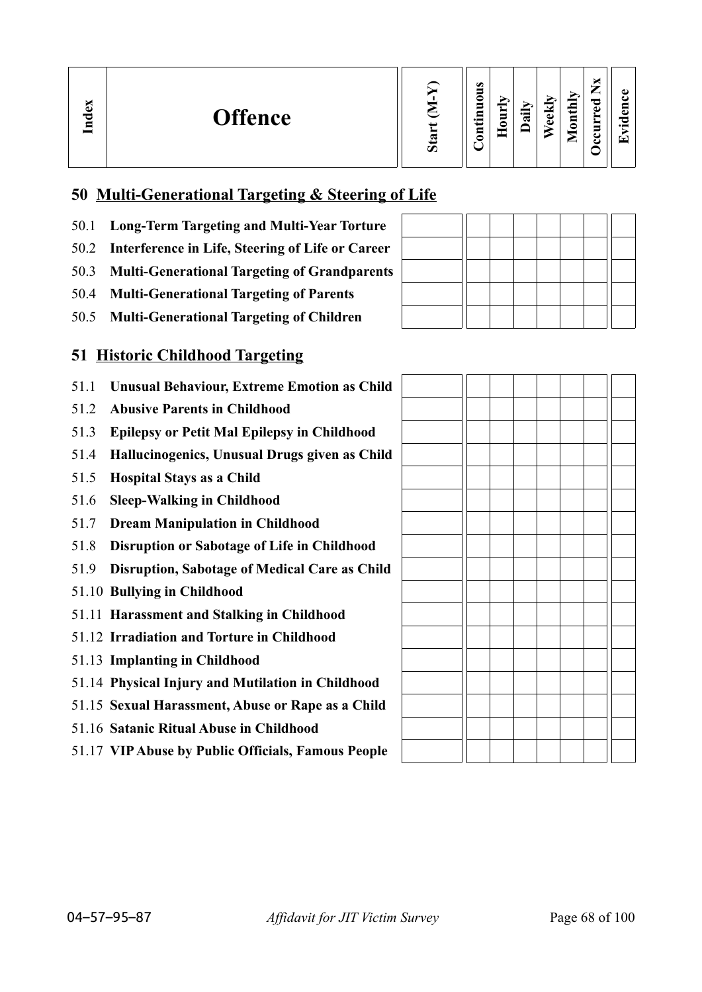| ×<br>ω<br>–<br>E<br>ച<br>痴<br>lonthly<br>c<br>∽<br>idex<br>ా<br>≂<br>5<br>∽<br>ه<br><b>Offence</b><br>$\ddot{a}$<br>دە<br>⊆<br>ತ<br>►<br>∍<br>$\cdot$ .<br>70<br>$\omega$<br>È<br>0<br>ᆷ<br>5 |
|-----------------------------------------------------------------------------------------------------------------------------------------------------------------------------------------------|
|-----------------------------------------------------------------------------------------------------------------------------------------------------------------------------------------------|

## **50 Multi-Generational Targeting & Steering of Life**

- 50.1 **Long-Term Targeting and Multi-Year Torture**
- 50.2 **Interference in Life, Steering of Life or Career**
- 50.3 **Multi-Generational Targeting of Grandparents**
- 50.4 **Multi-Generational Targeting of Parents**
- 50.5 **Multi-Generational Targeting of Children**

## **51 Historic Childhood Targeting**

- 51.1 **Unusual Behaviour, Extreme Emotion as Child**
- 51.2 **Abusive Parents in Childhood**
- 51.3 **Epilepsy or Petit Mal Epilepsy in Childhood**
- 51.4 **Hallucinogenics, Unusual Drugs given as Child**
- 51.5 **Hospital Stays as a Child**
- 51.6 **Sleep-Walking in Childhood**
- 51.7 **Dream Manipulation in Childhood**
- 51.8 **Disruption or Sabotage of Life in Childhood**
- 51.9 **Disruption, Sabotage of Medical Care as Child**
- 51.10 **Bullying in Childhood**
- 51.11 **Harassment and Stalking in Childhood**
- 51.12 **Irradiation and Torture in Childhood**
- 51.13 **Implanting in Childhood**
- 51.14 **Physical Injury and Mutilation in Childhood**
- 51.15 **Sexual Harassment, Abuse or Rape as a Child**
- 51.16 **Satanic Ritual Abuse in Childhood**
- 51.17 **VIP Abuse by Public Officials, Famous People**

|  | $D - 1$ |
|--|---------|
|  |         |
|  |         |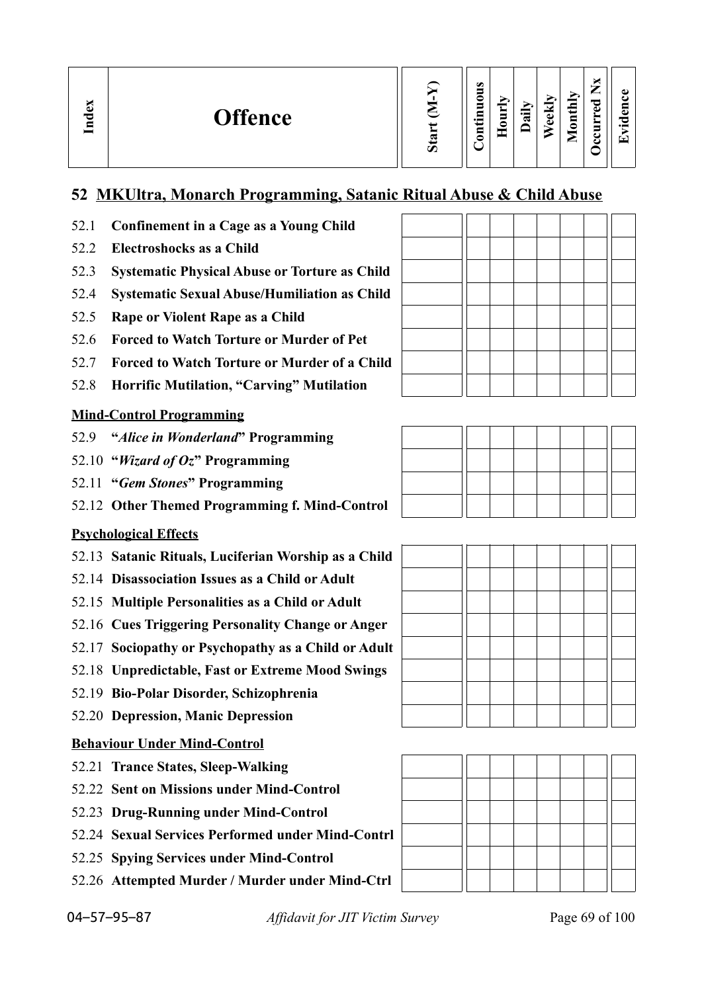## **52 MKUltra, Monarch Programming, Satanic Ritual Abuse & Child Abuse**

- 52.1 **Confinement in a Cage as a Young Child**
- 52.2 **Electroshocks as a Child**
- 52.3 **Systematic Physical Abuse or Torture as Child**
- 52.4 **Systematic Sexual Abuse/Humiliation as Child**
- 52.5 **Rape or Violent Rape as a Child**
- 52.6 **Forced to Watch Torture or Murder of Pet**
- 52.7 **Forced to Watch Torture or Murder of a Child**
- 52.8 **Horrific Mutilation, "Carving" Mutilation**

#### **Mind-Control Programming**

- 52.9 **"***Alice in Wonderland***" Programming**
- 52.10 **"***Wizard of Oz***" Programming**
- 52.11 **"***Gem Stones***" Programming**
- 52.12 **Other Themed Programming f. Mind-Control**

#### **Psychological Effects**

- 52.13 **Satanic Rituals, Luciferian Worship as a Child**
- 52.14 **Disassociation Issues as a Child or Adult**
- 52.15 **Multiple Personalities as a Child or Adult**
- 52.16 **Cues Triggering Personality Change or Anger**
- 52.17 **Sociopathy or Psychopathy as a Child or Adult**
- 52.18 **Unpredictable, Fast or Extreme Mood Swings**
- 52.19 **Bio-Polar Disorder, Schizophrenia**
- 52.20 **Depression, Manic Depression**

#### **Behaviour Under Mind-Control**

- 52.21 **Trance States, Sleep-Walking**
- 52.22 **Sent on Missions under Mind-Control**
- 52.23 **Drug-Running under Mind-Control**
- 52.24 **Sexual Services Performed under Mind-Contrl**
- 52.25 **Spying Services under Mind-Control**
- 52.26 **Attempted Murder / Murder under Mind-Ctrl**







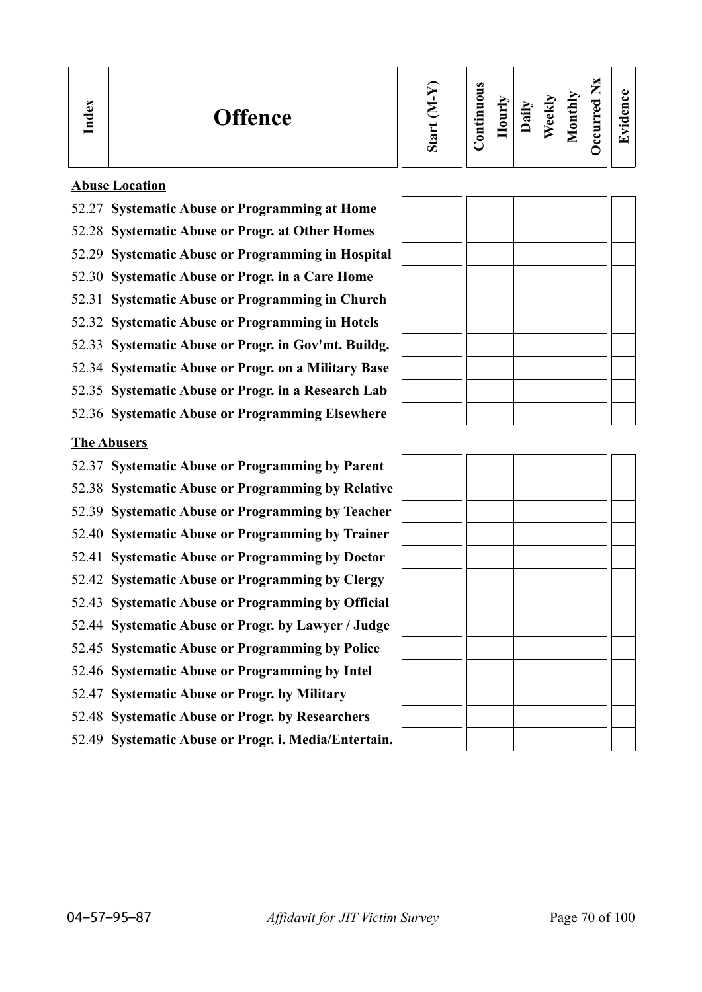| $\mathbf{g}$<br>ರ<br>Ē | <b>Offence</b> | Ο | s<br>-<br>∊<br>−<br>$\bullet$<br>0<br>$\sim$ | _<br>−<br>$\blacksquare$ | aily | eekly | onthly<br>-<br>▱ | ×<br>∽<br>痴<br>ह<br>►<br>≻<br>5<br>ت<br>౿ | ω<br>ă٦<br>77<br>$\cdot$ $-$<br>'T |
|------------------------|----------------|---|----------------------------------------------|--------------------------|------|-------|------------------|-------------------------------------------|------------------------------------|
|------------------------|----------------|---|----------------------------------------------|--------------------------|------|-------|------------------|-------------------------------------------|------------------------------------|

 $\overline{a}$ 

#### **Abuse Location**

- 52.27 **Systematic Abuse or Programming at Home**
- 52.28 **Systematic Abuse or Progr. at Other Homes**
- 52.29 **Systematic Abuse or Programming in Hospital**
- 52.30 **Systematic Abuse or Progr. in a Care Home**
- 52.31 **Systematic Abuse or Programming in Church**
- 52.32 **Systematic Abuse or Programming in Hotels**
- 52.33 **Systematic Abuse or Progr. in Gov'mt. Buildg.**
- 52.34 **Systematic Abuse or Progr. on a Military Base**
- 52.35 **Systematic Abuse or Progr. in a Research Lab**
- 52.36 **Systematic Abuse or Programming Elsewhere**

## **The Abusers**

- 52.37 **Systematic Abuse or Programming by Parent**
- 52.38 **Systematic Abuse or Programming by Relative**
- 52.39 **Systematic Abuse or Programming by Teacher**
- 52.40 **Systematic Abuse or Programming by Trainer**
- 52.41 **Systematic Abuse or Programming by Doctor**
- 52.42 **Systematic Abuse or Programming by Clergy**
- 52.43 **Systematic Abuse or Programming by Official**
- 52.44 **Systematic Abuse or Progr. by Lawyer / Judge**
- 52.45 **Systematic Abuse or Programming by Police**
- 52.46 **Systematic Abuse or Programming by Intel**
- 52.47 **Systematic Abuse or Progr. by Military**
- 52.48 **Systematic Abuse or Progr. by Researchers**
- 52.49 **Systematic Abuse or Progr. i. Media/Entertain.**

<u> Indian American State (1986) e provincia de la provincia de la provincia de la provincia de la provincia de l</u>

ПF

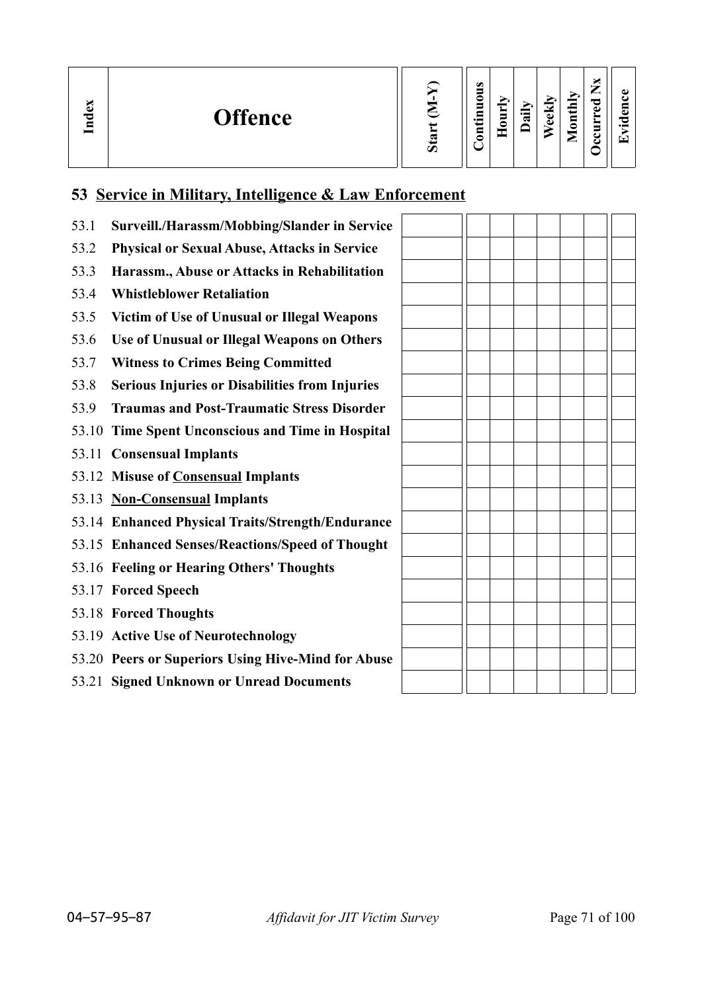| ×<br>نه<br><b>Offence</b><br>P<br>-<br>특 |  | $\omega$<br>c<br>_<br>$\bullet$ and | $\blacksquare$ | ੶ਜ਼ | м<br>Φ<br>ω | 급<br>ت<br>$\overline{\mathbf{S}}$<br>_ | —<br>τ<br>ിച്<br>_ | ω<br>a<br>c<br>$\overline{\phantom{a}}$<br>┯ |
|------------------------------------------|--|-------------------------------------|----------------|-----|-------------|----------------------------------------|--------------------|----------------------------------------------|
|------------------------------------------|--|-------------------------------------|----------------|-----|-------------|----------------------------------------|--------------------|----------------------------------------------|

# **53 Service in Military, Intelligence & Law Enforcement**

| 53.1  | Surveill./Harassm/Mobbing/Slander in Service        |  |  |  |  |
|-------|-----------------------------------------------------|--|--|--|--|
| 53.2  | <b>Physical or Sexual Abuse, Attacks in Service</b> |  |  |  |  |
| 53.3  | Harassm., Abuse or Attacks in Rehabilitation        |  |  |  |  |
| 53.4  | <b>Whistleblower Retaliation</b>                    |  |  |  |  |
| 53.5  | Victim of Use of Unusual or Illegal Weapons         |  |  |  |  |
| 53.6  | Use of Unusual or Illegal Weapons on Others         |  |  |  |  |
| 53.7  | <b>Witness to Crimes Being Committed</b>            |  |  |  |  |
| 53.8  | Serious Injuries or Disabilities from Injuries      |  |  |  |  |
| 53.9  | <b>Traumas and Post-Traumatic Stress Disorder</b>   |  |  |  |  |
| 53.10 | Time Spent Unconscious and Time in Hospital         |  |  |  |  |
|       | 53.11 Consensual Implants                           |  |  |  |  |
|       | 53.12 Misuse of <b>Consensual Implants</b>          |  |  |  |  |
|       | 53.13 Non-Consensual Implants                       |  |  |  |  |
|       | 53.14 Enhanced Physical Traits/Strength/Endurance   |  |  |  |  |
|       | 53.15 Enhanced Senses/Reactions/Speed of Thought    |  |  |  |  |
|       | 53.16 Feeling or Hearing Others' Thoughts           |  |  |  |  |
|       | 53.17 Forced Speech                                 |  |  |  |  |
|       | 53.18 Forced Thoughts                               |  |  |  |  |
|       | 53.19 Active Use of Neurotechnology                 |  |  |  |  |
|       | 53.20 Peers or Superiors Using Hive-Mind for Abuse  |  |  |  |  |
|       | 53.21 Signed Unknown or Unread Documents            |  |  |  |  |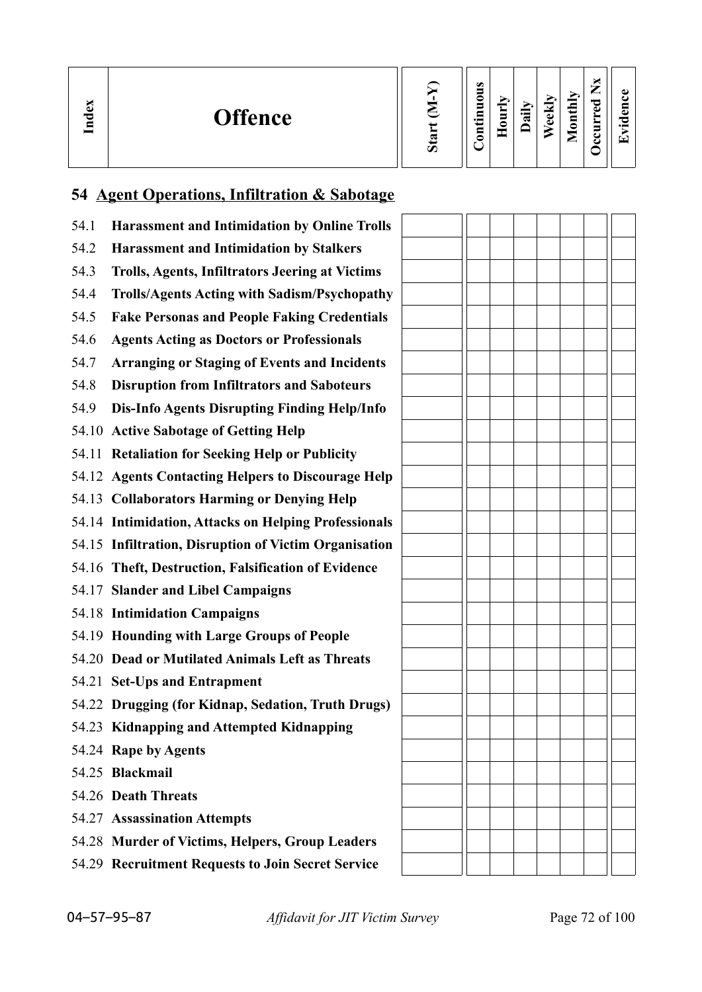| ω<br>70<br>⋰ | <b>Offence</b> | $\sigma$ | $\bullet$<br>5<br>0<br>$\blacksquare$<br>Ξ<br>$\cdot$ $-$<br>5 | ÷<br>Ĕ<br>≘ | $\ddot{a}$ | ►<br>$e$ ekl | Ņ<br>골<br>⊟<br>$\bullet$<br>_ | て<br>ിച് | ω<br>c<br>౧<br>$\cdot$ $-$<br>▼ |
|--------------|----------------|----------|----------------------------------------------------------------|-------------|------------|--------------|-------------------------------|----------|---------------------------------|
|--------------|----------------|----------|----------------------------------------------------------------|-------------|------------|--------------|-------------------------------|----------|---------------------------------|

# **54 Agent Operations, Infiltration & Sabotage**

| 54.1 | <b>Harassment and Intimidation by Online Trolls</b>    |  |  |  |  |
|------|--------------------------------------------------------|--|--|--|--|
| 54.2 | <b>Harassment and Intimidation by Stalkers</b>         |  |  |  |  |
| 54.3 | <b>Trolls, Agents, Infiltrators Jeering at Victims</b> |  |  |  |  |
| 54.4 | <b>Trolls/Agents Acting with Sadism/Psychopathy</b>    |  |  |  |  |
| 54.5 | <b>Fake Personas and People Faking Credentials</b>     |  |  |  |  |
| 54.6 | <b>Agents Acting as Doctors or Professionals</b>       |  |  |  |  |
| 54.7 | <b>Arranging or Staging of Events and Incidents</b>    |  |  |  |  |
| 54.8 | <b>Disruption from Infiltrators and Saboteurs</b>      |  |  |  |  |
| 54.9 | Dis-Info Agents Disrupting Finding Help/Info           |  |  |  |  |
|      | 54.10 Active Sabotage of Getting Help                  |  |  |  |  |
|      | 54.11 Retaliation for Seeking Help or Publicity        |  |  |  |  |
|      | 54.12 Agents Contacting Helpers to Discourage Help     |  |  |  |  |
|      | 54.13 Collaborators Harming or Denying Help            |  |  |  |  |
|      | 54.14 Intimidation, Attacks on Helping Professionals   |  |  |  |  |
|      | 54.15 Infiltration, Disruption of Victim Organisation  |  |  |  |  |
|      | 54.16 Theft, Destruction, Falsification of Evidence    |  |  |  |  |
|      | 54.17 Slander and Libel Campaigns                      |  |  |  |  |
|      | 54.18 Intimidation Campaigns                           |  |  |  |  |
|      | 54.19 Hounding with Large Groups of People             |  |  |  |  |
|      | 54.20 Dead or Mutilated Animals Left as Threats        |  |  |  |  |
|      | 54.21 Set-Ups and Entrapment                           |  |  |  |  |
|      | 54.22 Drugging (for Kidnap, Sedation, Truth Drugs)     |  |  |  |  |
|      | 54.23 Kidnapping and Attempted Kidnapping              |  |  |  |  |
|      | 54.24 Rape by Agents                                   |  |  |  |  |
|      | 54.25 Blackmail                                        |  |  |  |  |
|      | 54.26 Death Threats                                    |  |  |  |  |
|      | 54.27 Assassination Attempts                           |  |  |  |  |
|      | 54.28 Murder of Victims, Helpers, Group Leaders        |  |  |  |  |
|      | 54.29 Recruitment Requests to Join Secret Service      |  |  |  |  |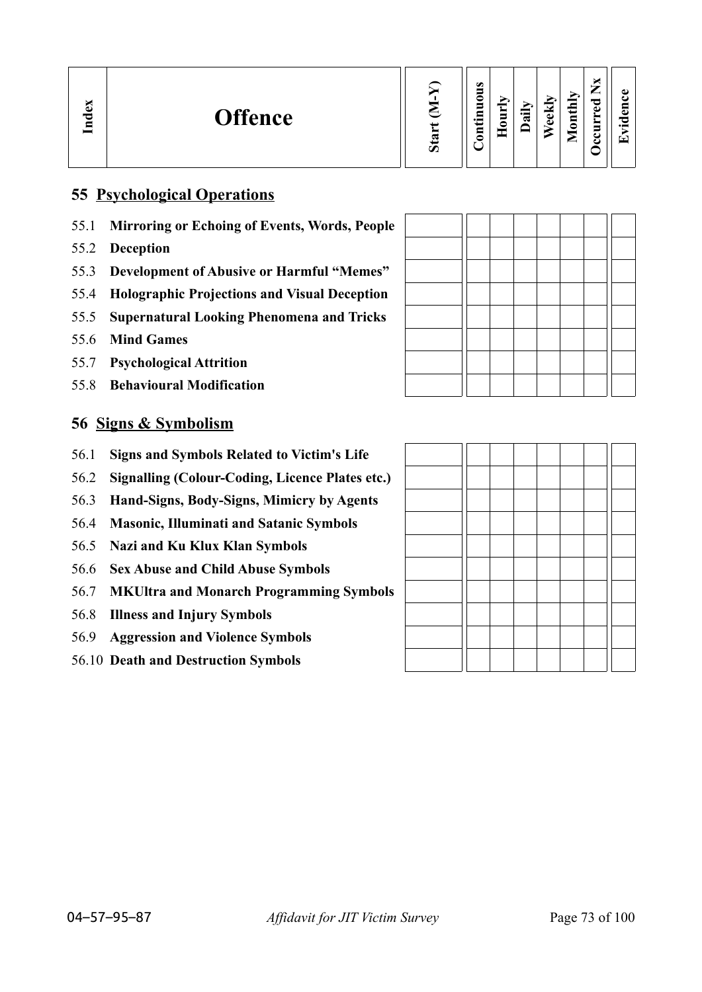| ω<br><b>Offence</b><br>73<br>Ĕ | w<br>$\boldsymbol{\mathcal{D}}$ | $\omega$<br>5<br>0<br>5<br>▭<br>$\cdot$ $\,$<br>5 | - | ≔<br>ಷ | ▿<br>ω<br>ω | $\mathbf{H}$<br>$\overline{\mathbf{a}}$<br>► | ×<br>—<br>_<br>ಾ<br>Ō<br>►<br>►<br>5<br>◡<br>౿ | ω<br><b>TA</b><br>$\cdot$ $\,$<br>$\overline{\phantom{a}}$ |
|--------------------------------|---------------------------------|---------------------------------------------------|---|--------|-------------|----------------------------------------------|------------------------------------------------|------------------------------------------------------------|
|--------------------------------|---------------------------------|---------------------------------------------------|---|--------|-------------|----------------------------------------------|------------------------------------------------|------------------------------------------------------------|

## **55 Psychological Operations**

- 55.1 **Mirroring or Echoing of Events, Words, People**
- 55.2 **Deception**
- 55.3 **Development of Abusive or Harmful "Memes"**
- 55.4 **Holographic Projections and Visual Deception**
- 55.5 **Supernatural Looking Phenomena and Tricks**
- 55.6 **Mind Games**
- 55.7 **Psychological Attrition**
- 55.8 **Behavioural Modification**

## **56 Signs & Symbolism**

- 56.1 **Signs and Symbols Related to Victim's Life**
- 56.2 **Signalling (Colour-Coding, Licence Plates etc.)**
- 56.3 **Hand-Signs, Body-Signs, Mimicry by Agents**
- 56.4 **Masonic, Illuminati and Satanic Symbols**
- 56.5 **Nazi and Ku Klux Klan Symbols**
- 56.6 **Sex Abuse and Child Abuse Symbols**
- 56.7 **MKUltra and Monarch Programming Symbols**
- 56.8 **Illness and Injury Symbols**
- 56.9 **Aggression and Violence Symbols**
- 56.10 **Death and Destruction Symbols**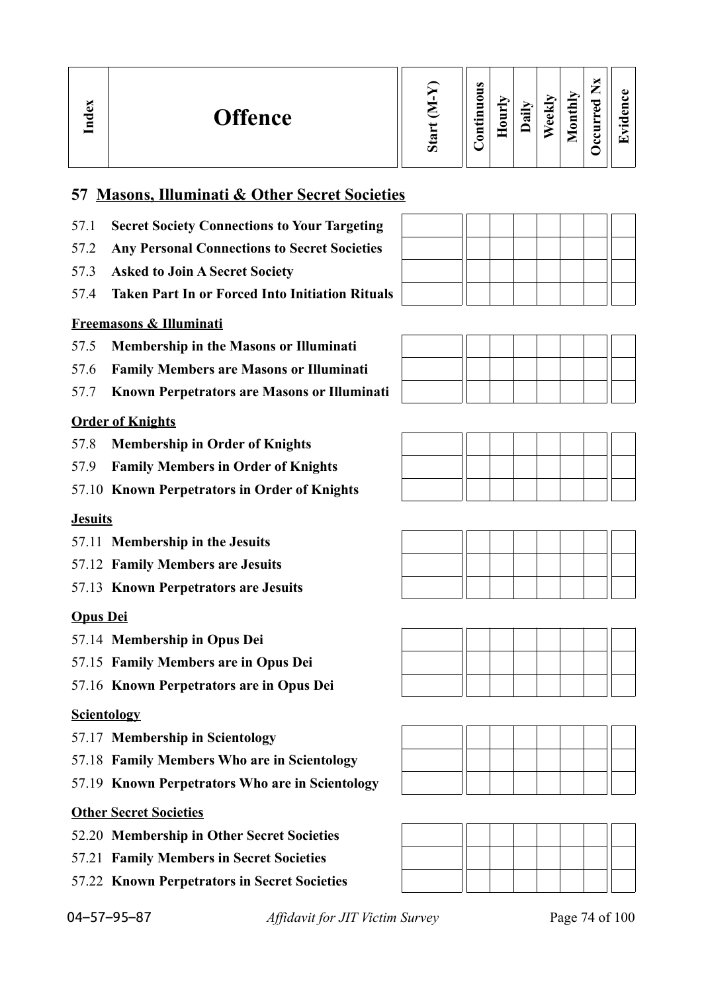| м<br>Đ<br><b>Offence</b><br>≂<br>⊆ |  | $\bullet$<br>0<br>5<br>⋴<br>$\cdot$ $\,$<br>₽<br>◓ | $\sim$<br>Ĕ<br>0 | $\overline{\phantom{0}}$<br>ಷ | $\overline{\phantom{a}}$<br>Ť<br>đ. | É<br>$\overline{1}$<br>⊟<br>c | ~⊂- | മ<br>. .<br>┯ |
|------------------------------------|--|----------------------------------------------------|------------------|-------------------------------|-------------------------------------|-------------------------------|-----|---------------|
|------------------------------------|--|----------------------------------------------------|------------------|-------------------------------|-------------------------------------|-------------------------------|-----|---------------|

## **57 Masons, Illuminati & Other Secret Societies**

- 57.1 **Secret Society Connections to Your Targeting**
- 57.2 **Any Personal Connections to Secret Societies**
- 57.3 **Asked to Join A Secret Society**
- 57.4 **Taken Part In or Forced Into Initiation Rituals**

## **Freemasons & Illuminati**

- 57.5 **Membership in the Masons or Illuminati**
- 57.6 **Family Members are Masons or Illuminati**
- 57.7 **Known Perpetrators are Masons or Illuminati**

## **Order of Knights**

- 57.8 **Membership in Order of Knights**
- 57.9 **Family Members in Order of Knights**
- 57.10 **Known Perpetrators in Order of Knights**

## **Jesuits**

- 57.11 **Membership in the Jesuits**
- 57.12 **Family Members are Jesuits**
- 57.13 **Known Perpetrators are Jesuits**

## **Opus Dei**

- 57.14 **Membership in Opus Dei**
- 57.15 **Family Members are in Opus Dei**
- 57.16 **Known Perpetrators are in Opus Dei**

## **Scientology**

- 57.17 **Membership in Scientology**
- 57.18 **Family Members Who are in Scientology**
- 57.19 **Known Perpetrators Who are in Scientology**

## **Other Secret Societies**

- 52.20 **Membership in Other Secret Societies**
- 57.21 **Family Members in Secret Societies**
- 57.22 **Known Perpetrators in Secret Societies**















04–57–95–87 *Affidavit for JIT Victim Survey* Page 74 of 100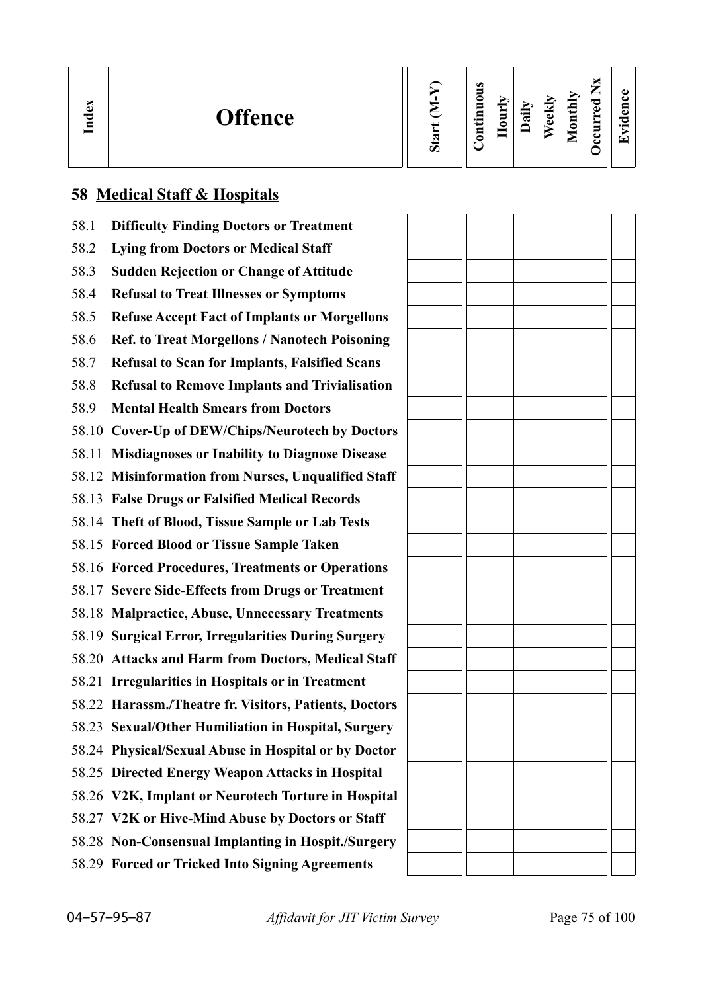| نە<br>≂<br>$\blacksquare$ | <b>Offence</b> | $\boldsymbol{u}$ | $\omega$<br>0<br>$\blacksquare$<br>.크<br>5 | ≂<br>Ĕ<br>≏ | $\ddot{a}$ | ekly<br>$\bullet$ | thly<br>⋴<br>∘<br>_ | P<br>ω | ω<br>п.<br>っ<br>$\bullet$<br>▼ |
|---------------------------|----------------|------------------|--------------------------------------------|-------------|------------|-------------------|---------------------|--------|--------------------------------|
|---------------------------|----------------|------------------|--------------------------------------------|-------------|------------|-------------------|---------------------|--------|--------------------------------|

## **58 Medical Staff & Hospitals**

| 58.1 | <b>Difficulty Finding Doctors or Treatment</b>         |  |  |  |
|------|--------------------------------------------------------|--|--|--|
| 58.2 | <b>Lying from Doctors or Medical Staff</b>             |  |  |  |
| 58.3 | <b>Sudden Rejection or Change of Attitude</b>          |  |  |  |
| 58.4 | <b>Refusal to Treat Illnesses or Symptoms</b>          |  |  |  |
| 58.5 | <b>Refuse Accept Fact of Implants or Morgellons</b>    |  |  |  |
| 58.6 | <b>Ref. to Treat Morgellons / Nanotech Poisoning</b>   |  |  |  |
| 58.7 | <b>Refusal to Scan for Implants, Falsified Scans</b>   |  |  |  |
| 58.8 | <b>Refusal to Remove Implants and Trivialisation</b>   |  |  |  |
| 58.9 | <b>Mental Health Smears from Doctors</b>               |  |  |  |
|      | 58.10 Cover-Up of DEW/Chips/Neurotech by Doctors       |  |  |  |
|      | 58.11 Misdiagnoses or Inability to Diagnose Disease    |  |  |  |
|      | 58.12 Misinformation from Nurses, Unqualified Staff    |  |  |  |
|      | 58.13 False Drugs or Falsified Medical Records         |  |  |  |
|      | 58.14 Theft of Blood, Tissue Sample or Lab Tests       |  |  |  |
|      | 58.15 Forced Blood or Tissue Sample Taken              |  |  |  |
|      | 58.16 Forced Procedures, Treatments or Operations      |  |  |  |
|      | 58.17 Severe Side-Effects from Drugs or Treatment      |  |  |  |
|      | 58.18 Malpractice, Abuse, Unnecessary Treatments       |  |  |  |
|      | 58.19 Surgical Error, Irregularities During Surgery    |  |  |  |
|      | 58.20 Attacks and Harm from Doctors, Medical Staff     |  |  |  |
|      | 58.21 Irregularities in Hospitals or in Treatment      |  |  |  |
|      | 58.22 Harassm./Theatre fr. Visitors, Patients, Doctors |  |  |  |
|      | 58.23 Sexual/Other Humiliation in Hospital, Surgery    |  |  |  |
|      | 58.24 Physical/Sexual Abuse in Hospital or by Doctor   |  |  |  |
|      | 58.25 Directed Energy Weapon Attacks in Hospital       |  |  |  |
|      | 58.26 V2K, Implant or Neurotech Torture in Hospital    |  |  |  |
|      | 58.27 V2K or Hive-Mind Abuse by Doctors or Staff       |  |  |  |
|      | 58.28 Non-Consensual Implanting in Hospit./Surgery     |  |  |  |
|      | 58.29 Forced or Tricked Into Signing Agreements        |  |  |  |
|      |                                                        |  |  |  |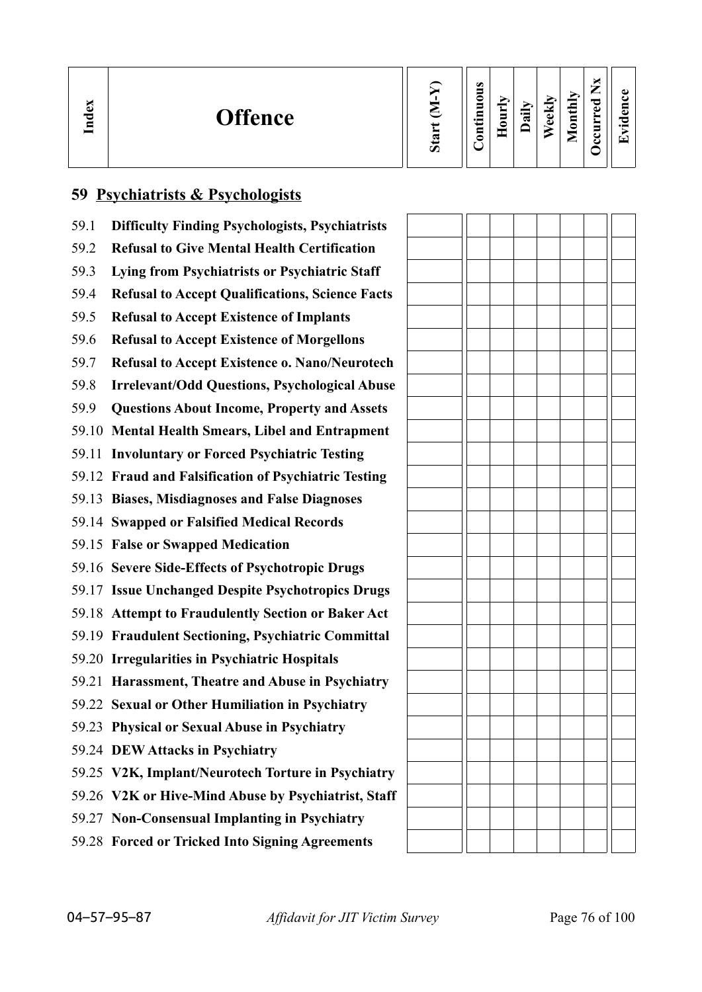| ы<br>ව<br>$\mathbf{F}$<br>$\overline{\phantom{0}}$ | <b>Offence</b> | Ο | $\omega$<br>0<br>$\blacksquare$<br>.크<br>5 | Ĕ<br>c | 급 | ekly<br>ω | thly<br>$\overline{\mathbf{S}}$<br>÷<br>_ | ~<br>O) | ω<br>دە<br>O<br>$\bullet$<br>▼ |
|----------------------------------------------------|----------------|---|--------------------------------------------|--------|---|-----------|-------------------------------------------|---------|--------------------------------|
|----------------------------------------------------|----------------|---|--------------------------------------------|--------|---|-----------|-------------------------------------------|---------|--------------------------------|

# **59 Psychiatrists & Psychologists**

| 59.1  | <b>Difficulty Finding Psychologists, Psychiatrists</b> |  |
|-------|--------------------------------------------------------|--|
| 59.2  | <b>Refusal to Give Mental Health Certification</b>     |  |
| 59.3  | Lying from Psychiatrists or Psychiatric Staff          |  |
| 59.4  | <b>Refusal to Accept Qualifications, Science Facts</b> |  |
| 59.5  | <b>Refusal to Accept Existence of Implants</b>         |  |
| 59.6  | <b>Refusal to Accept Existence of Morgellons</b>       |  |
| 59.7  | <b>Refusal to Accept Existence o. Nano/Neurotech</b>   |  |
| 59.8  | <b>Irrelevant/Odd Questions, Psychological Abuse</b>   |  |
| 59.9  | <b>Questions About Income, Property and Assets</b>     |  |
| 59.10 | <b>Mental Health Smears, Libel and Entrapment</b>      |  |
| 59.11 | <b>Involuntary or Forced Psychiatric Testing</b>       |  |
|       | 59.12 Fraud and Falsification of Psychiatric Testing   |  |
| 59.13 | <b>Biases, Misdiagnoses and False Diagnoses</b>        |  |
|       | 59.14 Swapped or Falsified Medical Records             |  |
|       | 59.15 False or Swapped Medication                      |  |
|       | 59.16 Severe Side-Effects of Psychotropic Drugs        |  |
|       | 59.17 Issue Unchanged Despite Psychotropics Drugs      |  |
|       | 59.18 Attempt to Fraudulently Section or Baker Act     |  |
|       | 59.19 Fraudulent Sectioning, Psychiatric Committal     |  |
|       | 59.20 Irregularities in Psychiatric Hospitals          |  |
| 59.21 | Harassment, Theatre and Abuse in Psychiatry            |  |
|       | 59.22 Sexual or Other Humiliation in Psychiatry        |  |
|       | 59.23 Physical or Sexual Abuse in Psychiatry           |  |
|       | 59.24 DEW Attacks in Psychiatry                        |  |
|       | 59.25 V2K, Implant/Neurotech Torture in Psychiatry     |  |
|       | 59.26 V2K or Hive-Mind Abuse by Psychiatrist, Staff    |  |
|       | 59.27 Non-Consensual Implanting in Psychiatry          |  |
|       | 59.28 Forced or Tricked Into Signing Agreements        |  |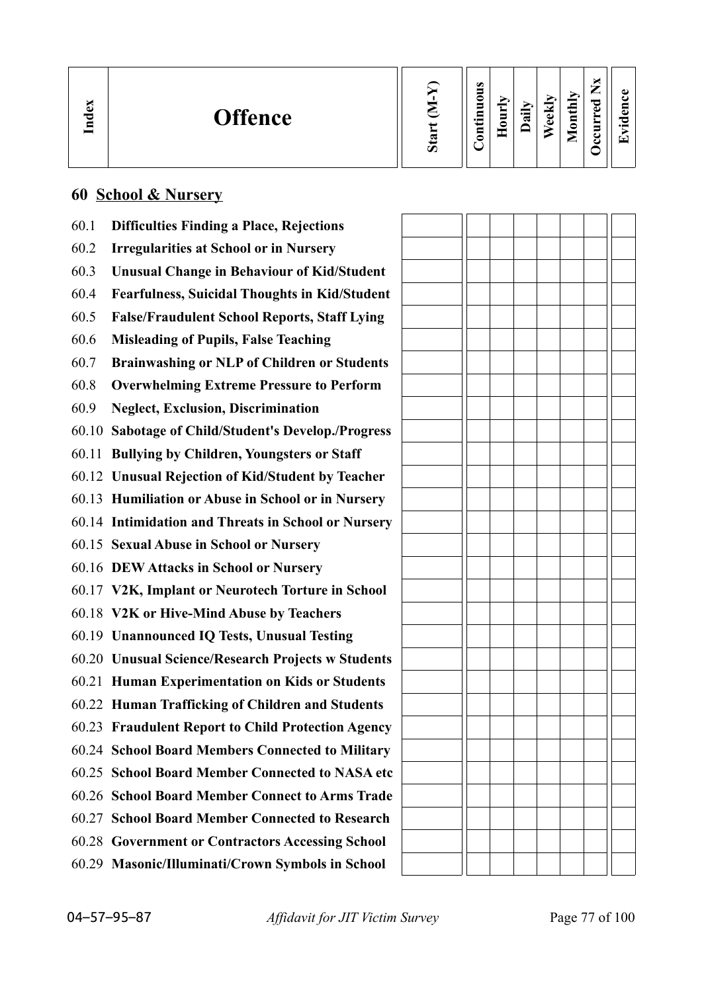| $\mathbf{g}$<br>Lnd | <b>Offence</b> | Ο | $\omega$<br>0<br>5<br>Ξ<br>$\bullet$ and<br>5<br>- | ▬<br>5<br>≏ | न्न | Ê,<br>ಕ<br>ω | ↘<br>thiy<br>$\overline{\mathbf{S}}$<br>_ | ాం<br>ω | ω<br>دە<br>O<br>$\bullet$ $\blacksquare$<br>┯ |
|---------------------|----------------|---|----------------------------------------------------|-------------|-----|--------------|-------------------------------------------|---------|-----------------------------------------------|
|---------------------|----------------|---|----------------------------------------------------|-------------|-----|--------------|-------------------------------------------|---------|-----------------------------------------------|

 $\overline{a}$ 

## **60 School & Nursery**

| 60.1 | <b>Difficulties Finding a Place, Rejections</b>      |  |  |  |  |
|------|------------------------------------------------------|--|--|--|--|
| 60.2 | <b>Irregularities at School or in Nursery</b>        |  |  |  |  |
| 60.3 | <b>Unusual Change in Behaviour of Kid/Student</b>    |  |  |  |  |
| 60.4 | <b>Fearfulness, Suicidal Thoughts in Kid/Student</b> |  |  |  |  |
| 60.5 | <b>False/Fraudulent School Reports, Staff Lying</b>  |  |  |  |  |
| 60.6 | <b>Misleading of Pupils, False Teaching</b>          |  |  |  |  |
| 60.7 | <b>Brainwashing or NLP of Children or Students</b>   |  |  |  |  |
| 60.8 | <b>Overwhelming Extreme Pressure to Perform</b>      |  |  |  |  |
| 60.9 | <b>Neglect, Exclusion, Discrimination</b>            |  |  |  |  |
|      | 60.10 Sabotage of Child/Student's Develop./Progress  |  |  |  |  |
|      | 60.11 Bullying by Children, Youngsters or Staff      |  |  |  |  |
|      | 60.12 Unusual Rejection of Kid/Student by Teacher    |  |  |  |  |
|      | 60.13 Humiliation or Abuse in School or in Nursery   |  |  |  |  |
|      | 60.14 Intimidation and Threats in School or Nursery  |  |  |  |  |
|      | 60.15 Sexual Abuse in School or Nursery              |  |  |  |  |
|      | 60.16 DEW Attacks in School or Nursery               |  |  |  |  |
|      | 60.17 V2K, Implant or Neurotech Torture in School    |  |  |  |  |
|      | 60.18 V2K or Hive-Mind Abuse by Teachers             |  |  |  |  |
|      | 60.19 Unannounced IQ Tests, Unusual Testing          |  |  |  |  |
|      | 60.20 Unusual Science/Research Projects w Students   |  |  |  |  |
|      | 60.21 Human Experimentation on Kids or Students      |  |  |  |  |
|      | 60.22 Human Trafficking of Children and Students     |  |  |  |  |
|      | 60.23 Fraudulent Report to Child Protection Agency   |  |  |  |  |
|      | 60.24 School Board Members Connected to Military     |  |  |  |  |
|      | 60.25 School Board Member Connected to NASA etc      |  |  |  |  |
|      | 60.26 School Board Member Connect to Arms Trade      |  |  |  |  |
|      | 60.27 School Board Member Connected to Research      |  |  |  |  |
|      | 60.28 Government or Contractors Accessing School     |  |  |  |  |
|      | 60.29 Masonic/Illuminati/Crown Symbols in School     |  |  |  |  |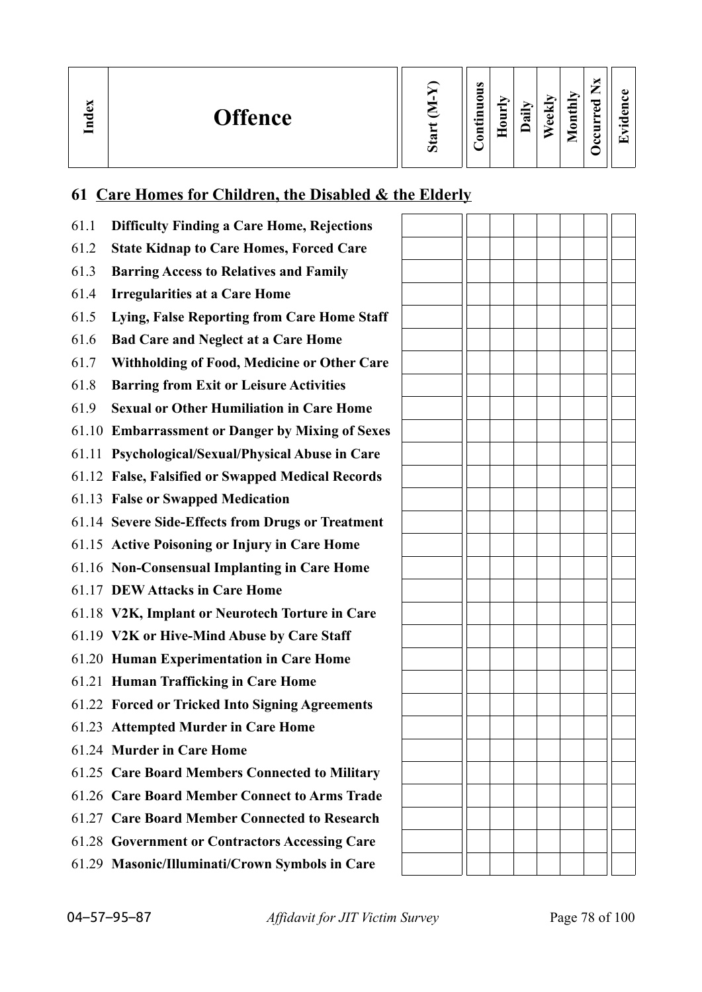| Index<br><b>Offence</b> | Ο | $\bullet$<br>▀<br>-<br>0<br>5<br>Ξ<br>$\bullet$ and<br>$\mathbf{g}$<br>- - | $\overline{\phantom{a}}$<br>È<br>0<br>─ | ਵ | ≂<br>ಕ<br>ω | $_{\rm thlv}$<br>$\overline{\mathbf{S}}$<br>_ | —<br>≂<br>ω | ω<br>5<br>О<br>$\bullet$ and<br>T. |
|-------------------------|---|----------------------------------------------------------------------------|-----------------------------------------|---|-------------|-----------------------------------------------|-------------|------------------------------------|
|-------------------------|---|----------------------------------------------------------------------------|-----------------------------------------|---|-------------|-----------------------------------------------|-------------|------------------------------------|

# **61 Care Homes for Children, the Disabled & the Elderly**

| 61.1 | <b>Difficulty Finding a Care Home, Rejections</b>  |  |  |  |  |
|------|----------------------------------------------------|--|--|--|--|
| 61.2 | <b>State Kidnap to Care Homes, Forced Care</b>     |  |  |  |  |
| 61.3 | <b>Barring Access to Relatives and Family</b>      |  |  |  |  |
| 61.4 | <b>Irregularities at a Care Home</b>               |  |  |  |  |
| 61.5 | Lying, False Reporting from Care Home Staff        |  |  |  |  |
| 61.6 | <b>Bad Care and Neglect at a Care Home</b>         |  |  |  |  |
| 61.7 | <b>Withholding of Food, Medicine or Other Care</b> |  |  |  |  |
| 61.8 | <b>Barring from Exit or Leisure Activities</b>     |  |  |  |  |
| 61.9 | <b>Sexual or Other Humiliation in Care Home</b>    |  |  |  |  |
|      | 61.10 Embarrassment or Danger by Mixing of Sexes   |  |  |  |  |
|      | 61.11 Psychological/Sexual/Physical Abuse in Care  |  |  |  |  |
|      | 61.12 False, Falsified or Swapped Medical Records  |  |  |  |  |
|      | 61.13 False or Swapped Medication                  |  |  |  |  |
|      | 61.14 Severe Side-Effects from Drugs or Treatment  |  |  |  |  |
|      | 61.15 Active Poisoning or Injury in Care Home      |  |  |  |  |
|      | 61.16 Non-Consensual Implanting in Care Home       |  |  |  |  |
|      | 61.17 DEW Attacks in Care Home                     |  |  |  |  |
|      | 61.18 V2K, Implant or Neurotech Torture in Care    |  |  |  |  |
|      | 61.19 V2K or Hive-Mind Abuse by Care Staff         |  |  |  |  |
|      | 61.20 Human Experimentation in Care Home           |  |  |  |  |
|      | 61.21 Human Trafficking in Care Home               |  |  |  |  |
|      | 61.22 Forced or Tricked Into Signing Agreements    |  |  |  |  |
|      | 61.23 Attempted Murder in Care Home                |  |  |  |  |
|      | 61.24 Murder in Care Home                          |  |  |  |  |
|      | 61.25 Care Board Members Connected to Military     |  |  |  |  |
|      | 61.26 Care Board Member Connect to Arms Trade      |  |  |  |  |
|      | 61.27 Care Board Member Connected to Research      |  |  |  |  |
|      | 61.28 Government or Contractors Accessing Care     |  |  |  |  |
|      | 61.29 Masonic/Illuminati/Crown Symbols in Care     |  |  |  |  |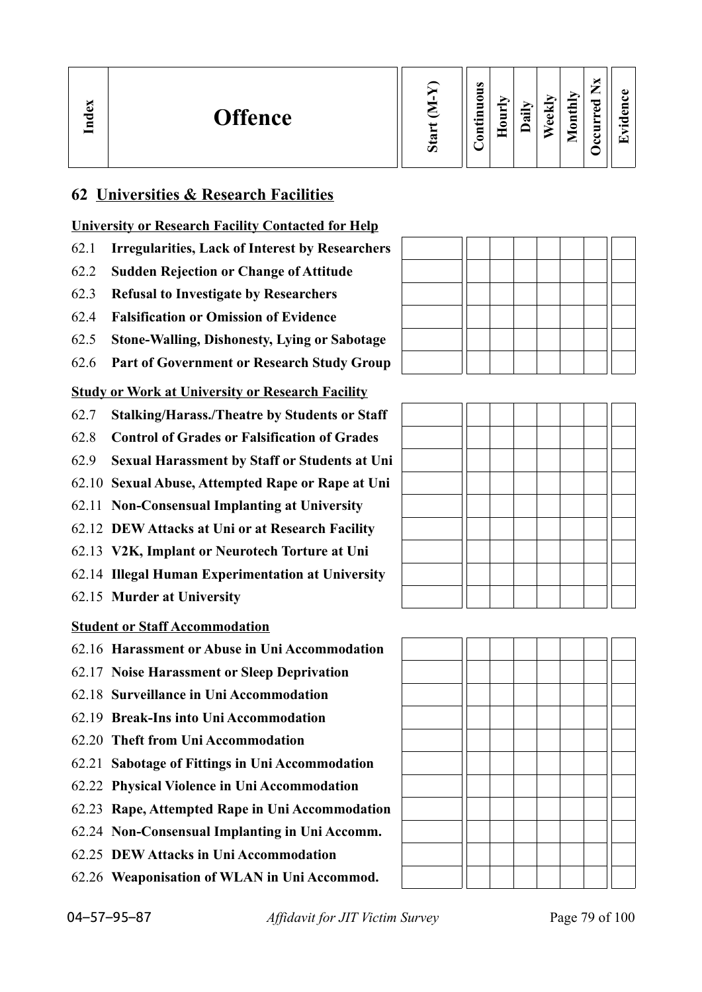| Index<br><b>Offence</b> | $\boldsymbol{\mathcal{D}}$ | $\bullet$<br>▀<br>⊂<br>−<br>$\cdot$ $-$<br>⊟<br>-<br>$\sim$ | ∽<br>Ē<br>= | ੶ਫ਼ | ನ<br>ಕ<br>D | onthly<br>╺<br>◚ | ×<br>–<br>_<br>ರ<br>ω<br>➤<br>−<br>ت<br>ے | ده<br>5<br>—<br>$\cdot$ $-$<br>↽ |
|-------------------------|----------------------------|-------------------------------------------------------------|-------------|-----|-------------|------------------|-------------------------------------------|----------------------------------|
|-------------------------|----------------------------|-------------------------------------------------------------|-------------|-----|-------------|------------------|-------------------------------------------|----------------------------------|

#### **62 Universities & Research Facilities**

#### **University or Research Facility Contacted for Help**

- 62.1 **Irregularities, Lack of Interest by Researchers**
- 62.2 **Sudden Rejection or Change of Attitude**
- 62.3 **Refusal to Investigate by Researchers**
- 62.4 **Falsification or Omission of Evidence**
- 62.5 **Stone-Walling, Dishonesty, Lying or Sabotage**
- 62.6 **Part of Government or Research Study Group**

#### **Study or Work at University or Research Facility**

- 62.7 **Stalking/Harass./Theatre by Students or Staff**
- 62.8 **Control of Grades or Falsification of Grades**
- 62.9 **Sexual Harassment by Staff or Students at Uni**
- 62.10 **Sexual Abuse, Attempted Rape or Rape at Uni**
- 62.11 **Non-Consensual Implanting at University**
- 62.12 **DEW Attacks at Uni or at Research Facility**
- 62.13 **V2K, Implant or Neurotech Torture at Uni**
- 62.14 **Illegal Human Experimentation at University**
- 62.15 **Murder at University**

#### **Student or Staff Accommodation**

- 62.16 **Harassment or Abuse in Uni Accommodation**
- 62.17 **Noise Harassment or Sleep Deprivation**
- 62.18 **Surveillance in Uni Accommodation**
- 62.19 **Break-Ins into Uni Accommodation**
- 62.20 **Theft from Uni Accommodation**
- 62.21 **Sabotage of Fittings in Uni Accommodation**
- 62.22 **Physical Violence in Uni Accommodation**
- 62.23 **Rape, Attempted Rape in Uni Accommodation**
- 62.24 **Non-Consensual Implanting in Uni Accomm.**
- 62.25 **DEW Attacks in Uni Accommodation**
- 62.26 **Weaponisation of WLAN in Uni Accommod.**



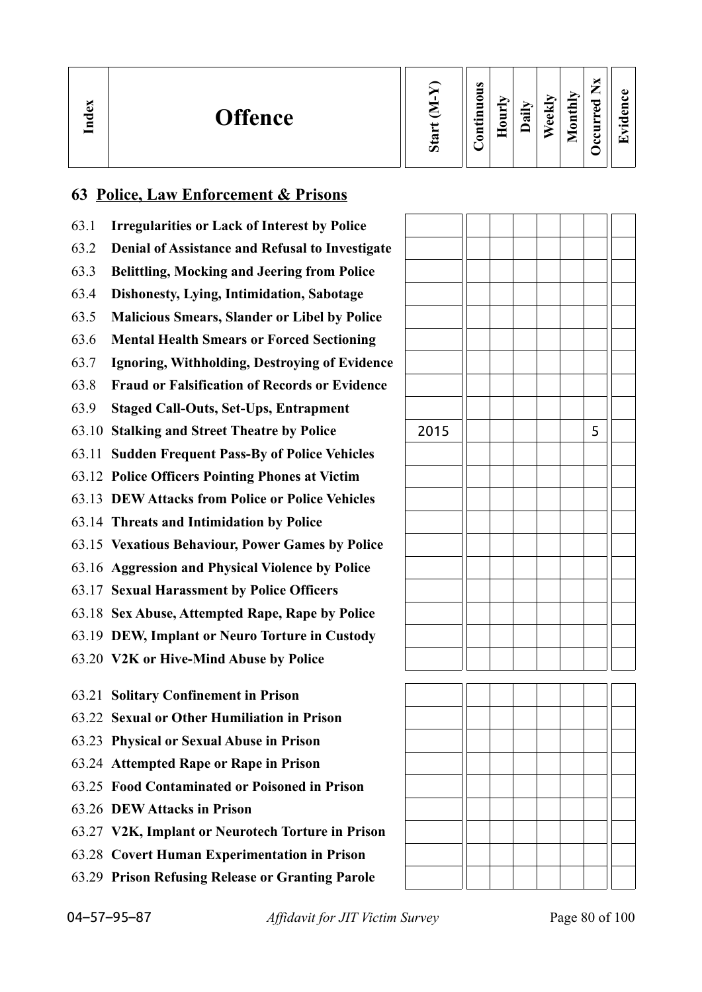| Index | <b>Offence</b> | ∽ | $\omega$<br>-<br>∊<br>$\cdot$ $\,$<br>_<br>◓ | $\sim$<br>旨<br>0 | 급 | E,<br>Φ<br>Ō | thly<br>$\overline{\mathbf{a}}$<br>-<br>◚ | b.<br>$\overline{\phantom{a}}$<br>_<br>ెం<br>ω<br>-<br>ິ<br>ت | $\bullet$<br>5<br>o<br>$\overline{\phantom{0}}$<br>▼ |
|-------|----------------|---|----------------------------------------------|------------------|---|--------------|-------------------------------------------|---------------------------------------------------------------|------------------------------------------------------|
|-------|----------------|---|----------------------------------------------|------------------|---|--------------|-------------------------------------------|---------------------------------------------------------------|------------------------------------------------------|

#### **63 Police, Law Enforcement & Prisons**

- 63.1 **Irregularities or Lack of Interest by Police**
- 63.2 **Denial of Assistance and Refusal to Investigate**
- 63.3 **Belittling, Mocking and Jeering from Police**
- 63.4 **Dishonesty, Lying, Intimidation, Sabotage**
- 63.5 **Malicious Smears, Slander or Libel by Police**
- 63.6 **Mental Health Smears or Forced Sectioning**
- 63.7 **Ignoring, Withholding, Destroying of Evidence**
- 63.8 **Fraud or Falsification of Records or Evidence**
- 63.9 **Staged Call-Outs, Set-Ups, Entrapment**
- 63.10 **Stalking and Street Theatre by Police**
- 63.11 **Sudden Frequent Pass-By of Police Vehicles**
- 63.12 **Police Officers Pointing Phones at Victim**
- 63.13 **DEW Attacks from Police or Police Vehicles**
- 63.14 **Threats and Intimidation by Police**
- 63.15 **Vexatious Behaviour, Power Games by Police**
- 63.16 **Aggression and Physical Violence by Police**
- 63.17 **Sexual Harassment by Police Officers**
- 63.18 **Sex Abuse, Attempted Rape, Rape by Police**
- 63.19 **DEW, Implant or Neuro Torture in Custody**
- 63.20 **V2K or Hive-Mind Abuse by Police**
- 63.21 **Solitary Confinement in Prison**
- 63.22 **Sexual or Other Humiliation in Prison**
- 63.23 **Physical or Sexual Abuse in Prison**
- 63.24 **Attempted Rape or Rape in Prison**
- 63.25 **Food Contaminated or Poisoned in Prison**
- 63.26 **DEW Attacks in Prison**
- 63.27 **V2K, Implant or Neurotech Torture in Prison**
- 63.28 **Covert Human Experimentation in Prison**
- 63.29 **Prison Refusing Release or Granting Parole**

| 2015 |  |  | 5 |  |
|------|--|--|---|--|
|      |  |  |   |  |
|      |  |  |   |  |
|      |  |  |   |  |
|      |  |  |   |  |
|      |  |  |   |  |
|      |  |  |   |  |
|      |  |  |   |  |
|      |  |  |   |  |
|      |  |  |   |  |
|      |  |  |   |  |



04–57–95–87 *Affidavit for JIT Victim Survey* Page 80 of 100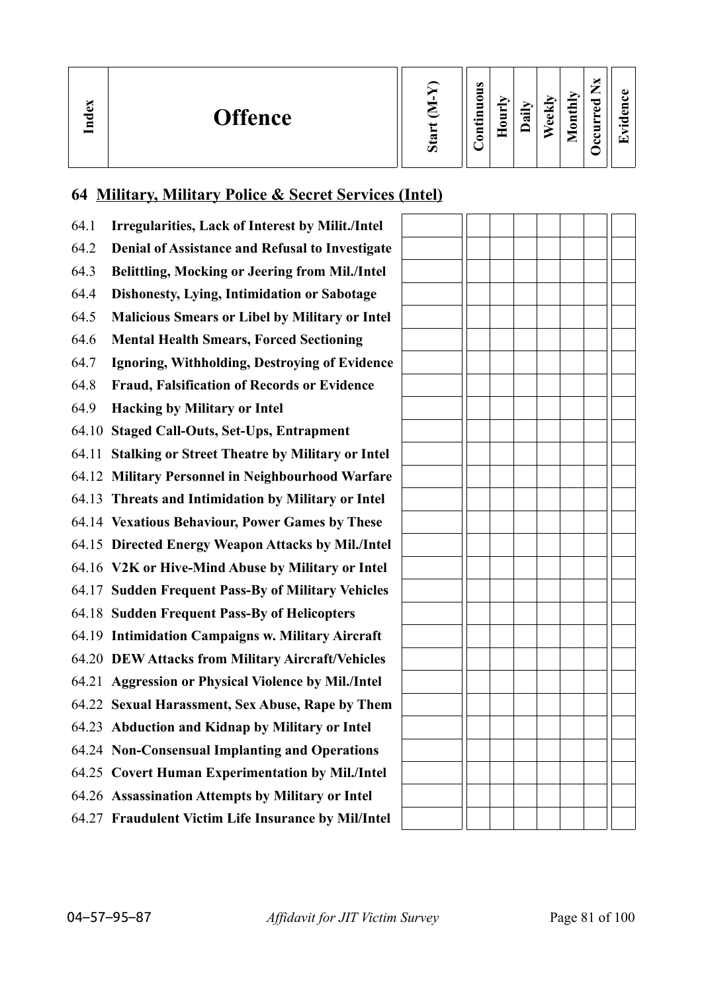| ω<br><b>Offence</b><br>ヮ<br>ਵ | Ø | $\bullet$<br>0<br>5<br>$\cdot$ $\,$<br>ᄆ<br>0 | $\sim$<br>−<br>⊣<br>-<br>c | ≔<br>≂ | ΘK<br>ω | $\mathbf{H}$<br>$\overline{\mathbf{g}}$<br>_ | ~<br>A) | ω<br>ω<br>C<br>. . |
|-------------------------------|---|-----------------------------------------------|----------------------------|--------|---------|----------------------------------------------|---------|--------------------|
|-------------------------------|---|-----------------------------------------------|----------------------------|--------|---------|----------------------------------------------|---------|--------------------|

# **64 Military, Military Police & Secret Services (Intel)**

| 64.1  | <b>Irregularities, Lack of Interest by Milit./Intel</b> |  |
|-------|---------------------------------------------------------|--|
| 64.2  | Denial of Assistance and Refusal to Investigate         |  |
| 64.3  | Belittling, Mocking or Jeering from Mil./Intel          |  |
| 64.4  | <b>Dishonesty, Lying, Intimidation or Sabotage</b>      |  |
| 64.5  | <b>Malicious Smears or Libel by Military or Intel</b>   |  |
| 64.6  | <b>Mental Health Smears, Forced Sectioning</b>          |  |
| 64.7  | Ignoring, Withholding, Destroying of Evidence           |  |
| 64.8  | <b>Fraud, Falsification of Records or Evidence</b>      |  |
| 64.9  | <b>Hacking by Military or Intel</b>                     |  |
| 64.10 | <b>Staged Call-Outs, Set-Ups, Entrapment</b>            |  |
| 64.11 | <b>Stalking or Street Theatre by Military or Intel</b>  |  |
| 64.12 | <b>Military Personnel in Neighbourhood Warfare</b>      |  |
| 64.13 | Threats and Intimidation by Military or Intel           |  |
| 64.14 | <b>Vexatious Behaviour, Power Games by These</b>        |  |
| 64.15 | <b>Directed Energy Weapon Attacks by Mil./Intel</b>     |  |
|       | 64.16 V2K or Hive-Mind Abuse by Military or Intel       |  |
|       | 64.17 Sudden Frequent Pass-By of Military Vehicles      |  |
|       | 64.18 Sudden Frequent Pass-By of Helicopters            |  |
| 64.19 | <b>Intimidation Campaigns w. Military Aircraft</b>      |  |
| 64.20 | <b>DEW Attacks from Military Aircraft/Vehicles</b>      |  |
| 64.21 | <b>Aggression or Physical Violence by Mil./Intel</b>    |  |
| 64.22 | <b>Sexual Harassment, Sex Abuse, Rape by Them</b>       |  |
| 64.23 | <b>Abduction and Kidnap by Military or Intel</b>        |  |
|       | 64.24 Non-Consensual Implanting and Operations          |  |
|       | 64.25 Covert Human Experimentation by Mil./Intel        |  |
|       | 64.26 Assassination Attempts by Military or Intel       |  |
|       | 64.27 Fraudulent Victim Life Insurance by Mil/Intel     |  |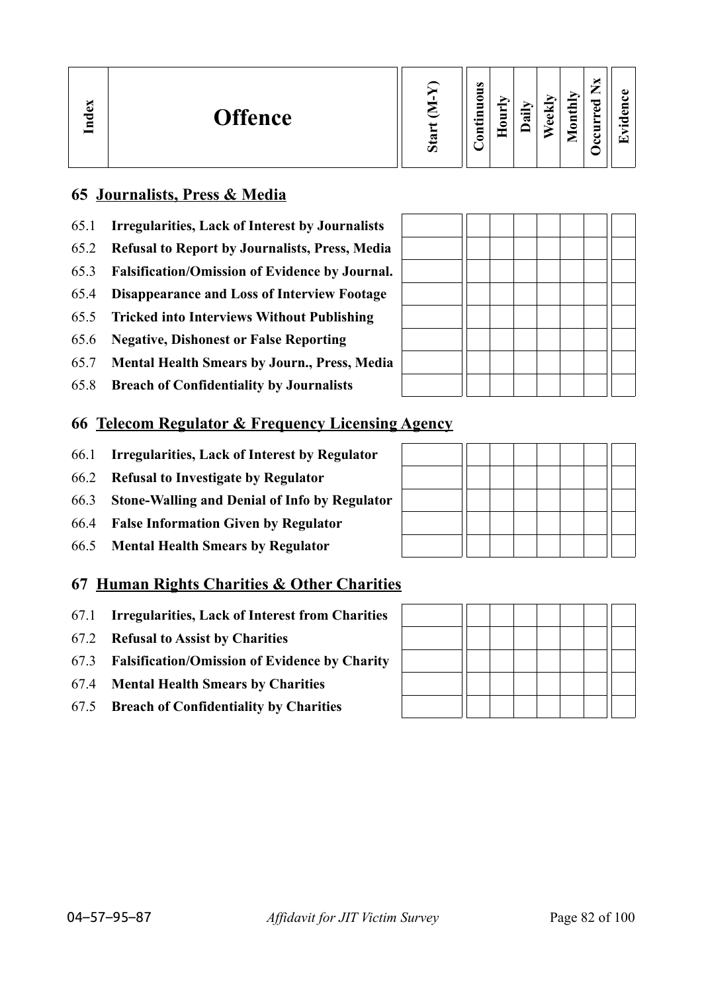| M<br>-ධ<br><b>Offence</b><br>$\mathbf{I}_{\mathbf{n}}$ | ᢍ<br>$\boldsymbol{\omega}$ | <b>S</b><br>0<br>−<br>$\overline{\phantom{0}}$<br>5<br>┍ | _<br><b>__</b> | ⊶<br>ಷ | $\overline{\phantom{a}}$<br>ω<br>ω | $\overline{\text{th}}$<br>$\overline{\mathbf{5}}$<br>-<br>⊆ | ы<br>_<br>ರ<br>Ф<br>►<br>5<br>٤<br>౿ | O.<br>$\bullet$<br>í₩. |
|--------------------------------------------------------|----------------------------|----------------------------------------------------------|----------------|--------|------------------------------------|-------------------------------------------------------------|--------------------------------------|------------------------|
|--------------------------------------------------------|----------------------------|----------------------------------------------------------|----------------|--------|------------------------------------|-------------------------------------------------------------|--------------------------------------|------------------------|

#### **65 Journalists, Press & Media**

- 65.1 **Irregularities, Lack of Interest by Journalists**
- 65.2 **Refusal to Report by Journalists, Press, Media**
- 65.3 **Falsification/Omission of Evidence by Journal.**
- 65.4 **Disappearance and Loss of Interview Footage**
- 65.5 **Tricked into Interviews Without Publishing**
- 65.6 **Negative, Dishonest or False Reporting**
- 65.7 **Mental Health Smears by Journ., Press, Media**
- 65.8 **Breach of Confidentiality by Journalists**

#### **66 Telecom Regulator & Frequency Licensing Agency**

- 66.1 **Irregularities, Lack of Interest by Regulator**
- 66.2 **Refusal to Investigate by Regulator**
- 66.3 **Stone-Walling and Denial of Info by Regulator**
- 66.4 **False Information Given by Regulator**
- 66.5 **Mental Health Smears by Regulator**

#### **67 Human Rights Charities & Other Charities**

- 67.1 **Irregularities, Lack of Interest from Charities**
- 67.2 **Refusal to Assist by Charities**
- 67.3 **Falsification/Omission of Evidence by Charity**
- 67.4 **Mental Health Smears by Charities**
- 67.5 **Breach of Confidentiality by Charities**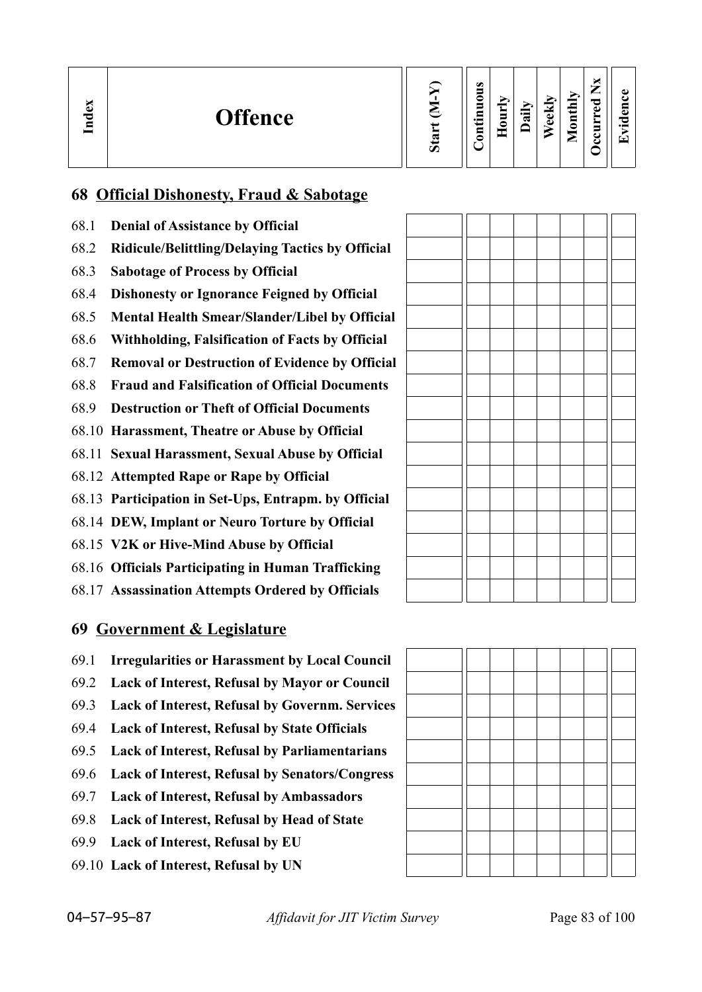| $\mathbf{g}$<br><b>Offence</b><br>Ĕ | $\boldsymbol{\mathcal{D}}$ | $\omega$<br>۵<br>≏<br>5<br>- 드<br>₽<br>c | ∽<br>= | ∽<br>न्न | ≂<br>Φ<br>ω | lonthly<br>−<br>◚ | ×<br>—<br>痴<br>ರ<br>ه<br>►<br>Ì<br>ں<br>ပ | ىە<br>'n.<br>-7<br>$\cdot$ $\,$<br>" |
|-------------------------------------|----------------------------|------------------------------------------|--------|----------|-------------|-------------------|-------------------------------------------|--------------------------------------|
|-------------------------------------|----------------------------|------------------------------------------|--------|----------|-------------|-------------------|-------------------------------------------|--------------------------------------|

#### **68 Official Dishonesty, Fraud & Sabotage**

- 68.1 **Denial of Assistance by Official**
- 68.2 **Ridicule/Belittling/Delaying Tactics by Official**
- 68.3 **Sabotage of Process by Official**
- 68.4 **Dishonesty or Ignorance Feigned by Official**
- 68.5 **Mental Health Smear/Slander/Libel by Official**
- 68.6 **Withholding, Falsification of Facts by Official**
- 68.7 **Removal or Destruction of Evidence by Official**
- 68.8 **Fraud and Falsification of Official Documents**
- 68.9 **Destruction or Theft of Official Documents**
- 68.10 **Harassment, Theatre or Abuse by Official**
- 68.11 **Sexual Harassment, Sexual Abuse by Official**
- 68.12 **Attempted Rape or Rape by Official**
- 68.13 **Participation in Set-Ups, Entrapm. by Official**
- 68.14 **DEW, Implant or Neuro Torture by Official**
- 68.15 **V2K or Hive-Mind Abuse by Official**
- 68.16 **Officials Participating in Human Trafficking**
- 68.17 **Assassination Attempts Ordered by Officials**

#### **69 Government & Legislature**

- 69.1 **Irregularities or Harassment by Local Council**
- 69.2 **Lack of Interest, Refusal by Mayor or Council**
- 69.3 **Lack of Interest, Refusal by Governm. Services**
- 69.4 **Lack of Interest, Refusal by State Officials**
- 69.5 **Lack of Interest, Refusal by Parliamentarians**
- 69.6 **Lack of Interest, Refusal by Senators/Congress**
- 69.7 **Lack of Interest, Refusal by Ambassadors**
- 69.8 **Lack of Interest, Refusal by Head of State**
- 69.9 **Lack of Interest, Refusal by EU**
- 69.10 **Lack of Interest, Refusal by UN**

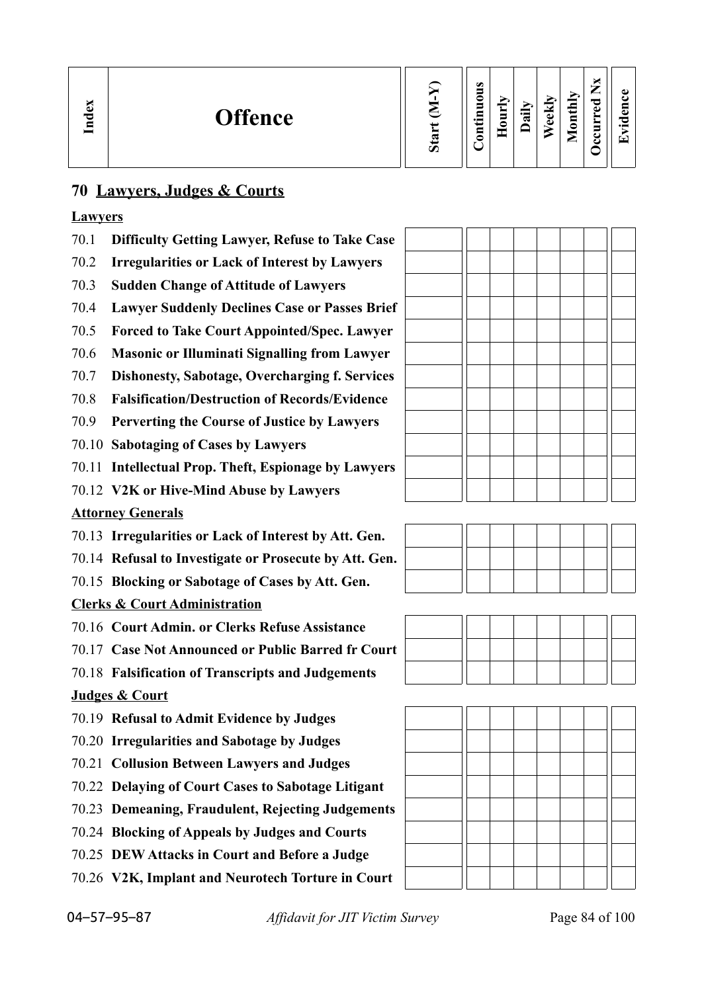| ×<br>نه<br><b>Offence</b><br>Lnd | ದಾ<br>$\boldsymbol{\Omega}$ | $\omega$<br>_<br>0<br>-<br>▭<br>$\overline{\phantom{0}}$<br>5 | −<br>_ | ੶ਫ਼ | ≂<br>نه<br>$\omega$ | $\mathbf{H}$<br>g<br>-<br>_ | ◡<br>_<br>ెం<br>ω<br>►<br>≻<br>s<br>◡<br>ల | $\bullet$<br>▼ |
|----------------------------------|-----------------------------|---------------------------------------------------------------|--------|-----|---------------------|-----------------------------|--------------------------------------------|----------------|
|----------------------------------|-----------------------------|---------------------------------------------------------------|--------|-----|---------------------|-----------------------------|--------------------------------------------|----------------|

#### **70 Lawyers, Judges & Courts**

#### **Lawyers**

- 70.1 **Difficulty Getting Lawyer, Refuse to Take Case**
- 70.2 **Irregularities or Lack of Interest by Lawyers**
- 70.3 **Sudden Change of Attitude of Lawyers**
- 70.4 **Lawyer Suddenly Declines Case or Passes Brief**
- 70.5 **Forced to Take Court Appointed/Spec. Lawyer**
- 70.6 **Masonic or Illuminati Signalling from Lawyer**
- 70.7 **Dishonesty, Sabotage, Overcharging f. Services**
- 70.8 **Falsification/Destruction of Records/Evidence**
- 70.9 **Perverting the Course of Justice by Lawyers**
- 70.10 **Sabotaging of Cases by Lawyers**
- 70.11 **Intellectual Prop. Theft, Espionage by Lawyers**
- 70.12 **V2K or Hive-Mind Abuse by Lawyers**

#### **Attorney Generals**

- 70.13 **Irregularities or Lack of Interest by Att. Gen.**
- 70.14 **Refusal to Investigate or Prosecute by Att. Gen.**
- 70.15 **Blocking or Sabotage of Cases by Att. Gen.**

#### **Clerks & Court Administration**

- 70.16 **Court Admin. or Clerks Refuse Assistance**
- 70.17 **Case Not Announced or Public Barred fr Court**
- 70.18 **Falsification of Transcripts and Judgements**

#### **Judges & Court**

- 70.19 **Refusal to Admit Evidence by Judges**
- 70.20 **Irregularities and Sabotage by Judges**
- 70.21 **Collusion Between Lawyers and Judges**
- 70.22 **Delaying of Court Cases to Sabotage Litigant**
- 70.23 **Demeaning, Fraudulent, Rejecting Judgements**
- 70.24 **Blocking of Appeals by Judges and Courts**
- 70.25 **DEW Attacks in Court and Before a Judge**
- 70.26 **V2K, Implant and Neurotech Torture in Court**





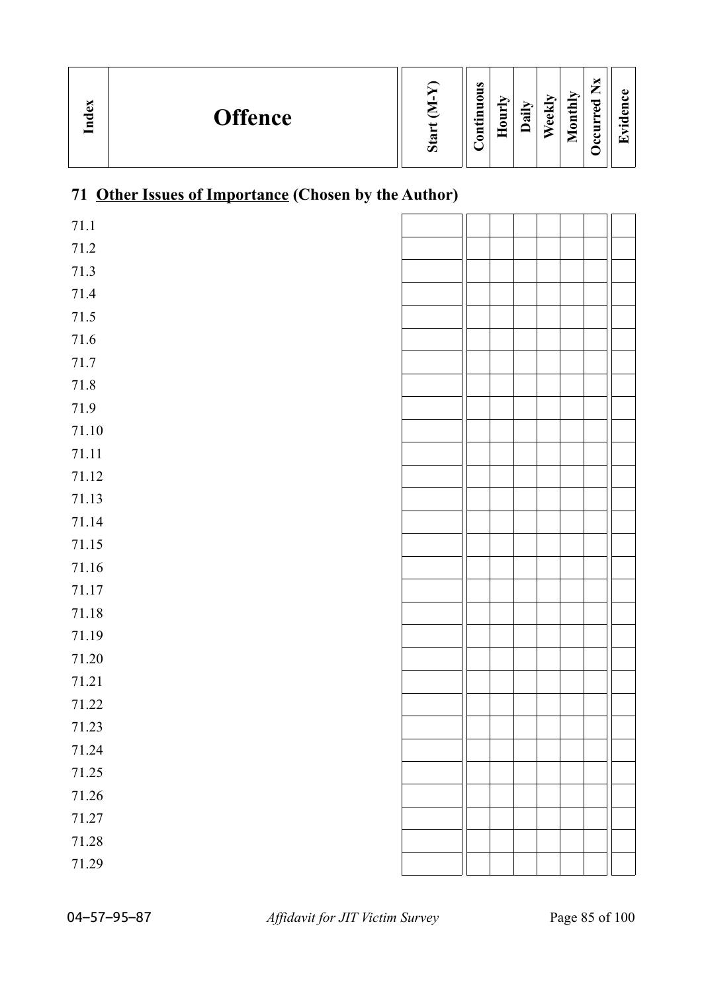| Index<br><b>Offence</b> | ∽ | $\bullet$<br>5<br>0<br>É<br>$\bullet$ $\blacksquare$<br>ទ | $\sim$<br>Ĕ<br>è | $\ddot{a}$ | eekly | thly<br>$\blacksquare$<br>0<br>_ | –<br>ு<br>ω<br>_ | $\bullet$<br>⊑<br>نه<br>O<br>$\bullet$ and<br>▼ |
|-------------------------|---|-----------------------------------------------------------|------------------|------------|-------|----------------------------------|------------------|-------------------------------------------------|
|-------------------------|---|-----------------------------------------------------------|------------------|------------|-------|----------------------------------|------------------|-------------------------------------------------|

# **71 Other Issues of Importance (Chosen by the Author)**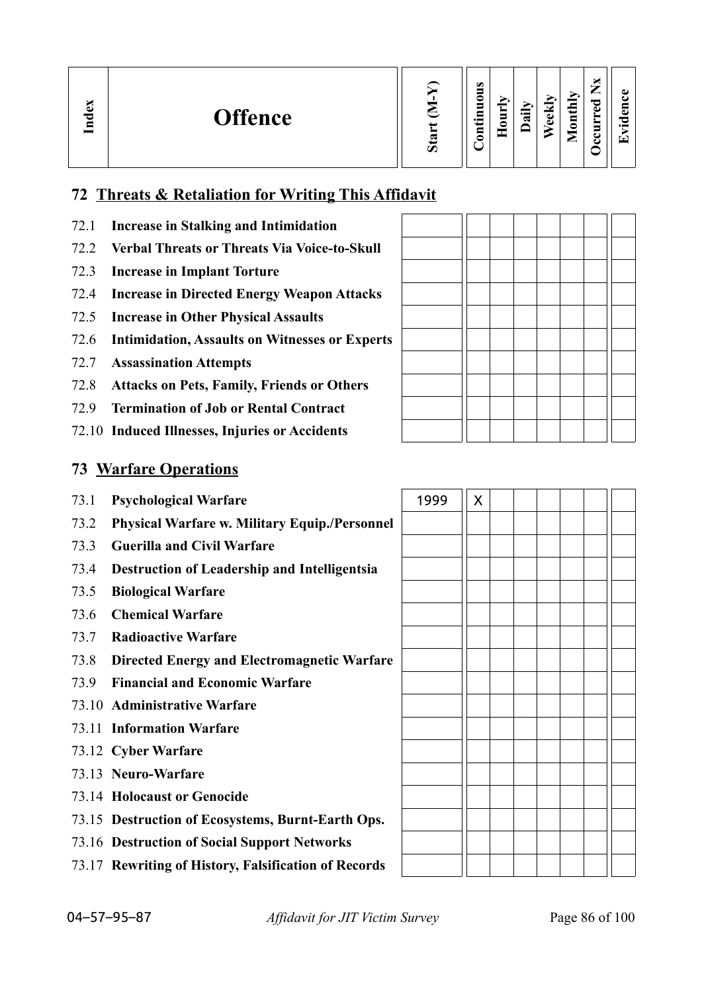| $\mathbf{g}$<br><b>Offence</b><br>Ind | Ø | $\bullet$<br>_ | 5<br>っ | ੶ਫ਼ | $\overline{\phantom{a}}$<br>ω<br>ω | $t$ hly<br>$\overline{\mathbf{g}}$<br>╾ | _<br>ਰ<br>ω<br>−<br>c | A)<br>▼ |
|---------------------------------------|---|----------------|--------|-----|------------------------------------|-----------------------------------------|-----------------------|---------|
|---------------------------------------|---|----------------|--------|-----|------------------------------------|-----------------------------------------|-----------------------|---------|

#### **72 Threats & Retaliation for Writing This Affidavit**

- 72.1 **Increase in Stalking and Intimidation**
- 72.2 **Verbal Threats or Threats Via Voice-to-Skull**
- 72.3 **Increase in Implant Torture**
- 72.4 **Increase in Directed Energy Weapon Attacks**
- 72.5 **Increase in Other Physical Assaults**
- 72.6 **Intimidation, Assaults on Witnesses or Experts**
- 72.7 **Assassination Attempts**
- 72.8 **Attacks on Pets, Family, Friends or Others**
- 72.9 **Termination of Job or Rental Contract**
- 72.10 **Induced Illnesses, Injuries or Accidents**

#### **73 Warfare Operations**

- **73.1 Psychological Warfare**
- 73.2 **Physical Warfare w. Military Equip./Personnel**
- 73.3 **Guerilla and Civil Warfare**
- 73.4 **Destruction of Leadership and Intelligentsia**
- 73.5 **Biological Warfare**
- 73.6 **Chemical Warfare**
- 73.7 **Radioactive Warfare**
- 73.8 **Directed Energy and Electromagnetic Warfare**
- 73.9 **Financial and Economic Warfare**
- 73.10 **Administrative Warfare**
- 73.11 **Information Warfare**
- 73.12 **Cyber Warfare**
- 73.13 **Neuro-Warfare**
- 73.14 **Holocaust or Genocide**
- 73.15 **Destruction of Ecosystems, Burnt-Earth Ops.**
- 73.16 **Destruction of Social Support Networks**
- 73.17 **Rewriting of History, Falsification of Records**

| 1999 | $\mathsf X$ |  |  |  |
|------|-------------|--|--|--|
|      |             |  |  |  |
|      |             |  |  |  |
|      |             |  |  |  |
|      |             |  |  |  |
|      |             |  |  |  |
|      |             |  |  |  |
|      |             |  |  |  |
|      |             |  |  |  |
|      |             |  |  |  |
|      |             |  |  |  |
|      |             |  |  |  |
|      |             |  |  |  |
|      |             |  |  |  |
|      |             |  |  |  |
|      |             |  |  |  |
|      |             |  |  |  |
|      |             |  |  |  |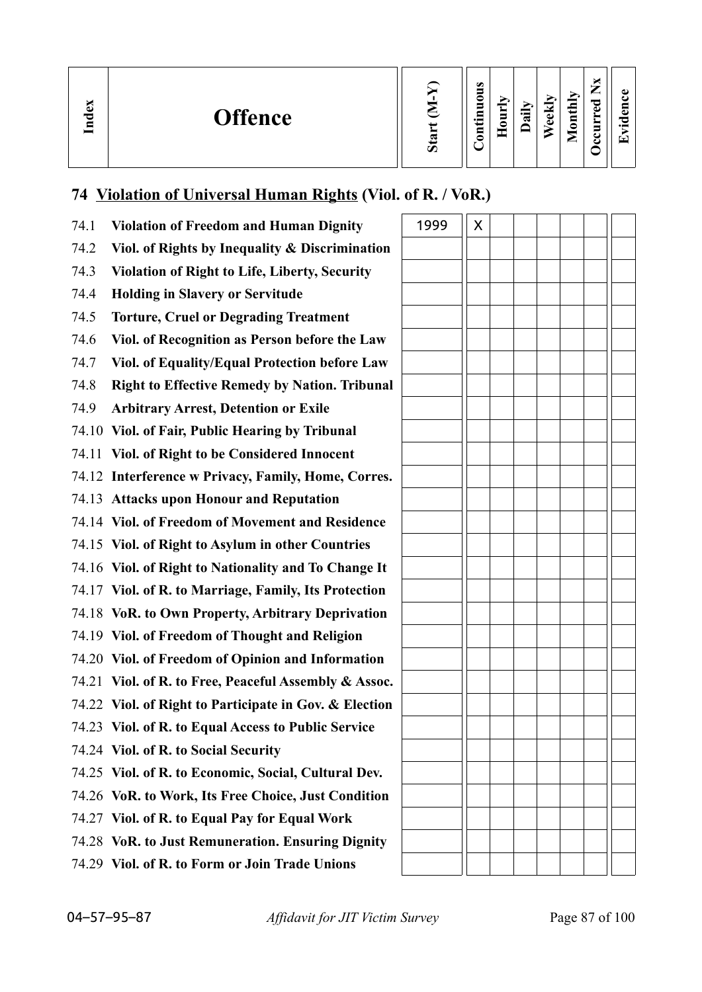| м<br>ව<br><b>Offence</b><br>Ind | $\boldsymbol{\mathcal{D}}$ | $\bullet$<br>5<br>◒<br>Ē<br>$\overline{\phantom{0}}$<br>$\overline{\mathbf{5}}$ | Ĕ<br>c | $\ddot{a}$ | eekly | thly<br>$\blacksquare$<br>◒<br>_ | ~<br>ъ. | $\bullet$<br>نه<br>د<br>$\cdot$ $-$<br>▼ |
|---------------------------------|----------------------------|---------------------------------------------------------------------------------|--------|------------|-------|----------------------------------|---------|------------------------------------------|
|---------------------------------|----------------------------|---------------------------------------------------------------------------------|--------|------------|-------|----------------------------------|---------|------------------------------------------|

# **74 Violation of Universal Human Rights (Viol. of R. / VoR.)**

| 74.1 | <b>Violation of Freedom and Human Dignity</b>          | 1999 | X |  |  |
|------|--------------------------------------------------------|------|---|--|--|
| 74.2 | Viol. of Rights by Inequality & Discrimination         |      |   |  |  |
| 74.3 | <b>Violation of Right to Life, Liberty, Security</b>   |      |   |  |  |
| 74.4 | <b>Holding in Slavery or Servitude</b>                 |      |   |  |  |
| 74.5 | <b>Torture, Cruel or Degrading Treatment</b>           |      |   |  |  |
| 74.6 | Viol. of Recognition as Person before the Law          |      |   |  |  |
| 74.7 | Viol. of Equality/Equal Protection before Law          |      |   |  |  |
| 74.8 | <b>Right to Effective Remedy by Nation. Tribunal</b>   |      |   |  |  |
| 74.9 | <b>Arbitrary Arrest, Detention or Exile</b>            |      |   |  |  |
|      | 74.10 Viol. of Fair, Public Hearing by Tribunal        |      |   |  |  |
|      | 74.11 Viol. of Right to be Considered Innocent         |      |   |  |  |
|      | 74.12 Interference w Privacy, Family, Home, Corres.    |      |   |  |  |
|      | 74.13 Attacks upon Honour and Reputation               |      |   |  |  |
|      | 74.14 Viol. of Freedom of Movement and Residence       |      |   |  |  |
|      | 74.15 Viol. of Right to Asylum in other Countries      |      |   |  |  |
|      | 74.16 Viol. of Right to Nationality and To Change It   |      |   |  |  |
|      | 74.17 Viol. of R. to Marriage, Family, Its Protection  |      |   |  |  |
|      | 74.18 VoR. to Own Property, Arbitrary Deprivation      |      |   |  |  |
|      | 74.19 Viol. of Freedom of Thought and Religion         |      |   |  |  |
|      | 74.20 Viol. of Freedom of Opinion and Information      |      |   |  |  |
|      | 74.21 Viol. of R. to Free, Peaceful Assembly & Assoc.  |      |   |  |  |
|      | 74.22 Viol. of Right to Participate in Gov. & Election |      |   |  |  |
|      | 74.23 Viol. of R. to Equal Access to Public Service    |      |   |  |  |
|      | 74.24 Viol. of R. to Social Security                   |      |   |  |  |
|      | 74.25 Viol. of R. to Economic, Social, Cultural Dev.   |      |   |  |  |
|      | 74.26 VoR. to Work, Its Free Choice, Just Condition    |      |   |  |  |
|      | 74.27 Viol. of R. to Equal Pay for Equal Work          |      |   |  |  |
|      | 74.28 VoR. to Just Remuneration. Ensuring Dignity      |      |   |  |  |
|      | 74.29 Viol. of R. to Form or Join Trade Unions         |      |   |  |  |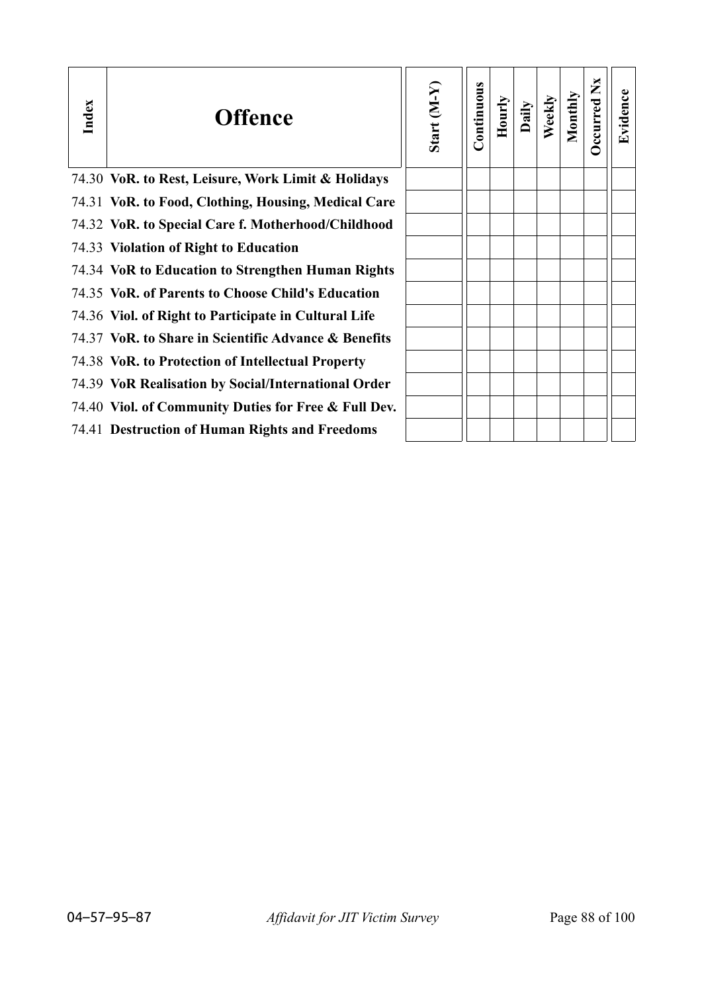| Index | <b>Offence</b>                                       | Start (M-Y) | Continuous | Hourly | Daily | Weekly | Monthly | ž<br>Occurred | Evidence |
|-------|------------------------------------------------------|-------------|------------|--------|-------|--------|---------|---------------|----------|
|       | 74.30 VoR. to Rest, Leisure, Work Limit & Holidays   |             |            |        |       |        |         |               |          |
|       | 74.31 VoR. to Food, Clothing, Housing, Medical Care  |             |            |        |       |        |         |               |          |
|       | 74.32 VoR. to Special Care f. Motherhood/Childhood   |             |            |        |       |        |         |               |          |
|       | 74.33 Violation of Right to Education                |             |            |        |       |        |         |               |          |
|       | 74.34 VoR to Education to Strengthen Human Rights    |             |            |        |       |        |         |               |          |
|       | 74.35 VoR. of Parents to Choose Child's Education    |             |            |        |       |        |         |               |          |
|       | 74.36 Viol. of Right to Participate in Cultural Life |             |            |        |       |        |         |               |          |
|       | 74.37 VoR. to Share in Scientific Advance & Benefits |             |            |        |       |        |         |               |          |
|       | 74.38 VoR. to Protection of Intellectual Property    |             |            |        |       |        |         |               |          |
|       | 74.39 VoR Realisation by Social/International Order  |             |            |        |       |        |         |               |          |
|       | 74.40 Viol. of Community Duties for Free & Full Dev. |             |            |        |       |        |         |               |          |
|       | 74.41 Destruction of Human Rights and Freedoms       |             |            |        |       |        |         |               |          |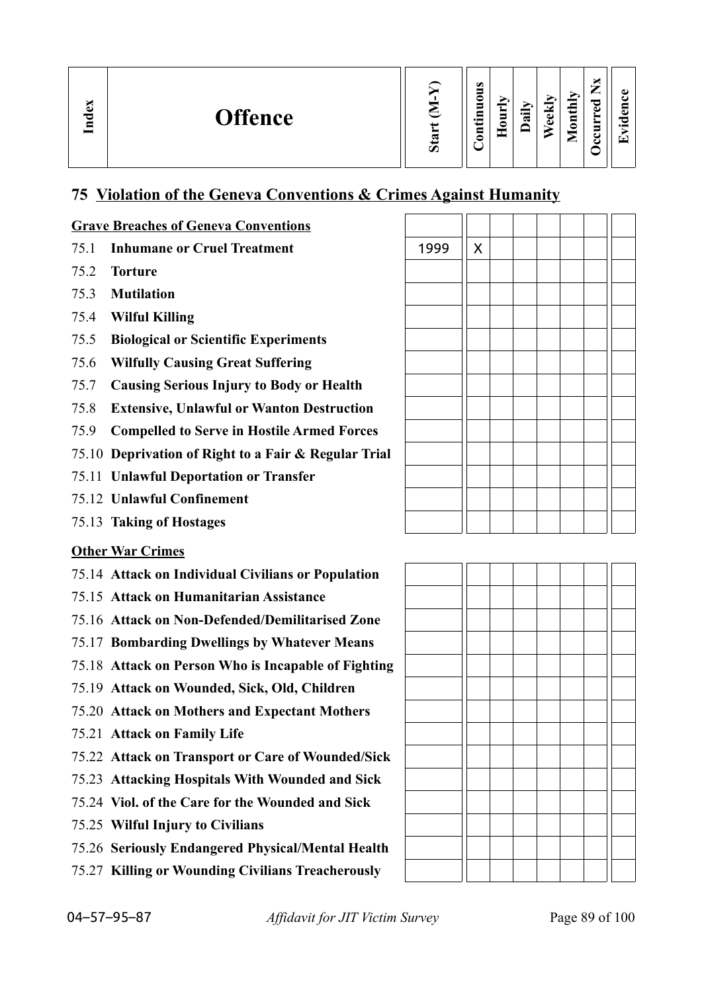| ы<br>mdex<br><b>Offence</b> | $\sigma$ | $\omega$<br>0<br>-<br>$\cdot$ $\,$<br>− | − | ੶ਜ਼ | $\overline{\phantom{a}}$<br>Φ<br>ω | 급<br>ىپ<br>⊟<br>0<br>► | P<br>C. | ω<br>o.<br>-<br>$\bullet$<br>$\overline{\phantom{0}}$ |
|-----------------------------|----------|-----------------------------------------|---|-----|------------------------------------|------------------------|---------|-------------------------------------------------------|
|-----------------------------|----------|-----------------------------------------|---|-----|------------------------------------|------------------------|---------|-------------------------------------------------------|

#### **75 Violation of the Geneva Conventions & Crimes Against Humanity**

#### **Grave Breaches of Geneva Conventions**

- 75.1 **Inhumane or Cruel Treatment**
- 75.2 **Torture**
- 75.3 **Mutilation**
- 75.4 **Wilful Killing**
- 75.5 **Biological or Scientific Experiments**
- 75.6 **Wilfully Causing Great Suffering**
- 75.7 **Causing Serious Injury to Body or Health**
- 75.8 **Extensive, Unlawful or Wanton Destruction**
- 75.9 **Compelled to Serve in Hostile Armed Forces**
- 75.10 **Deprivation of Right to a Fair & Regular Trial**
- 75.11 **Unlawful Deportation or Transfer**
- 75.12 **Unlawful Confinement**
- 75.13 **Taking of Hostages**

#### **Other War Crimes**

- 75.14 **Attack on Individual Civilians or Population**
- 75.15 **Attack on Humanitarian Assistance**
- 75.16 **Attack on Non-Defended/Demilitarised Zone**
- 75.17 **Bombarding Dwellings by Whatever Means**
- 75.18 **Attack on Person Who is Incapable of Fighting**
- 75.19 **Attack on Wounded, Sick, Old, Children**
- 75.20 **Attack on Mothers and Expectant Mothers**
- 75.21 **Attack on Family Life**
- 75.22 **Attack on Transport or Care of Wounded/Sick**
- 75.23 **Attacking Hospitals With Wounded and Sick**
- 75.24 **Viol. of the Care for the Wounded and Sick**
- 75.25 **Wilful Injury to Civilians**
- 75.26 **Seriously Endangered Physical/Mental Health**
- 75.27 **Killing or Wounding Civilians Treacherously**

| 1999 | $\boldsymbol{X}$ |  |  |  |
|------|------------------|--|--|--|
|      |                  |  |  |  |
|      |                  |  |  |  |
|      |                  |  |  |  |
|      |                  |  |  |  |
|      |                  |  |  |  |
|      |                  |  |  |  |
|      |                  |  |  |  |
|      |                  |  |  |  |
|      |                  |  |  |  |
|      |                  |  |  |  |
|      |                  |  |  |  |
|      |                  |  |  |  |

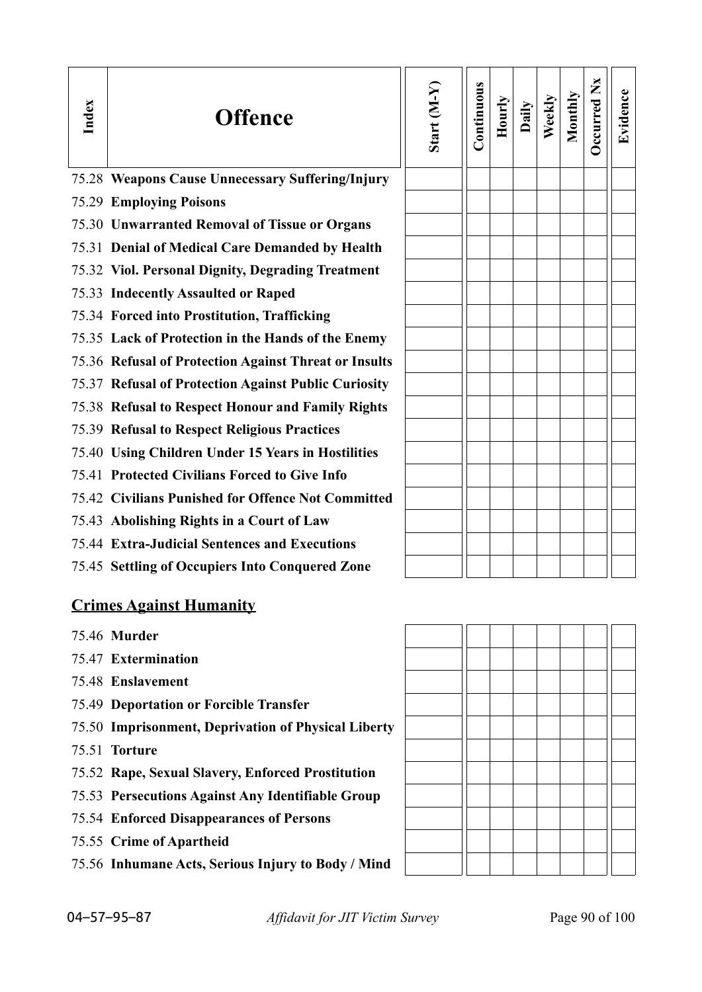| Index | <b>Offence</b>                                        | Start (M-Y) | Continuous | Hourly | Daily | Weekly | Monthly | Occurred Nx | Evidence |
|-------|-------------------------------------------------------|-------------|------------|--------|-------|--------|---------|-------------|----------|
|       | 75.28 Weapons Cause Unnecessary Suffering/Injury      |             |            |        |       |        |         |             |          |
|       | <b>75.29 Employing Poisons</b>                        |             |            |        |       |        |         |             |          |
|       | 75.30 Unwarranted Removal of Tissue or Organs         |             |            |        |       |        |         |             |          |
|       | 75.31 Denial of Medical Care Demanded by Health       |             |            |        |       |        |         |             |          |
|       | 75.32 Viol. Personal Dignity, Degrading Treatment     |             |            |        |       |        |         |             |          |
|       | 75.33 Indecently Assaulted or Raped                   |             |            |        |       |        |         |             |          |
|       | 75.34 Forced into Prostitution, Trafficking           |             |            |        |       |        |         |             |          |
|       | 75.35 Lack of Protection in the Hands of the Enemy    |             |            |        |       |        |         |             |          |
|       | 75.36 Refusal of Protection Against Threat or Insults |             |            |        |       |        |         |             |          |
|       | 75.37 Refusal of Protection Against Public Curiosity  |             |            |        |       |        |         |             |          |
|       | 75.38 Refusal to Respect Honour and Family Rights     |             |            |        |       |        |         |             |          |
|       | <b>75.39 Refusal to Respect Religious Practices</b>   |             |            |        |       |        |         |             |          |
|       | 75.40 Using Children Under 15 Years in Hostilities    |             |            |        |       |        |         |             |          |
|       | 75.41 Protected Civilians Forced to Give Info         |             |            |        |       |        |         |             |          |
|       | 75.42 Civilians Punished for Offence Not Committed    |             |            |        |       |        |         |             |          |
|       | 75.43 Abolishing Rights in a Court of Law             |             |            |        |       |        |         |             |          |
|       | 75.44 Extra-Judicial Sentences and Executions         |             |            |        |       |        |         |             |          |
|       | 75.45 Settling of Occupiers Into Conquered Zone       |             |            |        |       |        |         |             |          |
|       | <b>Crimes Against Humanity</b>                        |             |            |        |       |        |         |             |          |
|       | 75.46 Murder                                          |             |            |        |       |        |         |             |          |

- 75.47 **Extermination**
- 75.48 **Enslavement**
- 75.49 **Deportation or Forcible Transfer**
- 75.50 **Imprisonment, Deprivation of Physical Liberty**
- 75.51 **Torture**
- 75.52 **Rape, Sexual Slavery, Enforced Prostitution**
- 75.53 **Persecutions Against Any Identifiable Group**
- 75.54 **Enforced Disappearances of Persons**
- 75.55 **Crime of Apartheid**
- 75.56 **Inhumane Acts, Serious Injury to Body / Mind**



04–57–95–87 *Affidavit for JIT Victim Survey* Page 90 of 100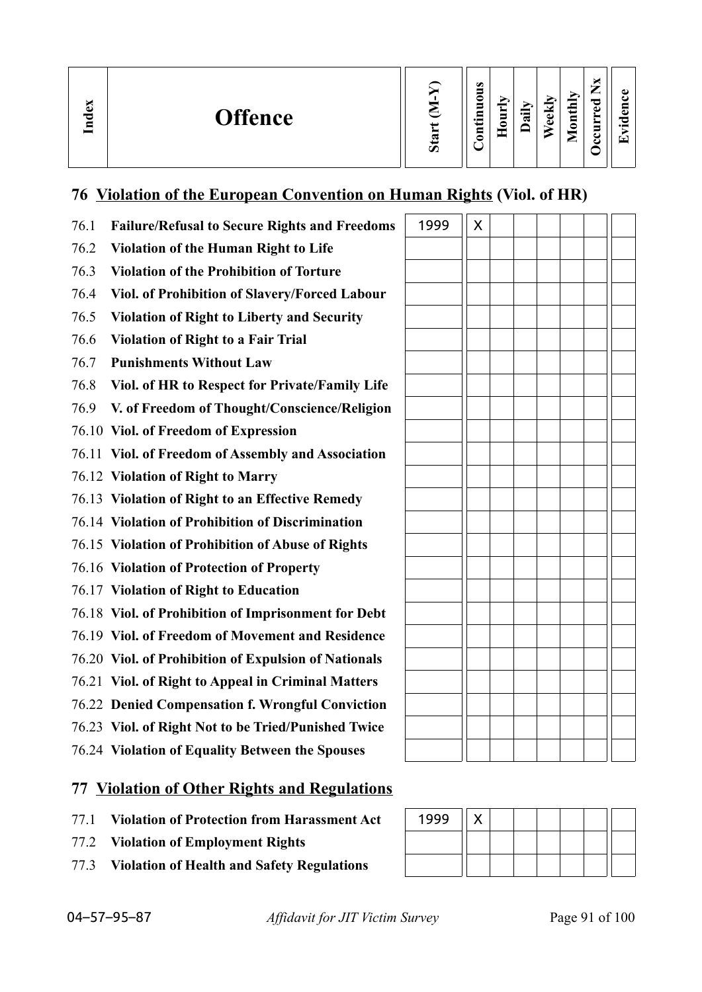| $\mathbf{g}$<br><b>Offence</b><br>Ě | c | $\omega$<br>-<br>≏<br>5<br>$\cdot$ $\,$<br>_<br>◓<br>- | −<br>Ę<br>≏ | 급 | ਚਿ<br>ಕ<br>$\bullet$ | onthly<br>$\blacksquare$<br>◚ | ×<br>—<br>_<br>ెం<br>ω<br>≻<br>▬<br>e<br>౿ | ച<br>c<br>. .<br>$\cdot$ $-$<br>$\overline{\phantom{0}}$ |
|-------------------------------------|---|--------------------------------------------------------|-------------|---|----------------------|-------------------------------|--------------------------------------------|----------------------------------------------------------|
|-------------------------------------|---|--------------------------------------------------------|-------------|---|----------------------|-------------------------------|--------------------------------------------|----------------------------------------------------------|

#### **76 Violation of the European Convention on Human Rights (Viol. of HR)**

| 76.1 | <b>Failure/Refusal to Secure Rights and Freedoms</b> | 1999 | X |  |  |
|------|------------------------------------------------------|------|---|--|--|
| 76.2 | <b>Violation of the Human Right to Life</b>          |      |   |  |  |
| 76.3 | <b>Violation of the Prohibition of Torture</b>       |      |   |  |  |
| 76.4 | Viol. of Prohibition of Slavery/Forced Labour        |      |   |  |  |
| 76.5 | <b>Violation of Right to Liberty and Security</b>    |      |   |  |  |
| 76.6 | <b>Violation of Right to a Fair Trial</b>            |      |   |  |  |
| 76.7 | <b>Punishments Without Law</b>                       |      |   |  |  |
| 76.8 | Viol. of HR to Respect for Private/Family Life       |      |   |  |  |
| 76.9 | V. of Freedom of Thought/Conscience/Religion         |      |   |  |  |
|      | 76.10 Viol. of Freedom of Expression                 |      |   |  |  |
|      | 76.11 Viol. of Freedom of Assembly and Association   |      |   |  |  |
|      | 76.12 Violation of Right to Marry                    |      |   |  |  |
|      | 76.13 Violation of Right to an Effective Remedy      |      |   |  |  |
|      | 76.14 Violation of Prohibition of Discrimination     |      |   |  |  |
|      | 76.15 Violation of Prohibition of Abuse of Rights    |      |   |  |  |
|      | 76.16 Violation of Protection of Property            |      |   |  |  |
|      | 76.17 Violation of Right to Education                |      |   |  |  |
|      | 76.18 Viol. of Prohibition of Imprisonment for Debt  |      |   |  |  |
|      | 76.19 Viol. of Freedom of Movement and Residence     |      |   |  |  |
|      | 76.20 Viol. of Prohibition of Expulsion of Nationals |      |   |  |  |
|      | 76.21 Viol. of Right to Appeal in Criminal Matters   |      |   |  |  |
|      | 76.22 Denied Compensation f. Wrongful Conviction     |      |   |  |  |
|      | 76.23 Viol. of Right Not to be Tried/Punished Twice  |      |   |  |  |
|      | 76.24 Violation of Equality Between the Spouses      |      |   |  |  |

# **77 Violation of Other Rights and Regulations**

- 77.1 **Violation of Protection from Harassment Act**
- 77.2 **Violation of Employment Rights**
- 77.3 **Violation of Health and Safety Regulations**

| 1999 |  |  |  |  |
|------|--|--|--|--|
|      |  |  |  |  |
|      |  |  |  |  |

 $\overline{1}$  $\overline{\phantom{0}}$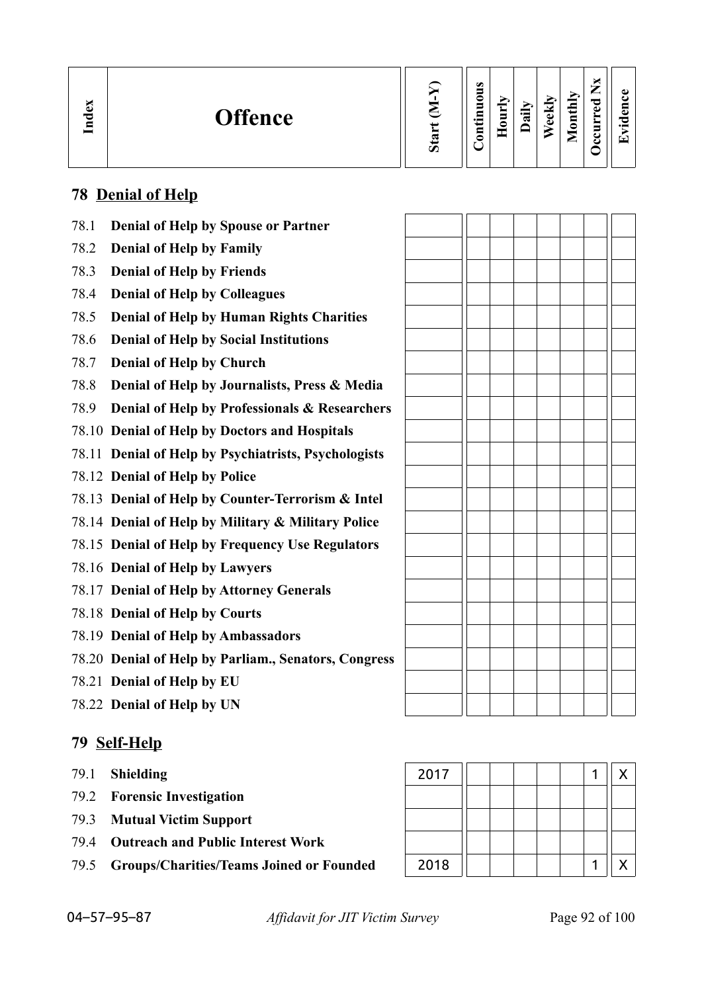| $\mathbb{S}$<br>Ĕ | <b>Offence</b> | ∽ | $\omega$<br>∍<br>c<br>5<br>┍<br>₽<br>0 | -<br>- | ੶ਫ਼ | 우<br>$\omega$ | ➢<br>$\mathbf{H}$<br>$\bar{\mathbf{g}}$<br>-<br>► | –<br>-<br>ಾ<br>ω<br>-<br>►<br>5<br>e<br>౿ | മ<br>▼ |
|-------------------|----------------|---|----------------------------------------|--------|-----|---------------|---------------------------------------------------|-------------------------------------------|--------|
|-------------------|----------------|---|----------------------------------------|--------|-----|---------------|---------------------------------------------------|-------------------------------------------|--------|

## **78 Denial of Help**

| 78.1 | Denial of Help by Spouse or Partner                  |  |  |  |  |
|------|------------------------------------------------------|--|--|--|--|
| 78.2 | <b>Denial of Help by Family</b>                      |  |  |  |  |
| 78.3 | <b>Denial of Help by Friends</b>                     |  |  |  |  |
| 78.4 | <b>Denial of Help by Colleagues</b>                  |  |  |  |  |
| 78.5 | <b>Denial of Help by Human Rights Charities</b>      |  |  |  |  |
| 78.6 | <b>Denial of Help by Social Institutions</b>         |  |  |  |  |
| 78.7 | <b>Denial of Help by Church</b>                      |  |  |  |  |
| 78.8 | Denial of Help by Journalists, Press & Media         |  |  |  |  |
| 78.9 | Denial of Help by Professionals & Researchers        |  |  |  |  |
|      | 78.10 Denial of Help by Doctors and Hospitals        |  |  |  |  |
|      | 78.11 Denial of Help by Psychiatrists, Psychologists |  |  |  |  |
|      | 78.12 Denial of Help by Police                       |  |  |  |  |
|      | 78.13 Denial of Help by Counter-Terrorism & Intel    |  |  |  |  |
|      | 78.14 Denial of Help by Military & Military Police   |  |  |  |  |
|      | 78.15 Denial of Help by Frequency Use Regulators     |  |  |  |  |
|      | 78.16 Denial of Help by Lawyers                      |  |  |  |  |
|      | 78.17 Denial of Help by Attorney Generals            |  |  |  |  |
|      | 78.18 Denial of Help by Courts                       |  |  |  |  |
|      | 78.19 Denial of Help by Ambassadors                  |  |  |  |  |
|      | 78.20 Denial of Help by Parliam., Senators, Congress |  |  |  |  |
|      | 78.21 Denial of Help by EU                           |  |  |  |  |
|      | 78.22 Denial of Help by UN                           |  |  |  |  |
|      |                                                      |  |  |  |  |

## **79 Self-Help**

- 79.1 **Shielding**
- 79.2 **Forensic Investigation**
- 79.3 **Mutual Victim Support**
- 79.4 **Outreach and Public Interest Work**
- 79.5 Groups/Charities/Teams Joined or Founded

| 2017 |  |  |  | Χ |
|------|--|--|--|---|
|      |  |  |  |   |
|      |  |  |  |   |
|      |  |  |  |   |
| 2018 |  |  |  | Χ |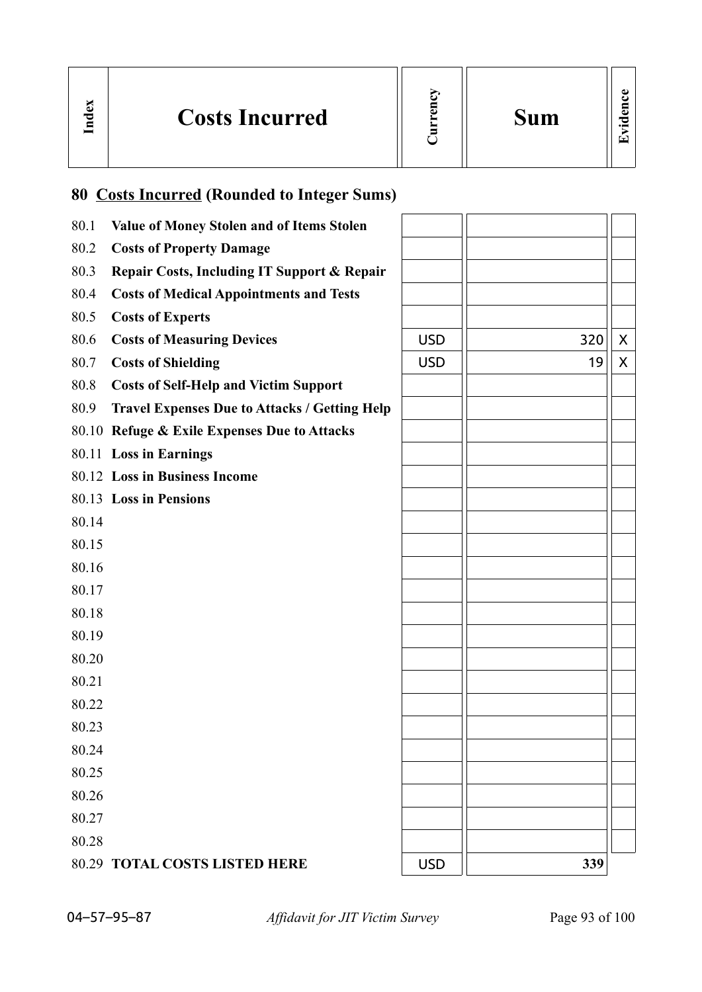|  | <b>Costs Incurred</b> |  | <b>Sum</b> |  |
|--|-----------------------|--|------------|--|
|--|-----------------------|--|------------|--|

# **80 Costs Incurred (Rounded to Integer Sums)**

| 80.1  | Value of Money Stolen and of Items Stolen            |            |     |   |
|-------|------------------------------------------------------|------------|-----|---|
| 80.2  | <b>Costs of Property Damage</b>                      |            |     |   |
| 80.3  | Repair Costs, Including IT Support & Repair          |            |     |   |
| 80.4  | <b>Costs of Medical Appointments and Tests</b>       |            |     |   |
| 80.5  | <b>Costs of Experts</b>                              |            |     |   |
| 80.6  | <b>Costs of Measuring Devices</b>                    | <b>USD</b> | 320 | X |
| 80.7  | <b>Costs of Shielding</b>                            | <b>USD</b> | 19  | X |
| 80.8  | <b>Costs of Self-Help and Victim Support</b>         |            |     |   |
| 80.9  | <b>Travel Expenses Due to Attacks / Getting Help</b> |            |     |   |
|       | 80.10 Refuge & Exile Expenses Due to Attacks         |            |     |   |
|       | 80.11 Loss in Earnings                               |            |     |   |
|       | 80.12 Loss in Business Income                        |            |     |   |
|       | 80.13 Loss in Pensions                               |            |     |   |
| 80.14 |                                                      |            |     |   |
| 80.15 |                                                      |            |     |   |
| 80.16 |                                                      |            |     |   |
| 80.17 |                                                      |            |     |   |
| 80.18 |                                                      |            |     |   |
| 80.19 |                                                      |            |     |   |
| 80.20 |                                                      |            |     |   |
| 80.21 |                                                      |            |     |   |
| 80.22 |                                                      |            |     |   |
| 80.23 |                                                      |            |     |   |
| 80.24 |                                                      |            |     |   |
| 80.25 |                                                      |            |     |   |
| 80.26 |                                                      |            |     |   |
| 80.27 |                                                      |            |     |   |
| 80.28 |                                                      |            |     |   |
|       | <b>80.29 TOTAL COSTS LISTED HERE</b>                 | <b>USD</b> | 339 |   |

04–57–95–87 *Affidavit for JIT Victim Survey* Page 93 of 100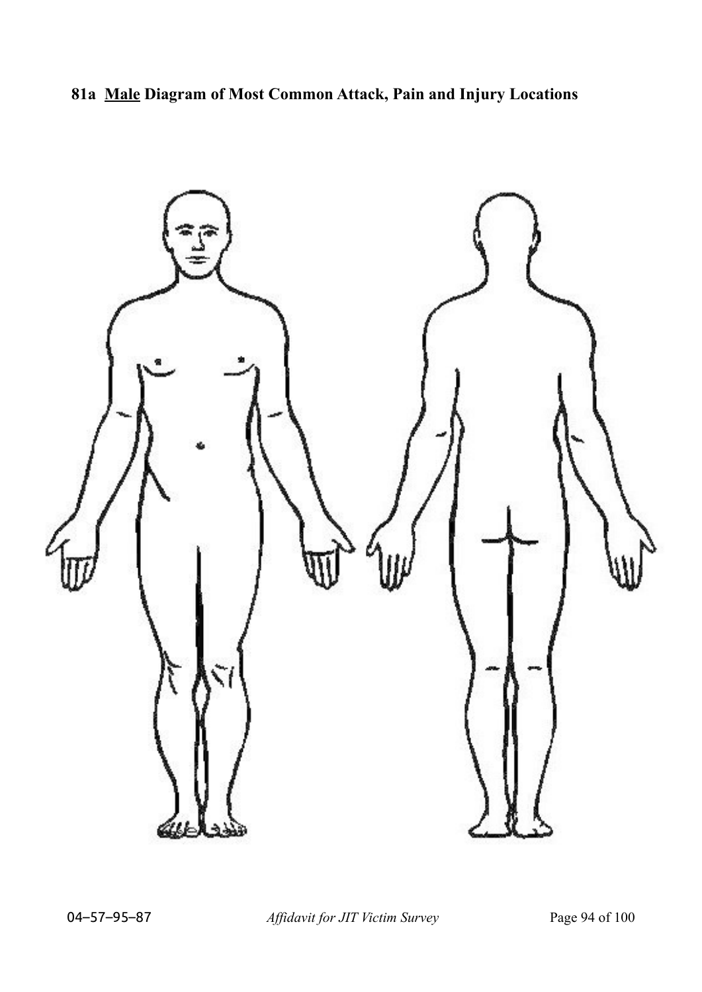**81a Male Diagram of Most Common Attack, Pain and Injury Locations**



04–57–95–87 *Affidavit for JIT Victim Survey* Page 94 of 100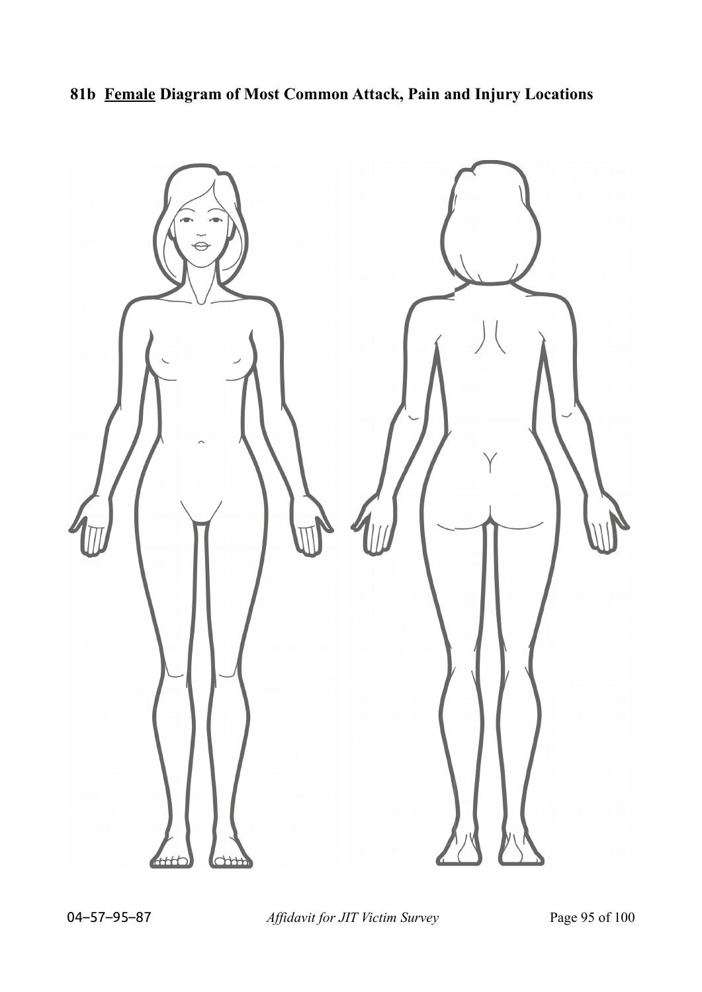## **81b Female Diagram of Most Common Attack, Pain and Injury Locations**

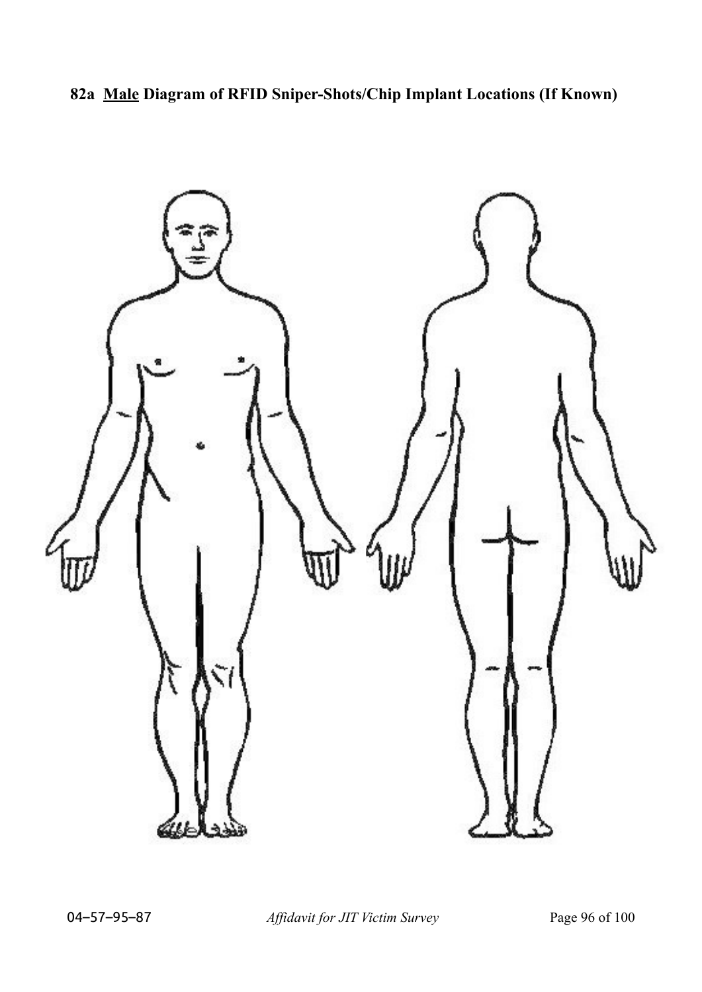**82a Male Diagram of RFID Sniper-Shots/Chip Implant Locations (If Known)**



04–57–95–87 *Affidavit for JIT Victim Survey* Page 96 of 100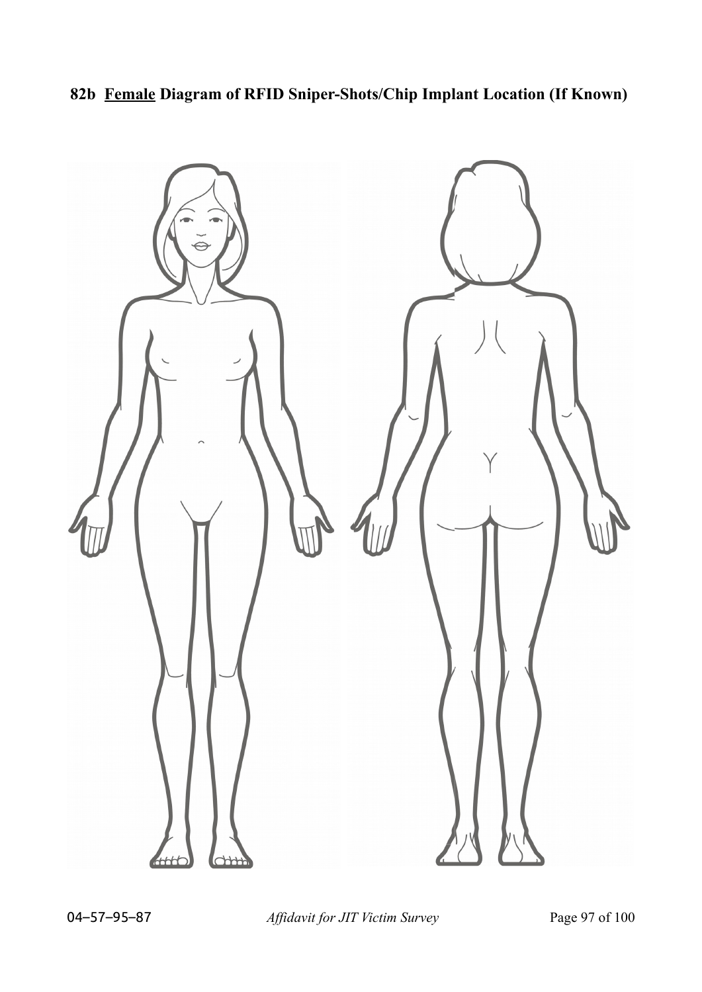**82b Female Diagram of RFID Sniper-Shots/Chip Implant Location (If Known)**